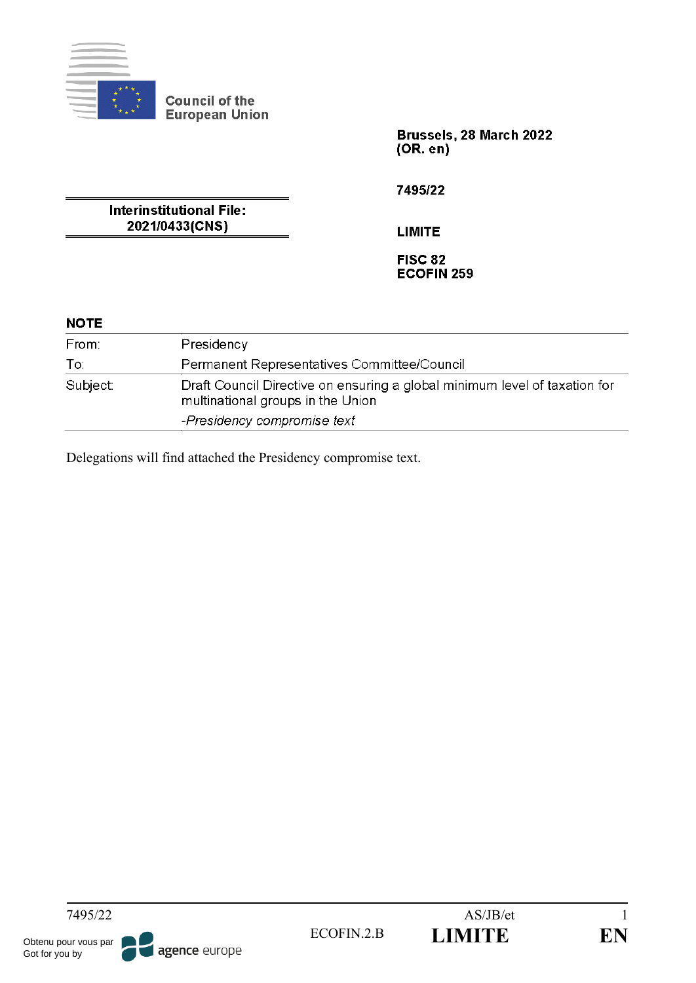

Brussels, 28 March 2022  $(OR. en)$ 

**Interinstitutional File:** 2021/0433(CNS)

7495/22

**LIMITE** 

FISC 82 **ECOFIN 259** 

# **NOTE**

| From:    | Presidency                                                                                                      |
|----------|-----------------------------------------------------------------------------------------------------------------|
| To:      | Permanent Representatives Committee/Council                                                                     |
| Subject: | Draft Council Directive on ensuring a global minimum level of taxation for<br>multinational groups in the Union |
|          | -Presidency compromise text                                                                                     |

Delegations will find attached the Presidency compromise text.

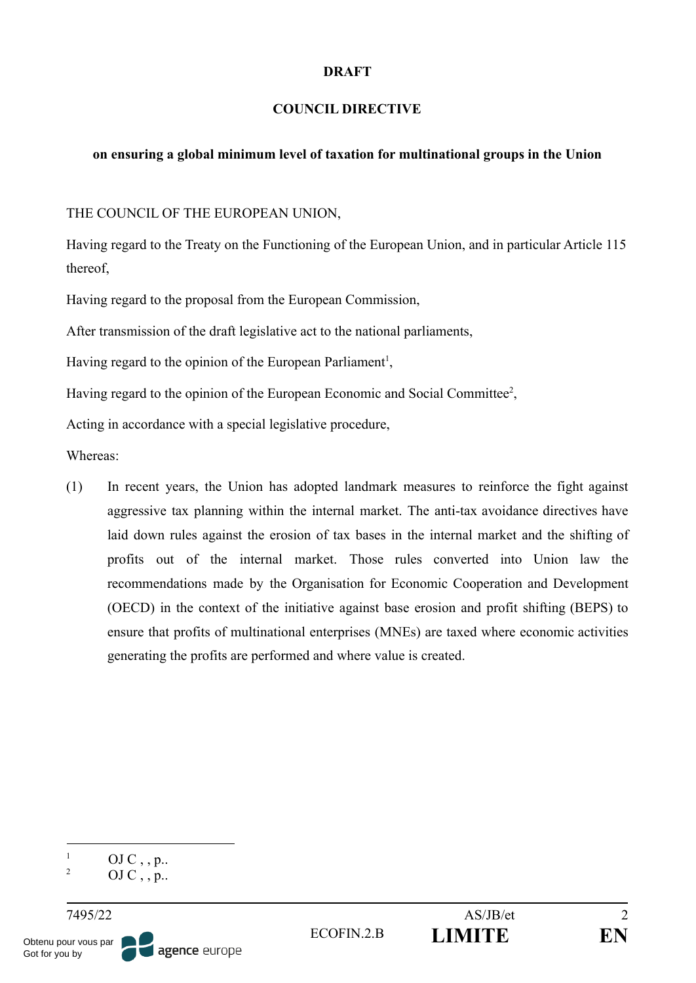#### **DRAFT**

#### **COUNCIL DIRECTIVE**

#### **on ensuring a global minimum level of taxation for multinational groups in the Union**

THE COUNCIL OF THE EUROPEAN UNION,

Having regard to the Treaty on the Functioning of the European Union, and in particular Article 115 thereof,

Having regard to the proposal from the European Commission,

After transmission of the draft legislative act to the national parliaments,

Having regard to the opinion of the European Parliament<sup>1</sup>,

Having regard to the opinion of the European Economic and Social Committee<sup>2</sup>,

Acting in accordance with a special legislative procedure,

Whereas:

(1) In recent years, the Union has adopted landmark measures to reinforce the fight against aggressive tax planning within the internal market. The anti-tax avoidance directives have laid down rules against the erosion of tax bases in the internal market and the shifting of profits out of the internal market. Those rules converted into Union law the recommendations made by the Organisation for Economic Cooperation and Development (OECD) in the context of the initiative against base erosion and profit shifting (BEPS) to ensure that profits of multinational enterprises (MNEs) are taxed where economic activities generating the profits are performed and where value is created.

<sup>2</sup> OJ C, , p.. <sup>1</sup> OJ C, , p..

agence europe

Obtenu pour vous par Got for you by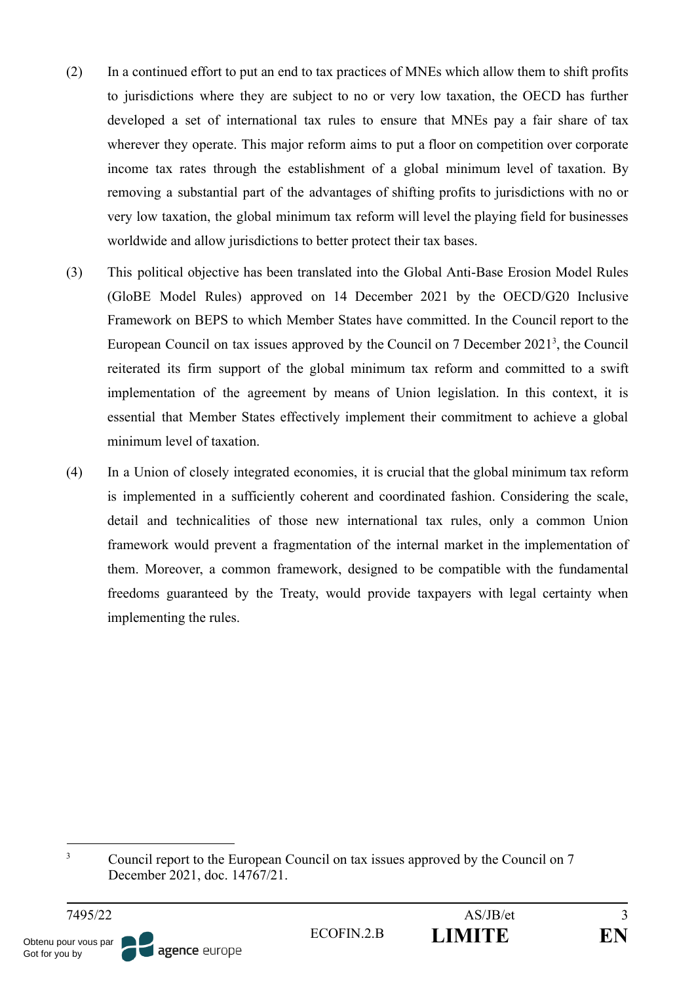- (2) In a continued effort to put an end to tax practices of MNEs which allow them to shift profits to jurisdictions where they are subject to no or very low taxation, the OECD has further developed a set of international tax rules to ensure that MNEs pay a fair share of tax wherever they operate. This major reform aims to put a floor on competition over corporate income tax rates through the establishment of a global minimum level of taxation. By removing a substantial part of the advantages of shifting profits to jurisdictions with no or very low taxation, the global minimum tax reform will level the playing field for businesses worldwide and allow jurisdictions to better protect their tax bases.
- (3) This political objective has been translated into the Global Anti-Base Erosion Model Rules (GloBE Model Rules) approved on 14 December 2021 by the OECD/G20 Inclusive Framework on BEPS to which Member States have committed. In the Council report to the European Council on tax issues approved by the Council on 7 December 2021<sup>3</sup>, the Council reiterated its firm support of the global minimum tax reform and committed to a swift implementation of the agreement by means of Union legislation. In this context, it is essential that Member States effectively implement their commitment to achieve a global minimum level of taxation.
- (4) In a Union of closely integrated economies, it is crucial that the global minimum tax reform is implemented in a sufficiently coherent and coordinated fashion. Considering the scale, detail and technicalities of those new international tax rules, only a common Union framework would prevent a fragmentation of the internal market in the implementation of them. Moreover, a common framework, designed to be compatible with the fundamental freedoms guaranteed by the Treaty, would provide taxpayers with legal certainty when implementing the rules.

<sup>&</sup>lt;sup>3</sup> Council report to the European Council on tax issues approved by the Council on 7 December 2021, doc. 14767/21.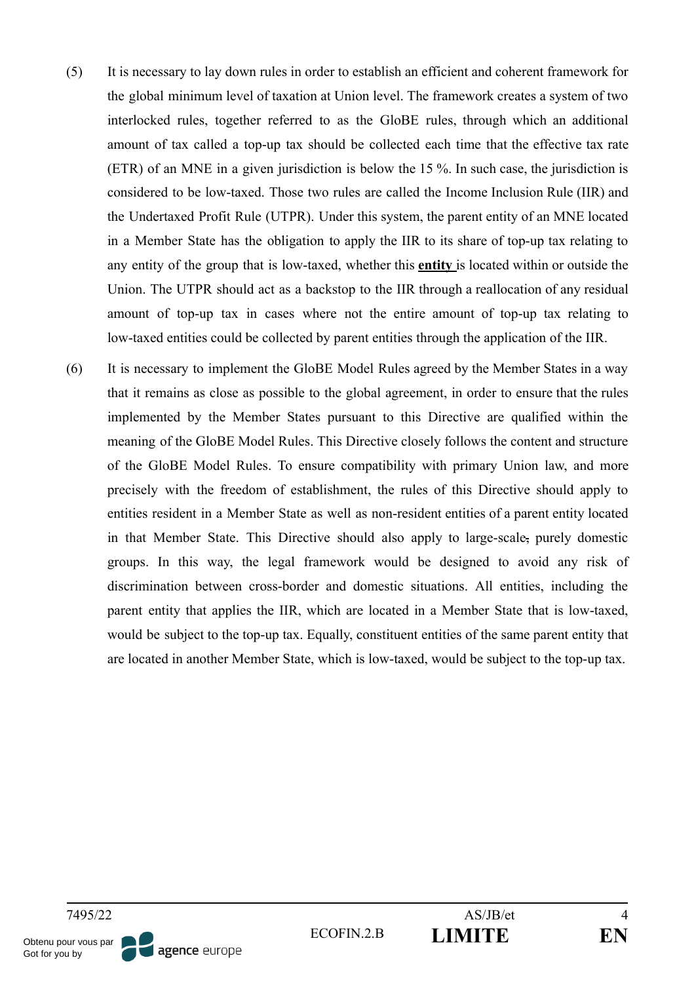- (5) It is necessary to lay down rules in order to establish an efficient and coherent framework for the global minimum level of taxation at Union level. The framework creates a system of two interlocked rules, together referred to as the GloBE rules, through which an additional amount of tax called a top-up tax should be collected each time that the effective tax rate (ETR) of an MNE in a given jurisdiction is below the 15 %. In such case, the jurisdiction is considered to be low-taxed. Those two rules are called the Income Inclusion Rule (IIR) and the Undertaxed Profit Rule (UTPR). Under this system, the parent entity of an MNE located in a Member State has the obligation to apply the IIR to its share of top-up tax relating to any entity of the group that is low-taxed, whether this **entity** is located within or outside the Union. The UTPR should act as a backstop to the IIR through a reallocation of any residual amount of top-up tax in cases where not the entire amount of top-up tax relating to low-taxed entities could be collected by parent entities through the application of the IIR.
- (6) It is necessary to implement the GloBE Model Rules agreed by the Member States in a way that it remains as close as possible to the global agreement, in order to ensure that the rules implemented by the Member States pursuant to this Directive are qualified within the meaning of the GloBE Model Rules. This Directive closely follows the content and structure of the GloBE Model Rules. To ensure compatibility with primary Union law, and more precisely with the freedom of establishment, the rules of this Directive should apply to entities resident in a Member State as well as non-resident entities of a parent entity located in that Member State. This Directive should also apply to large-scale, purely domestic groups. In this way, the legal framework would be designed to avoid any risk of discrimination between cross-border and domestic situations. All entities, including the parent entity that applies the IIR, which are located in a Member State that is low-taxed, would be subject to the top-up tax. Equally, constituent entities of the same parent entity that are located in another Member State, which is low-taxed, would be subject to the top-up tax.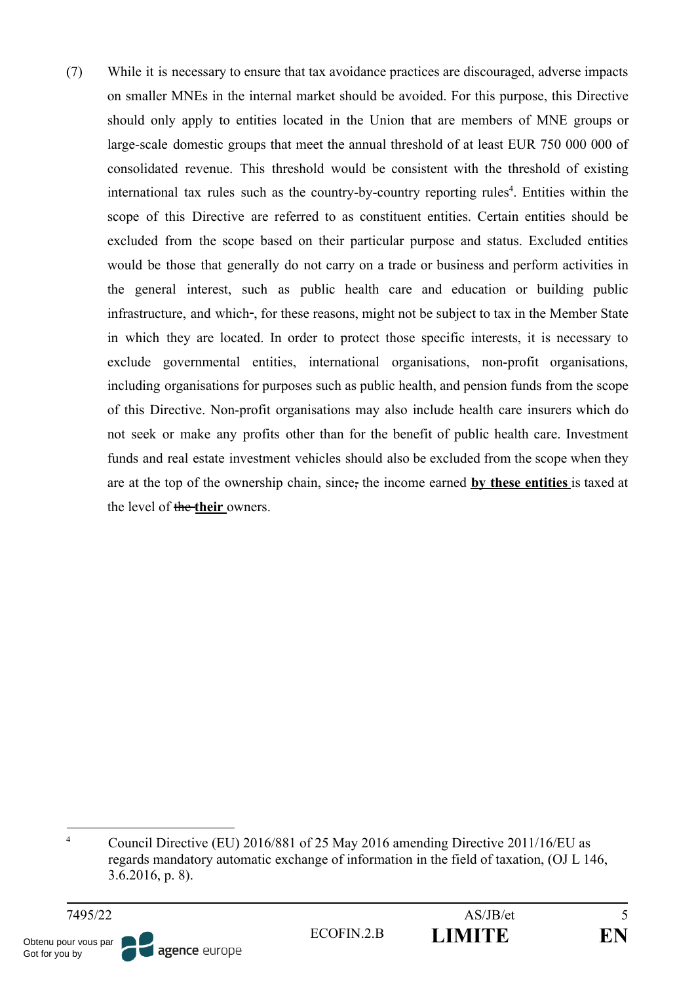(7) While it is necessary to ensure that tax avoidance practices are discouraged, adverse impacts on smaller MNEs in the internal market should be avoided. For this purpose, this Directive should only apply to entities located in the Union that are members of MNE groups or large-scale domestic groups that meet the annual threshold of at least EUR 750 000 000 of consolidated revenue. This threshold would be consistent with the threshold of existing international tax rules such as the country-by-country reporting rules<sup>4</sup>. Entities within the scope of this Directive are referred to as constituent entities. Certain entities should be excluded from the scope based on their particular purpose and status. Excluded entities would be those that generally do not carry on a trade or business and perform activities in the general interest, such as public health care and education or building public infrastructure, and which-, for these reasons, might not be subject to tax in the Member State in which they are located. In order to protect those specific interests, it is necessary to exclude governmental entities, international organisations, non-profit organisations, including organisations for purposes such as public health, and pension funds from the scope of this Directive. Non-profit organisations may also include health care insurers which do not seek or make any profits other than for the benefit of public health care. Investment funds and real estate investment vehicles should also be excluded from the scope when they are at the top of the ownership chain, since, the income earned **by these entities** is taxed at the level of the **their** owners.



<sup>&</sup>lt;sup>4</sup> Council Directive (EU) 2016/881 of 25 May 2016 amending Directive 2011/16/EU as regards mandatory automatic exchange of information in the field of taxation, (OJ L 146, 3.6.2016, p. 8).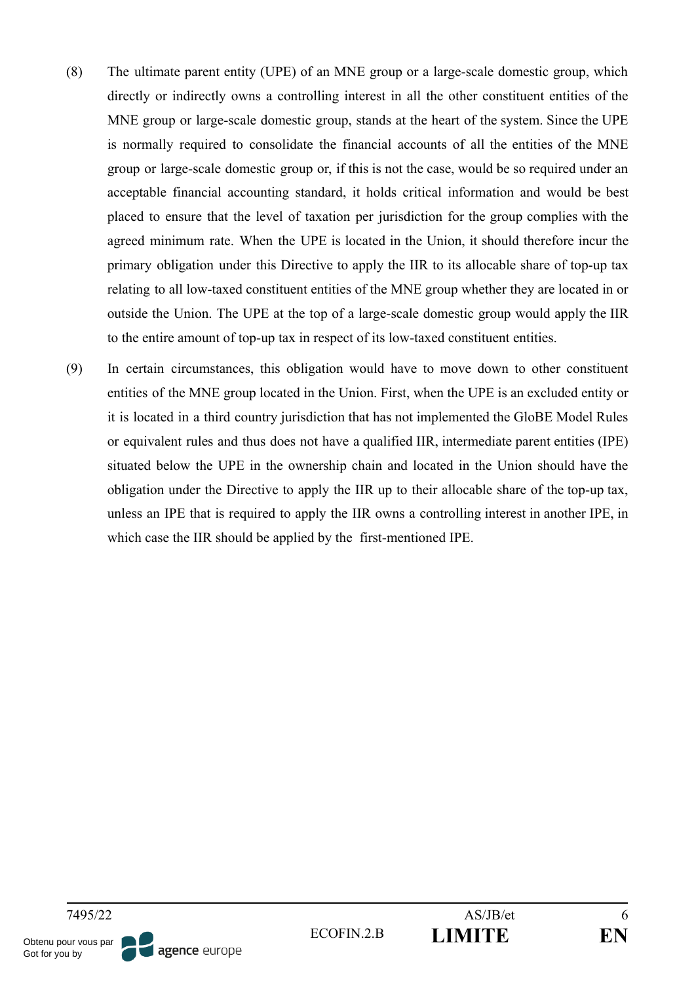- (8) The ultimate parent entity (UPE) of an MNE group or a large-scale domestic group, which directly or indirectly owns a controlling interest in all the other constituent entities of the MNE group or large-scale domestic group, stands at the heart of the system. Since the UPE is normally required to consolidate the financial accounts of all the entities of the MNE group or large-scale domestic group or, if this is not the case, would be so required under an acceptable financial accounting standard, it holds critical information and would be best placed to ensure that the level of taxation per jurisdiction for the group complies with the agreed minimum rate. When the UPE is located in the Union, it should therefore incur the primary obligation under this Directive to apply the IIR to its allocable share of top-up tax relating to all low-taxed constituent entities of the MNE group whether they are located in or outside the Union. The UPE at the top of a large-scale domestic group would apply the IIR to the entire amount of top-up tax in respect of its low-taxed constituent entities.
- (9) In certain circumstances, this obligation would have to move down to other constituent entities of the MNE group located in the Union. First, when the UPE is an excluded entity or it is located in a third country jurisdiction that has not implemented the GloBE Model Rules or equivalent rules and thus does not have a qualified IIR, intermediate parent entities (IPE) situated below the UPE in the ownership chain and located in the Union should have the obligation under the Directive to apply the IIR up to their allocable share of the top-up tax, unless an IPE that is required to apply the IIR owns a controlling interest in another IPE, in which case the IIR should be applied by the first-mentioned IPE.

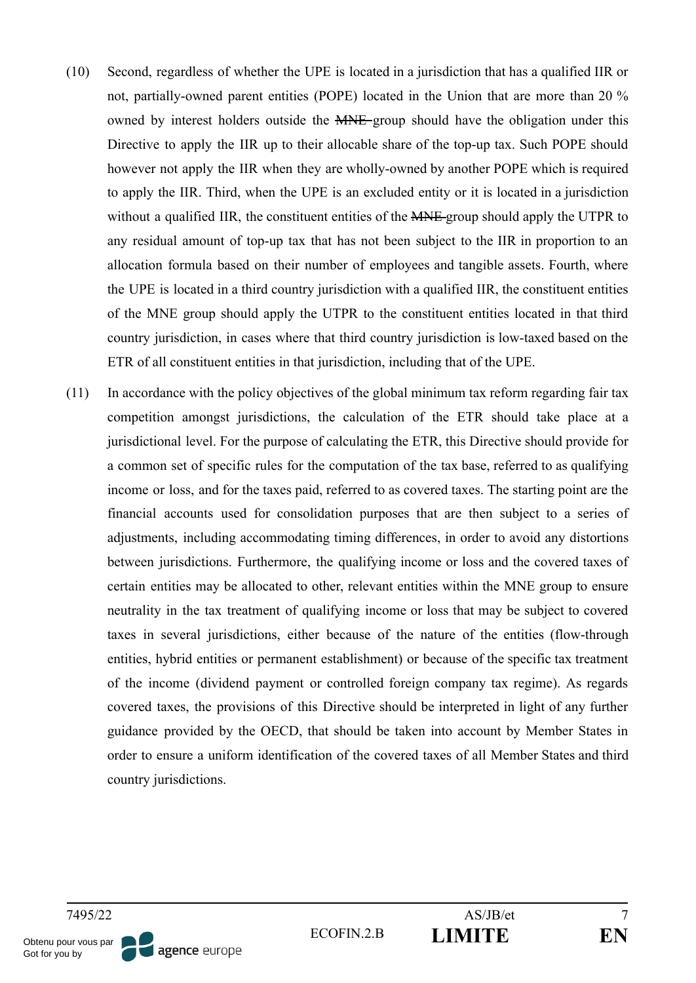- (10) Second, regardless of whether the UPE is located in a jurisdiction that has a qualified IIR or not, partially-owned parent entities (POPE) located in the Union that are more than 20 % owned by interest holders outside the MNE-group should have the obligation under this Directive to apply the IIR up to their allocable share of the top-up tax. Such POPE should however not apply the IIR when they are wholly-owned by another POPE which is required to apply the IIR. Third, when the UPE is an excluded entity or it is located in a jurisdiction without a qualified IIR, the constituent entities of the **MNE** group should apply the UTPR to any residual amount of top-up tax that has not been subject to the IIR in proportion to an allocation formula based on their number of employees and tangible assets. Fourth, where the UPE is located in a third country jurisdiction with a qualified IIR, the constituent entities of the MNE group should apply the UTPR to the constituent entities located in that third country jurisdiction, in cases where that third country jurisdiction is low-taxed based on the ETR of all constituent entities in that jurisdiction, including that of the UPE.
- (11) In accordance with the policy objectives of the global minimum tax reform regarding fair tax competition amongst jurisdictions, the calculation of the ETR should take place at a jurisdictional level. For the purpose of calculating the ETR, this Directive should provide for a common set of specific rules for the computation of the tax base, referred to as qualifying income or loss, and for the taxes paid, referred to as covered taxes. The starting point are the financial accounts used for consolidation purposes that are then subject to a series of adjustments, including accommodating timing differences, in order to avoid any distortions between jurisdictions. Furthermore, the qualifying income or loss and the covered taxes of certain entities may be allocated to other, relevant entities within the MNE group to ensure neutrality in the tax treatment of qualifying income or loss that may be subject to covered taxes in several jurisdictions, either because of the nature of the entities (flow-through entities, hybrid entities or permanent establishment) or because of the specific tax treatment of the income (dividend payment or controlled foreign company tax regime). As regards covered taxes, the provisions of this Directive should be interpreted in light of any further guidance provided by the OECD, that should be taken into account by Member States in order to ensure a uniform identification of the covered taxes of all Member States and third country jurisdictions.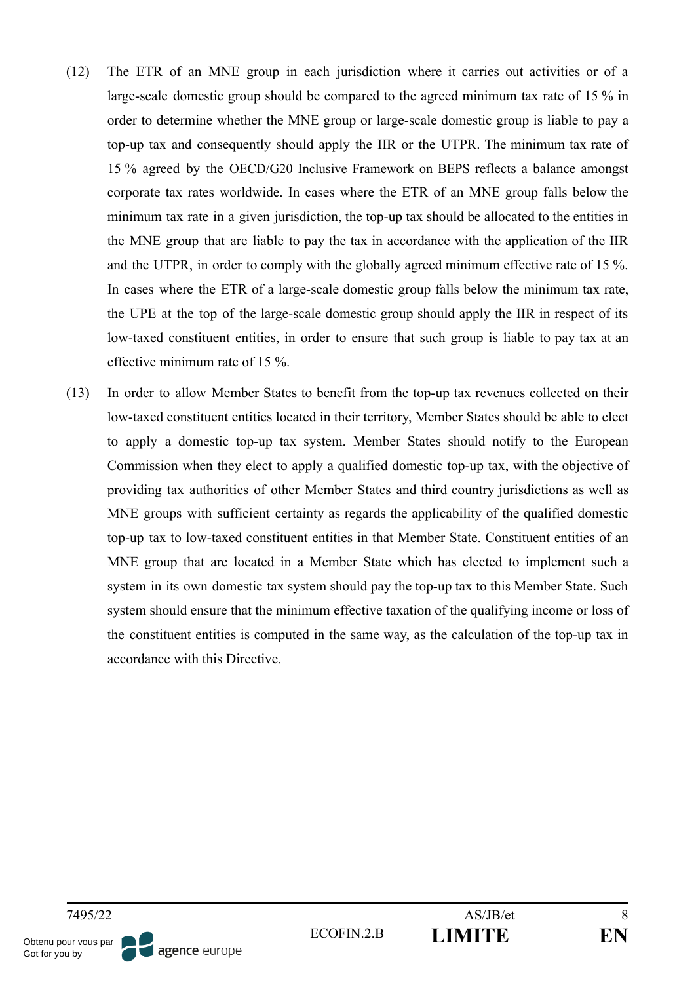- (12) The ETR of an MNE group in each jurisdiction where it carries out activities or of a large-scale domestic group should be compared to the agreed minimum tax rate of 15 % in order to determine whether the MNE group or large-scale domestic group is liable to pay a top-up tax and consequently should apply the IIR or the UTPR. The minimum tax rate of 15 % agreed by the OECD/G20 Inclusive Framework on BEPS reflects a balance amongst corporate tax rates worldwide. In cases where the ETR of an MNE group falls below the minimum tax rate in a given jurisdiction, the top-up tax should be allocated to the entities in the MNE group that are liable to pay the tax in accordance with the application of the IIR and the UTPR, in order to comply with the globally agreed minimum effective rate of 15 %. In cases where the ETR of a large-scale domestic group falls below the minimum tax rate, the UPE at the top of the large-scale domestic group should apply the IIR in respect of its low-taxed constituent entities, in order to ensure that such group is liable to pay tax at an effective minimum rate of 15 %.
- (13) In order to allow Member States to benefit from the top-up tax revenues collected on their low-taxed constituent entities located in their territory, Member States should be able to elect to apply a domestic top-up tax system. Member States should notify to the European Commission when they elect to apply a qualified domestic top-up tax, with the objective of providing tax authorities of other Member States and third country jurisdictions as well as MNE groups with sufficient certainty as regards the applicability of the qualified domestic top-up tax to low-taxed constituent entities in that Member State. Constituent entities of an MNE group that are located in a Member State which has elected to implement such a system in its own domestic tax system should pay the top-up tax to this Member State. Such system should ensure that the minimum effective taxation of the qualifying income or loss of the constituent entities is computed in the same way, as the calculation of the top-up tax in accordance with this Directive.

agence europe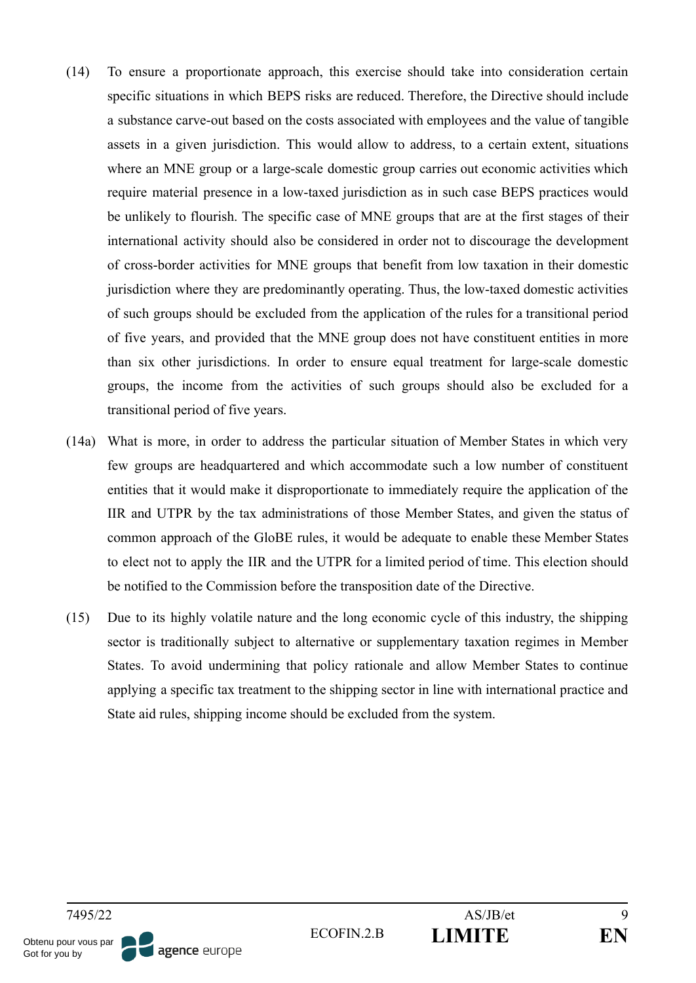- (14) To ensure a proportionate approach, this exercise should take into consideration certain specific situations in which BEPS risks are reduced. Therefore, the Directive should include a substance carve-out based on the costs associated with employees and the value of tangible assets in a given jurisdiction. This would allow to address, to a certain extent, situations where an MNE group or a large-scale domestic group carries out economic activities which require material presence in a low-taxed jurisdiction as in such case BEPS practices would be unlikely to flourish. The specific case of MNE groups that are at the first stages of their international activity should also be considered in order not to discourage the development of cross-border activities for MNE groups that benefit from low taxation in their domestic jurisdiction where they are predominantly operating. Thus, the low-taxed domestic activities of such groups should be excluded from the application of the rules for a transitional period of five years, and provided that the MNE group does not have constituent entities in more than six other jurisdictions. In order to ensure equal treatment for large-scale domestic groups, the income from the activities of such groups should also be excluded for a transitional period of five years.
- (14a) What is more, in order to address the particular situation of Member States in which very few groups are headquartered and which accommodate such a low number of constituent entities that it would make it disproportionate to immediately require the application of the IIR and UTPR by the tax administrations of those Member States, and given the status of common approach of the GloBE rules, it would be adequate to enable these Member States to elect not to apply the IIR and the UTPR for a limited period of time. This election should be notified to the Commission before the transposition date of the Directive.
- (15) Due to its highly volatile nature and the long economic cycle of this industry, the shipping sector is traditionally subject to alternative or supplementary taxation regimes in Member States. To avoid undermining that policy rationale and allow Member States to continue applying a specific tax treatment to the shipping sector in line with international practice and State aid rules, shipping income should be excluded from the system.

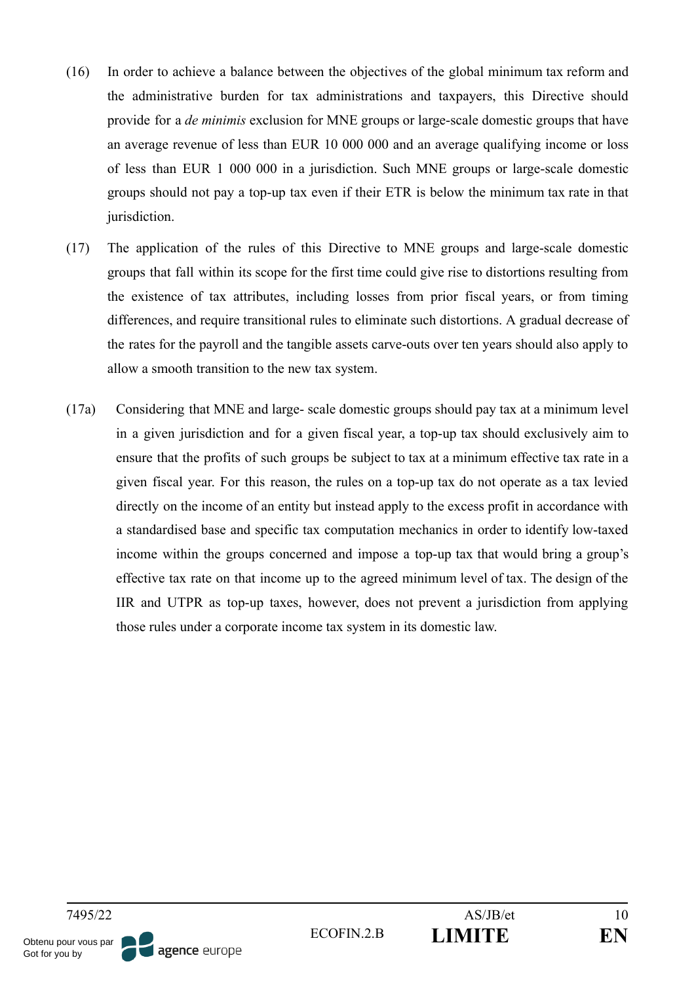- (16) In order to achieve a balance between the objectives of the global minimum tax reform and the administrative burden for tax administrations and taxpayers, this Directive should provide for a *de minimis* exclusion for MNE groups or large-scale domestic groups that have an average revenue of less than EUR 10 000 000 and an average qualifying income or loss of less than EUR 1 000 000 in a jurisdiction. Such MNE groups or large-scale domestic groups should not pay a top-up tax even if their ETR is below the minimum tax rate in that jurisdiction.
- (17) The application of the rules of this Directive to MNE groups and large-scale domestic groups that fall within its scope for the first time could give rise to distortions resulting from the existence of tax attributes, including losses from prior fiscal years, or from timing differences, and require transitional rules to eliminate such distortions. A gradual decrease of the rates for the payroll and the tangible assets carve-outs over ten years should also apply to allow a smooth transition to the new tax system.
- (17a) Considering that MNE and large- scale domestic groups should pay tax at a minimum level in a given jurisdiction and for a given fiscal year, a top-up tax should exclusively aim to ensure that the profits of such groups be subject to tax at a minimum effective tax rate in a given fiscal year. For this reason, the rules on a top-up tax do not operate as a tax levied directly on the income of an entity but instead apply to the excess profit in accordance with a standardised base and specific tax computation mechanics in order to identify low-taxed income within the groups concerned and impose a top-up tax that would bring a group's effective tax rate on that income up to the agreed minimum level of tax. The design of the IIR and UTPR as top-up taxes, however, does not prevent a jurisdiction from applying those rules under a corporate income tax system in its domestic law.

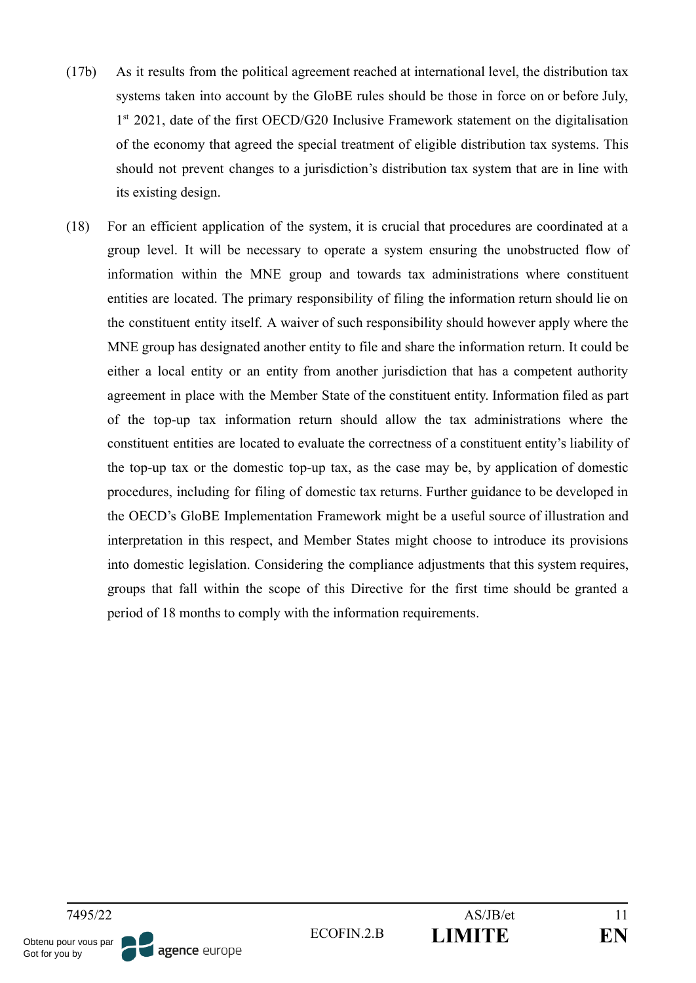- (17b) As it results from the political agreement reached at international level, the distribution tax systems taken into account by the GloBE rules should be those in force on or before July, 1<sup>st</sup> 2021, date of the first OECD/G20 Inclusive Framework statement on the digitalisation of the economy that agreed the special treatment of eligible distribution tax systems. This should not prevent changes to a jurisdiction's distribution tax system that are in line with its existing design.
- (18) For an efficient application of the system, it is crucial that procedures are coordinated at a group level. It will be necessary to operate a system ensuring the unobstructed flow of information within the MNE group and towards tax administrations where constituent entities are located. The primary responsibility of filing the information return should lie on the constituent entity itself. A waiver of such responsibility should however apply where the MNE group has designated another entity to file and share the information return. It could be either a local entity or an entity from another jurisdiction that has a competent authority agreement in place with the Member State of the constituent entity. Information filed as part of the top-up tax information return should allow the tax administrations where the constituent entities are located to evaluate the correctness of a constituent entity's liability of the top-up tax or the domestic top-up tax, as the case may be, by application of domestic procedures, including for filing of domestic tax returns. Further guidance to be developed in the OECD's GloBE Implementation Framework might be a useful source of illustration and interpretation in this respect, and Member States might choose to introduce its provisions into domestic legislation. Considering the compliance adjustments that this system requires, groups that fall within the scope of this Directive for the first time should be granted a period of 18 months to comply with the information requirements.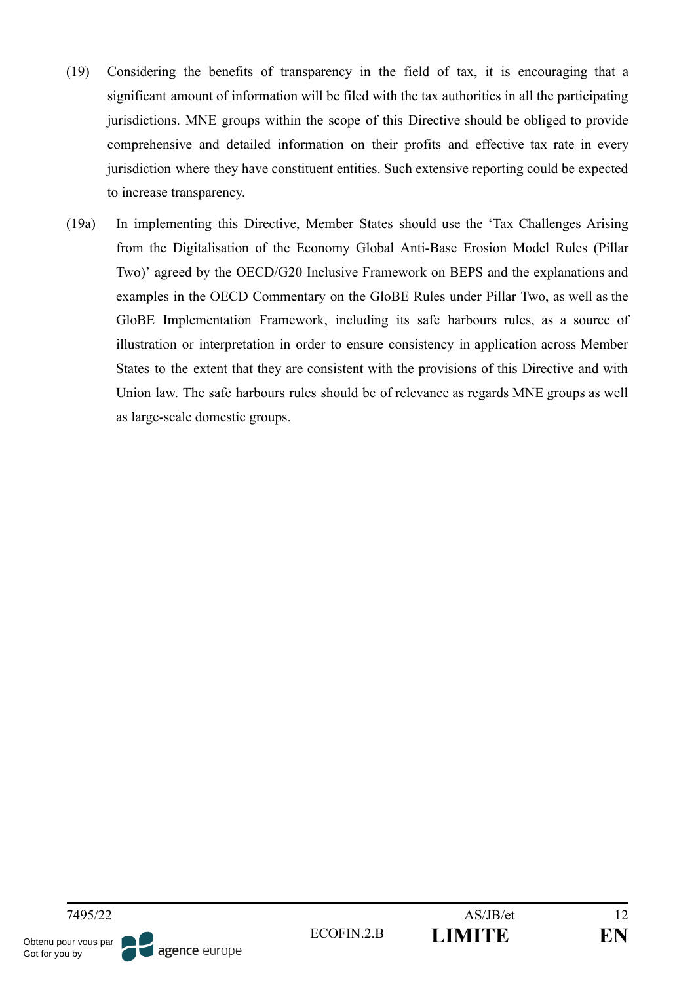- (19) Considering the benefits of transparency in the field of tax, it is encouraging that a significant amount of information will be filed with the tax authorities in all the participating jurisdictions. MNE groups within the scope of this Directive should be obliged to provide comprehensive and detailed information on their profits and effective tax rate in every jurisdiction where they have constituent entities. Such extensive reporting could be expected to increase transparency.
- (19a) In implementing this Directive, Member States should use the 'Tax Challenges Arising from the Digitalisation of the Economy Global Anti-Base Erosion Model Rules (Pillar Two)' agreed by the OECD/G20 Inclusive Framework on BEPS and the explanations and examples in the OECD Commentary on the GloBE Rules under Pillar Two, as well as the GloBE Implementation Framework, including its safe harbours rules, as a source of illustration or interpretation in order to ensure consistency in application across Member States to the extent that they are consistent with the provisions of this Directive and with Union law. The safe harbours rules should be of relevance as regards MNE groups as well as large-scale domestic groups.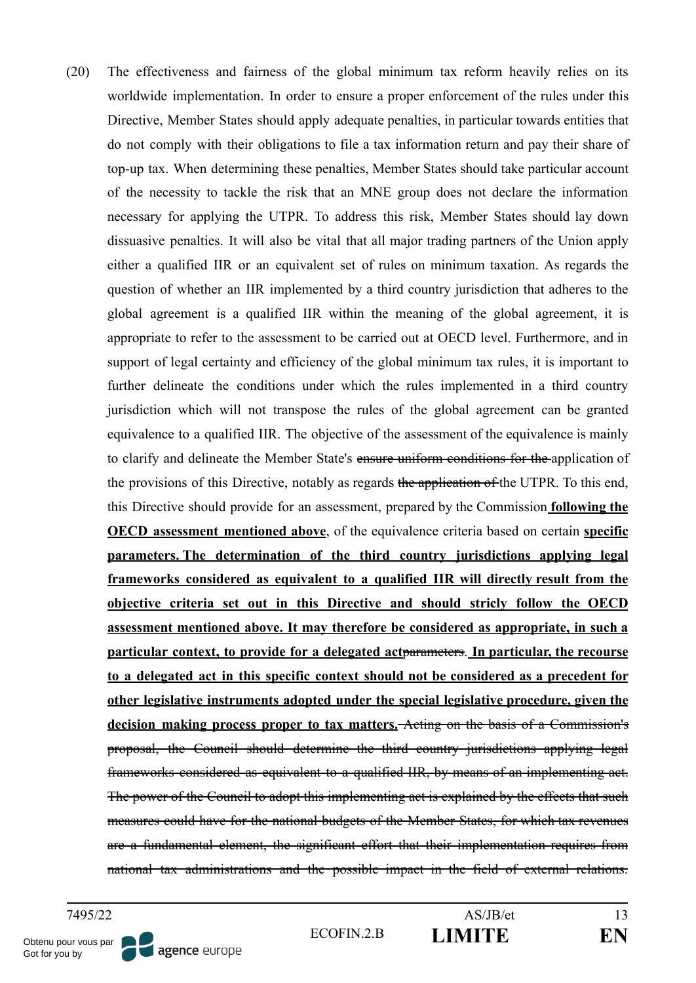(20) The effectiveness and fairness of the global minimum tax reform heavily relies on its worldwide implementation. In order to ensure a proper enforcement of the rules under this Directive, Member States should apply adequate penalties, in particular towards entities that do not comply with their obligations to file a tax information return and pay their share of top-up tax. When determining these penalties, Member States should take particular account of the necessity to tackle the risk that an MNE group does not declare the information necessary for applying the UTPR. To address this risk, Member States should lay down dissuasive penalties. It will also be vital that all major trading partners of the Union apply either a qualified IIR or an equivalent set of rules on minimum taxation. As regards the question of whether an IIR implemented by a third country jurisdiction that adheres to the global agreement is a qualified IIR within the meaning of the global agreement, it is appropriate to refer to the assessment to be carried out at OECD level. Furthermore, and in support of legal certainty and efficiency of the global minimum tax rules, it is important to further delineate the conditions under which the rules implemented in a third country jurisdiction which will not transpose the rules of the global agreement can be granted equivalence to a qualified IIR. The objective of the assessment of the equivalence is mainly to clarify and delineate the Member State's ensure uniform conditions for the application of the provisions of this Directive, notably as regards the application of the UTPR. To this end, this Directive should provide for an assessment, prepared by the Commission **following the OECD assessment mentioned above**, of the equivalence criteria based on certain **specific parameters. The determination of the third country jurisdictions applying legal frameworks considered as equivalent to a qualified IIR will directly result from the objective criteria set out in this Directive and should stricly follow the OECD assessment mentioned above. It may therefore be considered as appropriate, in such a particular context, to provide for a delegated act**parameters. **In particular, the recourse to a delegated act in this specific context should not be considered as a precedent for other legislative instruments adopted under the special legislative procedure, given the decision making process proper to tax matters.** Acting on the basis of a Commission's proposal, the Council should determine the third country jurisdictions applying legal frameworks considered as equivalent to a qualified IIR, by means of an implementing act. The power of the Council to adopt this implementing act is explained by the effects that such measures could have for the national budgets of the Member States, for which tax revenues are a fundamental element, the significant effort that their implementation requires from national tax administrations and the possible impact in the field of external relations.

Obtenu pour vous par Got for you by

agence europe

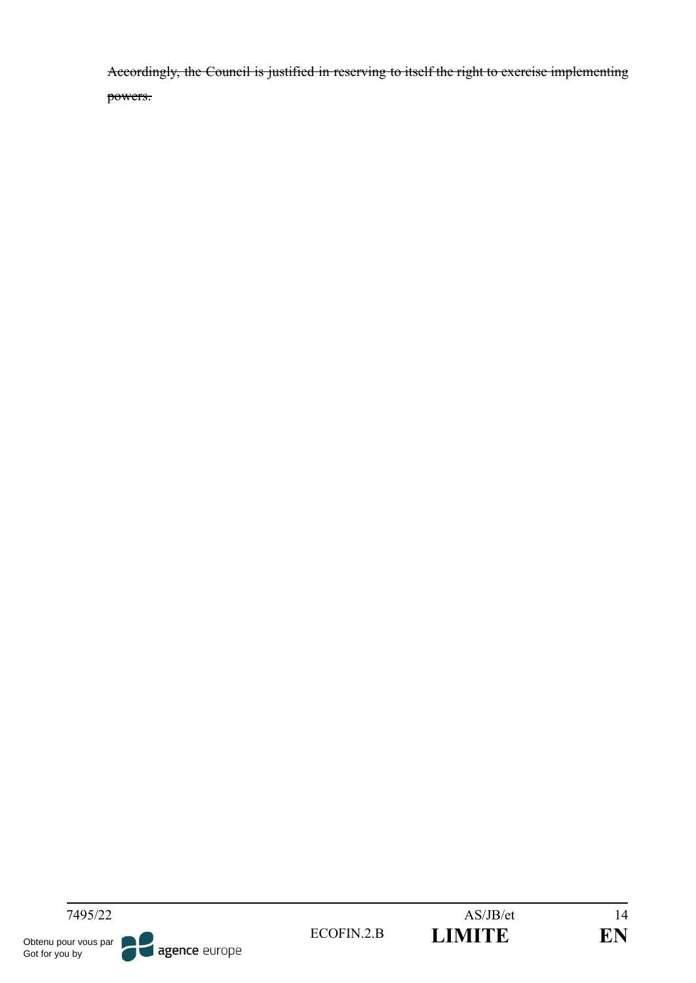Accordingly, the Council is justified in reserving to itself the right to exercise implementing powers.



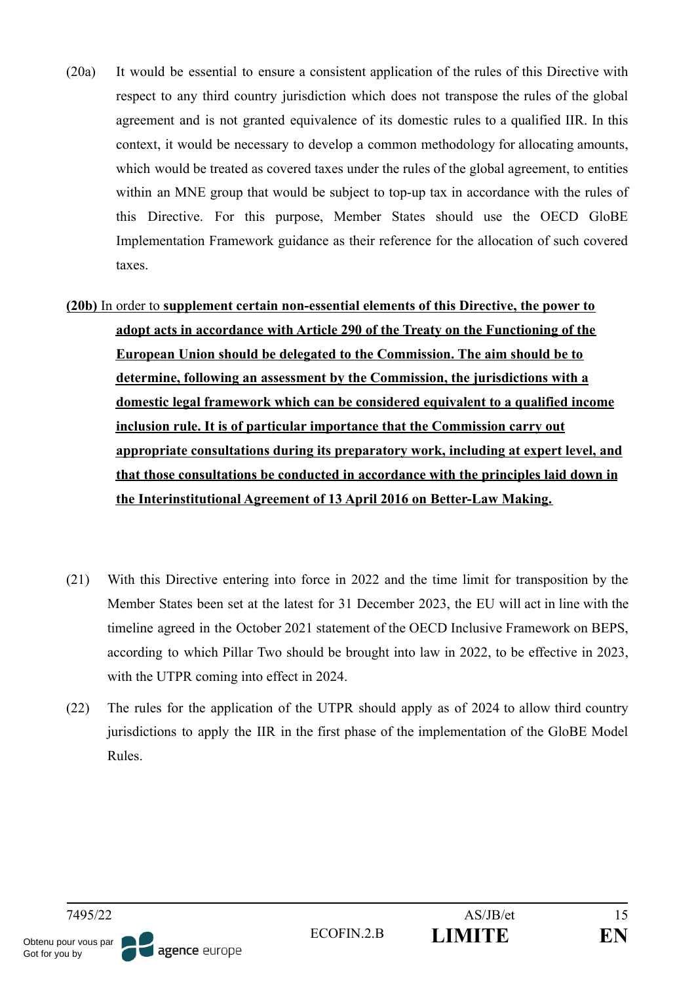- (20a) It would be essential to ensure a consistent application of the rules of this Directive with respect to any third country jurisdiction which does not transpose the rules of the global agreement and is not granted equivalence of its domestic rules to a qualified IIR. In this context, it would be necessary to develop a common methodology for allocating amounts, which would be treated as covered taxes under the rules of the global agreement, to entities within an MNE group that would be subject to top-up tax in accordance with the rules of this Directive. For this purpose, Member States should use the OECD GloBE Implementation Framework guidance as their reference for the allocation of such covered taxes.
- **(20b)** In order to **supplement certain non-essential elements of this Directive, the power to adopt acts in accordance with Article 290 of the Treaty on the Functioning of the European Union should be delegated to the Commission. The aim should be to determine, following an assessment by the Commission, the jurisdictions with a domestic legal framework which can be considered equivalent to a qualified income inclusion rule. It is of particular importance that the Commission carry out appropriate consultations during its preparatory work, including at expert level, and that those consultations be conducted in accordance with the principles laid down in the Interinstitutional Agreement of 13 April 2016 on Better-Law Making.**
- (21) With this Directive entering into force in 2022 and the time limit for transposition by the Member States been set at the latest for 31 December 2023, the EU will act in line with the timeline agreed in the October 2021 statement of the OECD Inclusive Framework on BEPS, according to which Pillar Two should be brought into law in 2022, to be effective in 2023, with the UTPR coming into effect in 2024.
- (22) The rules for the application of the UTPR should apply as of 2024 to allow third country jurisdictions to apply the IIR in the first phase of the implementation of the GloBE Model Rules.

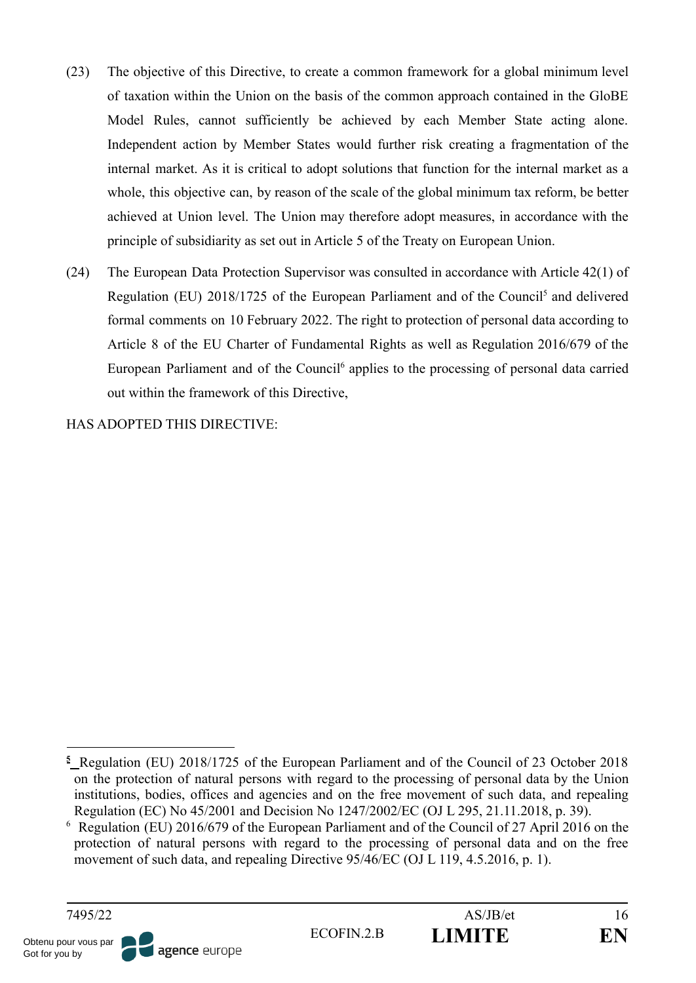- (23) The objective of this Directive, to create a common framework for a global minimum level of taxation within the Union on the basis of the common approach contained in the GloBE Model Rules, cannot sufficiently be achieved by each Member State acting alone. Independent action by Member States would further risk creating a fragmentation of the internal market. As it is critical to adopt solutions that function for the internal market as a whole, this objective can, by reason of the scale of the global minimum tax reform, be better achieved at Union level. The Union may therefore adopt measures, in accordance with the principle of subsidiarity as set out in Article 5 of the Treaty on European Union.
- (24) The European Data Protection Supervisor was consulted in accordance with Article 42(1) of Regulation (EU) 2018/1725 of the European Parliament and of the Council<sup>5</sup> and delivered formal comments on 10 February 2022. The right to protection of personal data according to Article 8 of the EU Charter of Fundamental Rights as well as Regulation 2016/679 of the European Parliament and of the Council<sup>6</sup> applies to the processing of personal data carried out within the framework of this Directive,

HAS ADOPTED THIS DIRECTIVE:

<sup>6</sup> Regulation (EU) 2016/679 of the European Parliament and of the Council of 27 April 2016 on the protection of natural persons with regard to the processing of personal data and on the free movement of such data, and repealing Directive 95/46/EC (OJ L 119, 4.5.2016, p. 1).



**<sup>5</sup>** Regulation (EU) 2018/1725 of the European Parliament and of the Council of 23 October 2018 on the protection of natural persons with regard to the processing of personal data by the Union institutions, bodies, offices and agencies and on the free movement of such data, and repealing Regulation (EC) No 45/2001 and Decision No 1247/2002/EC (OJ L 295, 21.11.2018, p. 39).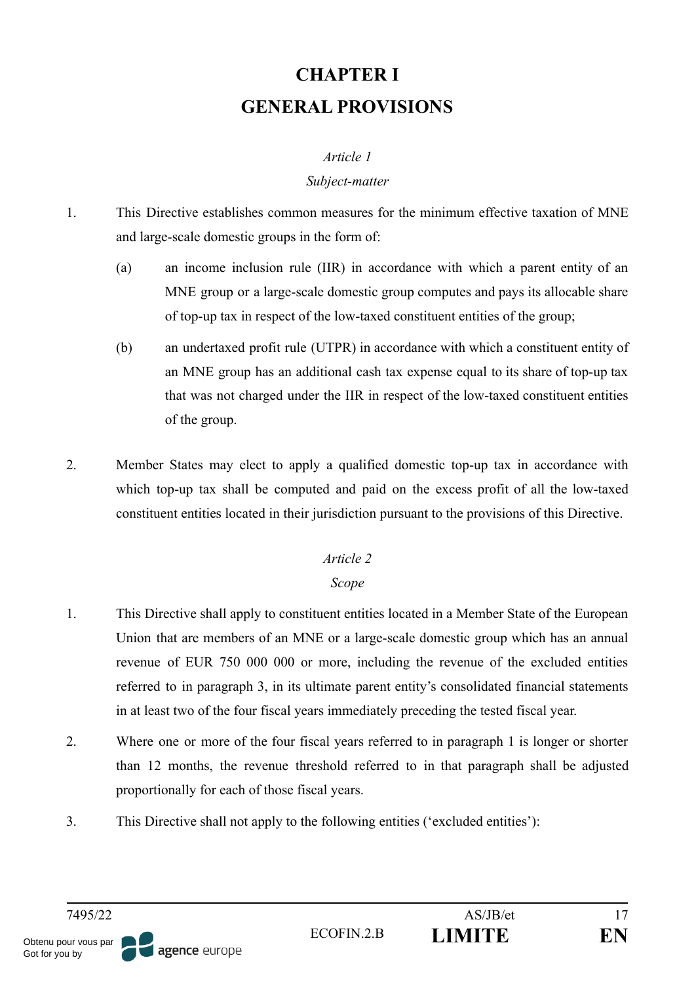# **CHAPTER I GENERAL PROVISIONS**

## *Article 1*

### *Subject-matter*

- 1. This Directive establishes common measures for the minimum effective taxation of MNE and large-scale domestic groups in the form of:
	- (a) an income inclusion rule (IIR) in accordance with which a parent entity of an MNE group or a large-scale domestic group computes and pays its allocable share of top-up tax in respect of the low-taxed constituent entities of the group;
	- (b) an undertaxed profit rule (UTPR) in accordance with which a constituent entity of an MNE group has an additional cash tax expense equal to its share of top-up tax that was not charged under the IIR in respect of the low-taxed constituent entities of the group.
- 2. Member States may elect to apply a qualified domestic top-up tax in accordance with which top-up tax shall be computed and paid on the excess profit of all the low-taxed constituent entities located in their jurisdiction pursuant to the provisions of this Directive.

# *Article 2*

# *Scope*

- 1. This Directive shall apply to constituent entities located in a Member State of the European Union that are members of an MNE or a large-scale domestic group which has an annual revenue of EUR 750 000 000 or more, including the revenue of the excluded entities referred to in paragraph 3, in its ultimate parent entity's consolidated financial statements in at least two of the four fiscal years immediately preceding the tested fiscal year.
- 2. Where one or more of the four fiscal years referred to in paragraph 1 is longer or shorter than 12 months, the revenue threshold referred to in that paragraph shall be adjusted proportionally for each of those fiscal years.
- 3. This Directive shall not apply to the following entities ('excluded entities'):

Obtenu pour vous par

Got for you by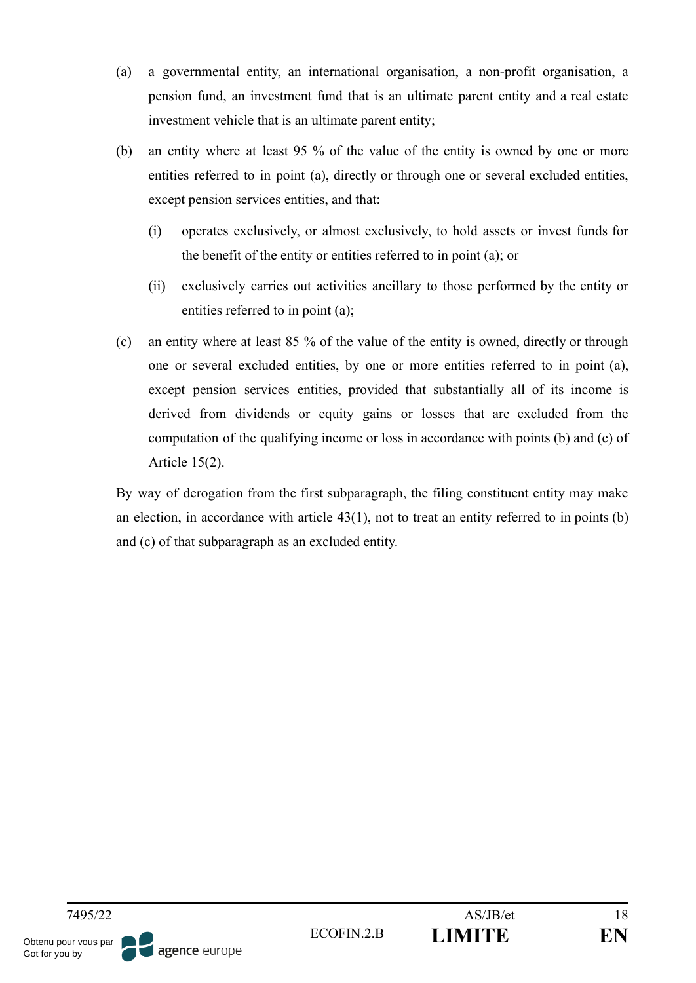- (a) a governmental entity, an international organisation, a non-profit organisation, a pension fund, an investment fund that is an ultimate parent entity and a real estate investment vehicle that is an ultimate parent entity;
- (b) an entity where at least 95 % of the value of the entity is owned by one or more entities referred to in point (a), directly or through one or several excluded entities, except pension services entities, and that:
	- (i) operates exclusively, or almost exclusively, to hold assets or invest funds for the benefit of the entity or entities referred to in point (a); or
	- (ii) exclusively carries out activities ancillary to those performed by the entity or entities referred to in point (a);
- (c) an entity where at least 85 % of the value of the entity is owned, directly or through one or several excluded entities, by one or more entities referred to in point (a), except pension services entities, provided that substantially all of its income is derived from dividends or equity gains or losses that are excluded from the computation of the qualifying income or loss in accordance with points (b) and (c) of Article 15(2).

By way of derogation from the first subparagraph, the filing constituent entity may make an election, in accordance with article 43(1), not to treat an entity referred to in points (b) and (c) of that subparagraph as an excluded entity.

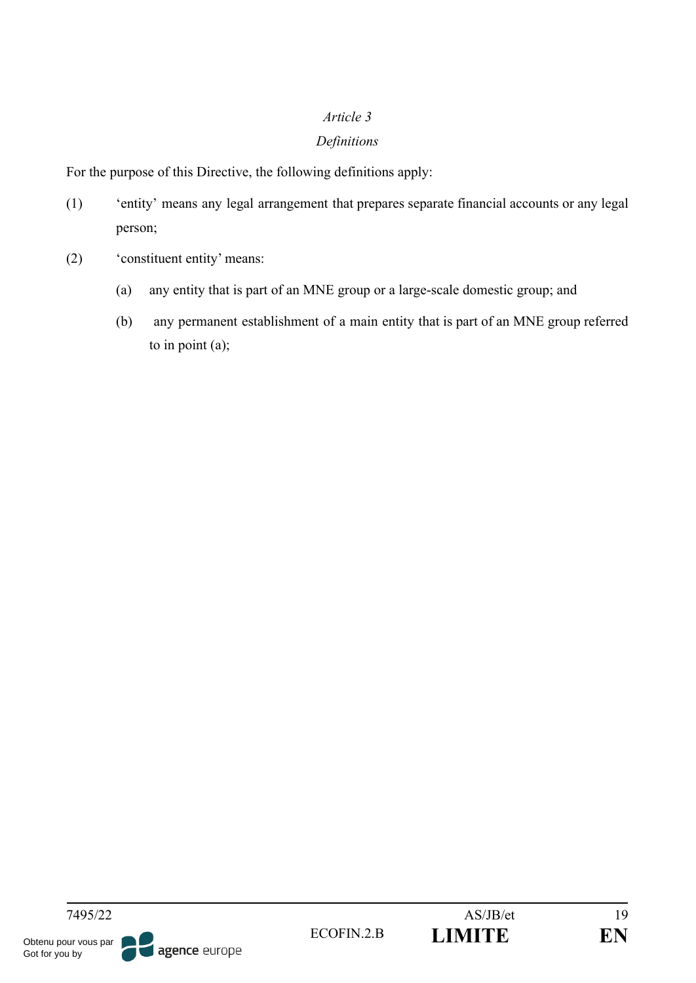# *Article 3*

# *Definitions*

For the purpose of this Directive, the following definitions apply:

- (1) 'entity' means any legal arrangement that prepares separate financial accounts or any legal person;
- (2) 'constituent entity' means:
	- (a) any entity that is part of an MNE group or a large-scale domestic group; and
	- (b) any permanent establishment of a main entity that is part of an MNE group referred to in point (a);

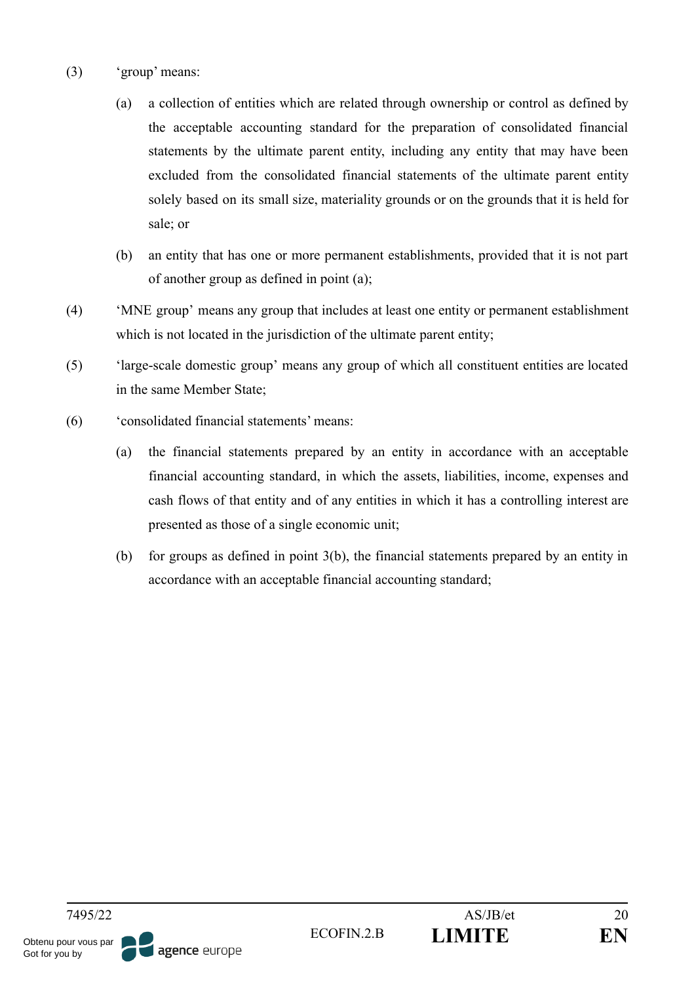- (3) 'group' means:
	- (a) a collection of entities which are related through ownership or control as defined by the acceptable accounting standard for the preparation of consolidated financial statements by the ultimate parent entity, including any entity that may have been excluded from the consolidated financial statements of the ultimate parent entity solely based on its small size, materiality grounds or on the grounds that it is held for sale; or
	- (b) an entity that has one or more permanent establishments, provided that it is not part of another group as defined in point (a);
- (4) 'MNE group' means any group that includes at least one entity or permanent establishment which is not located in the jurisdiction of the ultimate parent entity;
- (5) 'large-scale domestic group' means any group of which all constituent entities are located in the same Member State;
- (6) 'consolidated financial statements' means:
	- (a) the financial statements prepared by an entity in accordance with an acceptable financial accounting standard, in which the assets, liabilities, income, expenses and cash flows of that entity and of any entities in which it has a controlling interest are presented as those of a single economic unit;
	- (b) for groups as defined in point 3(b), the financial statements prepared by an entity in accordance with an acceptable financial accounting standard;

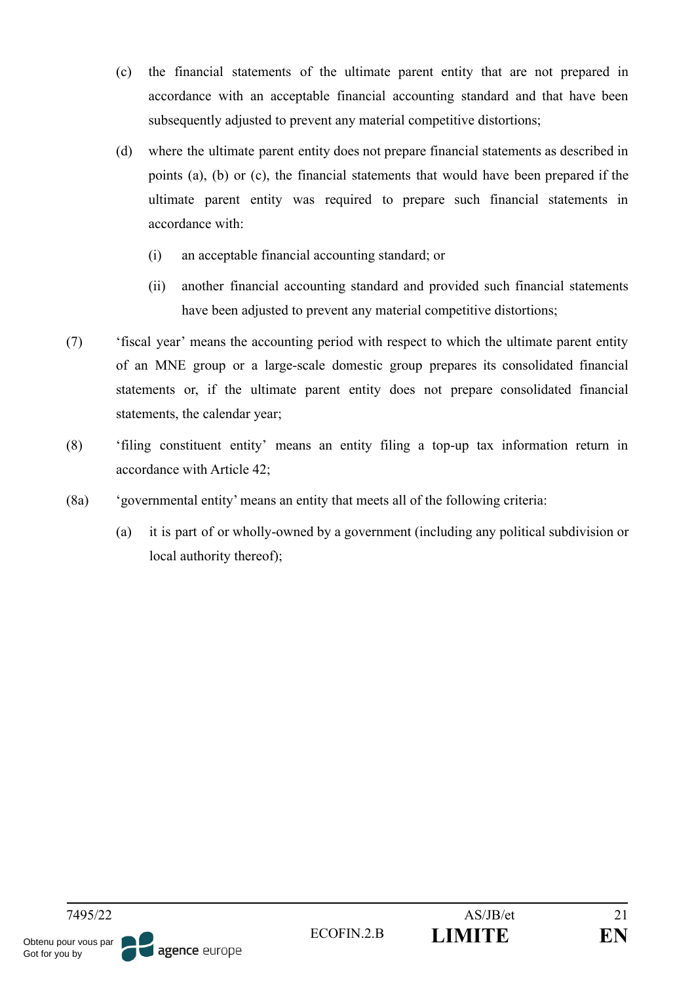- (c) the financial statements of the ultimate parent entity that are not prepared in accordance with an acceptable financial accounting standard and that have been subsequently adjusted to prevent any material competitive distortions;
- (d) where the ultimate parent entity does not prepare financial statements as described in points (a), (b) or (c), the financial statements that would have been prepared if the ultimate parent entity was required to prepare such financial statements in accordance with:
	- (i) an acceptable financial accounting standard; or
	- (ii) another financial accounting standard and provided such financial statements have been adjusted to prevent any material competitive distortions;
- (7) 'fiscal year' means the accounting period with respect to which the ultimate parent entity of an MNE group or a large-scale domestic group prepares its consolidated financial statements or, if the ultimate parent entity does not prepare consolidated financial statements, the calendar year;
- (8) 'filing constituent entity' means an entity filing a top-up tax information return in accordance with Article 42;
- (8a) 'governmental entity' means an entity that meets all of the following criteria:
	- (a) it is part of or wholly-owned by a government (including any political subdivision or local authority thereof);

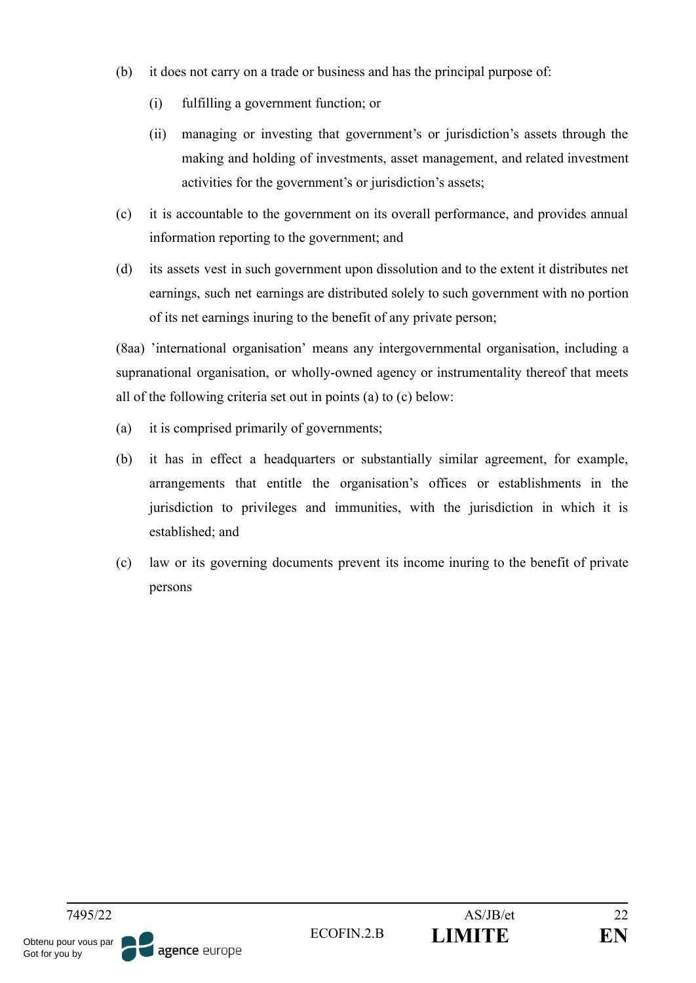- (b) it does not carry on a trade or business and has the principal purpose of:
	- (i) fulfilling a government function; or
	- (ii) managing or investing that government's or jurisdiction's assets through the making and holding of investments, asset management, and related investment activities for the government's or jurisdiction's assets;
- (c) it is accountable to the government on its overall performance, and provides annual information reporting to the government; and
- (d) its assets vest in such government upon dissolution and to the extent it distributes net earnings, such net earnings are distributed solely to such government with no portion of its net earnings inuring to the benefit of any private person;

(8aa) 'international organisation' means any intergovernmental organisation, including a supranational organisation, or wholly-owned agency or instrumentality thereof that meets all of the following criteria set out in points (a) to (c) below:

- (a) it is comprised primarily of governments;
- (b) it has in effect a headquarters or substantially similar agreement, for example, arrangements that entitle the organisation's offices or establishments in the jurisdiction to privileges and immunities, with the jurisdiction in which it is established; and
- (c) law or its governing documents prevent its income inuring to the benefit of private persons

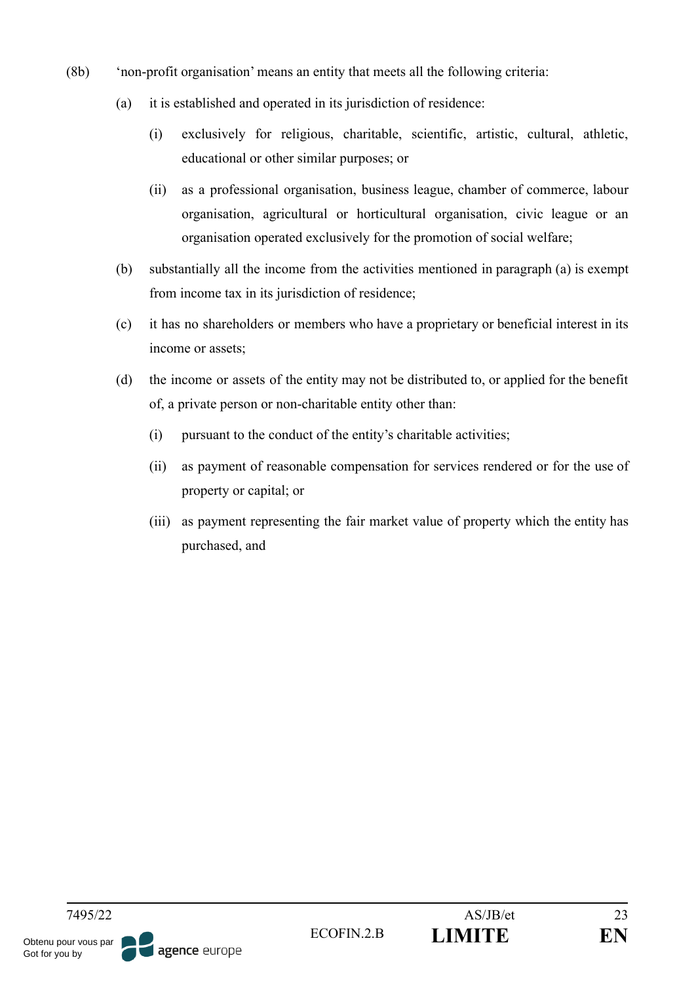- (8b) 'non-profit organisation' means an entity that meets all the following criteria:
	- (a) it is established and operated in its jurisdiction of residence:
		- (i) exclusively for religious, charitable, scientific, artistic, cultural, athletic, educational or other similar purposes; or
		- (ii) as a professional organisation, business league, chamber of commerce, labour organisation, agricultural or horticultural organisation, civic league or an organisation operated exclusively for the promotion of social welfare;
	- (b) substantially all the income from the activities mentioned in paragraph (a) is exempt from income tax in its jurisdiction of residence;
	- (c) it has no shareholders or members who have a proprietary or beneficial interest in its income or assets;
	- (d) the income or assets of the entity may not be distributed to, or applied for the benefit of, a private person or non-charitable entity other than:
		- (i) pursuant to the conduct of the entity's charitable activities;
		- (ii) as payment of reasonable compensation for services rendered or for the use of property or capital; or
		- (iii) as payment representing the fair market value of property which the entity has purchased, and

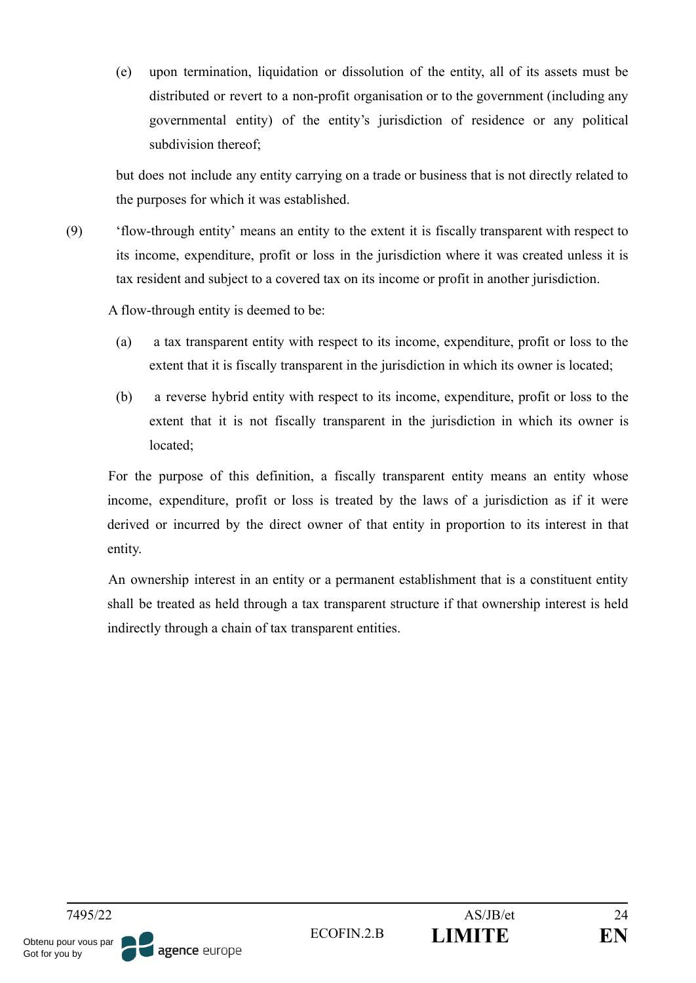(e) upon termination, liquidation or dissolution of the entity, all of its assets must be distributed or revert to a non-profit organisation or to the government (including any governmental entity) of the entity's jurisdiction of residence or any political subdivision thereof;

but does not include any entity carrying on a trade or business that is not directly related to the purposes for which it was established.

(9) 'flow-through entity' means an entity to the extent it is fiscally transparent with respect to its income, expenditure, profit or loss in the jurisdiction where it was created unless it is tax resident and subject to a covered tax on its income or profit in another jurisdiction.

A flow-through entity is deemed to be:

- (a) a tax transparent entity with respect to its income, expenditure, profit or loss to the extent that it is fiscally transparent in the jurisdiction in which its owner is located;
- (b) a reverse hybrid entity with respect to its income, expenditure, profit or loss to the extent that it is not fiscally transparent in the jurisdiction in which its owner is located;

For the purpose of this definition, a fiscally transparent entity means an entity whose income, expenditure, profit or loss is treated by the laws of a jurisdiction as if it were derived or incurred by the direct owner of that entity in proportion to its interest in that entity.

An ownership interest in an entity or a permanent establishment that is a constituent entity shall be treated as held through a tax transparent structure if that ownership interest is held indirectly through a chain of tax transparent entities.

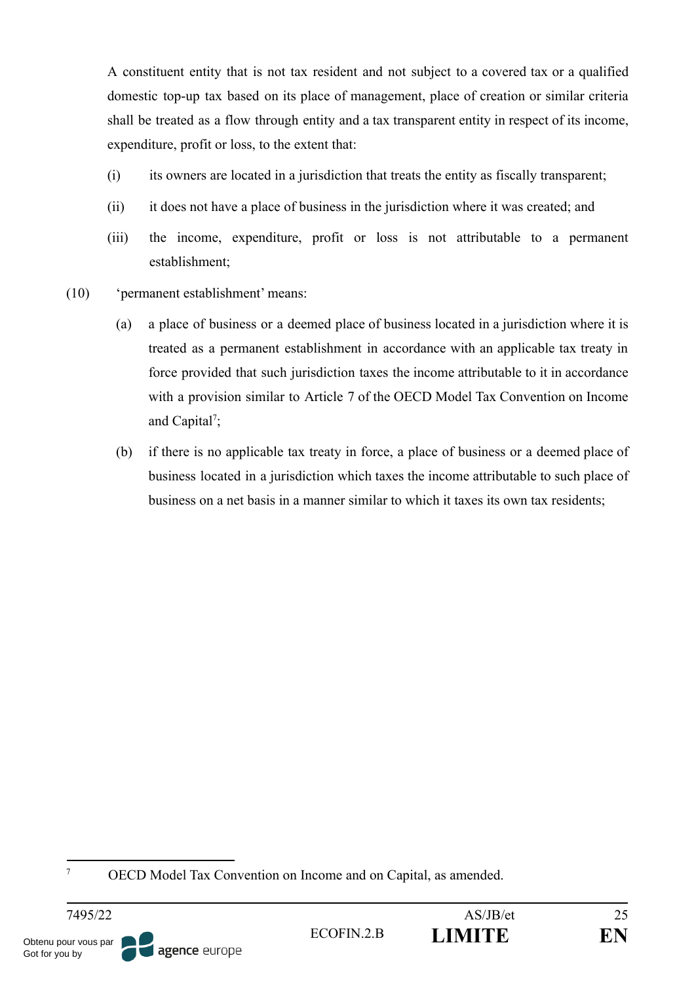A constituent entity that is not tax resident and not subject to a covered tax or a qualified domestic top-up tax based on its place of management, place of creation or similar criteria shall be treated as a flow through entity and a tax transparent entity in respect of its income, expenditure, profit or loss, to the extent that:

- (i) its owners are located in a jurisdiction that treats the entity as fiscally transparent;
- (ii) it does not have a place of business in the jurisdiction where it was created; and
- (iii) the income, expenditure, profit or loss is not attributable to a permanent establishment;
- (10) 'permanent establishment' means:
	- (a) a place of business or a deemed place of business located in a jurisdiction where it is treated as a permanent establishment in accordance with an applicable tax treaty in force provided that such jurisdiction taxes the income attributable to it in accordance with a provision similar to Article 7 of the OECD Model Tax Convention on Income and Capital<sup>7</sup>;
	- (b) if there is no applicable tax treaty in force, a place of business or a deemed place of business located in a jurisdiction which taxes the income attributable to such place of business on a net basis in a manner similar to which it taxes its own tax residents;

<sup>7</sup> OECD Model Tax Convention on Income and on Capital, as amended.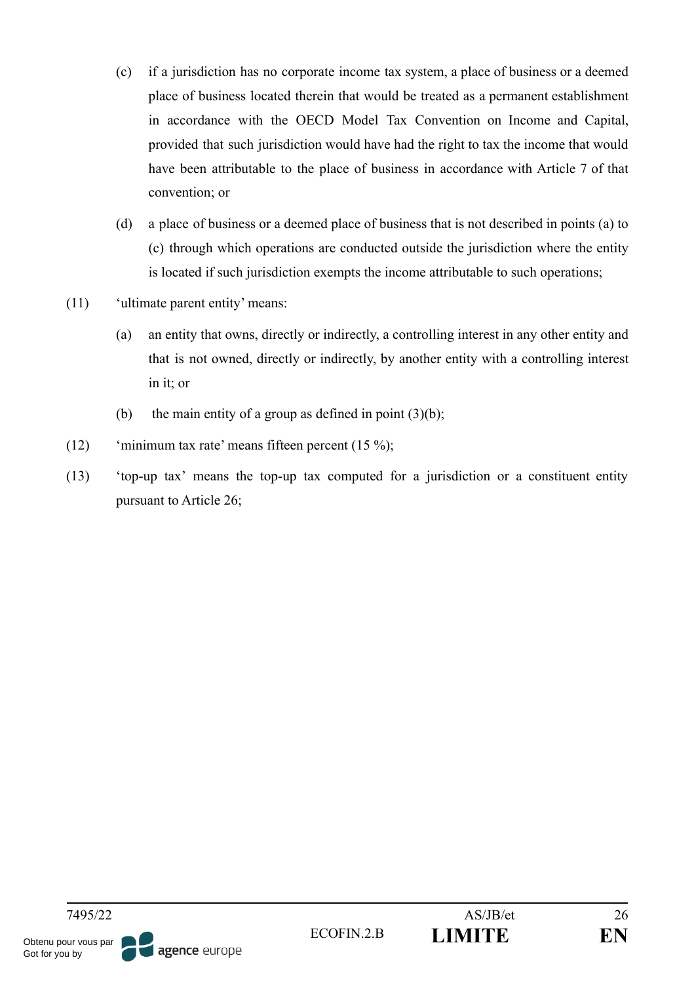- (c) if a jurisdiction has no corporate income tax system, a place of business or a deemed place of business located therein that would be treated as a permanent establishment in accordance with the OECD Model Tax Convention on Income and Capital, provided that such jurisdiction would have had the right to tax the income that would have been attributable to the place of business in accordance with Article 7 of that convention; or
- (d) a place of business or a deemed place of business that is not described in points (a) to (c) through which operations are conducted outside the jurisdiction where the entity is located if such jurisdiction exempts the income attributable to such operations;
- (11) 'ultimate parent entity' means:
	- (a) an entity that owns, directly or indirectly, a controlling interest in any other entity and that is not owned, directly or indirectly, by another entity with a controlling interest in it; or
	- (b) the main entity of a group as defined in point  $(3)(b)$ ;
- (12) 'minimum tax rate' means fifteen percent  $(15 \%)$ ;
- (13) 'top-up tax' means the top-up tax computed for a jurisdiction or a constituent entity pursuant to Article 26;

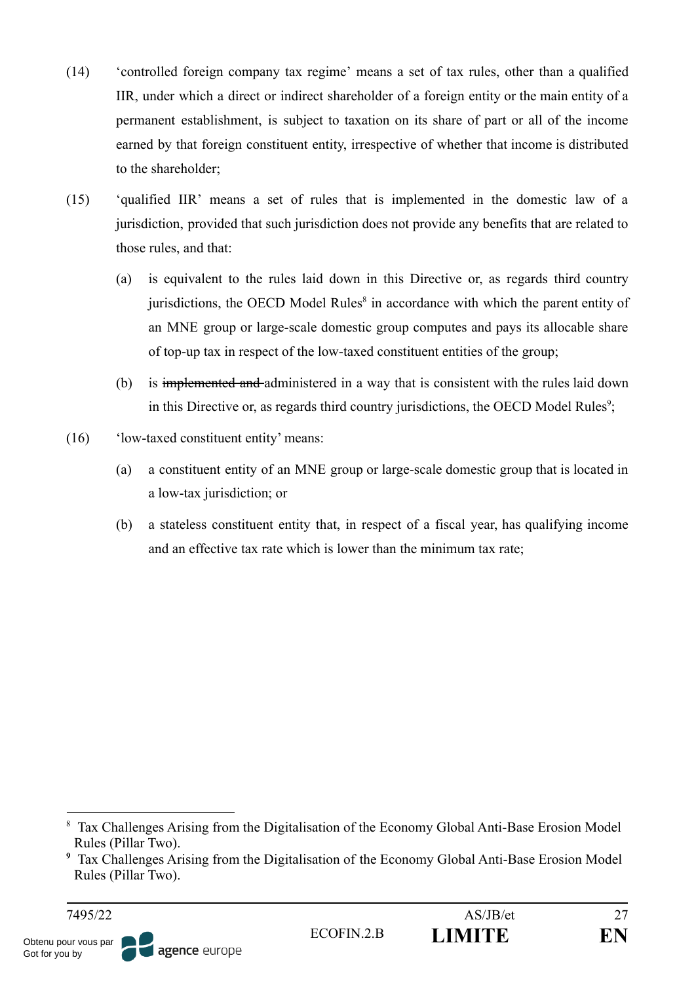- (14) 'controlled foreign company tax regime' means a set of tax rules, other than a qualified IIR, under which a direct or indirect shareholder of a foreign entity or the main entity of a permanent establishment, is subject to taxation on its share of part or all of the income earned by that foreign constituent entity, irrespective of whether that income is distributed to the shareholder;
- (15) 'qualified IIR' means a set of rules that is implemented in the domestic law of a jurisdiction, provided that such jurisdiction does not provide any benefits that are related to those rules, and that:
	- (a) is equivalent to the rules laid down in this Directive or, as regards third country jurisdictions, the OECD Model Rules<sup>8</sup> in accordance with which the parent entity of an MNE group or large-scale domestic group computes and pays its allocable share of top-up tax in respect of the low-taxed constituent entities of the group;
	- (b) is implemented and administered in a way that is consistent with the rules laid down in this Directive or, as regards third country jurisdictions, the OECD Model Rules<sup>9</sup>;
- (16) 'low-taxed constituent entity' means:
	- (a) a constituent entity of an MNE group or large-scale domestic group that is located in a low-tax jurisdiction; or
	- (b) a stateless constituent entity that, in respect of a fiscal year, has qualifying income and an effective tax rate which is lower than the minimum tax rate;



<sup>&</sup>lt;sup>8</sup> Tax Challenges Arising from the Digitalisation of the Economy Global Anti-Base Erosion Model Rules (Pillar Two).

**<sup>9</sup>** Tax Challenges Arising from the Digitalisation of the Economy Global Anti-Base Erosion Model Rules (Pillar Two).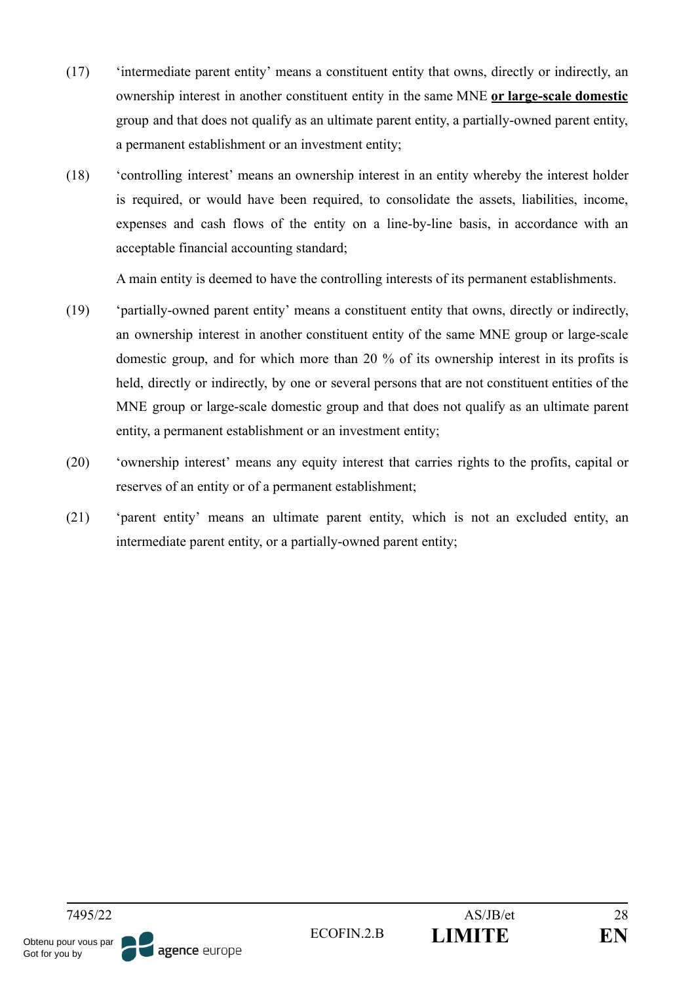- (17) 'intermediate parent entity' means a constituent entity that owns, directly or indirectly, an ownership interest in another constituent entity in the same MNE **or large-scale domestic** group and that does not qualify as an ultimate parent entity, a partially-owned parent entity, a permanent establishment or an investment entity;
- (18) 'controlling interest' means an ownership interest in an entity whereby the interest holder is required, or would have been required, to consolidate the assets, liabilities, income, expenses and cash flows of the entity on a line-by-line basis, in accordance with an acceptable financial accounting standard;

A main entity is deemed to have the controlling interests of its permanent establishments.

- (19) 'partially-owned parent entity' means a constituent entity that owns, directly or indirectly, an ownership interest in another constituent entity of the same MNE group or large-scale domestic group, and for which more than 20 % of its ownership interest in its profits is held, directly or indirectly, by one or several persons that are not constituent entities of the MNE group or large-scale domestic group and that does not qualify as an ultimate parent entity, a permanent establishment or an investment entity;
- (20) 'ownership interest' means any equity interest that carries rights to the profits, capital or reserves of an entity or of a permanent establishment;
- (21) 'parent entity' means an ultimate parent entity, which is not an excluded entity, an intermediate parent entity, or a partially-owned parent entity;

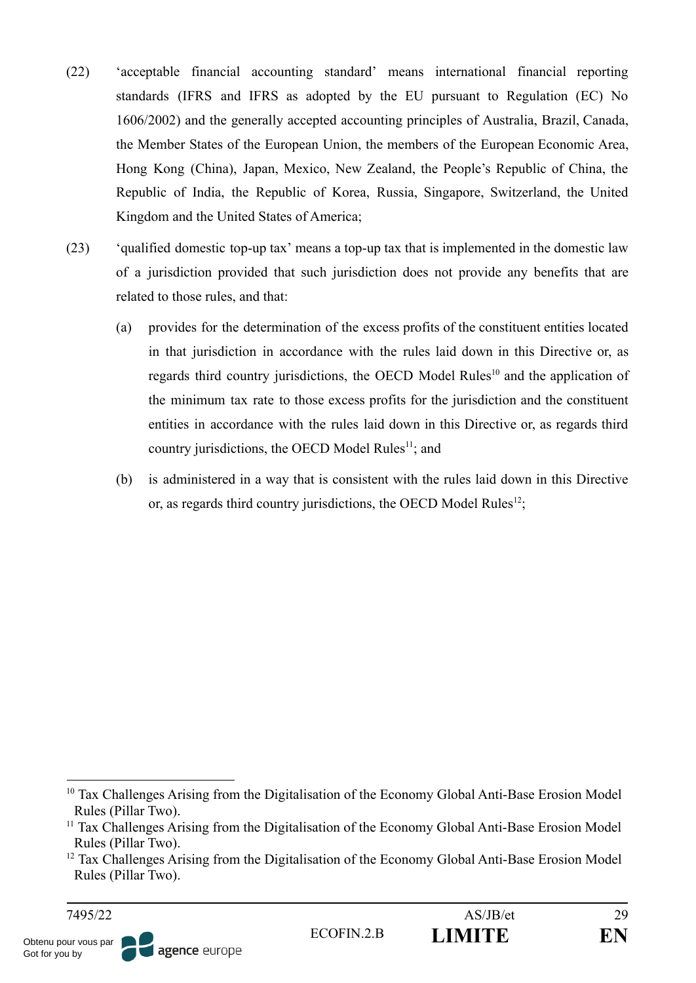- (22) 'acceptable financial accounting standard' means international financial reporting standards (IFRS and IFRS as adopted by the EU pursuant to Regulation (EC) No 1606/2002) and the generally accepted accounting principles of Australia, Brazil, Canada, the Member States of the European Union, the members of the European Economic Area, Hong Kong (China), Japan, Mexico, New Zealand, the People's Republic of China, the Republic of India, the Republic of Korea, Russia, Singapore, Switzerland, the United Kingdom and the United States of America;
- (23) 'qualified domestic top-up tax' means a top-up tax that is implemented in the domestic law of a jurisdiction provided that such jurisdiction does not provide any benefits that are related to those rules, and that:
	- (a) provides for the determination of the excess profits of the constituent entities located in that jurisdiction in accordance with the rules laid down in this Directive or, as regards third country jurisdictions, the OECD Model Rules<sup>10</sup> and the application of the minimum tax rate to those excess profits for the jurisdiction and the constituent entities in accordance with the rules laid down in this Directive or, as regards third country jurisdictions, the OECD Model Rules $<sup>11</sup>$ ; and</sup>
	- (b) is administered in a way that is consistent with the rules laid down in this Directive or, as regards third country jurisdictions, the OECD Model Rules<sup>12</sup>;



<sup>&</sup>lt;sup>10</sup> Tax Challenges Arising from the Digitalisation of the Economy Global Anti-Base Erosion Model Rules (Pillar Two).

<sup>&</sup>lt;sup>11</sup> Tax Challenges Arising from the Digitalisation of the Economy Global Anti-Base Erosion Model Rules (Pillar Two).

<sup>&</sup>lt;sup>12</sup> Tax Challenges Arising from the Digitalisation of the Economy Global Anti-Base Erosion Model Rules (Pillar Two).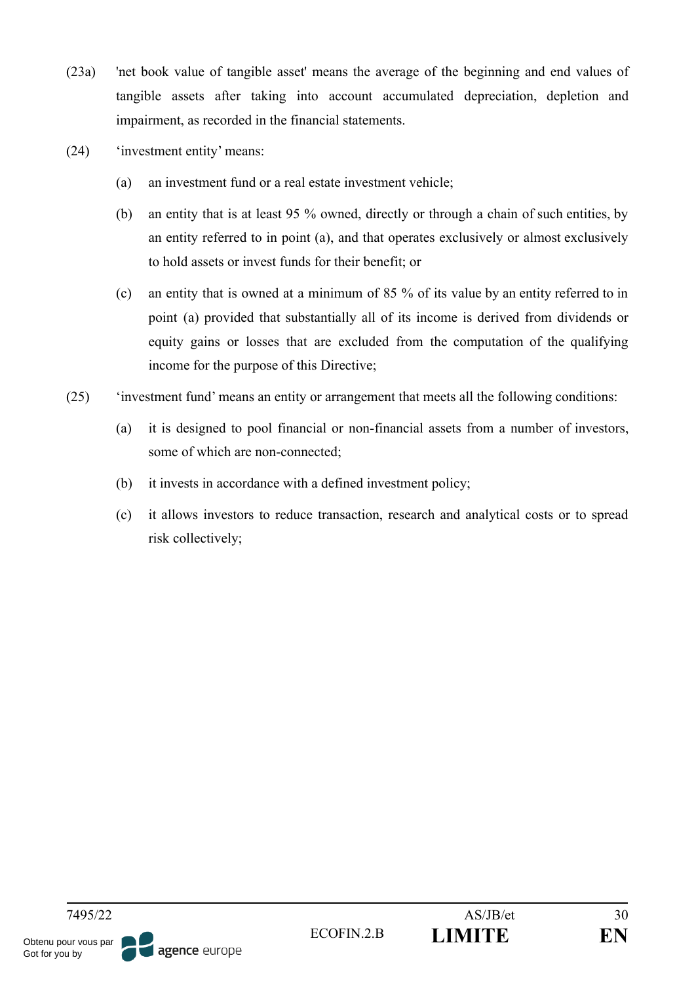- (23a) 'net book value of tangible asset' means the average of the beginning and end values of tangible assets after taking into account accumulated depreciation, depletion and impairment, as recorded in the financial statements.
- (24) 'investment entity' means:
	- (a) an investment fund or a real estate investment vehicle;
	- (b) an entity that is at least 95 % owned, directly or through a chain of such entities, by an entity referred to in point (a), and that operates exclusively or almost exclusively to hold assets or invest funds for their benefit; or
	- (c) an entity that is owned at a minimum of 85 % of its value by an entity referred to in point (a) provided that substantially all of its income is derived from dividends or equity gains or losses that are excluded from the computation of the qualifying income for the purpose of this Directive;
- (25) 'investment fund' means an entity or arrangement that meets all the following conditions:
	- (a) it is designed to pool financial or non-financial assets from a number of investors, some of which are non-connected;
	- (b) it invests in accordance with a defined investment policy;
	- (c) it allows investors to reduce transaction, research and analytical costs or to spread risk collectively;

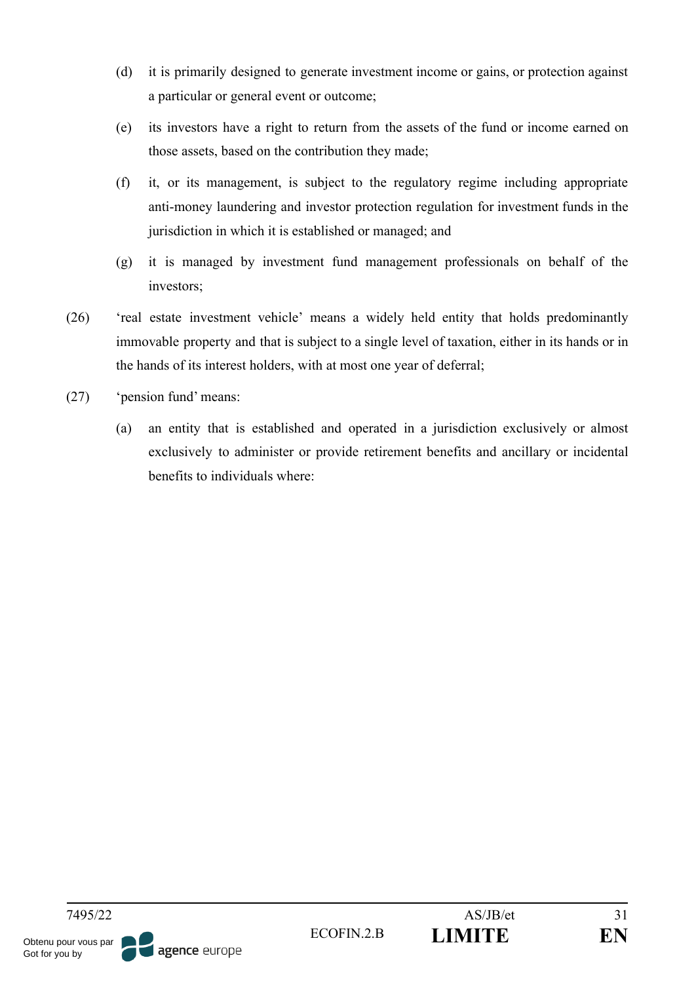- (d) it is primarily designed to generate investment income or gains, or protection against a particular or general event or outcome;
- (e) its investors have a right to return from the assets of the fund or income earned on those assets, based on the contribution they made;
- (f) it, or its management, is subject to the regulatory regime including appropriate anti-money laundering and investor protection regulation for investment funds in the jurisdiction in which it is established or managed; and
- (g) it is managed by investment fund management professionals on behalf of the investors;
- (26) 'real estate investment vehicle' means a widely held entity that holds predominantly immovable property and that is subject to a single level of taxation, either in its hands or in the hands of its interest holders, with at most one year of deferral;
- (27) 'pension fund' means:
	- (a) an entity that is established and operated in a jurisdiction exclusively or almost exclusively to administer or provide retirement benefits and ancillary or incidental benefits to individuals where: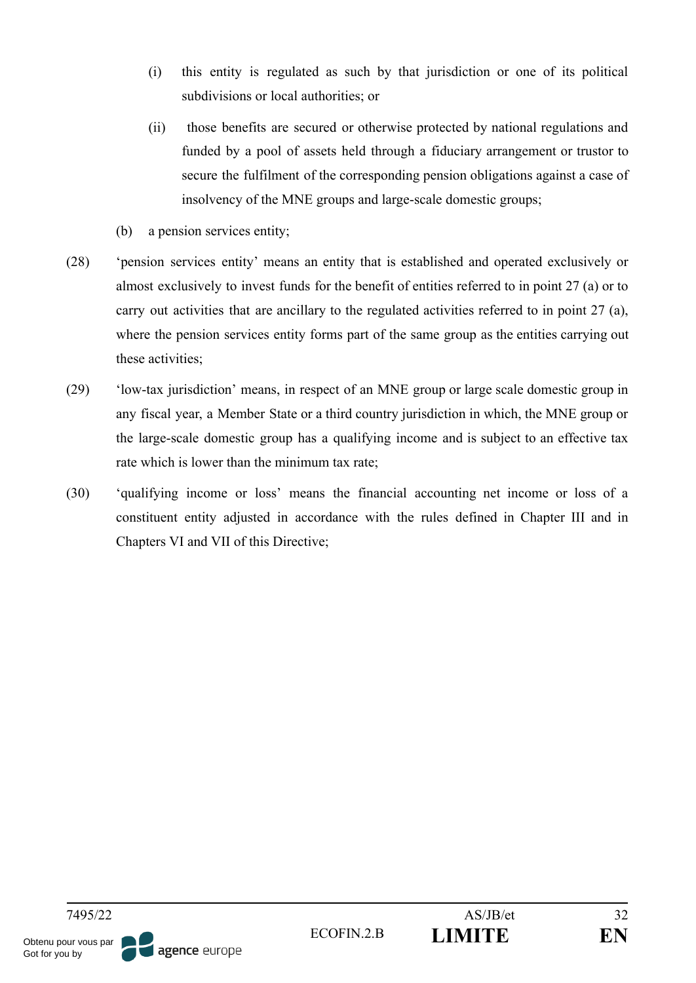- (i) this entity is regulated as such by that jurisdiction or one of its political subdivisions or local authorities; or
- (ii) those benefits are secured or otherwise protected by national regulations and funded by a pool of assets held through a fiduciary arrangement or trustor to secure the fulfilment of the corresponding pension obligations against a case of insolvency of the MNE groups and large-scale domestic groups;
- (b) a pension services entity;
- (28) 'pension services entity' means an entity that is established and operated exclusively or almost exclusively to invest funds for the benefit of entities referred to in point 27 (a) or to carry out activities that are ancillary to the regulated activities referred to in point 27 (a), where the pension services entity forms part of the same group as the entities carrying out these activities;
- (29) 'low-tax jurisdiction' means, in respect of an MNE group or large scale domestic group in any fiscal year, a Member State or a third country jurisdiction in which, the MNE group or the large-scale domestic group has a qualifying income and is subject to an effective tax rate which is lower than the minimum tax rate;
- (30) 'qualifying income or loss' means the financial accounting net income or loss of a constituent entity adjusted in accordance with the rules defined in Chapter III and in Chapters VI and VII of this Directive;

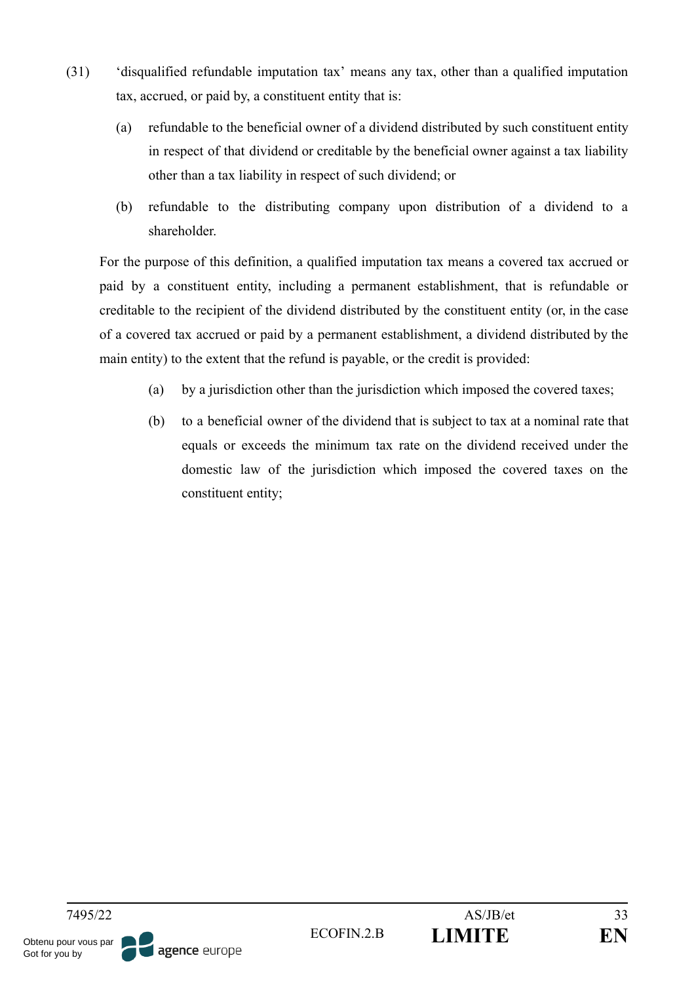- (31) 'disqualified refundable imputation tax' means any tax, other than a qualified imputation tax, accrued, or paid by, a constituent entity that is:
	- (a) refundable to the beneficial owner of a dividend distributed by such constituent entity in respect of that dividend or creditable by the beneficial owner against a tax liability other than a tax liability in respect of such dividend; or
	- (b) refundable to the distributing company upon distribution of a dividend to a shareholder.

For the purpose of this definition, a qualified imputation tax means a covered tax accrued or paid by a constituent entity, including a permanent establishment, that is refundable or creditable to the recipient of the dividend distributed by the constituent entity (or, in the case of a covered tax accrued or paid by a permanent establishment, a dividend distributed by the main entity) to the extent that the refund is payable, or the credit is provided:

- (a) by a jurisdiction other than the jurisdiction which imposed the covered taxes;
- (b) to a beneficial owner of the dividend that is subject to tax at a nominal rate that equals or exceeds the minimum tax rate on the dividend received under the domestic law of the jurisdiction which imposed the covered taxes on the constituent entity;

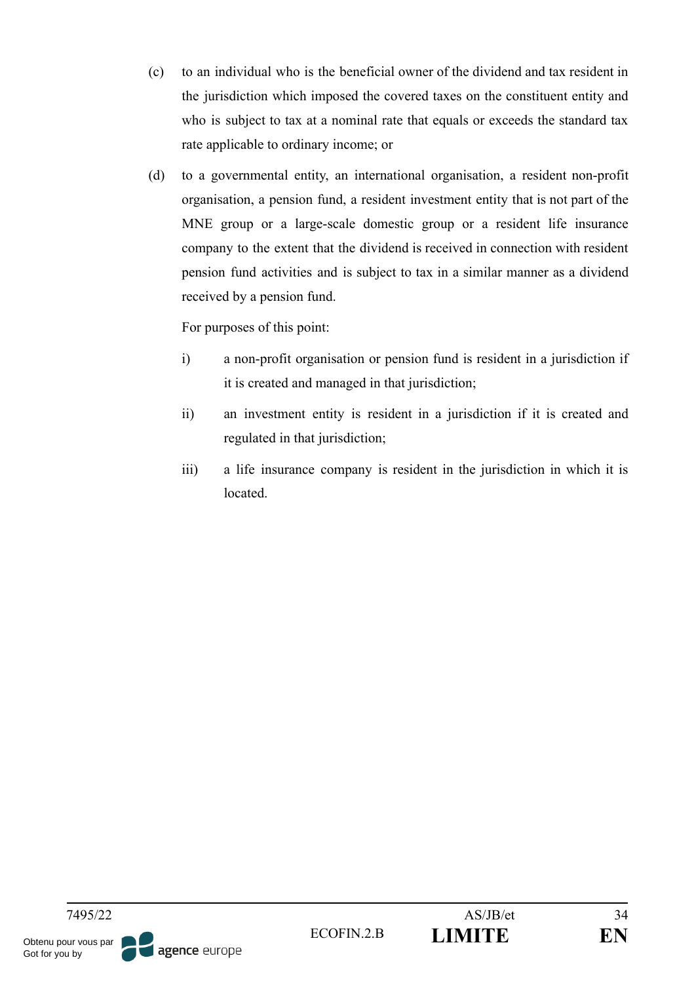- (c) to an individual who is the beneficial owner of the dividend and tax resident in the jurisdiction which imposed the covered taxes on the constituent entity and who is subject to tax at a nominal rate that equals or exceeds the standard tax rate applicable to ordinary income; or
- (d) to a governmental entity, an international organisation, a resident non-profit organisation, a pension fund, a resident investment entity that is not part of the MNE group or a large-scale domestic group or a resident life insurance company to the extent that the dividend is received in connection with resident pension fund activities and is subject to tax in a similar manner as a dividend received by a pension fund.

For purposes of this point:

- i) a non-profit organisation or pension fund is resident in a jurisdiction if it is created and managed in that jurisdiction;
- ii) an investment entity is resident in a jurisdiction if it is created and regulated in that jurisdiction;
- iii) a life insurance company is resident in the jurisdiction in which it is located.

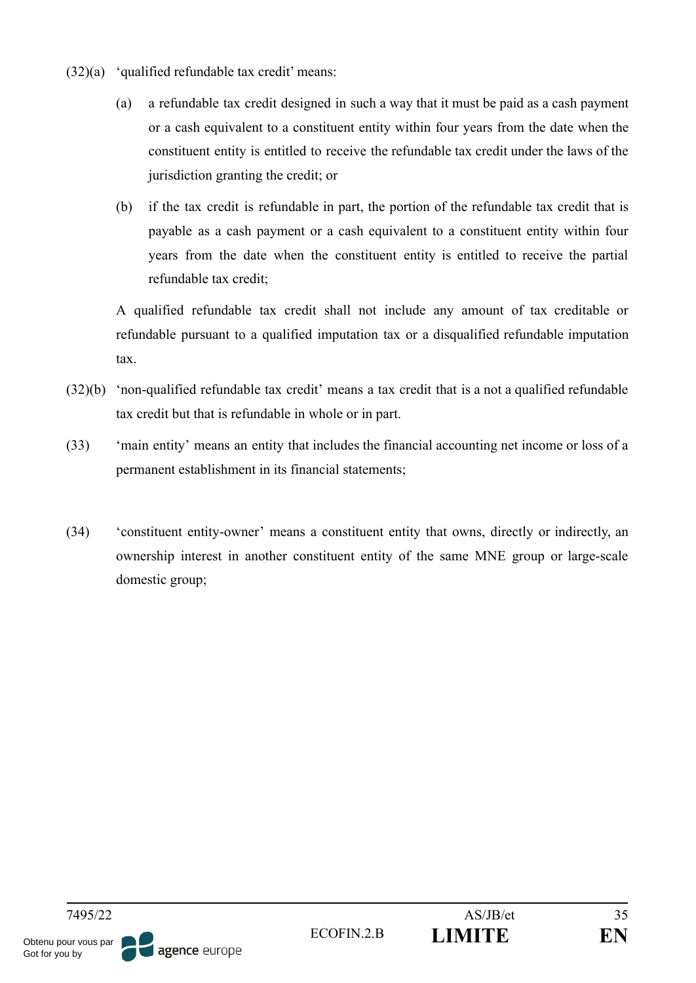- $(32)(a)$  'qualified refundable tax credit' means:
	- (a) a refundable tax credit designed in such a way that it must be paid as a cash payment or a cash equivalent to a constituent entity within four years from the date when the constituent entity is entitled to receive the refundable tax credit under the laws of the jurisdiction granting the credit; or
	- (b) if the tax credit is refundable in part, the portion of the refundable tax credit that is payable as a cash payment or a cash equivalent to a constituent entity within four years from the date when the constituent entity is entitled to receive the partial refundable tax credit;

A qualified refundable tax credit shall not include any amount of tax creditable or refundable pursuant to a qualified imputation tax or a disqualified refundable imputation tax.

- (32)(b) 'non-qualified refundable tax credit' means a tax credit that is a not a qualified refundable tax credit but that is refundable in whole or in part.
- (33) 'main entity' means an entity that includes the financial accounting net income or loss of a permanent establishment in its financial statements;
- (34) 'constituent entity-owner' means a constituent entity that owns, directly or indirectly, an ownership interest in another constituent entity of the same MNE group or large-scale domestic group;

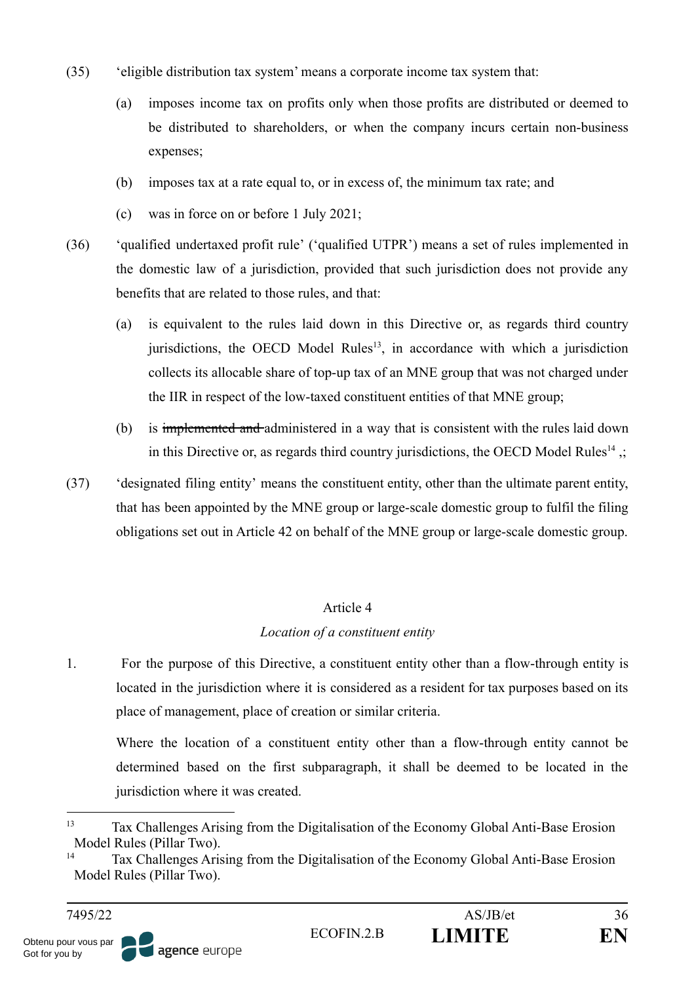- (35) 'eligible distribution tax system' means a corporate income tax system that:
	- (a) imposes income tax on profits only when those profits are distributed or deemed to be distributed to shareholders, or when the company incurs certain non-business expenses;
	- (b) imposes tax at a rate equal to, or in excess of, the minimum tax rate; and
	- (c) was in force on or before 1 July 2021;
- (36) 'qualified undertaxed profit rule' ('qualified UTPR') means a set of rules implemented in the domestic law of a jurisdiction, provided that such jurisdiction does not provide any benefits that are related to those rules, and that:
	- (a) is equivalent to the rules laid down in this Directive or, as regards third country jurisdictions, the OECD Model Rules<sup>13</sup>, in accordance with which a jurisdiction collects its allocable share of top-up tax of an MNE group that was not charged under the IIR in respect of the low-taxed constituent entities of that MNE group;
	- (b) is implemented and administered in a way that is consistent with the rules laid down in this Directive or, as regards third country jurisdictions, the OECD Model Rules<sup>14</sup>,;
- (37) 'designated filing entity' means the constituent entity, other than the ultimate parent entity, that has been appointed by the MNE group or large-scale domestic group to fulfil the filing obligations set out in Article 42 on behalf of the MNE group or large-scale domestic group.

# Article 4

# *Location of a constituent entity*

1. For the purpose of this Directive, a constituent entity other than a flow-through entity is located in the jurisdiction where it is considered as a resident for tax purposes based on its place of management, place of creation or similar criteria.

Where the location of a constituent entity other than a flow-through entity cannot be determined based on the first subparagraph, it shall be deemed to be located in the jurisdiction where it was created.

<sup>13</sup> Tax Challenges Arising from the Digitalisation of the Economy Global Anti-Base Erosion Model Rules (Pillar Two).

<sup>14</sup> Tax Challenges Arising from the Digitalisation of the Economy Global Anti-Base Erosion Model Rules (Pillar Two).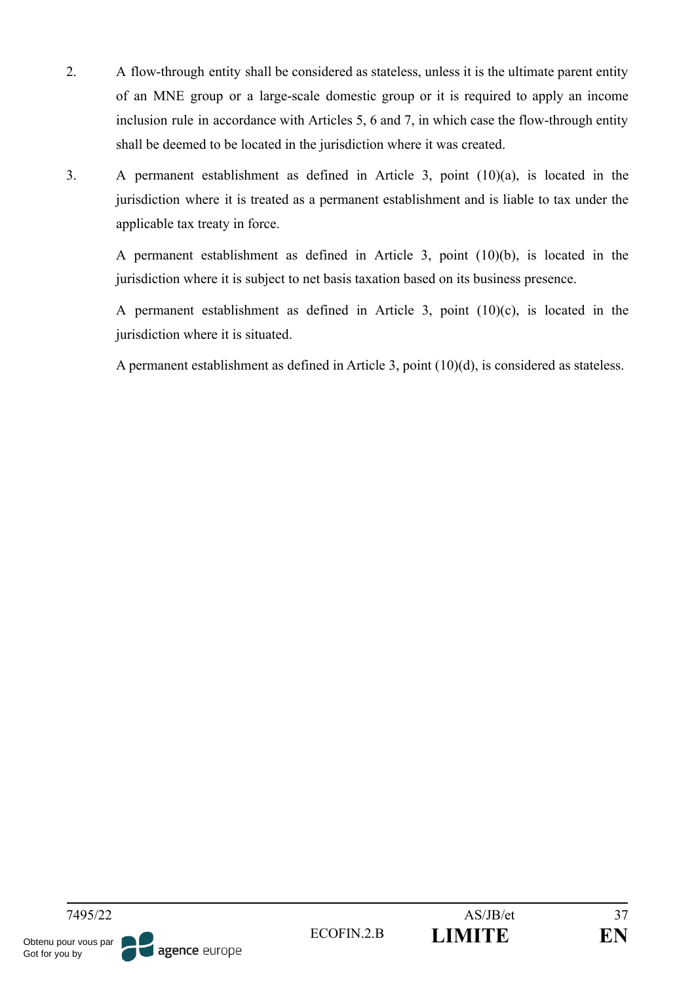- 2. A flow-through entity shall be considered as stateless, unless it is the ultimate parent entity of an MNE group or a large-scale domestic group or it is required to apply an income inclusion rule in accordance with Articles 5, 6 and 7, in which case the flow-through entity shall be deemed to be located in the jurisdiction where it was created.
- 3. A permanent establishment as defined in Article 3, point (10)(a), is located in the jurisdiction where it is treated as a permanent establishment and is liable to tax under the applicable tax treaty in force.

A permanent establishment as defined in Article 3, point (10)(b), is located in the jurisdiction where it is subject to net basis taxation based on its business presence.

A permanent establishment as defined in Article 3, point (10)(c), is located in the jurisdiction where it is situated.

A permanent establishment as defined in Article 3, point (10)(d), is considered as stateless.

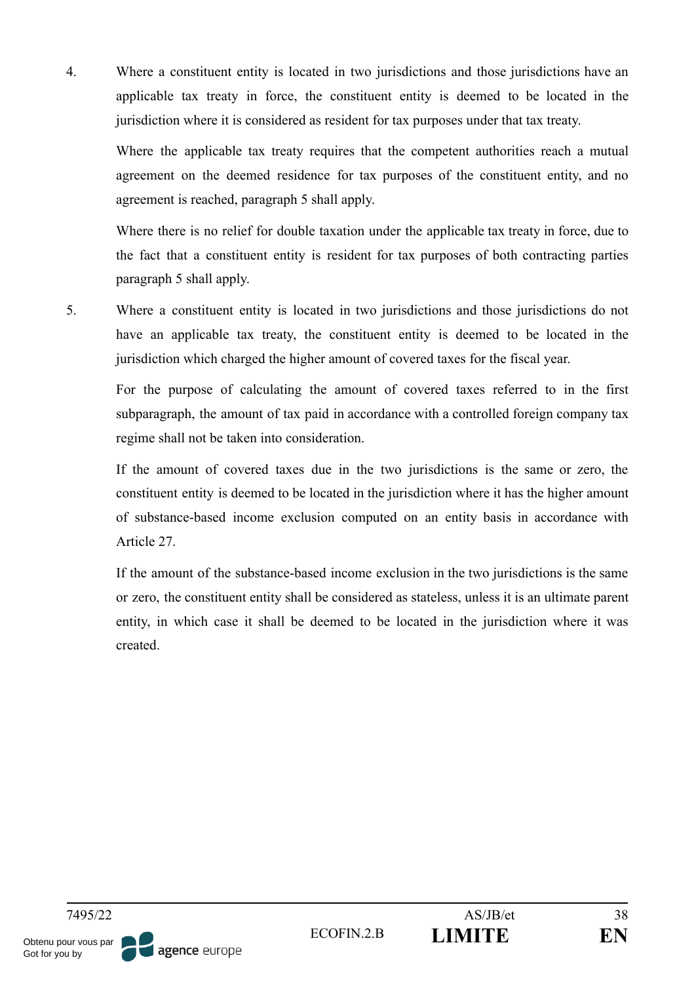4. Where a constituent entity is located in two jurisdictions and those jurisdictions have an applicable tax treaty in force, the constituent entity is deemed to be located in the jurisdiction where it is considered as resident for tax purposes under that tax treaty.

Where the applicable tax treaty requires that the competent authorities reach a mutual agreement on the deemed residence for tax purposes of the constituent entity, and no agreement is reached, paragraph 5 shall apply.

Where there is no relief for double taxation under the applicable tax treaty in force, due to the fact that a constituent entity is resident for tax purposes of both contracting parties paragraph 5 shall apply.

5. Where a constituent entity is located in two jurisdictions and those jurisdictions do not have an applicable tax treaty, the constituent entity is deemed to be located in the jurisdiction which charged the higher amount of covered taxes for the fiscal year.

For the purpose of calculating the amount of covered taxes referred to in the first subparagraph, the amount of tax paid in accordance with a controlled foreign company tax regime shall not be taken into consideration.

If the amount of covered taxes due in the two jurisdictions is the same or zero, the constituent entity is deemed to be located in the jurisdiction where it has the higher amount of substance-based income exclusion computed on an entity basis in accordance with Article 27.

If the amount of the substance-based income exclusion in the two jurisdictions is the same or zero, the constituent entity shall be considered as stateless, unless it is an ultimate parent entity, in which case it shall be deemed to be located in the jurisdiction where it was created.

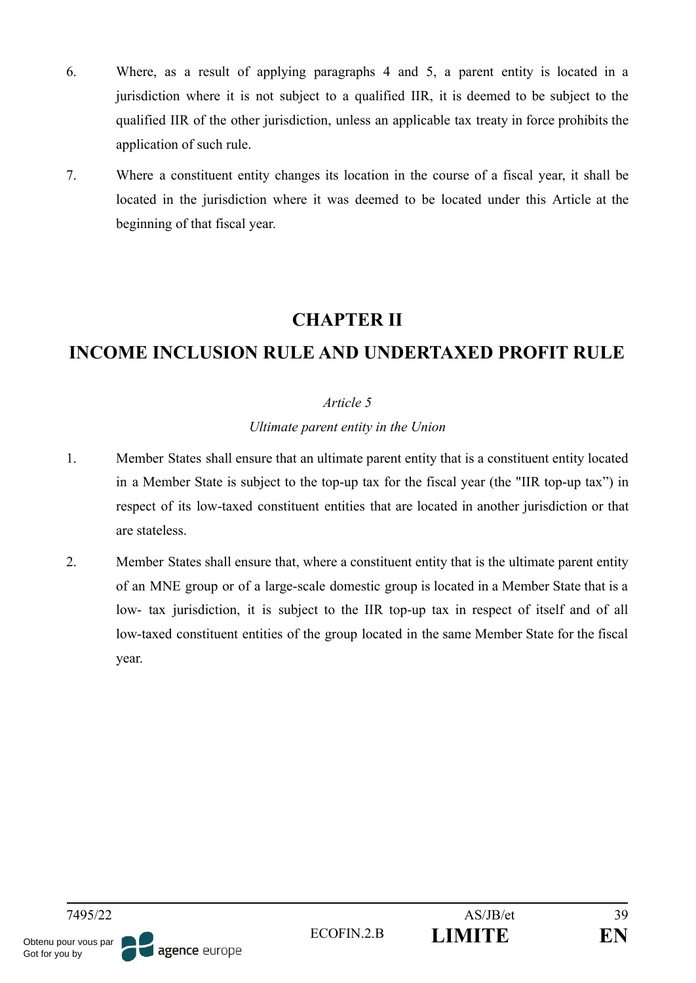- 6. Where, as a result of applying paragraphs 4 and 5, a parent entity is located in a jurisdiction where it is not subject to a qualified IIR, it is deemed to be subject to the qualified IIR of the other jurisdiction, unless an applicable tax treaty in force prohibits the application of such rule.
- 7. Where a constituent entity changes its location in the course of a fiscal year, it shall be located in the jurisdiction where it was deemed to be located under this Article at the beginning of that fiscal year.

# **CHAPTER II**

# **INCOME INCLUSION RULE AND UNDERTAXED PROFIT RULE**

## *Article 5*

### *Ultimate parent entity in the Union*

- 1. Member States shall ensure that an ultimate parent entity that is a constituent entity located in a Member State is subject to the top-up tax for the fiscal year (the "IIR top-up tax") in respect of its low-taxed constituent entities that are located in another jurisdiction or that are stateless.
- 2. Member States shall ensure that, where a constituent entity that is the ultimate parent entity of an MNE group or of a large-scale domestic group is located in a Member State that is a low- tax jurisdiction, it is subject to the IIR top-up tax in respect of itself and of all low-taxed constituent entities of the group located in the same Member State for the fiscal year.

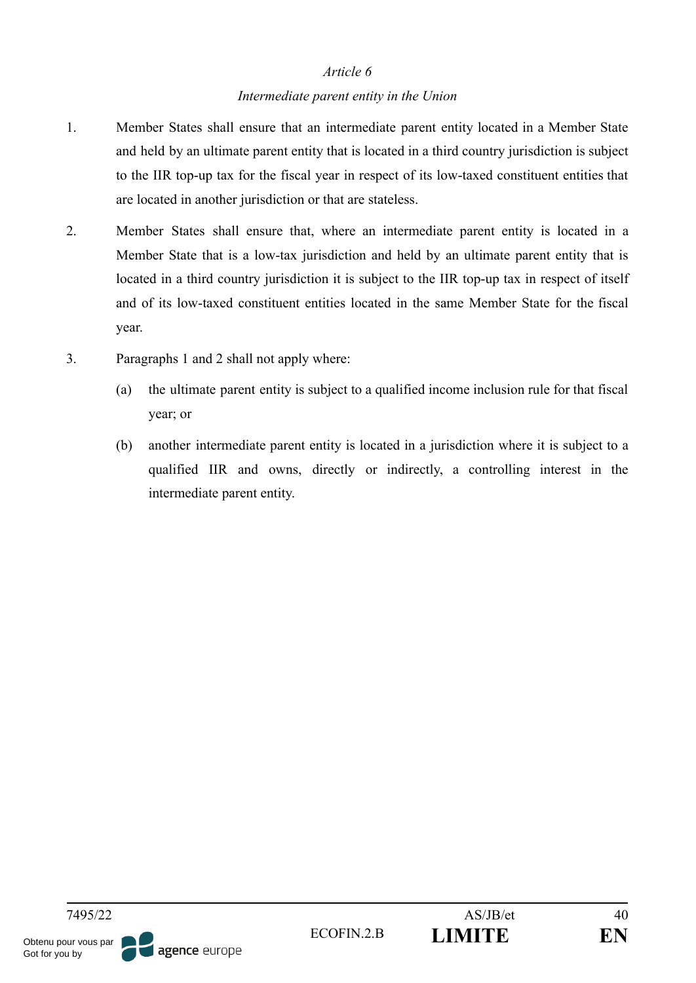#### *Intermediate parent entity in the Union*

- 1. Member States shall ensure that an intermediate parent entity located in a Member State and held by an ultimate parent entity that is located in a third country jurisdiction is subject to the IIR top-up tax for the fiscal year in respect of its low-taxed constituent entities that are located in another jurisdiction or that are stateless.
- 2. Member States shall ensure that, where an intermediate parent entity is located in a Member State that is a low-tax jurisdiction and held by an ultimate parent entity that is located in a third country jurisdiction it is subject to the IIR top-up tax in respect of itself and of its low-taxed constituent entities located in the same Member State for the fiscal year.
- 3. Paragraphs 1 and 2 shall not apply where:
	- (a) the ultimate parent entity is subject to a qualified income inclusion rule for that fiscal year; or
	- (b) another intermediate parent entity is located in a jurisdiction where it is subject to a qualified IIR and owns, directly or indirectly, a controlling interest in the intermediate parent entity.

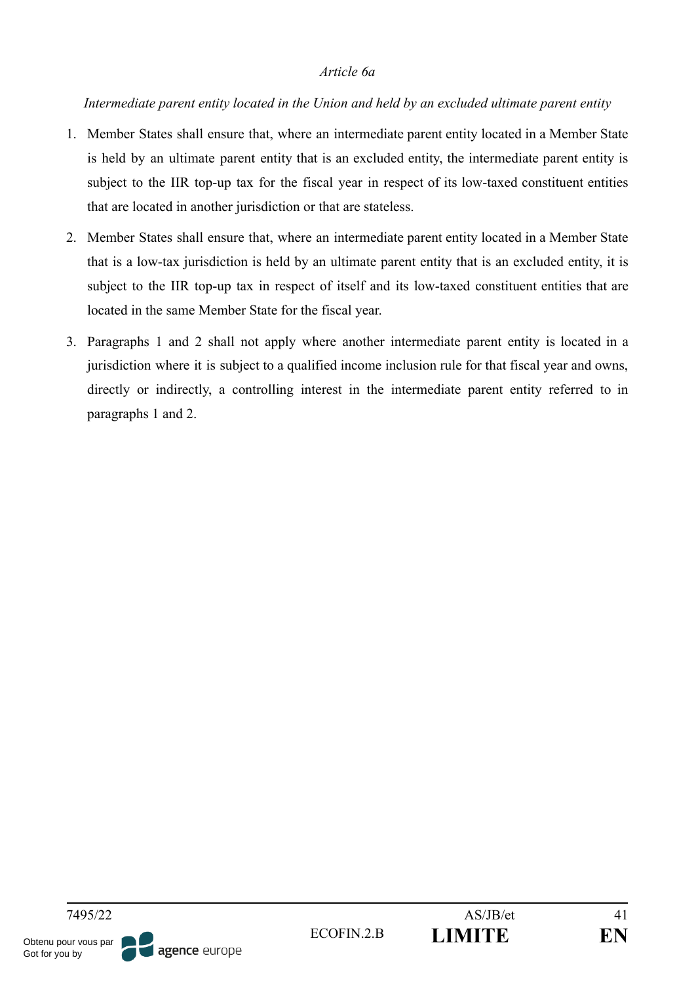#### *Article 6a*

### *Intermediate parent entity located in the Union and held by an excluded ultimate parent entity*

- 1. Member States shall ensure that, where an intermediate parent entity located in a Member State is held by an ultimate parent entity that is an excluded entity, the intermediate parent entity is subject to the IIR top-up tax for the fiscal year in respect of its low-taxed constituent entities that are located in another jurisdiction or that are stateless.
- 2. Member States shall ensure that, where an intermediate parent entity located in a Member State that is a low-tax jurisdiction is held by an ultimate parent entity that is an excluded entity, it is subject to the IIR top-up tax in respect of itself and its low-taxed constituent entities that are located in the same Member State for the fiscal year.
- 3. Paragraphs 1 and 2 shall not apply where another intermediate parent entity is located in a jurisdiction where it is subject to a qualified income inclusion rule for that fiscal year and owns, directly or indirectly, a controlling interest in the intermediate parent entity referred to in paragraphs 1 and 2.

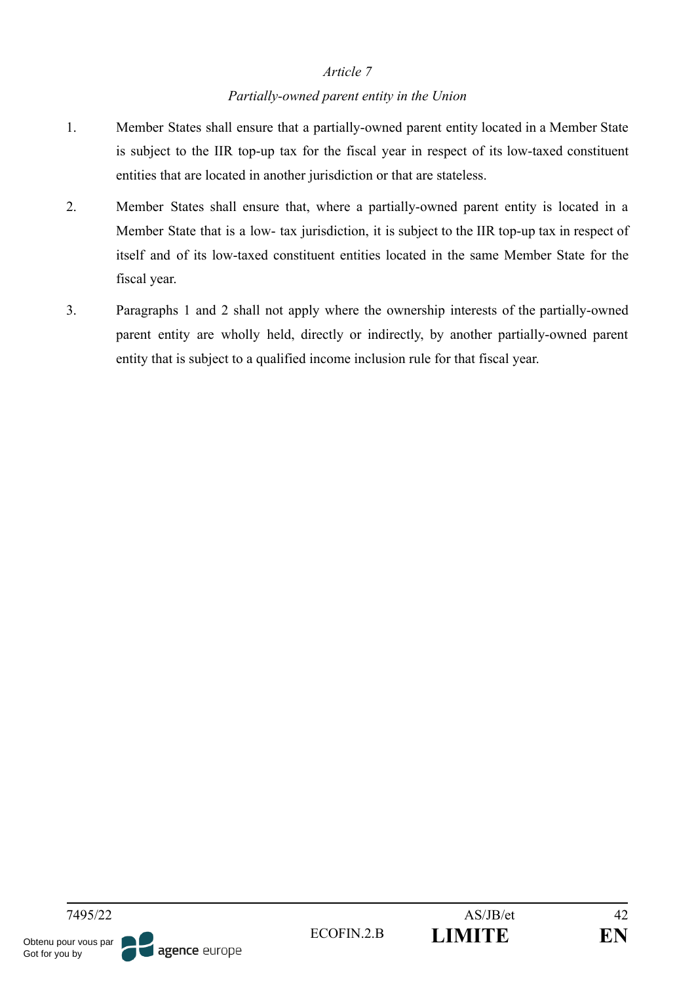## *Partially-owned parent entity in the Union*

- 1. Member States shall ensure that a partially-owned parent entity located in a Member State is subject to the IIR top-up tax for the fiscal year in respect of its low-taxed constituent entities that are located in another jurisdiction or that are stateless.
- 2. Member States shall ensure that, where a partially-owned parent entity is located in a Member State that is a low- tax jurisdiction, it is subject to the IIR top-up tax in respect of itself and of its low-taxed constituent entities located in the same Member State for the fiscal year.
- 3. Paragraphs 1 and 2 shall not apply where the ownership interests of the partially-owned parent entity are wholly held, directly or indirectly, by another partially-owned parent entity that is subject to a qualified income inclusion rule for that fiscal year.

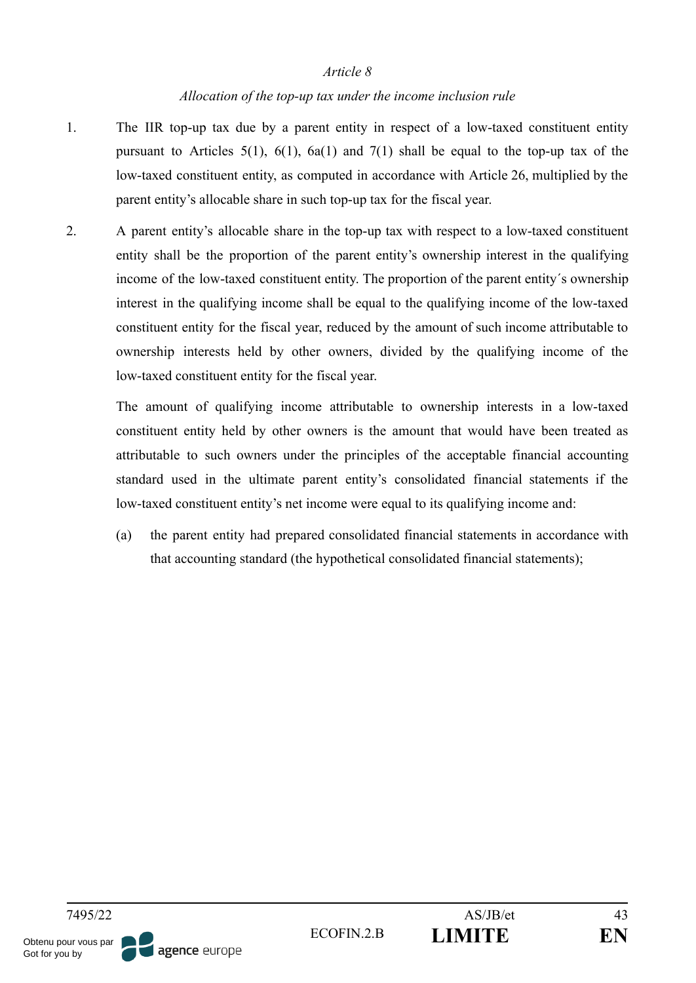#### *Allocation of the top-up tax under the income inclusion rule*

- 1. The IIR top-up tax due by a parent entity in respect of a low-taxed constituent entity pursuant to Articles  $5(1)$ ,  $6(1)$ ,  $6a(1)$  and  $7(1)$  shall be equal to the top-up tax of the low-taxed constituent entity, as computed in accordance with Article 26, multiplied by the parent entity's allocable share in such top-up tax for the fiscal year.
- 2. A parent entity's allocable share in the top-up tax with respect to a low-taxed constituent entity shall be the proportion of the parent entity's ownership interest in the qualifying income of the low-taxed constituent entity. The proportion of the parent entity´s ownership interest in the qualifying income shall be equal to the qualifying income of the low-taxed constituent entity for the fiscal year, reduced by the amount of such income attributable to ownership interests held by other owners, divided by the qualifying income of the low-taxed constituent entity for the fiscal year.

The amount of qualifying income attributable to ownership interests in a low-taxed constituent entity held by other owners is the amount that would have been treated as attributable to such owners under the principles of the acceptable financial accounting standard used in the ultimate parent entity's consolidated financial statements if the low-taxed constituent entity's net income were equal to its qualifying income and:

(a) the parent entity had prepared consolidated financial statements in accordance with that accounting standard (the hypothetical consolidated financial statements);

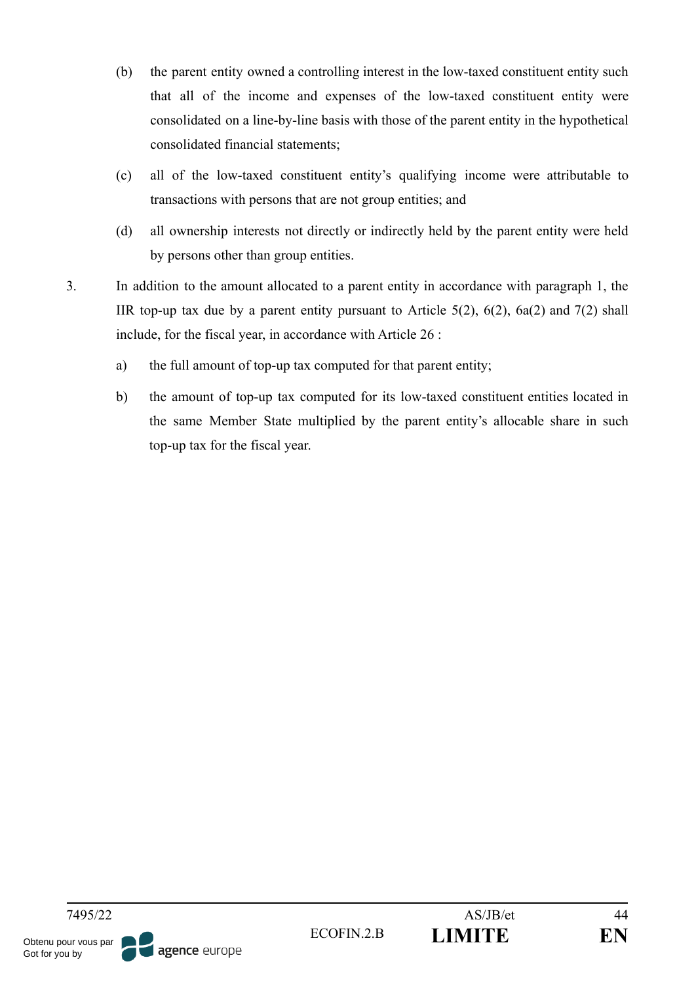- (b) the parent entity owned a controlling interest in the low-taxed constituent entity such that all of the income and expenses of the low-taxed constituent entity were consolidated on a line-by-line basis with those of the parent entity in the hypothetical consolidated financial statements;
- (c) all of the low-taxed constituent entity's qualifying income were attributable to transactions with persons that are not group entities; and
- (d) all ownership interests not directly or indirectly held by the parent entity were held by persons other than group entities.
- 3. In addition to the amount allocated to a parent entity in accordance with paragraph 1, the IIR top-up tax due by a parent entity pursuant to Article  $5(2)$ ,  $6(2)$ ,  $6a(2)$  and  $7(2)$  shall include, for the fiscal year, in accordance with Article 26 :
	- a) the full amount of top-up tax computed for that parent entity;
	- b) the amount of top-up tax computed for its low-taxed constituent entities located in the same Member State multiplied by the parent entity's allocable share in such top-up tax for the fiscal year.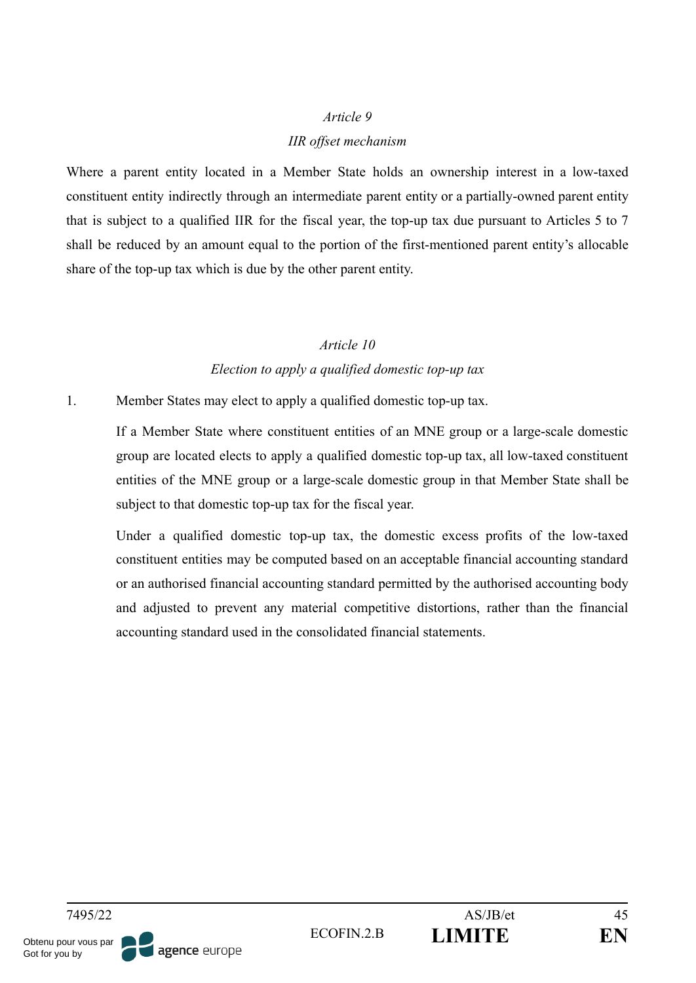#### *IIR offset mechanism*

Where a parent entity located in a Member State holds an ownership interest in a low-taxed constituent entity indirectly through an intermediate parent entity or a partially-owned parent entity that is subject to a qualified IIR for the fiscal year, the top-up tax due pursuant to Articles 5 to 7 shall be reduced by an amount equal to the portion of the first-mentioned parent entity's allocable share of the top-up tax which is due by the other parent entity.

## *Article 10 Election to apply a qualified domestic top-up tax*

1. Member States may elect to apply a qualified domestic top-up tax.

If a Member State where constituent entities of an MNE group or a large-scale domestic group are located elects to apply a qualified domestic top-up tax, all low-taxed constituent entities of the MNE group or a large-scale domestic group in that Member State shall be subject to that domestic top-up tax for the fiscal year.

Under a qualified domestic top-up tax, the domestic excess profits of the low-taxed constituent entities may be computed based on an acceptable financial accounting standard or an authorised financial accounting standard permitted by the authorised accounting body and adjusted to prevent any material competitive distortions, rather than the financial accounting standard used in the consolidated financial statements.

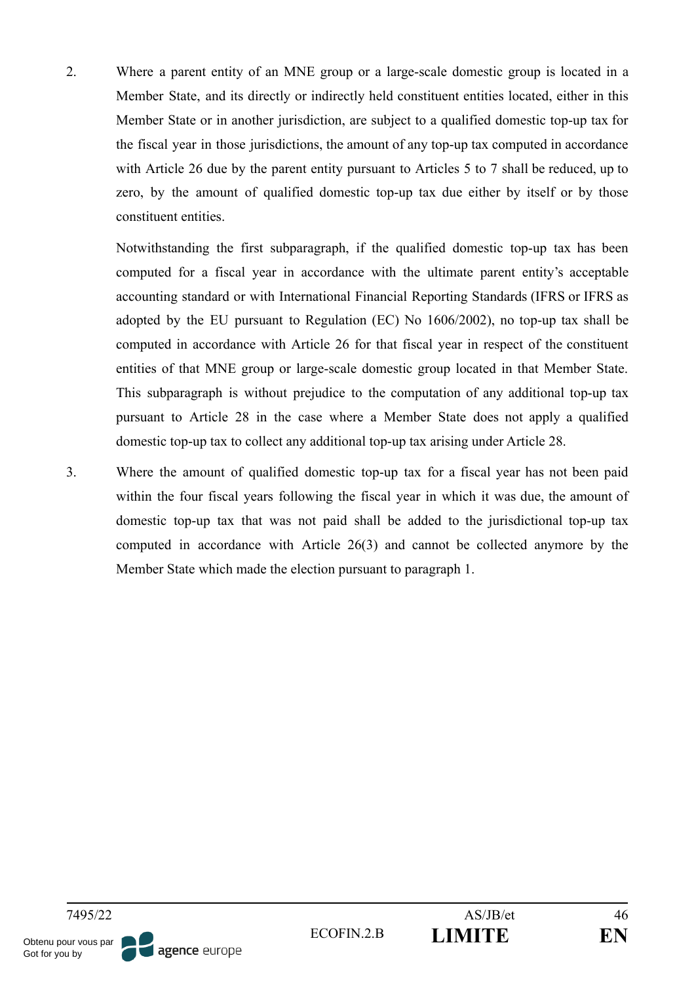2. Where a parent entity of an MNE group or a large-scale domestic group is located in a Member State, and its directly or indirectly held constituent entities located, either in this Member State or in another jurisdiction, are subject to a qualified domestic top-up tax for the fiscal year in those jurisdictions, the amount of any top-up tax computed in accordance with Article 26 due by the parent entity pursuant to Articles 5 to 7 shall be reduced, up to zero, by the amount of qualified domestic top-up tax due either by itself or by those constituent entities.

Notwithstanding the first subparagraph, if the qualified domestic top-up tax has been computed for a fiscal year in accordance with the ultimate parent entity's acceptable accounting standard or with International Financial Reporting Standards (IFRS or IFRS as adopted by the EU pursuant to Regulation (EC) No 1606/2002), no top-up tax shall be computed in accordance with Article 26 for that fiscal year in respect of the constituent entities of that MNE group or large-scale domestic group located in that Member State. This subparagraph is without prejudice to the computation of any additional top-up tax pursuant to Article 28 in the case where a Member State does not apply a qualified domestic top-up tax to collect any additional top-up tax arising under Article 28.

3. Where the amount of qualified domestic top-up tax for a fiscal year has not been paid within the four fiscal years following the fiscal year in which it was due, the amount of domestic top-up tax that was not paid shall be added to the jurisdictional top-up tax computed in accordance with Article 26(3) and cannot be collected anymore by the Member State which made the election pursuant to paragraph 1.

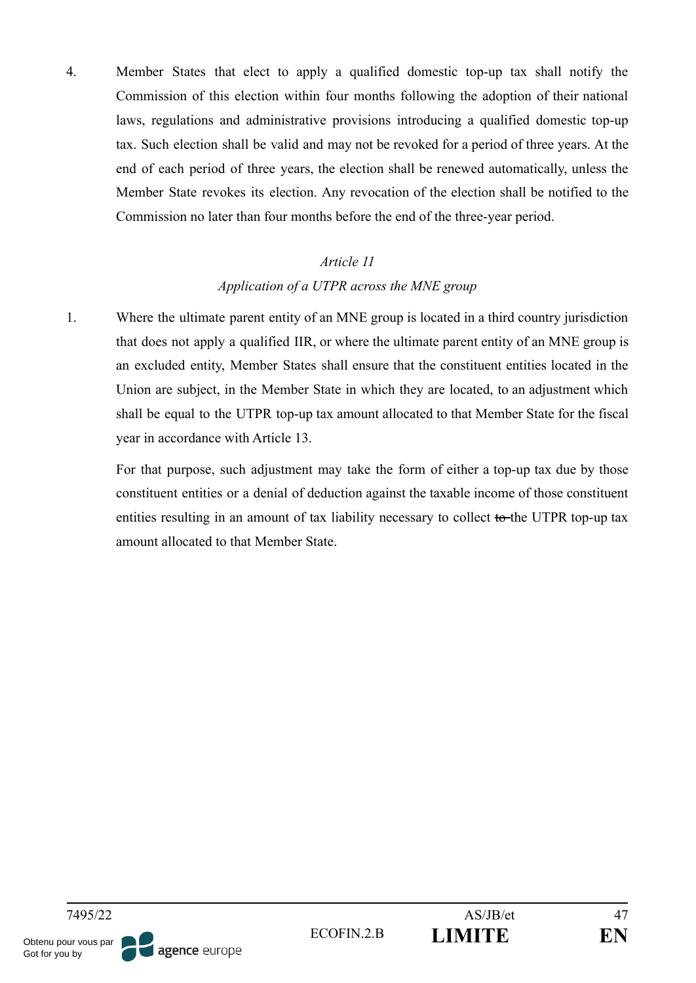4. Member States that elect to apply a qualified domestic top-up tax shall notify the Commission of this election within four months following the adoption of their national laws, regulations and administrative provisions introducing a qualified domestic top-up tax. Such election shall be valid and may not be revoked for a period of three years. At the end of each period of three years, the election shall be renewed automatically, unless the Member State revokes its election. Any revocation of the election shall be notified to the Commission no later than four months before the end of the three-year period.

## *Article 11*

## *Application of a UTPR across the MNE group*

1. Where the ultimate parent entity of an MNE group is located in a third country jurisdiction that does not apply a qualified IIR, or where the ultimate parent entity of an MNE group is an excluded entity, Member States shall ensure that the constituent entities located in the Union are subject, in the Member State in which they are located, to an adjustment which shall be equal to the UTPR top-up tax amount allocated to that Member State for the fiscal year in accordance with Article 13.

For that purpose, such adjustment may take the form of either a top-up tax due by those constituent entities or a denial of deduction against the taxable income of those constituent entities resulting in an amount of tax liability necessary to collect to the UTPR top-up tax amount allocated to that Member State.

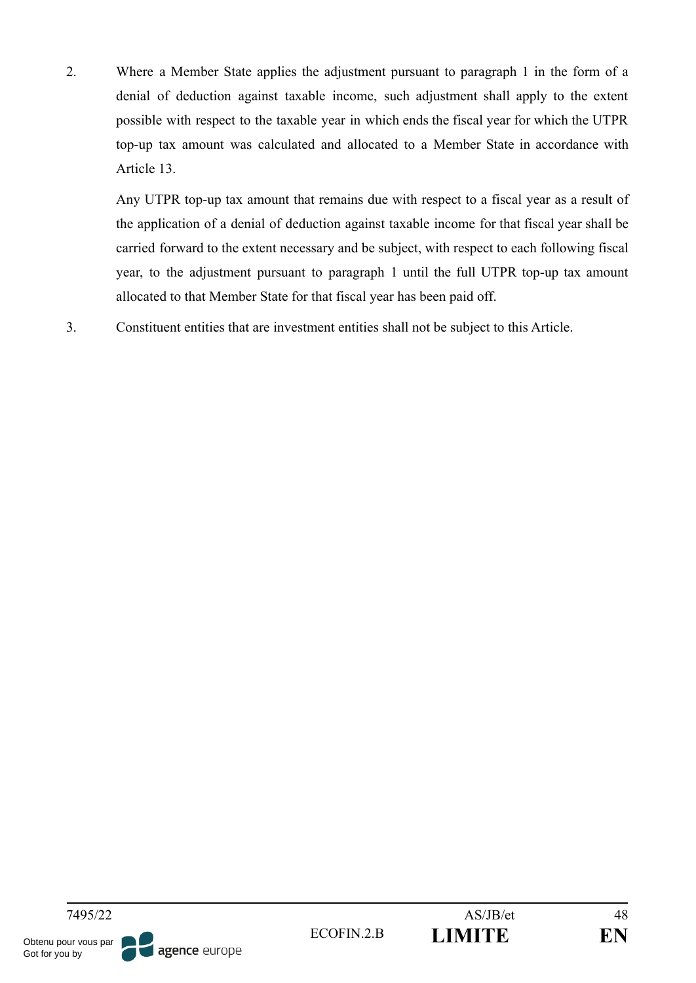2. Where a Member State applies the adjustment pursuant to paragraph 1 in the form of a denial of deduction against taxable income, such adjustment shall apply to the extent possible with respect to the taxable year in which ends the fiscal year for which the UTPR top-up tax amount was calculated and allocated to a Member State in accordance with Article 13.

Any UTPR top-up tax amount that remains due with respect to a fiscal year as a result of the application of a denial of deduction against taxable income for that fiscal year shall be carried forward to the extent necessary and be subject, with respect to each following fiscal year, to the adjustment pursuant to paragraph 1 until the full UTPR top-up tax amount allocated to that Member State for that fiscal year has been paid off.

3. Constituent entities that are investment entities shall not be subject to this Article.

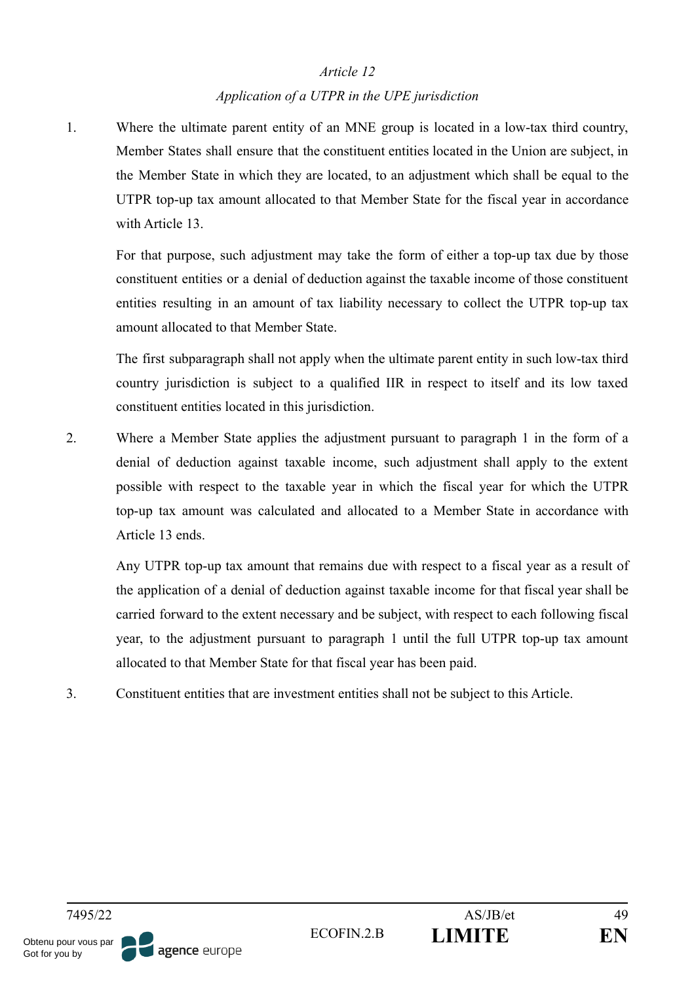## *Application of a UTPR in the UPE jurisdiction*

1. Where the ultimate parent entity of an MNE group is located in a low-tax third country, Member States shall ensure that the constituent entities located in the Union are subject, in the Member State in which they are located, to an adjustment which shall be equal to the UTPR top-up tax amount allocated to that Member State for the fiscal year in accordance with Article 13.

For that purpose, such adjustment may take the form of either a top-up tax due by those constituent entities or a denial of deduction against the taxable income of those constituent entities resulting in an amount of tax liability necessary to collect the UTPR top-up tax amount allocated to that Member State.

The first subparagraph shall not apply when the ultimate parent entity in such low-tax third country jurisdiction is subject to a qualified IIR in respect to itself and its low taxed constituent entities located in this jurisdiction.

2. Where a Member State applies the adjustment pursuant to paragraph 1 in the form of a denial of deduction against taxable income, such adjustment shall apply to the extent possible with respect to the taxable year in which the fiscal year for which the UTPR top-up tax amount was calculated and allocated to a Member State in accordance with Article 13 ends.

Any UTPR top-up tax amount that remains due with respect to a fiscal year as a result of the application of a denial of deduction against taxable income for that fiscal year shall be carried forward to the extent necessary and be subject, with respect to each following fiscal year, to the adjustment pursuant to paragraph 1 until the full UTPR top-up tax amount allocated to that Member State for that fiscal year has been paid.

3. Constituent entities that are investment entities shall not be subject to this Article.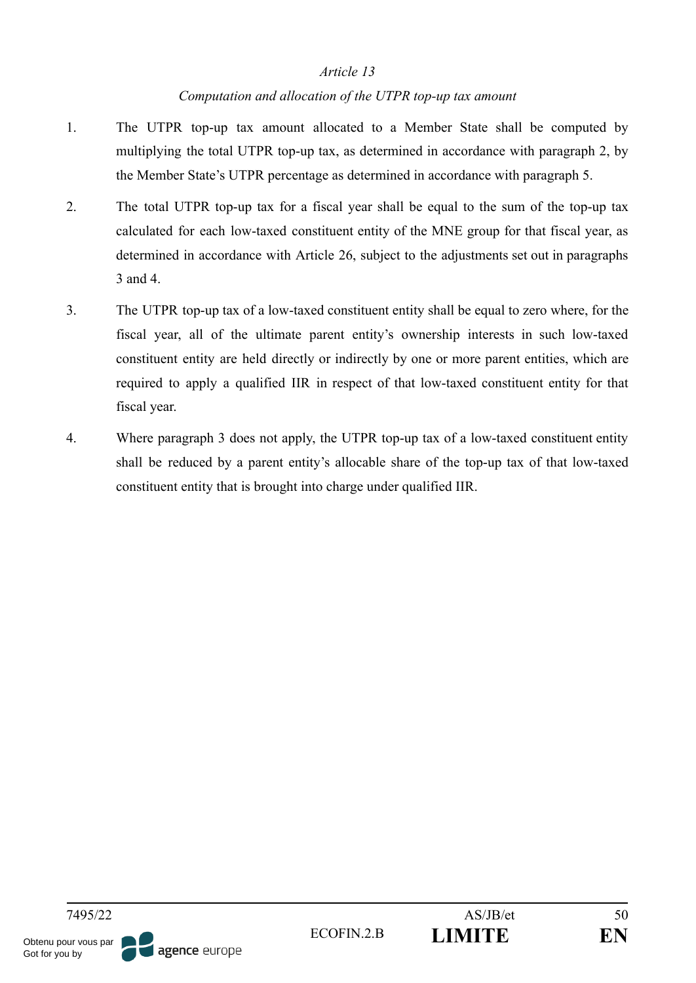## *Computation and allocation of the UTPR top-up tax amount*

- 1. The UTPR top-up tax amount allocated to a Member State shall be computed by multiplying the total UTPR top-up tax, as determined in accordance with paragraph 2, by the Member State's UTPR percentage as determined in accordance with paragraph 5.
- 2. The total UTPR top-up tax for a fiscal year shall be equal to the sum of the top-up tax calculated for each low-taxed constituent entity of the MNE group for that fiscal year, as determined in accordance with Article 26, subject to the adjustments set out in paragraphs 3 and 4.
- 3. The UTPR top-up tax of a low-taxed constituent entity shall be equal to zero where, for the fiscal year, all of the ultimate parent entity's ownership interests in such low-taxed constituent entity are held directly or indirectly by one or more parent entities, which are required to apply a qualified IIR in respect of that low-taxed constituent entity for that fiscal year.
- 4. Where paragraph 3 does not apply, the UTPR top-up tax of a low-taxed constituent entity shall be reduced by a parent entity's allocable share of the top-up tax of that low-taxed constituent entity that is brought into charge under qualified IIR.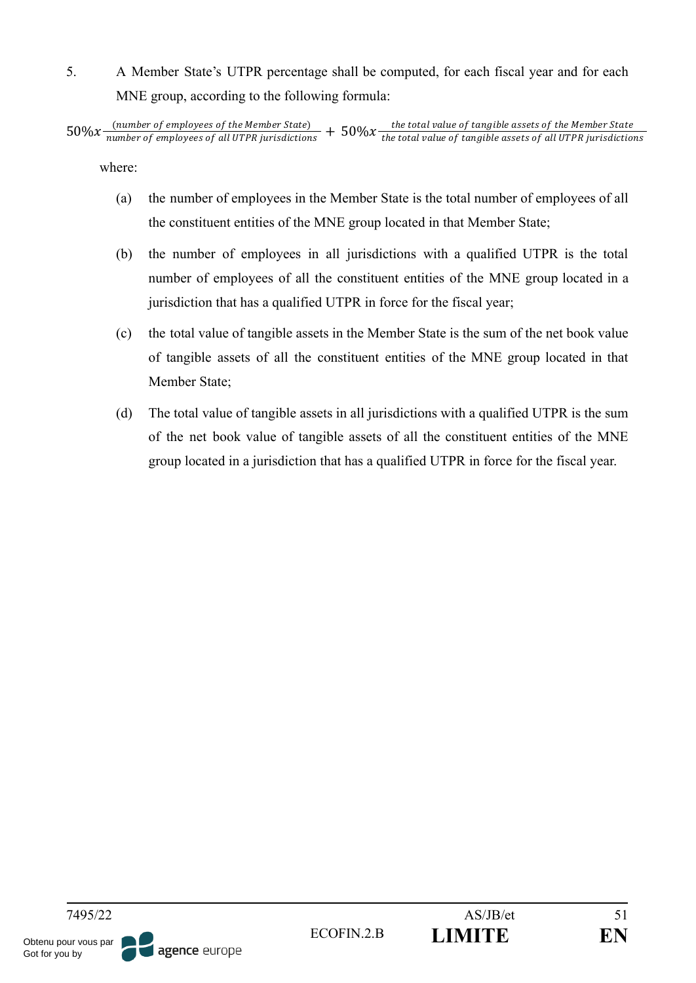5. A Member State's UTPR percentage shall be computed, for each fiscal year and for each MNE group, according to the following formula:

where:

- (a) the number of employees in the Member State is the total number of employees of all the constituent entities of the MNE group located in that Member State;
- (b) the number of employees in all jurisdictions with a qualified UTPR is the total number of employees of all the constituent entities of the MNE group located in a jurisdiction that has a qualified UTPR in force for the fiscal year;
- (c) the total value of tangible assets in the Member State is the sum of the net book value of tangible assets of all the constituent entities of the MNE group located in that Member State;
- (d) The total value of tangible assets in all jurisdictions with a qualified UTPR is the sum of the net book value of tangible assets of all the constituent entities of the MNE group located in a jurisdiction that has a qualified UTPR in force for the fiscal year.

 $50\%x$  (number of employees of the Member State)  $+50\%x$  the total value of tangible assets of the Member State<br>the total value of employees of all UTPR jurisdictions  $+50\%x$  the total value of tangible assets of all U the total value of tangible assets of all UTPR jurisdictions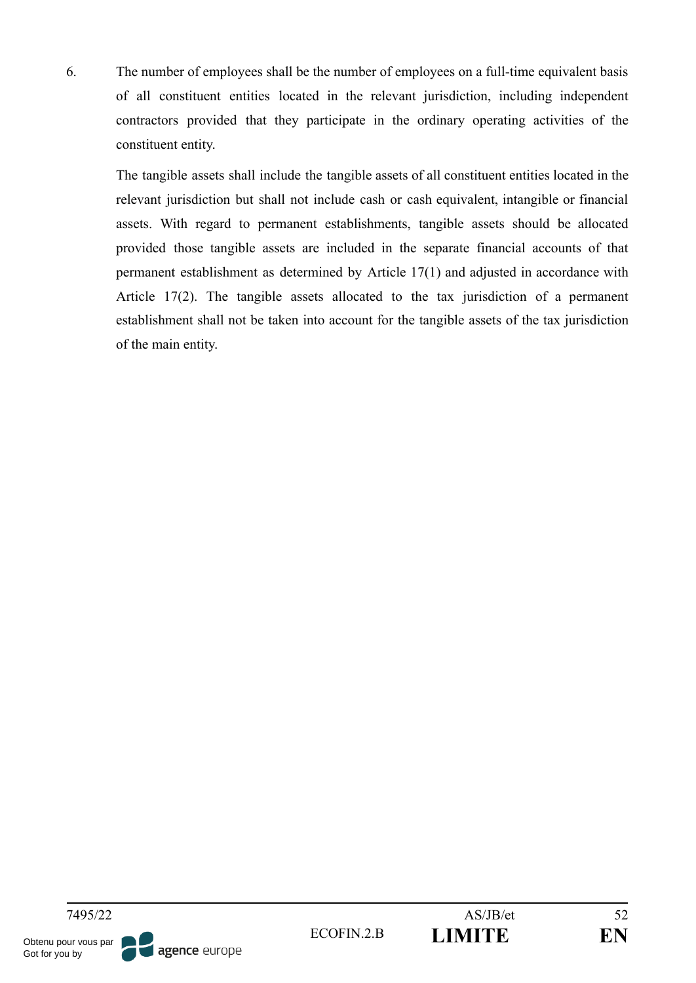6. The number of employees shall be the number of employees on a full-time equivalent basis of all constituent entities located in the relevant jurisdiction, including independent contractors provided that they participate in the ordinary operating activities of the constituent entity.

The tangible assets shall include the tangible assets of all constituent entities located in the relevant jurisdiction but shall not include cash or cash equivalent, intangible or financial assets. With regard to permanent establishments, tangible assets should be allocated provided those tangible assets are included in the separate financial accounts of that permanent establishment as determined by Article 17(1) and adjusted in accordance with Article 17(2). The tangible assets allocated to the tax jurisdiction of a permanent establishment shall not be taken into account for the tangible assets of the tax jurisdiction of the main entity.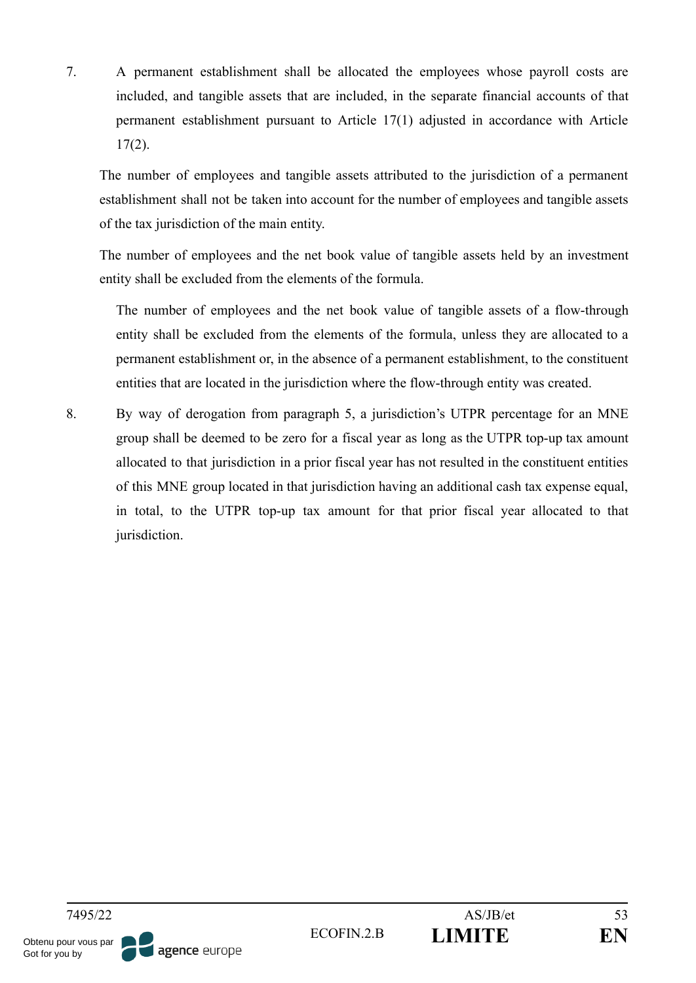7. A permanent establishment shall be allocated the employees whose payroll costs are included, and tangible assets that are included, in the separate financial accounts of that permanent establishment pursuant to Article 17(1) adjusted in accordance with Article  $17(2)$ .

The number of employees and tangible assets attributed to the jurisdiction of a permanent establishment shall not be taken into account for the number of employees and tangible assets of the tax jurisdiction of the main entity.

The number of employees and the net book value of tangible assets held by an investment entity shall be excluded from the elements of the formula.

The number of employees and the net book value of tangible assets of a flow-through entity shall be excluded from the elements of the formula, unless they are allocated to a permanent establishment or, in the absence of a permanent establishment, to the constituent entities that are located in the jurisdiction where the flow-through entity was created.

8. By way of derogation from paragraph 5, a jurisdiction's UTPR percentage for an MNE group shall be deemed to be zero for a fiscal year as long as the UTPR top-up tax amount allocated to that jurisdiction in a prior fiscal year has not resulted in the constituent entities of this MNE group located in that jurisdiction having an additional cash tax expense equal, in total, to the UTPR top-up tax amount for that prior fiscal year allocated to that jurisdiction.

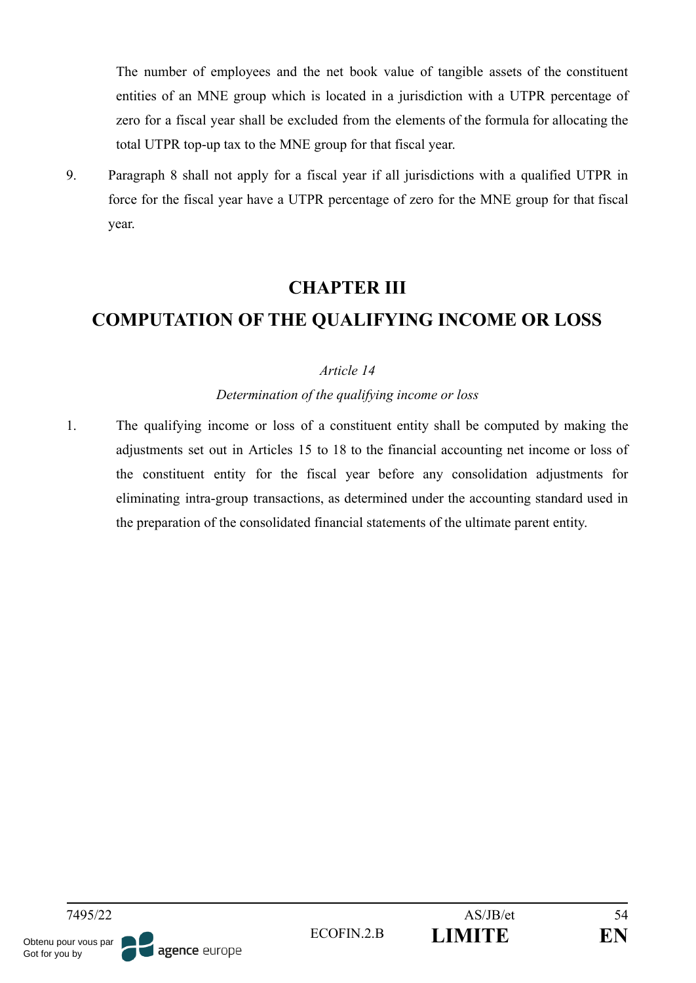The number of employees and the net book value of tangible assets of the constituent entities of an MNE group which is located in a jurisdiction with a UTPR percentage of zero for a fiscal year shall be excluded from the elements of the formula for allocating the total UTPR top-up tax to the MNE group for that fiscal year.

9. Paragraph 8 shall not apply for a fiscal year if all jurisdictions with a qualified UTPR in force for the fiscal year have a UTPR percentage of zero for the MNE group for that fiscal year.

## **CHAPTER III**

# **COMPUTATION OF THE QUALIFYING INCOME OR LOSS**

## *Article 14*

## *Determination of the qualifying income or loss*

1. The qualifying income or loss of a constituent entity shall be computed by making the adjustments set out in Articles 15 to 18 to the financial accounting net income or loss of the constituent entity for the fiscal year before any consolidation adjustments for eliminating intra-group transactions, as determined under the accounting standard used in the preparation of the consolidated financial statements of the ultimate parent entity.

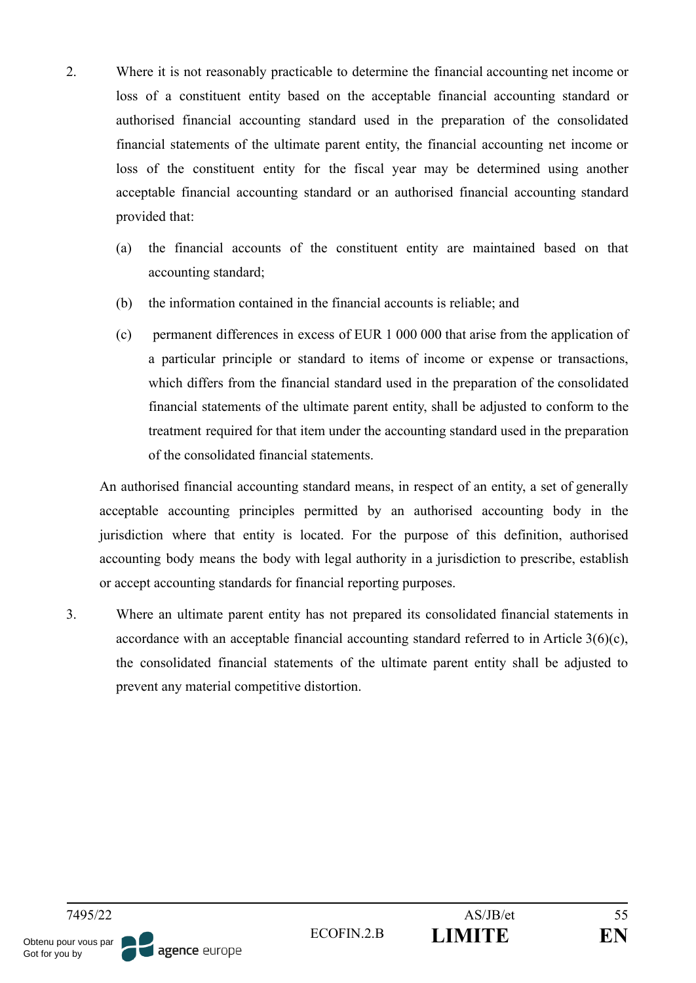- 2. Where it is not reasonably practicable to determine the financial accounting net income or loss of a constituent entity based on the acceptable financial accounting standard or authorised financial accounting standard used in the preparation of the consolidated financial statements of the ultimate parent entity, the financial accounting net income or loss of the constituent entity for the fiscal year may be determined using another acceptable financial accounting standard or an authorised financial accounting standard provided that:
	- (a) the financial accounts of the constituent entity are maintained based on that accounting standard;
	- (b) the information contained in the financial accounts is reliable; and
	- (c) permanent differences in excess of EUR 1 000 000 that arise from the application of a particular principle or standard to items of income or expense or transactions, which differs from the financial standard used in the preparation of the consolidated financial statements of the ultimate parent entity, shall be adjusted to conform to the treatment required for that item under the accounting standard used in the preparation of the consolidated financial statements.

An authorised financial accounting standard means, in respect of an entity, a set of generally acceptable accounting principles permitted by an authorised accounting body in the jurisdiction where that entity is located. For the purpose of this definition, authorised accounting body means the body with legal authority in a jurisdiction to prescribe, establish or accept accounting standards for financial reporting purposes.

3. Where an ultimate parent entity has not prepared its consolidated financial statements in accordance with an acceptable financial accounting standard referred to in Article  $3(6)(c)$ , the consolidated financial statements of the ultimate parent entity shall be adjusted to prevent any material competitive distortion.

agence europe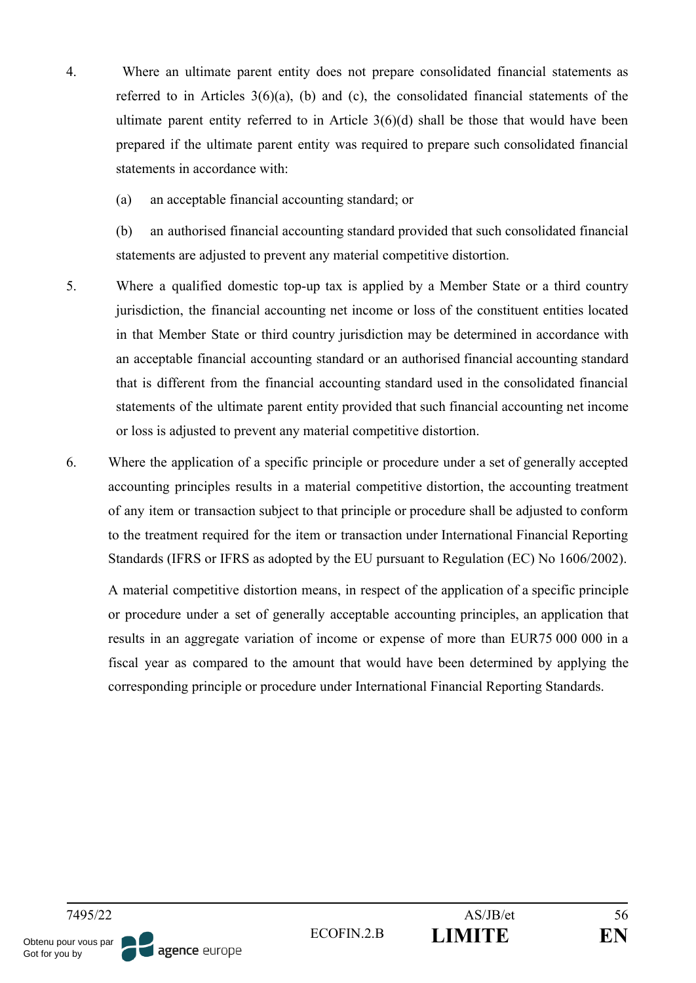- 4. Where an ultimate parent entity does not prepare consolidated financial statements as referred to in Articles 3(6)(a), (b) and (c), the consolidated financial statements of the ultimate parent entity referred to in Article  $3(6)(d)$  shall be those that would have been prepared if the ultimate parent entity was required to prepare such consolidated financial statements in accordance with:
	- (a) an acceptable financial accounting standard; or

(b) an authorised financial accounting standard provided that such consolidated financial statements are adjusted to prevent any material competitive distortion.

- 5. Where a qualified domestic top-up tax is applied by a Member State or a third country jurisdiction, the financial accounting net income or loss of the constituent entities located in that Member State or third country jurisdiction may be determined in accordance with an acceptable financial accounting standard or an authorised financial accounting standard that is different from the financial accounting standard used in the consolidated financial statements of the ultimate parent entity provided that such financial accounting net income or loss is adjusted to prevent any material competitive distortion.
- 6. Where the application of a specific principle or procedure under a set of generally accepted accounting principles results in a material competitive distortion, the accounting treatment of any item or transaction subject to that principle or procedure shall be adjusted to conform to the treatment required for the item or transaction under International Financial Reporting Standards (IFRS or IFRS as adopted by the EU pursuant to Regulation (EC) No 1606/2002).

A material competitive distortion means, in respect of the application of a specific principle or procedure under a set of generally acceptable accounting principles, an application that results in an aggregate variation of income or expense of more than EUR75 000 000 in a fiscal year as compared to the amount that would have been determined by applying the corresponding principle or procedure under International Financial Reporting Standards.

7495/22 AS/JB/et 56 Obtenu pour vous par agence europe Got for you by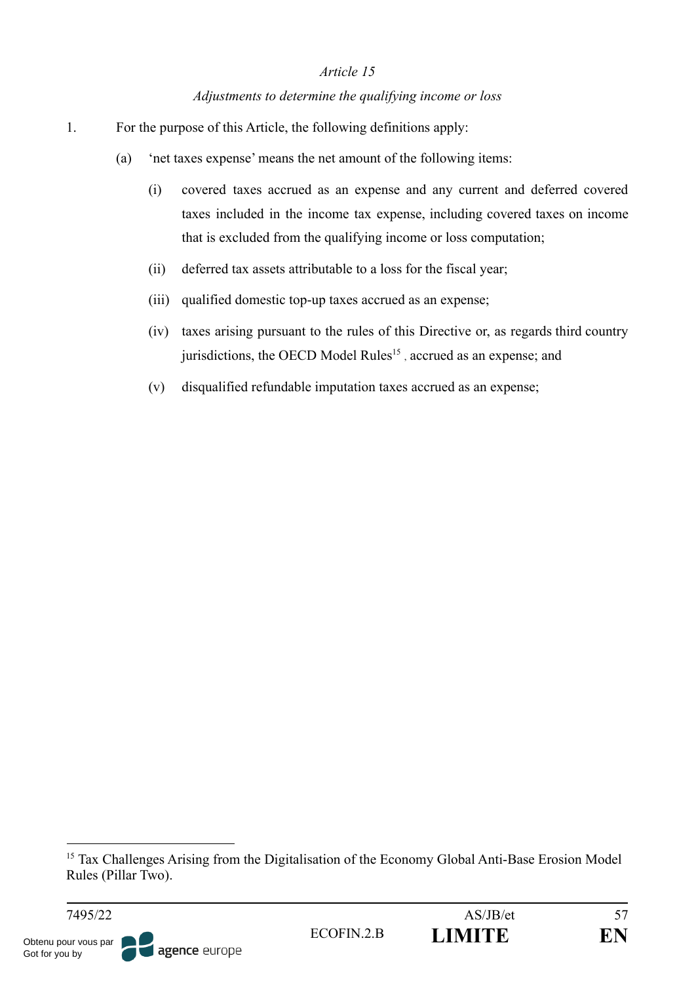#### *Adjustments to determine the qualifying income or loss*

- 1. For the purpose of this Article, the following definitions apply:
	- (a) 'net taxes expense' means the net amount of the following items:
		- (i) covered taxes accrued as an expense and any current and deferred covered taxes included in the income tax expense, including covered taxes on income that is excluded from the qualifying income or loss computation;
		- (ii) deferred tax assets attributable to a loss for the fiscal year;
		- (iii) qualified domestic top-up taxes accrued as an expense;
		- (iv) taxes arising pursuant to the rules of this Directive or, as regards third country jurisdictions, the OECD Model Rules<sup>15</sup>, accrued as an expense; and
		- (v) disqualified refundable imputation taxes accrued as an expense;

Got for you by

<sup>&</sup>lt;sup>15</sup> Tax Challenges Arising from the Digitalisation of the Economy Global Anti-Base Erosion Model Rules (Pillar Two).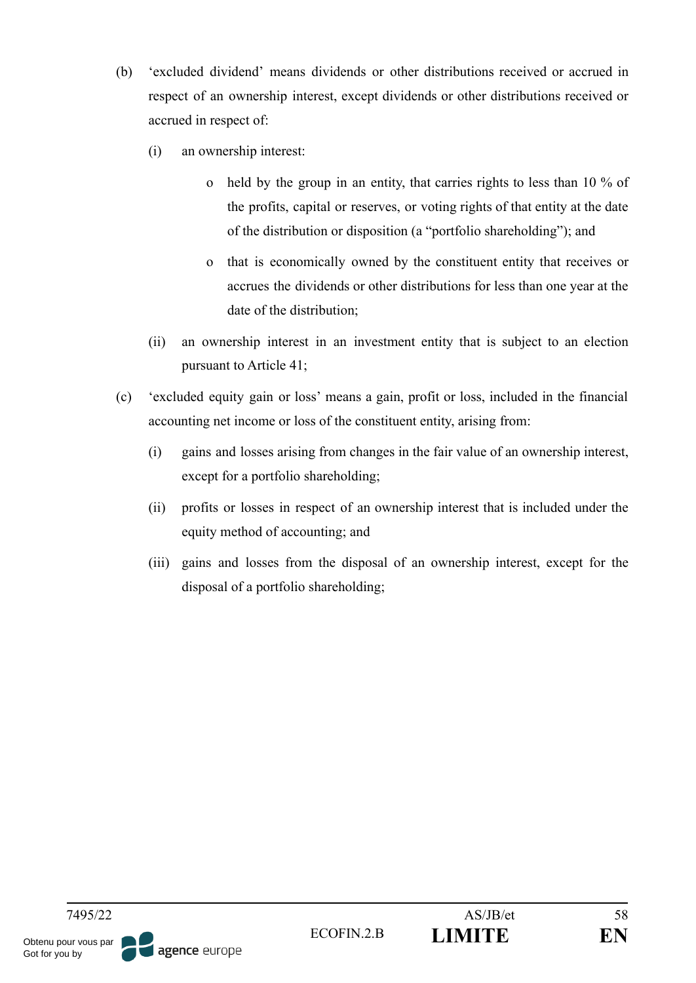- (b) 'excluded dividend' means dividends or other distributions received or accrued in respect of an ownership interest, except dividends or other distributions received or accrued in respect of:
	- (i) an ownership interest:
		- o held by the group in an entity, that carries rights to less than 10 % of the profits, capital or reserves, or voting rights of that entity at the date of the distribution or disposition (a "portfolio shareholding"); and
		- o that is economically owned by the constituent entity that receives or accrues the dividends or other distributions for less than one year at the date of the distribution;
	- (ii) an ownership interest in an investment entity that is subject to an election pursuant to Article 41;
- (c) 'excluded equity gain or loss' means a gain, profit or loss, included in the financial accounting net income or loss of the constituent entity, arising from:
	- (i) gains and losses arising from changes in the fair value of an ownership interest, except for a portfolio shareholding;
	- (ii) profits or losses in respect of an ownership interest that is included under the equity method of accounting; and
	- (iii) gains and losses from the disposal of an ownership interest, except for the disposal of a portfolio shareholding;

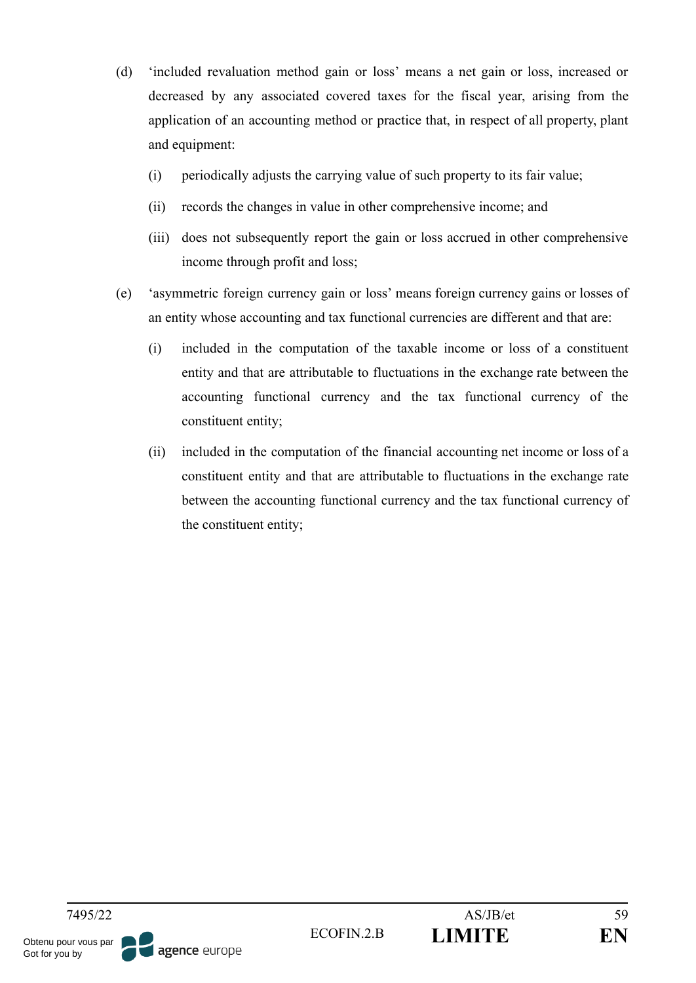- (d) 'included revaluation method gain or loss' means a net gain or loss, increased or decreased by any associated covered taxes for the fiscal year, arising from the application of an accounting method or practice that, in respect of all property, plant and equipment:
	- (i) periodically adjusts the carrying value of such property to its fair value;
	- (ii) records the changes in value in other comprehensive income; and
	- (iii) does not subsequently report the gain or loss accrued in other comprehensive income through profit and loss;
- (e) 'asymmetric foreign currency gain or loss' means foreign currency gains or losses of an entity whose accounting and tax functional currencies are different and that are:
	- (i) included in the computation of the taxable income or loss of a constituent entity and that are attributable to fluctuations in the exchange rate between the accounting functional currency and the tax functional currency of the constituent entity;
	- (ii) included in the computation of the financial accounting net income or loss of a constituent entity and that are attributable to fluctuations in the exchange rate between the accounting functional currency and the tax functional currency of the constituent entity;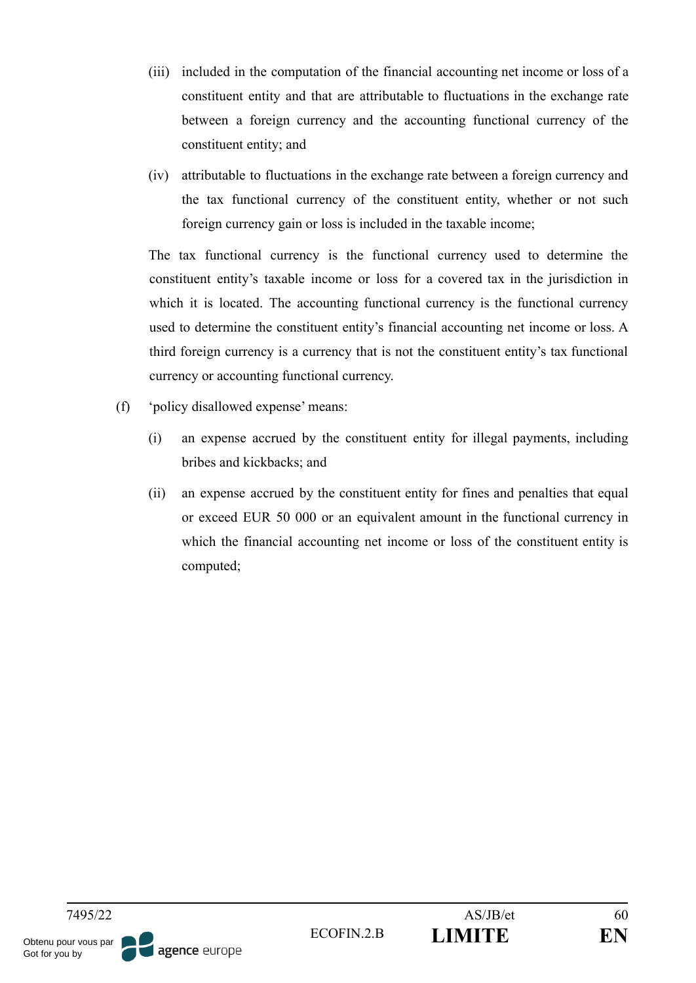- (iii) included in the computation of the financial accounting net income or loss of a constituent entity and that are attributable to fluctuations in the exchange rate between a foreign currency and the accounting functional currency of the constituent entity; and
- (iv) attributable to fluctuations in the exchange rate between a foreign currency and the tax functional currency of the constituent entity, whether or not such foreign currency gain or loss is included in the taxable income;

The tax functional currency is the functional currency used to determine the constituent entity's taxable income or loss for a covered tax in the jurisdiction in which it is located. The accounting functional currency is the functional currency used to determine the constituent entity's financial accounting net income or loss. A third foreign currency is a currency that is not the constituent entity's tax functional currency or accounting functional currency.

- (f) 'policy disallowed expense' means:
	- (i) an expense accrued by the constituent entity for illegal payments, including bribes and kickbacks; and
	- (ii) an expense accrued by the constituent entity for fines and penalties that equal or exceed EUR 50 000 or an equivalent amount in the functional currency in which the financial accounting net income or loss of the constituent entity is computed;

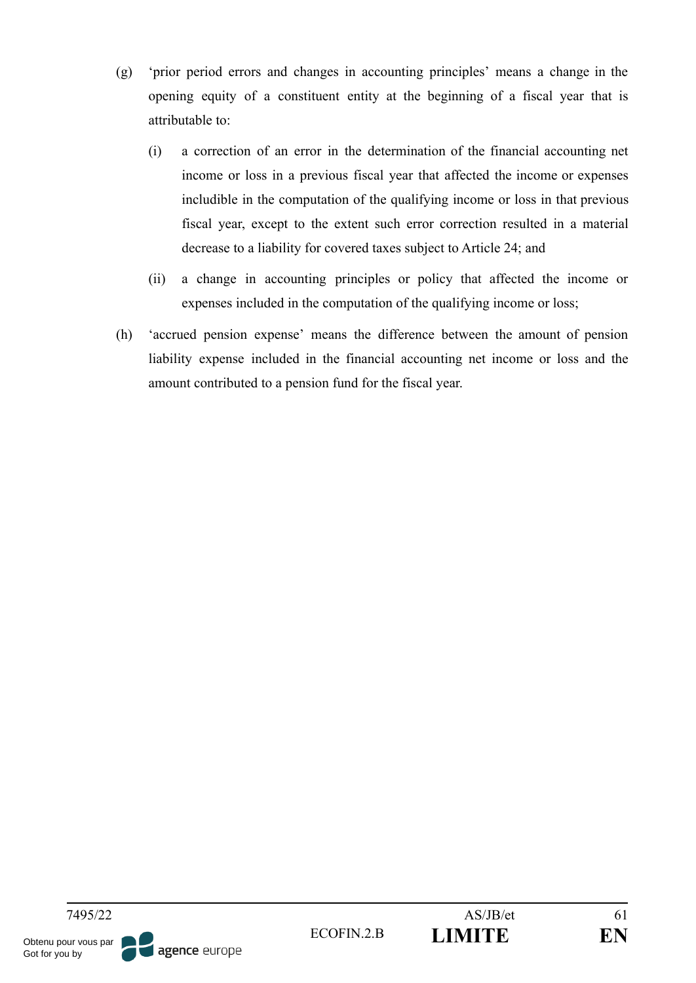- (g) 'prior period errors and changes in accounting principles' means a change in the opening equity of a constituent entity at the beginning of a fiscal year that is attributable to:
	- (i) a correction of an error in the determination of the financial accounting net income or loss in a previous fiscal year that affected the income or expenses includible in the computation of the qualifying income or loss in that previous fiscal year, except to the extent such error correction resulted in a material decrease to a liability for covered taxes subject to Article 24; and
	- (ii) a change in accounting principles or policy that affected the income or expenses included in the computation of the qualifying income or loss;
- (h) 'accrued pension expense' means the difference between the amount of pension liability expense included in the financial accounting net income or loss and the amount contributed to a pension fund for the fiscal year.

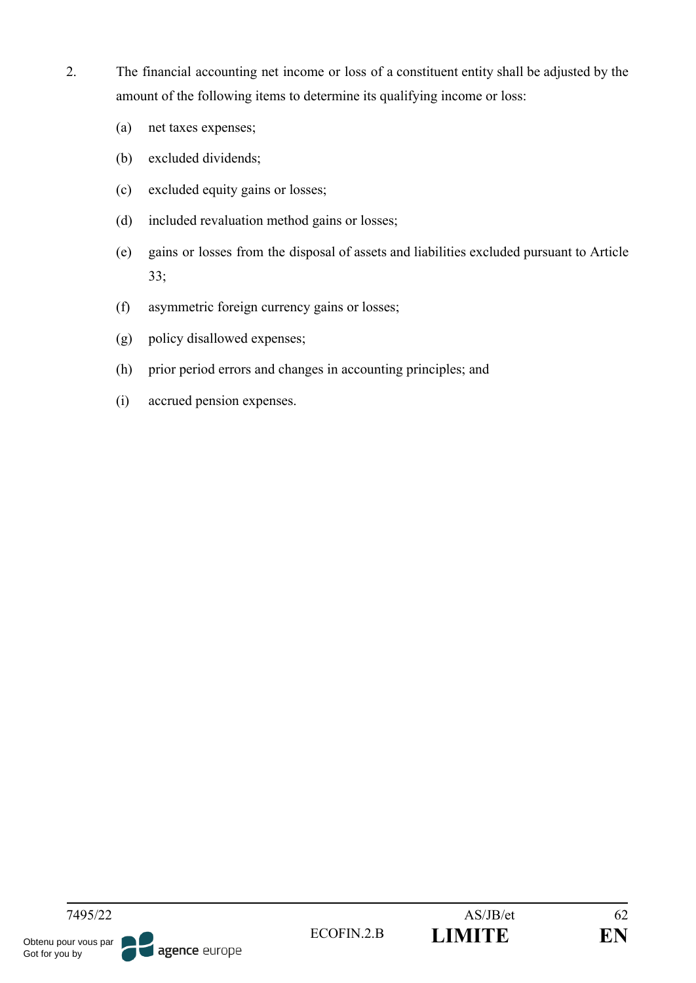- 2. The financial accounting net income or loss of a constituent entity shall be adjusted by the amount of the following items to determine its qualifying income or loss:
	- (a) net taxes expenses;
	- (b) excluded dividends;
	- (c) excluded equity gains or losses;
	- (d) included revaluation method gains or losses;
	- (e) gains or losses from the disposal of assets and liabilities excluded pursuant to Article 33;
	- (f) asymmetric foreign currency gains or losses;
	- (g) policy disallowed expenses;
	- (h) prior period errors and changes in accounting principles; and
	- (i) accrued pension expenses.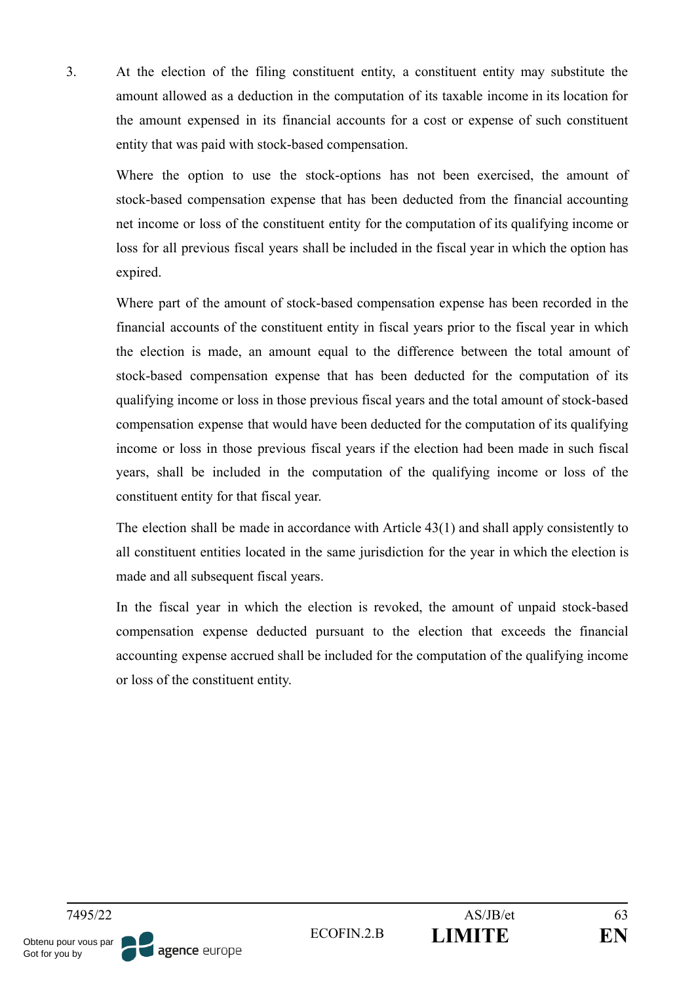3. At the election of the filing constituent entity, a constituent entity may substitute the amount allowed as a deduction in the computation of its taxable income in its location for the amount expensed in its financial accounts for a cost or expense of such constituent entity that was paid with stock-based compensation.

Where the option to use the stock-options has not been exercised, the amount of stock-based compensation expense that has been deducted from the financial accounting net income or loss of the constituent entity for the computation of its qualifying income or loss for all previous fiscal years shall be included in the fiscal year in which the option has expired.

Where part of the amount of stock-based compensation expense has been recorded in the financial accounts of the constituent entity in fiscal years prior to the fiscal year in which the election is made, an amount equal to the difference between the total amount of stock-based compensation expense that has been deducted for the computation of its qualifying income or loss in those previous fiscal years and the total amount of stock-based compensation expense that would have been deducted for the computation of its qualifying income or loss in those previous fiscal years if the election had been made in such fiscal years, shall be included in the computation of the qualifying income or loss of the constituent entity for that fiscal year.

The election shall be made in accordance with Article 43(1) and shall apply consistently to all constituent entities located in the same jurisdiction for the year in which the election is made and all subsequent fiscal years.

In the fiscal year in which the election is revoked, the amount of unpaid stock-based compensation expense deducted pursuant to the election that exceeds the financial accounting expense accrued shall be included for the computation of the qualifying income or loss of the constituent entity.

Obtenu pour vous par Got for you by

agence europe

7495/22 AS/JB/et 63 ECOFIN.2.B **LIMITE EN**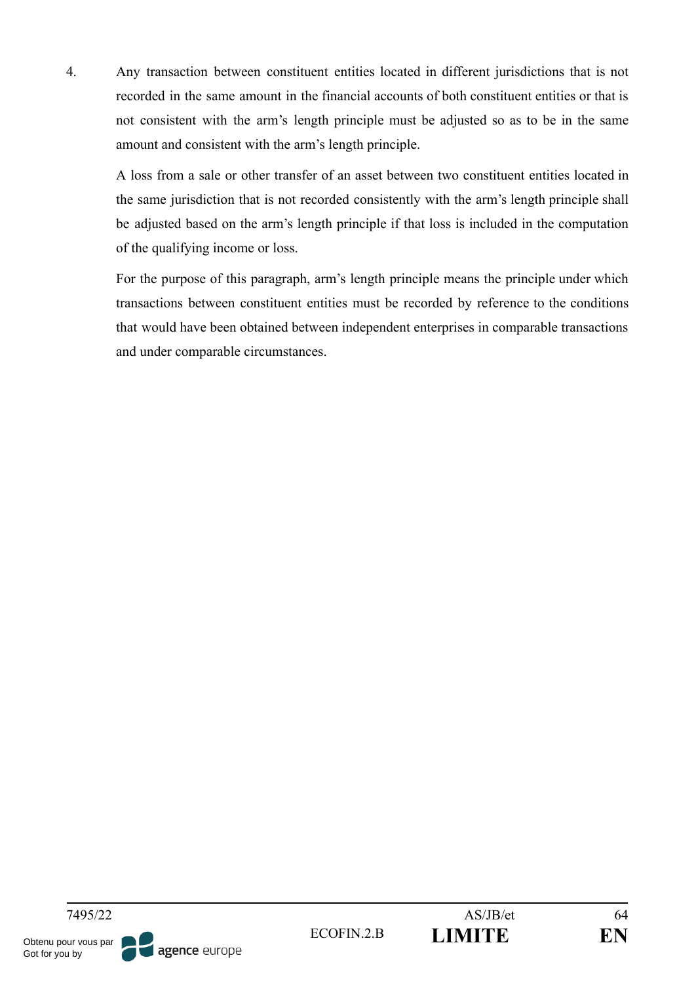4. Any transaction between constituent entities located in different jurisdictions that is not recorded in the same amount in the financial accounts of both constituent entities or that is not consistent with the arm's length principle must be adjusted so as to be in the same amount and consistent with the arm's length principle.

A loss from a sale or other transfer of an asset between two constituent entities located in the same jurisdiction that is not recorded consistently with the arm's length principle shall be adjusted based on the arm's length principle if that loss is included in the computation of the qualifying income or loss.

For the purpose of this paragraph, arm's length principle means the principle under which transactions between constituent entities must be recorded by reference to the conditions that would have been obtained between independent enterprises in comparable transactions and under comparable circumstances.

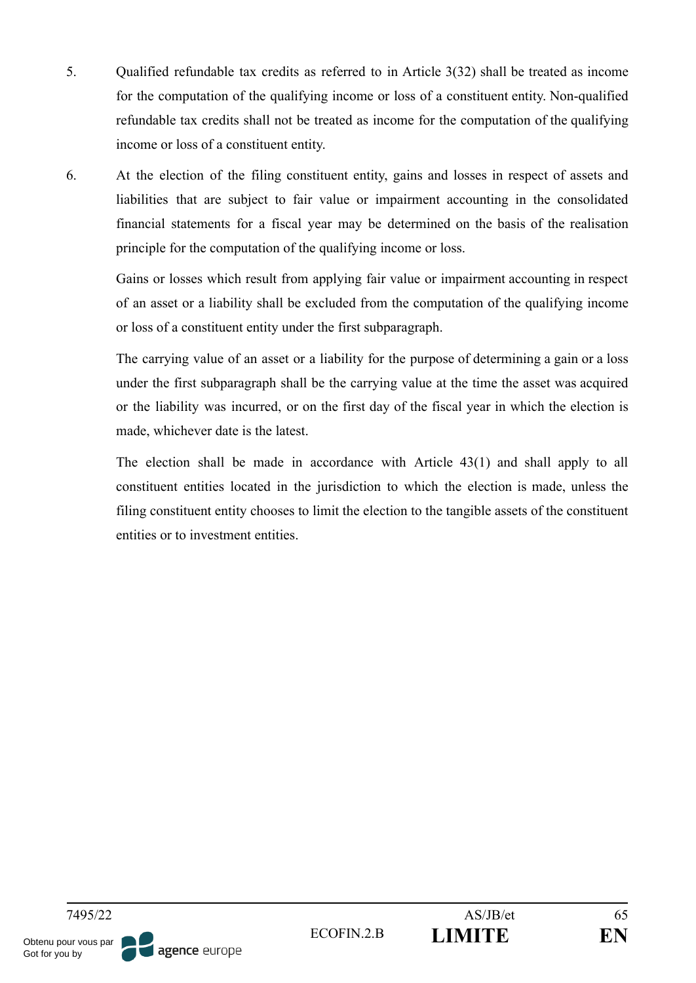- 5. Qualified refundable tax credits as referred to in Article 3(32) shall be treated as income for the computation of the qualifying income or loss of a constituent entity. Non-qualified refundable tax credits shall not be treated as income for the computation of the qualifying income or loss of a constituent entity.
- 6. At the election of the filing constituent entity, gains and losses in respect of assets and liabilities that are subject to fair value or impairment accounting in the consolidated financial statements for a fiscal year may be determined on the basis of the realisation principle for the computation of the qualifying income or loss.

Gains or losses which result from applying fair value or impairment accounting in respect of an asset or a liability shall be excluded from the computation of the qualifying income or loss of a constituent entity under the first subparagraph.

The carrying value of an asset or a liability for the purpose of determining a gain or a loss under the first subparagraph shall be the carrying value at the time the asset was acquired or the liability was incurred, or on the first day of the fiscal year in which the election is made, whichever date is the latest.

The election shall be made in accordance with Article 43(1) and shall apply to all constituent entities located in the jurisdiction to which the election is made, unless the filing constituent entity chooses to limit the election to the tangible assets of the constituent entities or to investment entities.

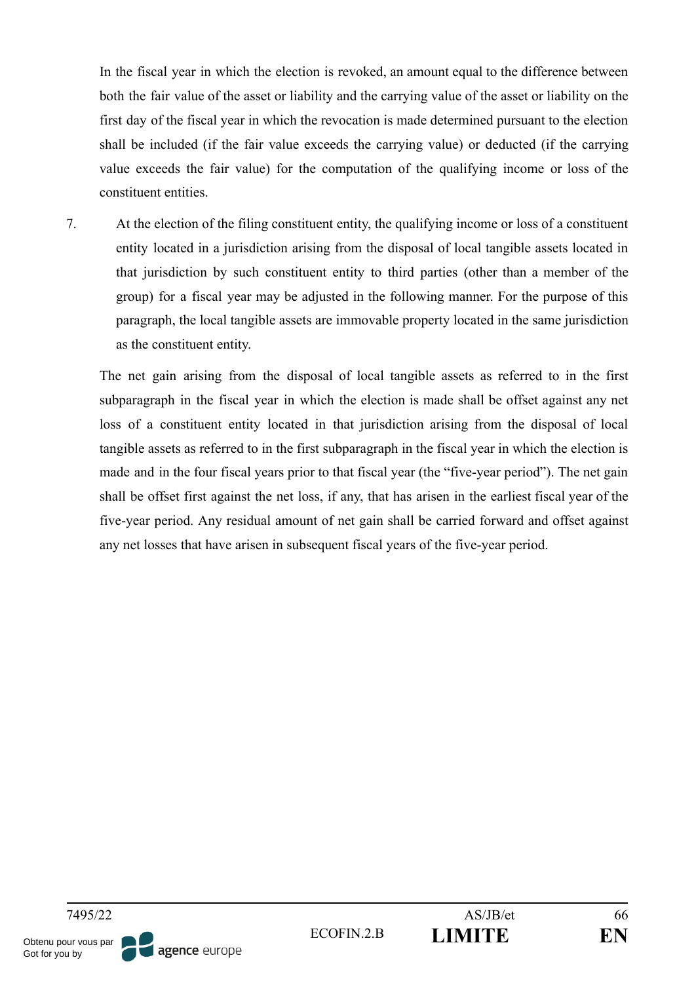In the fiscal year in which the election is revoked, an amount equal to the difference between both the fair value of the asset or liability and the carrying value of the asset or liability on the first day of the fiscal year in which the revocation is made determined pursuant to the election shall be included (if the fair value exceeds the carrying value) or deducted (if the carrying value exceeds the fair value) for the computation of the qualifying income or loss of the constituent entities.

7. At the election of the filing constituent entity, the qualifying income or loss of a constituent entity located in a jurisdiction arising from the disposal of local tangible assets located in that jurisdiction by such constituent entity to third parties (other than a member of the group) for a fiscal year may be adjusted in the following manner. For the purpose of this paragraph, the local tangible assets are immovable property located in the same jurisdiction as the constituent entity.

The net gain arising from the disposal of local tangible assets as referred to in the first subparagraph in the fiscal year in which the election is made shall be offset against any net loss of a constituent entity located in that jurisdiction arising from the disposal of local tangible assets as referred to in the first subparagraph in the fiscal year in which the election is made and in the four fiscal years prior to that fiscal year (the "five-year period"). The net gain shall be offset first against the net loss, if any, that has arisen in the earliest fiscal year of the five-year period. Any residual amount of net gain shall be carried forward and offset against any net losses that have arisen in subsequent fiscal years of the five-year period.

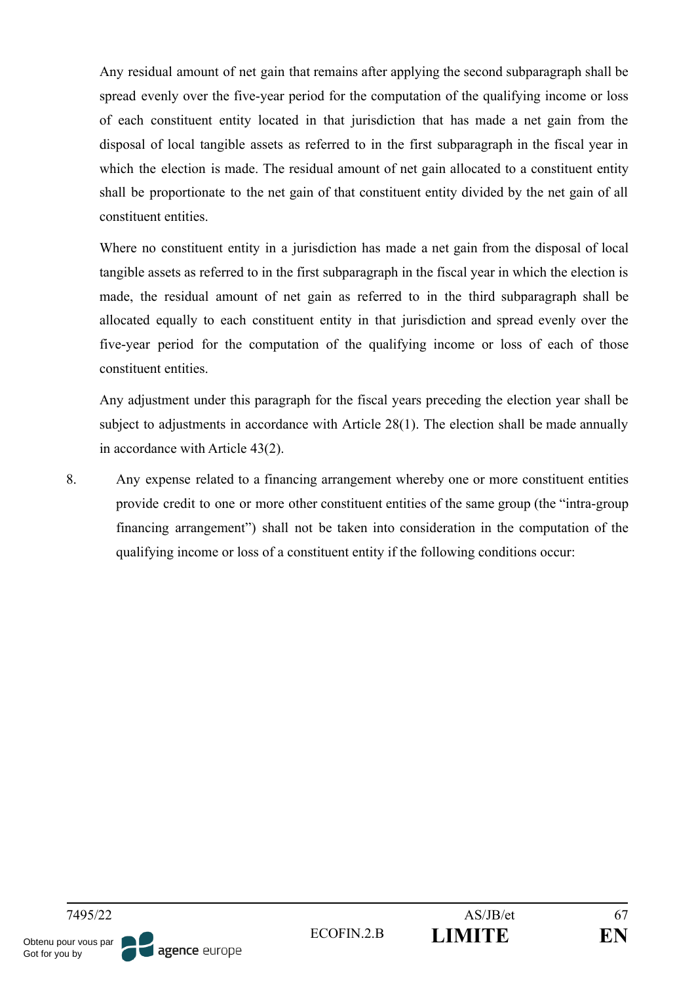Any residual amount of net gain that remains after applying the second subparagraph shall be spread evenly over the five-year period for the computation of the qualifying income or loss of each constituent entity located in that jurisdiction that has made a net gain from the disposal of local tangible assets as referred to in the first subparagraph in the fiscal year in which the election is made. The residual amount of net gain allocated to a constituent entity shall be proportionate to the net gain of that constituent entity divided by the net gain of all constituent entities.

Where no constituent entity in a jurisdiction has made a net gain from the disposal of local tangible assets as referred to in the first subparagraph in the fiscal year in which the election is made, the residual amount of net gain as referred to in the third subparagraph shall be allocated equally to each constituent entity in that jurisdiction and spread evenly over the five-year period for the computation of the qualifying income or loss of each of those constituent entities.

Any adjustment under this paragraph for the fiscal years preceding the election year shall be subject to adjustments in accordance with Article 28(1). The election shall be made annually in accordance with Article 43(2).

8. Any expense related to a financing arrangement whereby one or more constituent entities provide credit to one or more other constituent entities of the same group (the "intra-group financing arrangement") shall not be taken into consideration in the computation of the qualifying income or loss of a constituent entity if the following conditions occur:

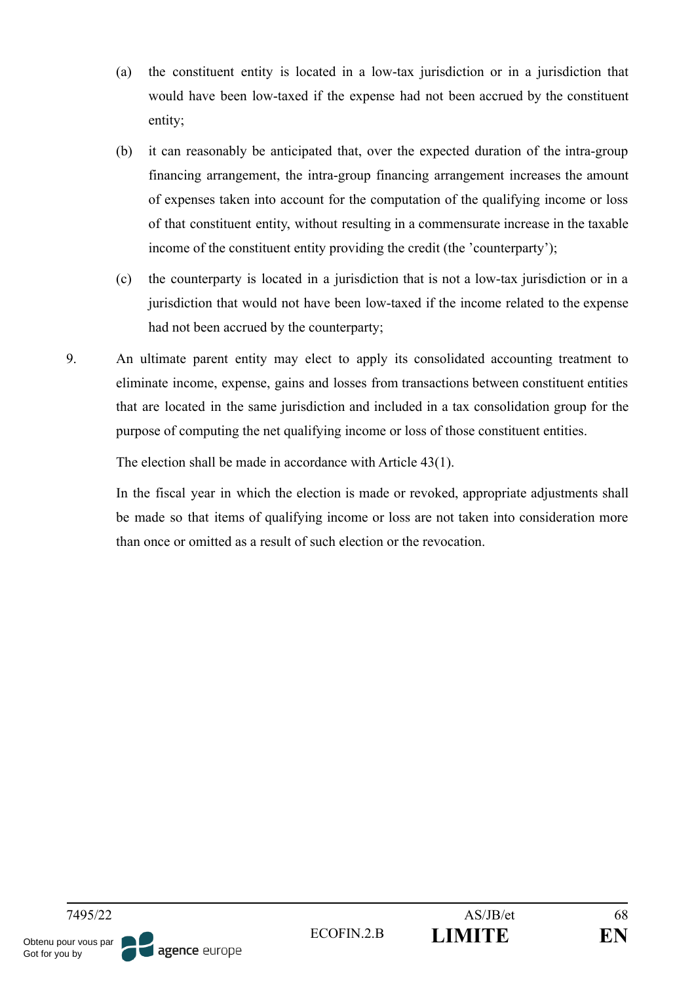- (a) the constituent entity is located in a low-tax jurisdiction or in a jurisdiction that would have been low-taxed if the expense had not been accrued by the constituent entity;
- (b) it can reasonably be anticipated that, over the expected duration of the intra-group financing arrangement, the intra-group financing arrangement increases the amount of expenses taken into account for the computation of the qualifying income or loss of that constituent entity, without resulting in a commensurate increase in the taxable income of the constituent entity providing the credit (the 'counterparty');
- (c) the counterparty is located in a jurisdiction that is not a low-tax jurisdiction or in a jurisdiction that would not have been low-taxed if the income related to the expense had not been accrued by the counterparty;
- 9. An ultimate parent entity may elect to apply its consolidated accounting treatment to eliminate income, expense, gains and losses from transactions between constituent entities that are located in the same jurisdiction and included in a tax consolidation group for the purpose of computing the net qualifying income or loss of those constituent entities.

The election shall be made in accordance with Article 43(1).

In the fiscal year in which the election is made or revoked, appropriate adjustments shall be made so that items of qualifying income or loss are not taken into consideration more than once or omitted as a result of such election or the revocation.

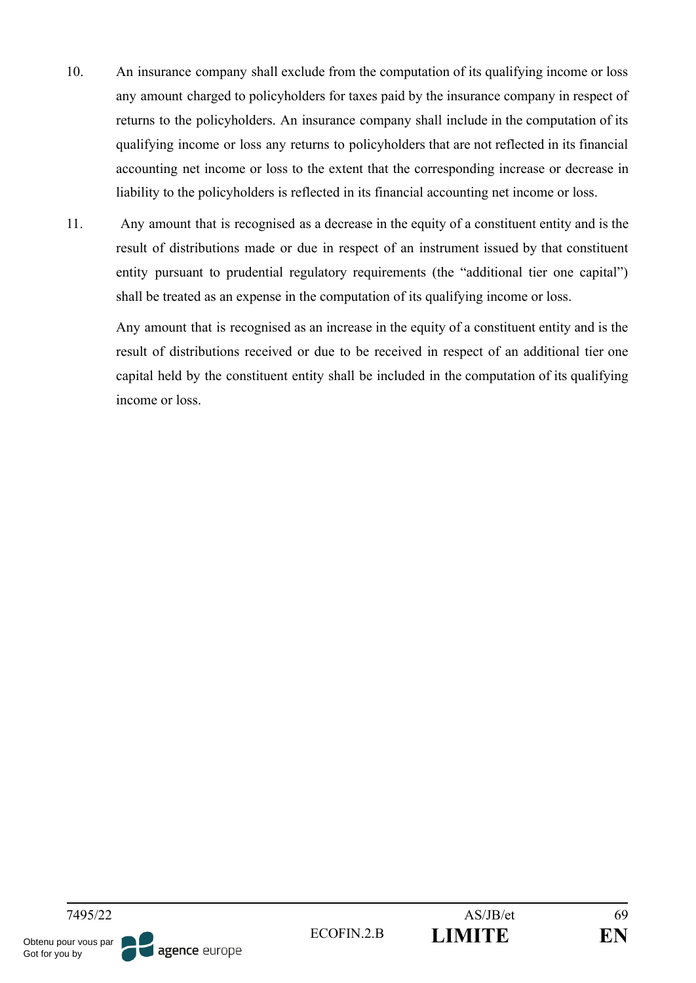- 10. An insurance company shall exclude from the computation of its qualifying income or loss any amount charged to policyholders for taxes paid by the insurance company in respect of returns to the policyholders. An insurance company shall include in the computation of its qualifying income or loss any returns to policyholders that are not reflected in its financial accounting net income or loss to the extent that the corresponding increase or decrease in liability to the policyholders is reflected in its financial accounting net income or loss.
- 11. Any amount that is recognised as a decrease in the equity of a constituent entity and is the result of distributions made or due in respect of an instrument issued by that constituent entity pursuant to prudential regulatory requirements (the "additional tier one capital") shall be treated as an expense in the computation of its qualifying income or loss.

Any amount that is recognised as an increase in the equity of a constituent entity and is the result of distributions received or due to be received in respect of an additional tier one capital held by the constituent entity shall be included in the computation of its qualifying income or loss.

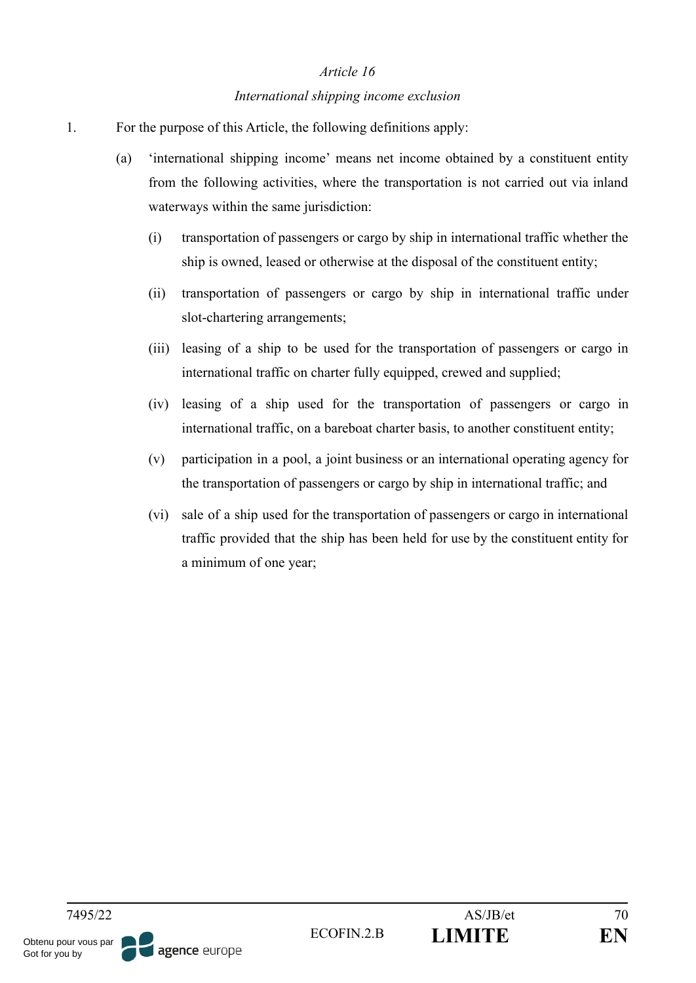#### *International shipping income exclusion*

- 1. For the purpose of this Article, the following definitions apply:
	- (a) 'international shipping income' means net income obtained by a constituent entity from the following activities, where the transportation is not carried out via inland waterways within the same jurisdiction:
		- (i) transportation of passengers or cargo by ship in international traffic whether the ship is owned, leased or otherwise at the disposal of the constituent entity;
		- (ii) transportation of passengers or cargo by ship in international traffic under slot-chartering arrangements;
		- (iii) leasing of a ship to be used for the transportation of passengers or cargo in international traffic on charter fully equipped, crewed and supplied;
		- (iv) leasing of a ship used for the transportation of passengers or cargo in international traffic, on a bareboat charter basis, to another constituent entity;
		- (v) participation in a pool, a joint business or an international operating agency for the transportation of passengers or cargo by ship in international traffic; and
		- (vi) sale of a ship used for the transportation of passengers or cargo in international traffic provided that the ship has been held for use by the constituent entity for a minimum of one year;

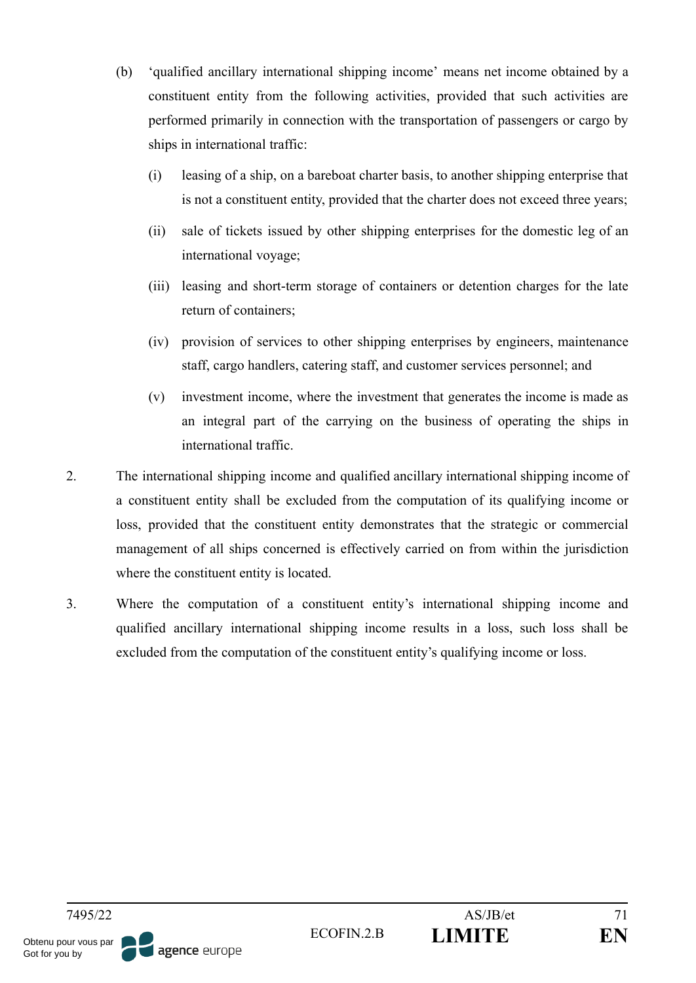- (b) 'qualified ancillary international shipping income' means net income obtained by a constituent entity from the following activities, provided that such activities are performed primarily in connection with the transportation of passengers or cargo by ships in international traffic:
	- (i) leasing of a ship, on a bareboat charter basis, to another shipping enterprise that is not a constituent entity, provided that the charter does not exceed three years;
	- (ii) sale of tickets issued by other shipping enterprises for the domestic leg of an international voyage;
	- (iii) leasing and short-term storage of containers or detention charges for the late return of containers;
	- (iv) provision of services to other shipping enterprises by engineers, maintenance staff, cargo handlers, catering staff, and customer services personnel; and
	- (v) investment income, where the investment that generates the income is made as an integral part of the carrying on the business of operating the ships in international traffic.
- 2. The international shipping income and qualified ancillary international shipping income of a constituent entity shall be excluded from the computation of its qualifying income or loss, provided that the constituent entity demonstrates that the strategic or commercial management of all ships concerned is effectively carried on from within the jurisdiction where the constituent entity is located.
- 3. Where the computation of a constituent entity's international shipping income and qualified ancillary international shipping income results in a loss, such loss shall be excluded from the computation of the constituent entity's qualifying income or loss.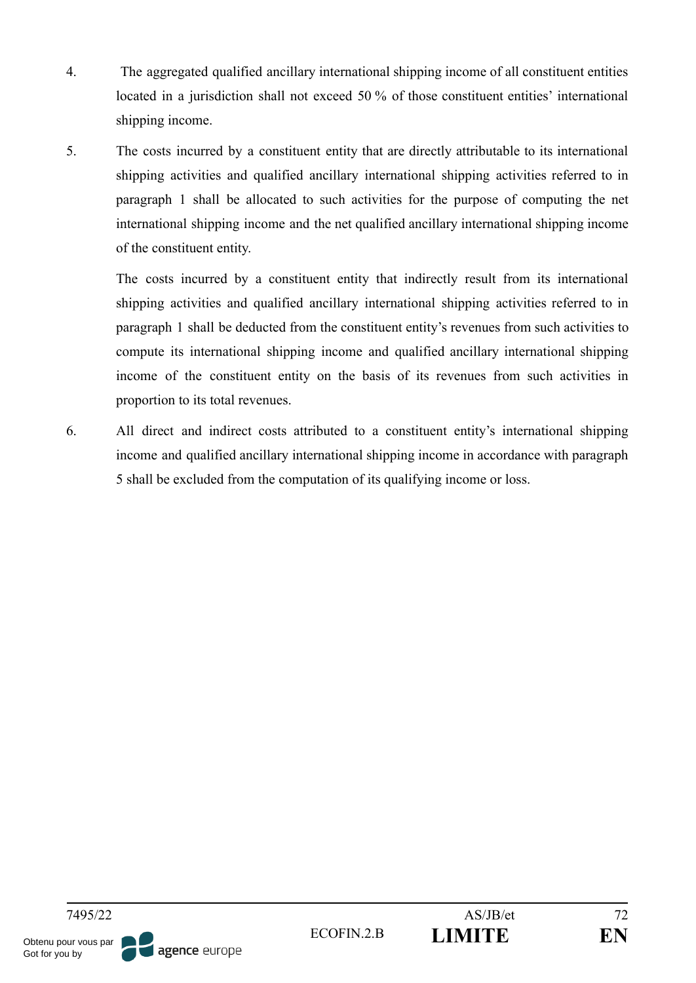- 4. The aggregated qualified ancillary international shipping income of all constituent entities located in a jurisdiction shall not exceed 50 % of those constituent entities' international shipping income.
- 5. The costs incurred by a constituent entity that are directly attributable to its international shipping activities and qualified ancillary international shipping activities referred to in paragraph 1 shall be allocated to such activities for the purpose of computing the net international shipping income and the net qualified ancillary international shipping income of the constituent entity.

The costs incurred by a constituent entity that indirectly result from its international shipping activities and qualified ancillary international shipping activities referred to in paragraph 1 shall be deducted from the constituent entity's revenues from such activities to compute its international shipping income and qualified ancillary international shipping income of the constituent entity on the basis of its revenues from such activities in proportion to its total revenues.

6. All direct and indirect costs attributed to a constituent entity's international shipping income and qualified ancillary international shipping income in accordance with paragraph 5 shall be excluded from the computation of its qualifying income or loss.

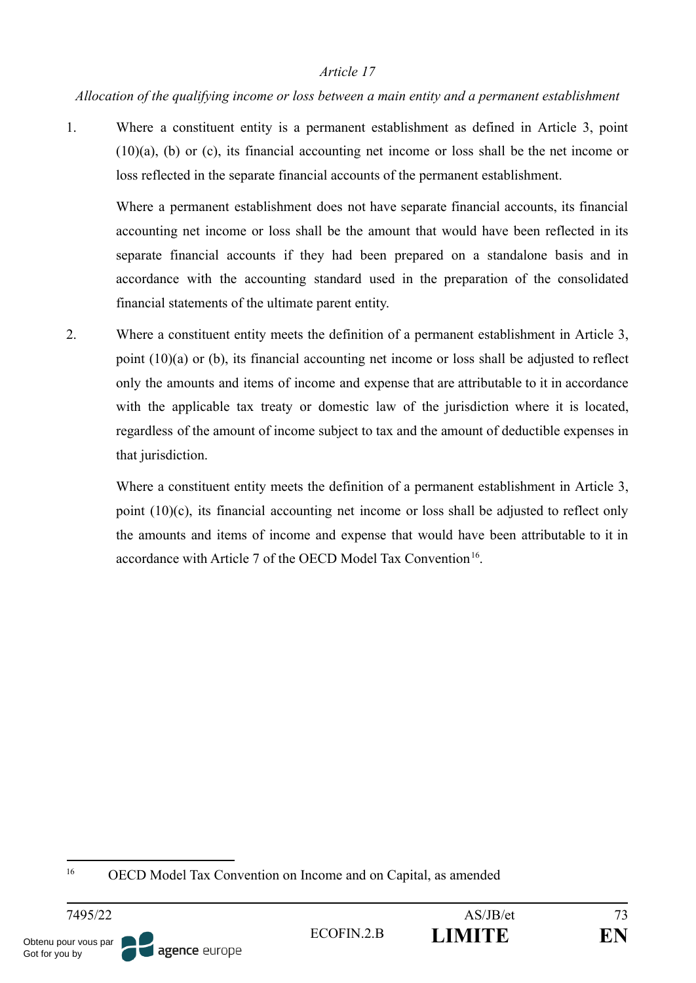#### *Allocation of the qualifying income or loss between a main entity and a permanent establishment*

1. Where a constituent entity is a permanent establishment as defined in Article 3, point (10)(a), (b) or (c), its financial accounting net income or loss shall be the net income or loss reflected in the separate financial accounts of the permanent establishment.

Where a permanent establishment does not have separate financial accounts, its financial accounting net income or loss shall be the amount that would have been reflected in its separate financial accounts if they had been prepared on a standalone basis and in accordance with the accounting standard used in the preparation of the consolidated financial statements of the ultimate parent entity.

2. Where a constituent entity meets the definition of a permanent establishment in Article 3, point (10)(a) or (b), its financial accounting net income or loss shall be adjusted to reflect only the amounts and items of income and expense that are attributable to it in accordance with the applicable tax treaty or domestic law of the jurisdiction where it is located, regardless of the amount of income subject to tax and the amount of deductible expenses in that jurisdiction.

Where a constituent entity meets the definition of a permanent establishment in Article 3, point  $(10)(c)$ , its financial accounting net income or loss shall be adjusted to reflect only the amounts and items of income and expense that would have been attributable to it in accordance with Article 7 of the OECD Model Tax Convention<sup>16</sup>.

<sup>16</sup> OECD Model Tax Convention on Income and on Capital, as amended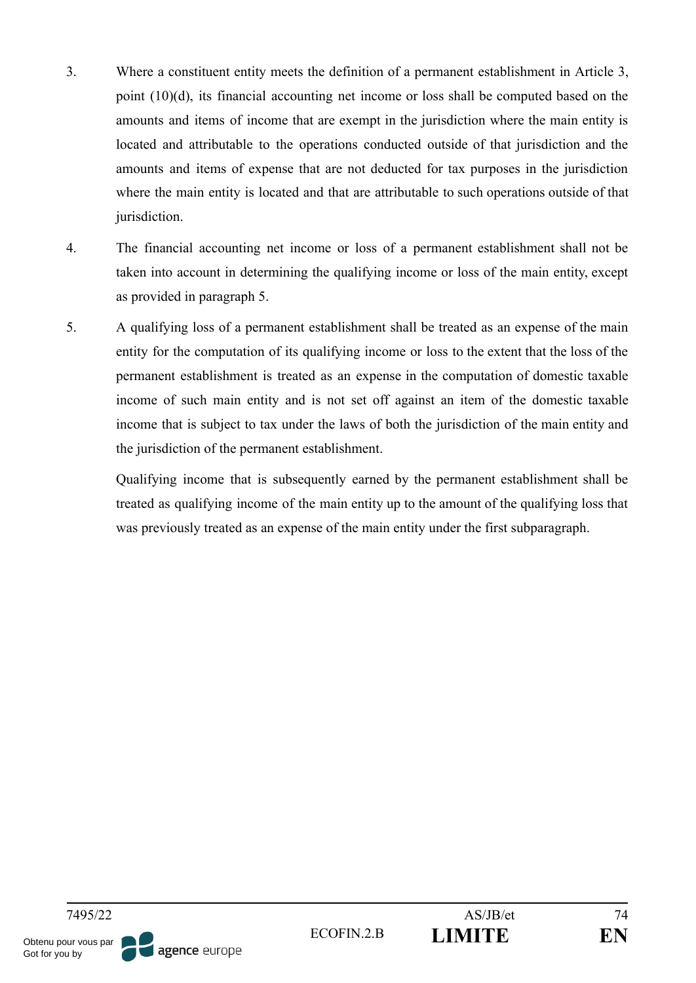- 3. Where a constituent entity meets the definition of a permanent establishment in Article 3, point (10)(d), its financial accounting net income or loss shall be computed based on the amounts and items of income that are exempt in the jurisdiction where the main entity is located and attributable to the operations conducted outside of that jurisdiction and the amounts and items of expense that are not deducted for tax purposes in the jurisdiction where the main entity is located and that are attributable to such operations outside of that jurisdiction.
- 4. The financial accounting net income or loss of a permanent establishment shall not be taken into account in determining the qualifying income or loss of the main entity, except as provided in paragraph 5.
- 5. A qualifying loss of a permanent establishment shall be treated as an expense of the main entity for the computation of its qualifying income or loss to the extent that the loss of the permanent establishment is treated as an expense in the computation of domestic taxable income of such main entity and is not set off against an item of the domestic taxable income that is subject to tax under the laws of both the jurisdiction of the main entity and the jurisdiction of the permanent establishment.

Qualifying income that is subsequently earned by the permanent establishment shall be treated as qualifying income of the main entity up to the amount of the qualifying loss that was previously treated as an expense of the main entity under the first subparagraph.

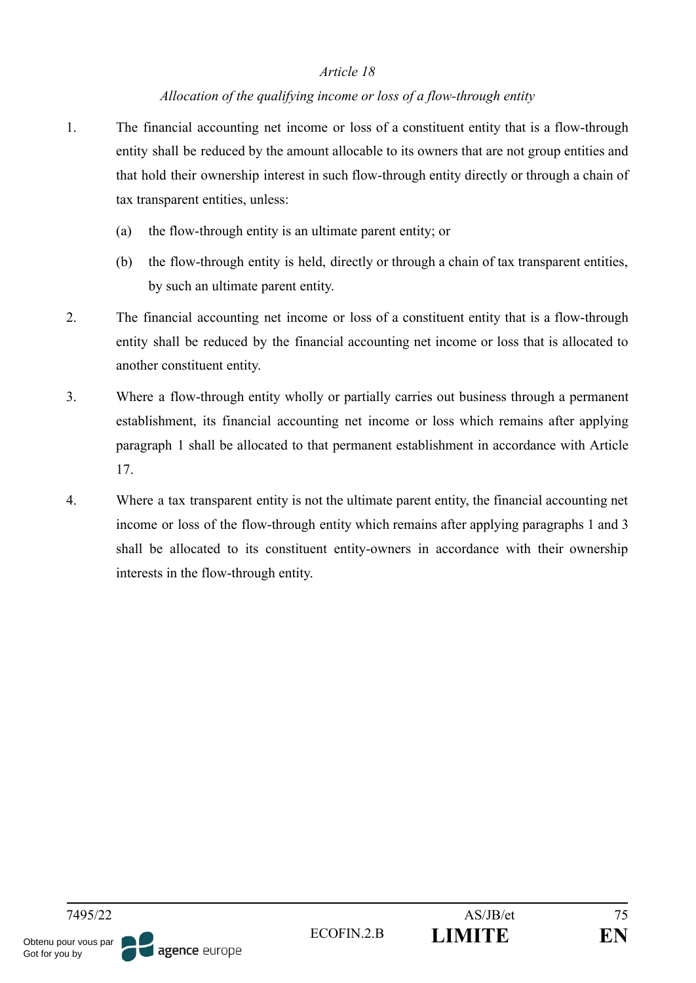#### *Allocation of the qualifying income or loss of a flow-through entity*

- 1. The financial accounting net income or loss of a constituent entity that is a flow-through entity shall be reduced by the amount allocable to its owners that are not group entities and that hold their ownership interest in such flow-through entity directly or through a chain of tax transparent entities, unless:
	- (a) the flow-through entity is an ultimate parent entity; or
	- (b) the flow-through entity is held, directly or through a chain of tax transparent entities, by such an ultimate parent entity.
- 2. The financial accounting net income or loss of a constituent entity that is a flow-through entity shall be reduced by the financial accounting net income or loss that is allocated to another constituent entity.
- 3. Where a flow-through entity wholly or partially carries out business through a permanent establishment, its financial accounting net income or loss which remains after applying paragraph 1 shall be allocated to that permanent establishment in accordance with Article 17.
- 4. Where a tax transparent entity is not the ultimate parent entity, the financial accounting net income or loss of the flow-through entity which remains after applying paragraphs 1 and 3 shall be allocated to its constituent entity-owners in accordance with their ownership interests in the flow-through entity.

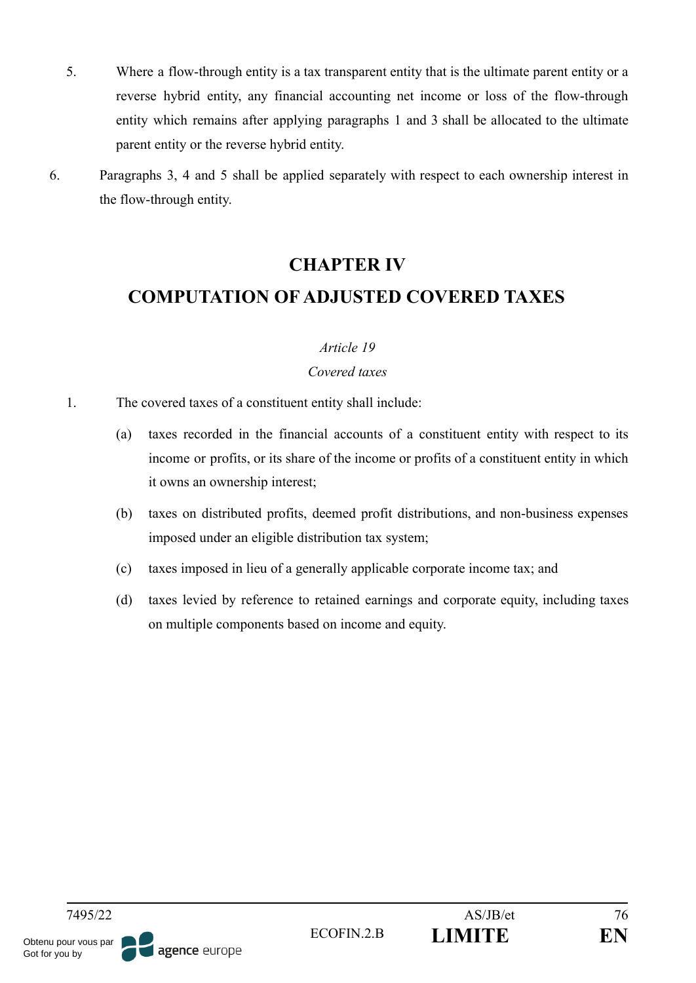- 5. Where a flow-through entity is a tax transparent entity that is the ultimate parent entity or a reverse hybrid entity, any financial accounting net income or loss of the flow-through entity which remains after applying paragraphs 1 and 3 shall be allocated to the ultimate parent entity or the reverse hybrid entity.
- 6. Paragraphs 3, 4 and 5 shall be applied separately with respect to each ownership interest in the flow-through entity.

# **CHAPTER IV**

# **COMPUTATION OF ADJUSTED COVERED TAXES**

#### *Article 19*

#### *Covered taxes*

- 1. The covered taxes of a constituent entity shall include:
	- (a) taxes recorded in the financial accounts of a constituent entity with respect to its income or profits, or its share of the income or profits of a constituent entity in which it owns an ownership interest;
	- (b) taxes on distributed profits, deemed profit distributions, and non-business expenses imposed under an eligible distribution tax system;
	- (c) taxes imposed in lieu of a generally applicable corporate income tax; and
	- (d) taxes levied by reference to retained earnings and corporate equity, including taxes on multiple components based on income and equity.

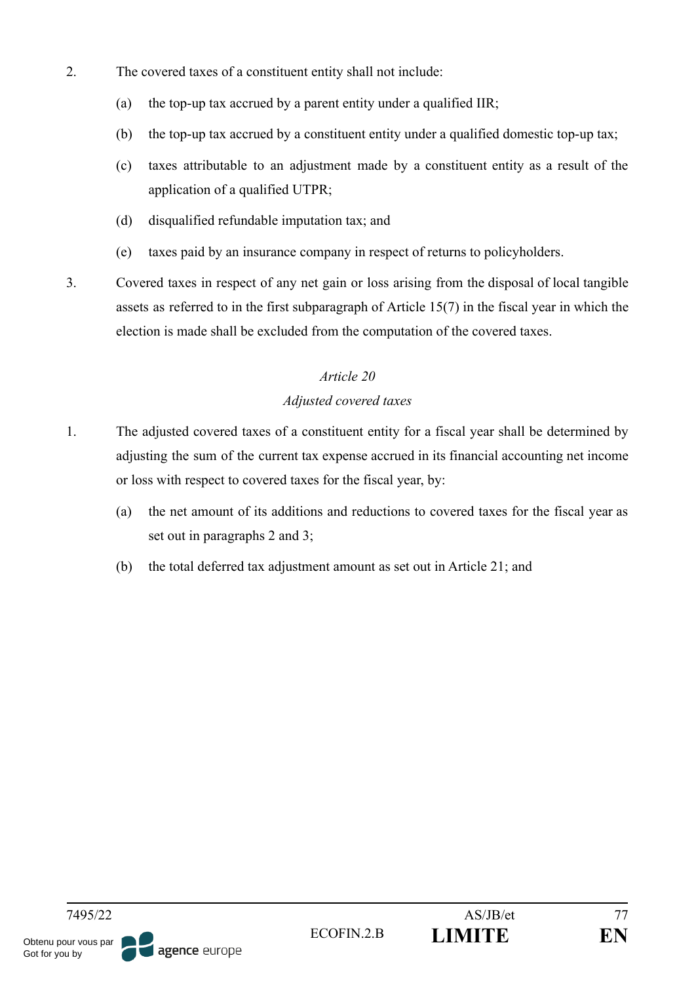- 2. The covered taxes of a constituent entity shall not include:
	- (a) the top-up tax accrued by a parent entity under a qualified IIR;
	- (b) the top-up tax accrued by a constituent entity under a qualified domestic top-up tax;
	- (c) taxes attributable to an adjustment made by a constituent entity as a result of the application of a qualified UTPR;
	- (d) disqualified refundable imputation tax; and
	- (e) taxes paid by an insurance company in respect of returns to policyholders.
- 3. Covered taxes in respect of any net gain or loss arising from the disposal of local tangible assets as referred to in the first subparagraph of Article 15(7) in the fiscal year in which the election is made shall be excluded from the computation of the covered taxes.

## *Adjusted covered taxes*

- 1. The adjusted covered taxes of a constituent entity for a fiscal year shall be determined by adjusting the sum of the current tax expense accrued in its financial accounting net income or loss with respect to covered taxes for the fiscal year, by:
	- (a) the net amount of its additions and reductions to covered taxes for the fiscal year as set out in paragraphs 2 and 3;
	- (b) the total deferred tax adjustment amount as set out in Article 21; and

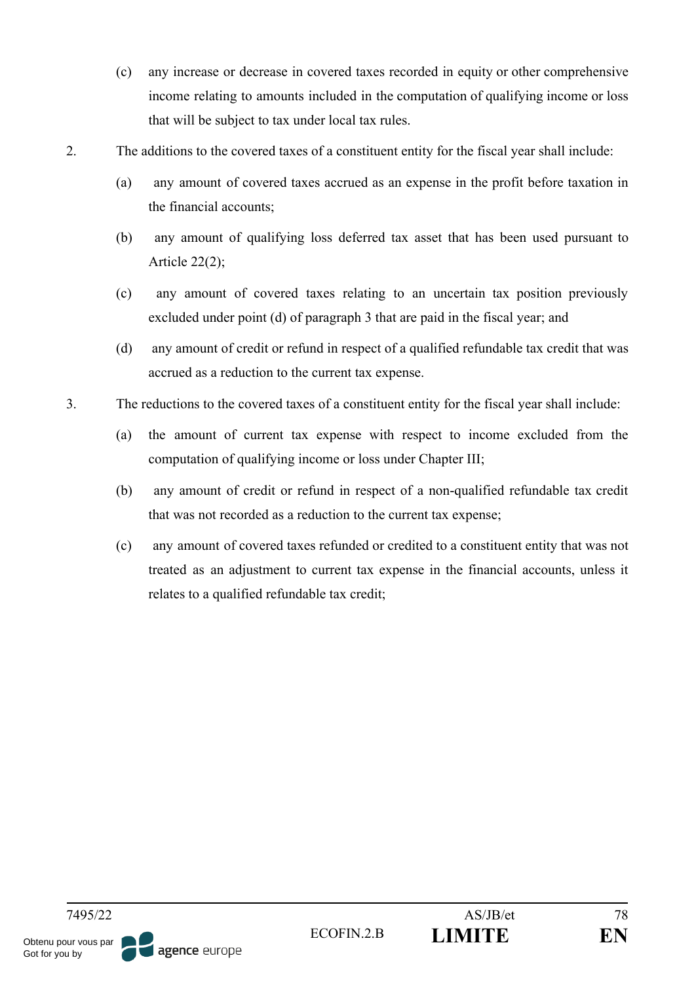- (c) any increase or decrease in covered taxes recorded in equity or other comprehensive income relating to amounts included in the computation of qualifying income or loss that will be subject to tax under local tax rules.
- 2. The additions to the covered taxes of a constituent entity for the fiscal year shall include:
	- (a) any amount of covered taxes accrued as an expense in the profit before taxation in the financial accounts;
	- (b) any amount of qualifying loss deferred tax asset that has been used pursuant to Article 22(2);
	- (c) any amount of covered taxes relating to an uncertain tax position previously excluded under point (d) of paragraph 3 that are paid in the fiscal year; and
	- (d) any amount of credit or refund in respect of a qualified refundable tax credit that was accrued as a reduction to the current tax expense.
- 3. The reductions to the covered taxes of a constituent entity for the fiscal year shall include:
	- (a) the amount of current tax expense with respect to income excluded from the computation of qualifying income or loss under Chapter III;
	- (b) any amount of credit or refund in respect of a non-qualified refundable tax credit that was not recorded as a reduction to the current tax expense;
	- (c) any amount of covered taxes refunded or credited to a constituent entity that was not treated as an adjustment to current tax expense in the financial accounts, unless it relates to a qualified refundable tax credit;

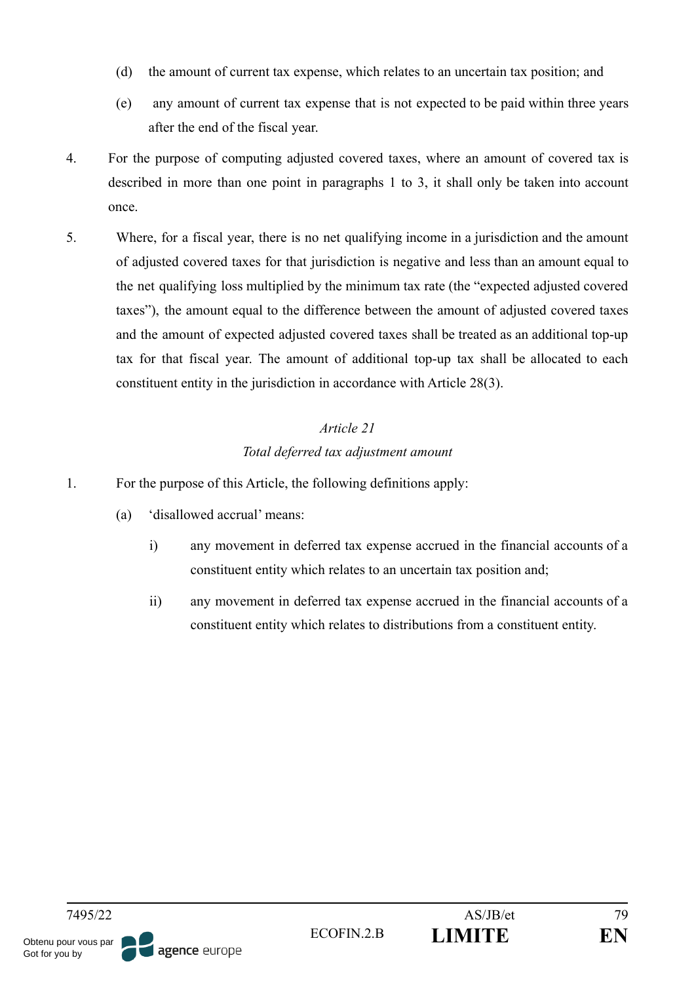- (d) the amount of current tax expense, which relates to an uncertain tax position; and
- (e) any amount of current tax expense that is not expected to be paid within three years after the end of the fiscal year.
- 4. For the purpose of computing adjusted covered taxes, where an amount of covered tax is described in more than one point in paragraphs 1 to 3, it shall only be taken into account once.
- 5. Where, for a fiscal year, there is no net qualifying income in a jurisdiction and the amount of adjusted covered taxes for that jurisdiction is negative and less than an amount equal to the net qualifying loss multiplied by the minimum tax rate (the "expected adjusted covered taxes"), the amount equal to the difference between the amount of adjusted covered taxes and the amount of expected adjusted covered taxes shall be treated as an additional top-up tax for that fiscal year. The amount of additional top-up tax shall be allocated to each constituent entity in the jurisdiction in accordance with Article 28(3).

# *Article 21 Total deferred tax adjustment amount*

- 1. For the purpose of this Article, the following definitions apply:
	- (a) 'disallowed accrual' means:
		- i) any movement in deferred tax expense accrued in the financial accounts of a constituent entity which relates to an uncertain tax position and;
		- ii) any movement in deferred tax expense accrued in the financial accounts of a constituent entity which relates to distributions from a constituent entity.

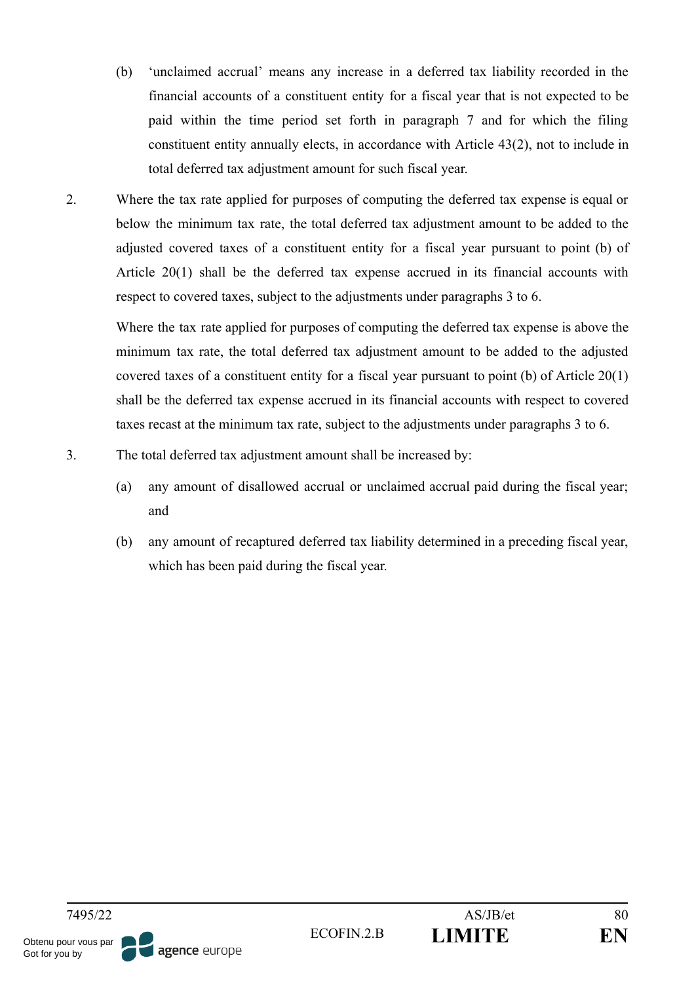- (b) 'unclaimed accrual' means any increase in a deferred tax liability recorded in the financial accounts of a constituent entity for a fiscal year that is not expected to be paid within the time period set forth in paragraph 7 and for which the filing constituent entity annually elects, in accordance with Article 43(2), not to include in total deferred tax adjustment amount for such fiscal year.
- 2. Where the tax rate applied for purposes of computing the deferred tax expense is equal or below the minimum tax rate, the total deferred tax adjustment amount to be added to the adjusted covered taxes of a constituent entity for a fiscal year pursuant to point (b) of Article 20(1) shall be the deferred tax expense accrued in its financial accounts with respect to covered taxes, subject to the adjustments under paragraphs 3 to 6.

Where the tax rate applied for purposes of computing the deferred tax expense is above the minimum tax rate, the total deferred tax adjustment amount to be added to the adjusted covered taxes of a constituent entity for a fiscal year pursuant to point (b) of Article 20(1) shall be the deferred tax expense accrued in its financial accounts with respect to covered taxes recast at the minimum tax rate, subject to the adjustments under paragraphs 3 to 6.

- 3. The total deferred tax adjustment amount shall be increased by:
	- (a) any amount of disallowed accrual or unclaimed accrual paid during the fiscal year; and
	- (b) any amount of recaptured deferred tax liability determined in a preceding fiscal year, which has been paid during the fiscal year.

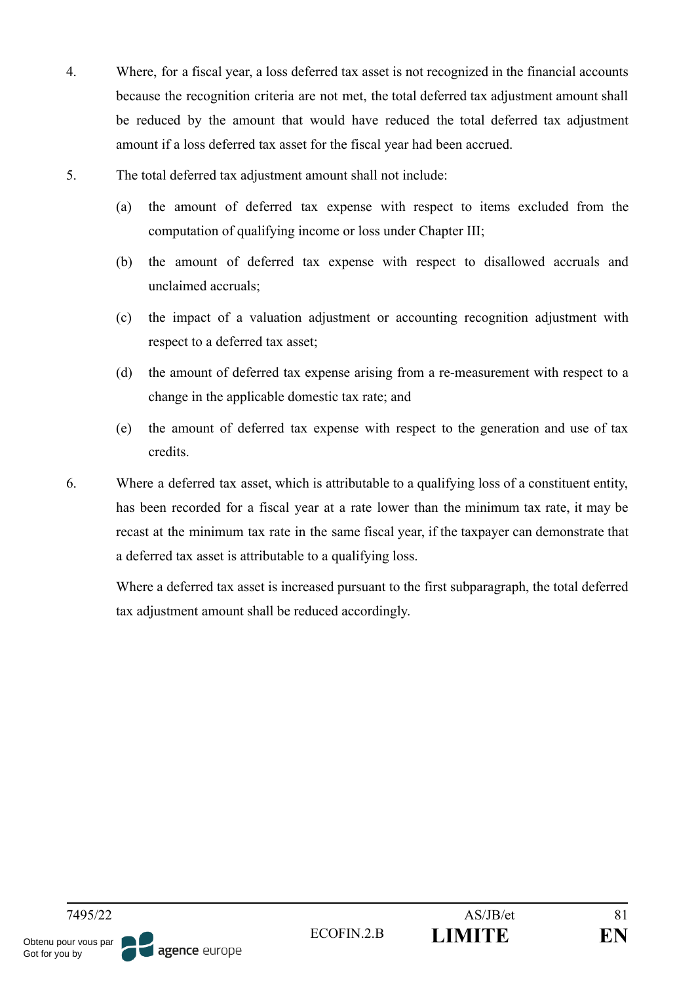- 4. Where, for a fiscal year, a loss deferred tax asset is not recognized in the financial accounts because the recognition criteria are not met, the total deferred tax adjustment amount shall be reduced by the amount that would have reduced the total deferred tax adjustment amount if a loss deferred tax asset for the fiscal year had been accrued.
- 5. The total deferred tax adjustment amount shall not include:
	- (a) the amount of deferred tax expense with respect to items excluded from the computation of qualifying income or loss under Chapter III;
	- (b) the amount of deferred tax expense with respect to disallowed accruals and unclaimed accruals;
	- (c) the impact of a valuation adjustment or accounting recognition adjustment with respect to a deferred tax asset;
	- (d) the amount of deferred tax expense arising from a re-measurement with respect to a change in the applicable domestic tax rate; and
	- (e) the amount of deferred tax expense with respect to the generation and use of tax credits.
- 6. Where a deferred tax asset, which is attributable to a qualifying loss of a constituent entity, has been recorded for a fiscal year at a rate lower than the minimum tax rate, it may be recast at the minimum tax rate in the same fiscal year, if the taxpayer can demonstrate that a deferred tax asset is attributable to a qualifying loss.

Where a deferred tax asset is increased pursuant to the first subparagraph, the total deferred tax adjustment amount shall be reduced accordingly.

7495/22 AS/JB/et 81 ECOFIN.2.B **LIMITE EN** Obtenu pour vous par agence europe Got for you by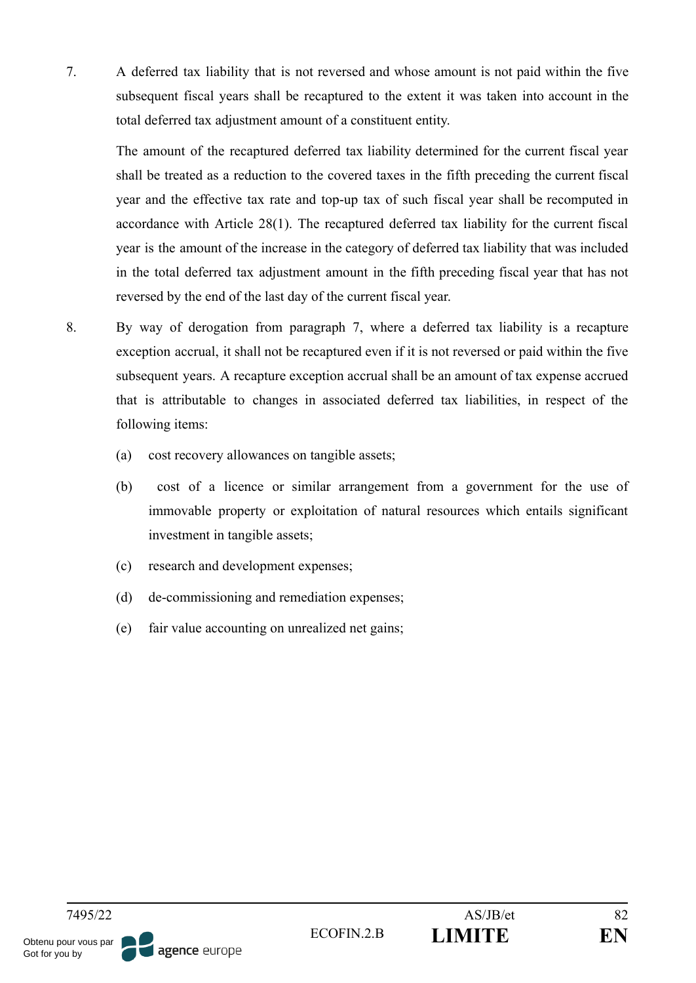7. A deferred tax liability that is not reversed and whose amount is not paid within the five subsequent fiscal years shall be recaptured to the extent it was taken into account in the total deferred tax adjustment amount of a constituent entity.

The amount of the recaptured deferred tax liability determined for the current fiscal year shall be treated as a reduction to the covered taxes in the fifth preceding the current fiscal year and the effective tax rate and top-up tax of such fiscal year shall be recomputed in accordance with Article 28(1). The recaptured deferred tax liability for the current fiscal year is the amount of the increase in the category of deferred tax liability that was included in the total deferred tax adjustment amount in the fifth preceding fiscal year that has not reversed by the end of the last day of the current fiscal year.

- 8. By way of derogation from paragraph 7, where a deferred tax liability is a recapture exception accrual, it shall not be recaptured even if it is not reversed or paid within the five subsequent years. A recapture exception accrual shall be an amount of tax expense accrued that is attributable to changes in associated deferred tax liabilities, in respect of the following items:
	- (a) cost recovery allowances on tangible assets;
	- (b) cost of a licence or similar arrangement from a government for the use of immovable property or exploitation of natural resources which entails significant investment in tangible assets;
	- (c) research and development expenses;
	- (d) de-commissioning and remediation expenses;
	- (e) fair value accounting on unrealized net gains;

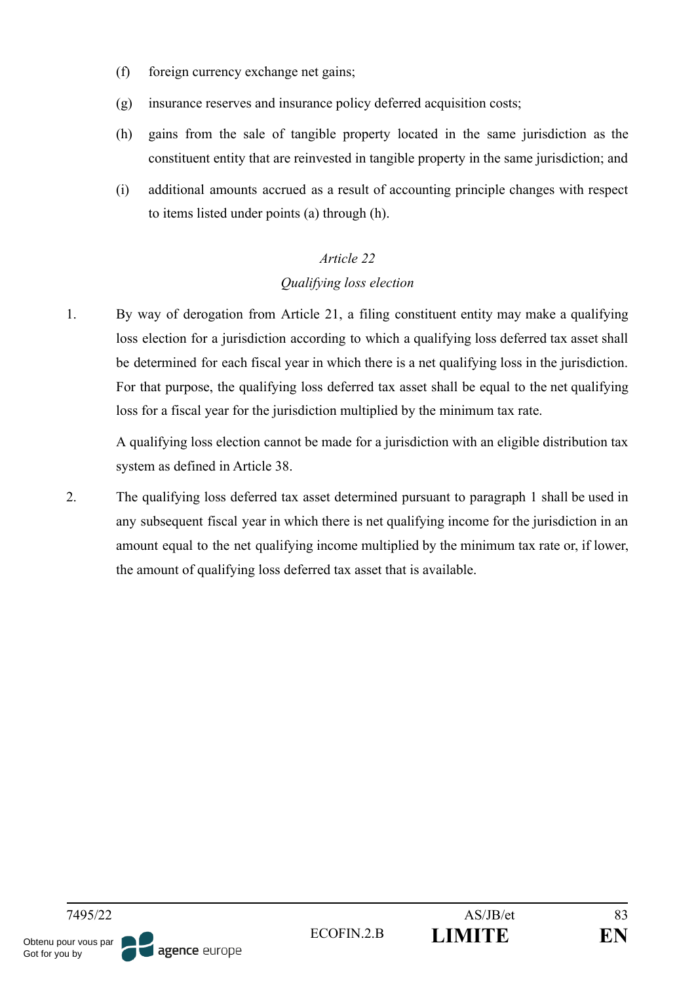- (f) foreign currency exchange net gains;
- (g) insurance reserves and insurance policy deferred acquisition costs;
- (h) gains from the sale of tangible property located in the same jurisdiction as the constituent entity that are reinvested in tangible property in the same jurisdiction; and
- (i) additional amounts accrued as a result of accounting principle changes with respect to items listed under points (a) through (h).

## *Qualifying loss election*

1. By way of derogation from Article 21, a filing constituent entity may make a qualifying loss election for a jurisdiction according to which a qualifying loss deferred tax asset shall be determined for each fiscal year in which there is a net qualifying loss in the jurisdiction. For that purpose, the qualifying loss deferred tax asset shall be equal to the net qualifying loss for a fiscal year for the jurisdiction multiplied by the minimum tax rate.

A qualifying loss election cannot be made for a jurisdiction with an eligible distribution tax system as defined in Article 38.

2. The qualifying loss deferred tax asset determined pursuant to paragraph 1 shall be used in any subsequent fiscal year in which there is net qualifying income for the jurisdiction in an amount equal to the net qualifying income multiplied by the minimum tax rate or, if lower, the amount of qualifying loss deferred tax asset that is available.

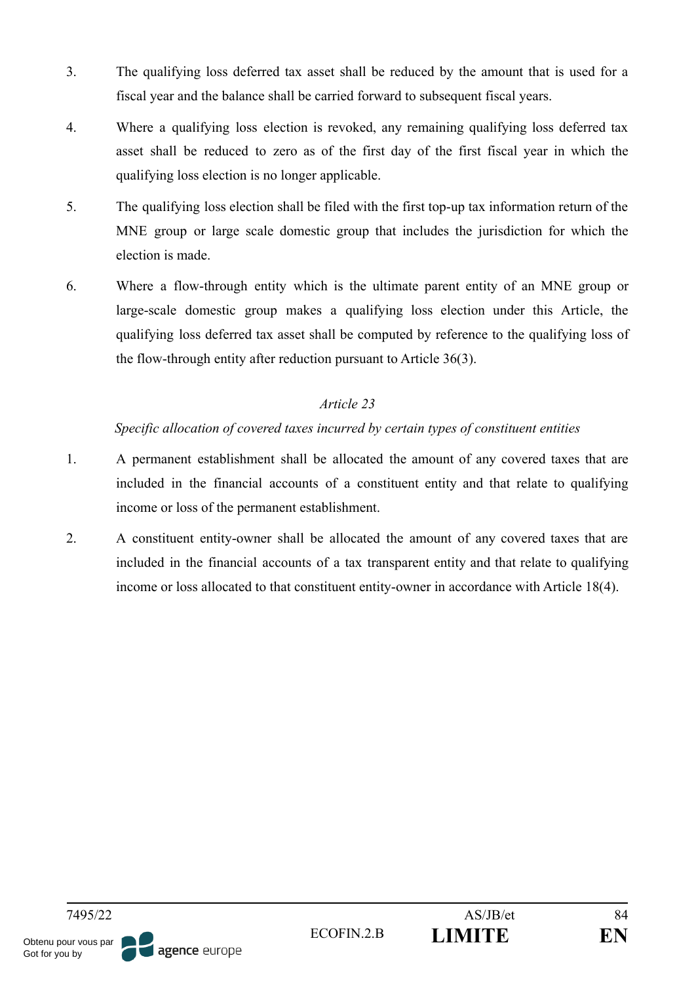- 3. The qualifying loss deferred tax asset shall be reduced by the amount that is used for a fiscal year and the balance shall be carried forward to subsequent fiscal years.
- 4. Where a qualifying loss election is revoked, any remaining qualifying loss deferred tax asset shall be reduced to zero as of the first day of the first fiscal year in which the qualifying loss election is no longer applicable.
- 5. The qualifying loss election shall be filed with the first top-up tax information return of the MNE group or large scale domestic group that includes the jurisdiction for which the election is made.
- 6. Where a flow-through entity which is the ultimate parent entity of an MNE group or large-scale domestic group makes a qualifying loss election under this Article, the qualifying loss deferred tax asset shall be computed by reference to the qualifying loss of the flow-through entity after reduction pursuant to Article 36(3).

#### *Specific allocation of covered taxes incurred by certain types of constituent entities*

- 1. A permanent establishment shall be allocated the amount of any covered taxes that are included in the financial accounts of a constituent entity and that relate to qualifying income or loss of the permanent establishment.
- 2. A constituent entity-owner shall be allocated the amount of any covered taxes that are included in the financial accounts of a tax transparent entity and that relate to qualifying income or loss allocated to that constituent entity-owner in accordance with Article 18(4).

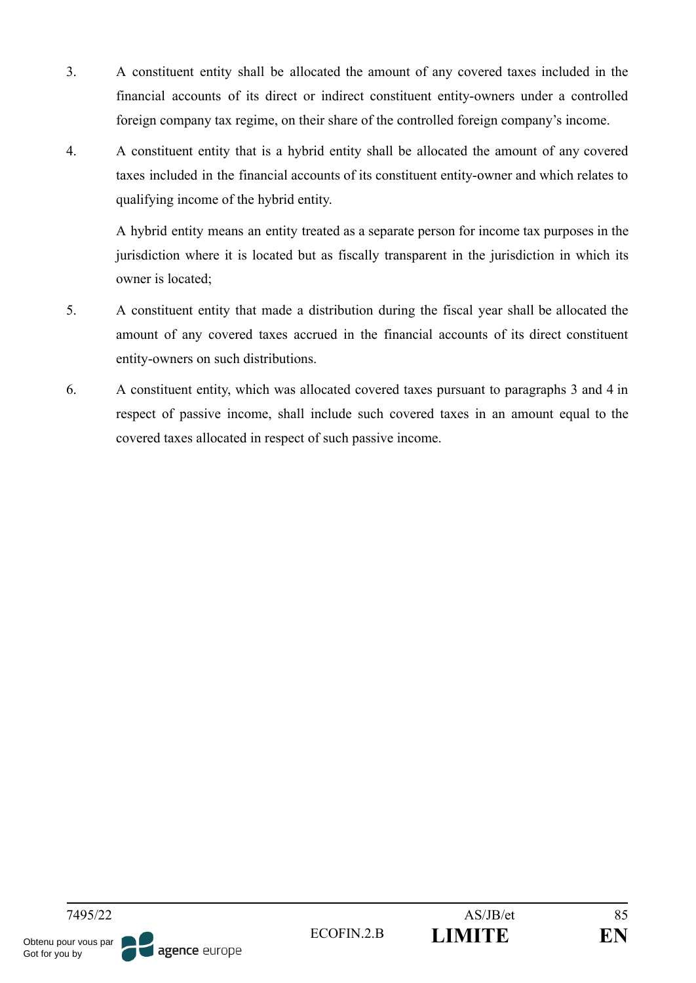- 3. A constituent entity shall be allocated the amount of any covered taxes included in the financial accounts of its direct or indirect constituent entity-owners under a controlled foreign company tax regime, on their share of the controlled foreign company's income.
- 4. A constituent entity that is a hybrid entity shall be allocated the amount of any covered taxes included in the financial accounts of its constituent entity-owner and which relates to qualifying income of the hybrid entity.

A hybrid entity means an entity treated as a separate person for income tax purposes in the jurisdiction where it is located but as fiscally transparent in the jurisdiction in which its owner is located;

- 5. A constituent entity that made a distribution during the fiscal year shall be allocated the amount of any covered taxes accrued in the financial accounts of its direct constituent entity-owners on such distributions.
- 6. A constituent entity, which was allocated covered taxes pursuant to paragraphs 3 and 4 in respect of passive income, shall include such covered taxes in an amount equal to the covered taxes allocated in respect of such passive income.

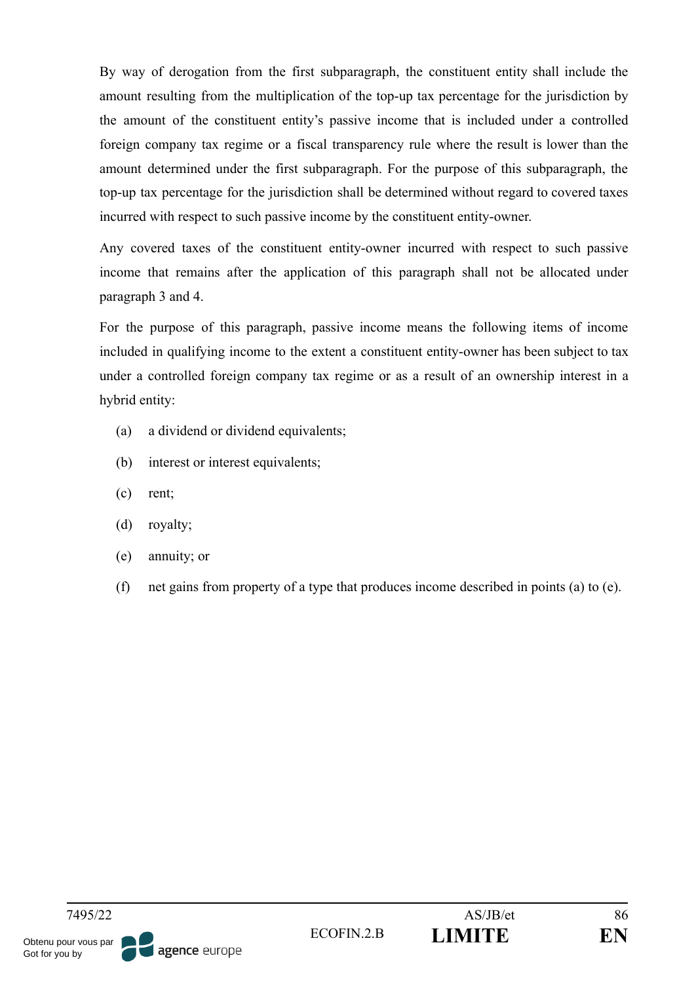By way of derogation from the first subparagraph, the constituent entity shall include the amount resulting from the multiplication of the top-up tax percentage for the jurisdiction by the amount of the constituent entity's passive income that is included under a controlled foreign company tax regime or a fiscal transparency rule where the result is lower than the amount determined under the first subparagraph. For the purpose of this subparagraph, the top-up tax percentage for the jurisdiction shall be determined without regard to covered taxes incurred with respect to such passive income by the constituent entity-owner.

Any covered taxes of the constituent entity-owner incurred with respect to such passive income that remains after the application of this paragraph shall not be allocated under paragraph 3 and 4.

For the purpose of this paragraph, passive income means the following items of income included in qualifying income to the extent a constituent entity-owner has been subject to tax under a controlled foreign company tax regime or as a result of an ownership interest in a hybrid entity:

- (a) a dividend or dividend equivalents;
- (b) interest or interest equivalents;
- (c) rent;
- (d) royalty;
- (e) annuity; or
- (f) net gains from property of a type that produces income described in points (a) to (e).

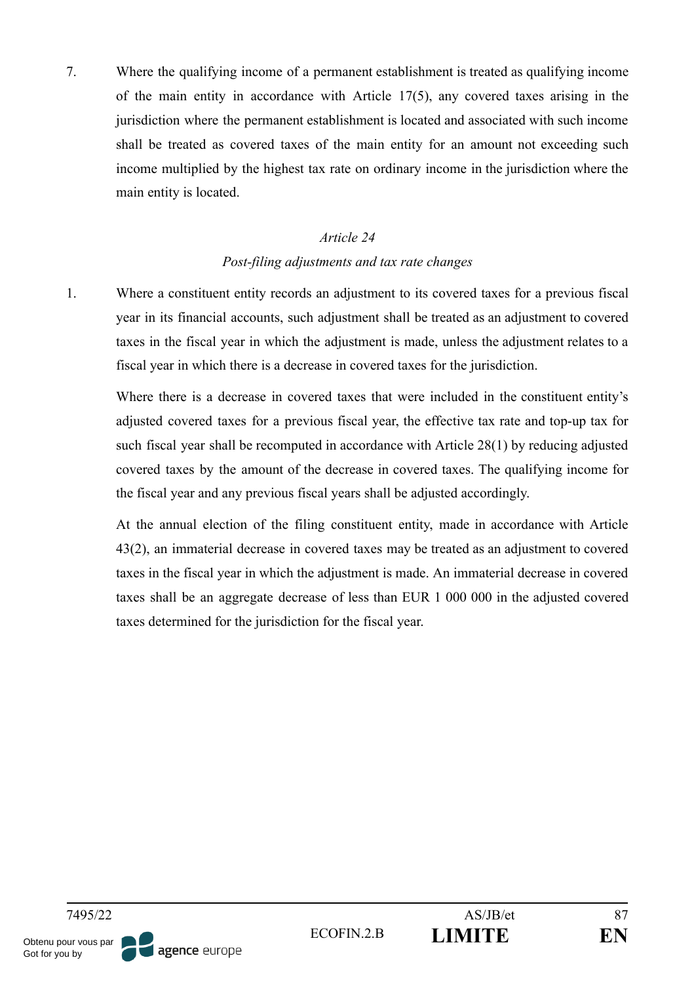7. Where the qualifying income of a permanent establishment is treated as qualifying income of the main entity in accordance with Article 17(5), any covered taxes arising in the jurisdiction where the permanent establishment is located and associated with such income shall be treated as covered taxes of the main entity for an amount not exceeding such income multiplied by the highest tax rate on ordinary income in the jurisdiction where the main entity is located.

#### *Article 24*

#### *Post-filing adjustments and tax rate changes*

1. Where a constituent entity records an adjustment to its covered taxes for a previous fiscal year in its financial accounts, such adjustment shall be treated as an adjustment to covered taxes in the fiscal year in which the adjustment is made, unless the adjustment relates to a fiscal year in which there is a decrease in covered taxes for the jurisdiction.

Where there is a decrease in covered taxes that were included in the constituent entity's adjusted covered taxes for a previous fiscal year, the effective tax rate and top-up tax for such fiscal year shall be recomputed in accordance with Article 28(1) by reducing adjusted covered taxes by the amount of the decrease in covered taxes. The qualifying income for the fiscal year and any previous fiscal years shall be adjusted accordingly.

At the annual election of the filing constituent entity, made in accordance with Article 43(2), an immaterial decrease in covered taxes may be treated as an adjustment to covered taxes in the fiscal year in which the adjustment is made. An immaterial decrease in covered taxes shall be an aggregate decrease of less than EUR 1 000 000 in the adjusted covered taxes determined for the jurisdiction for the fiscal year.

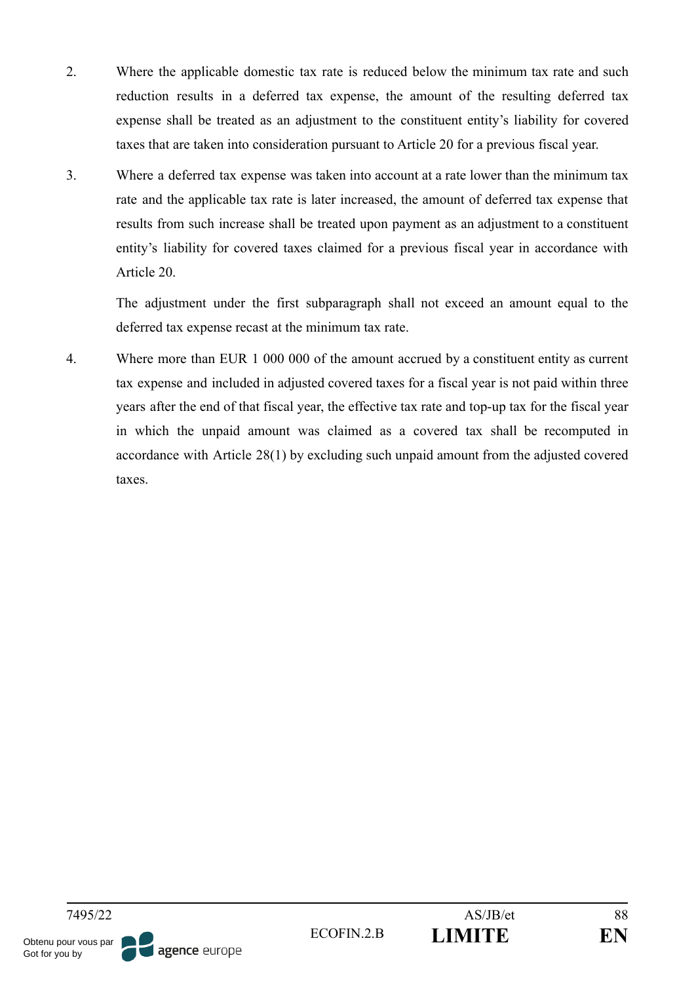- 2. Where the applicable domestic tax rate is reduced below the minimum tax rate and such reduction results in a deferred tax expense, the amount of the resulting deferred tax expense shall be treated as an adjustment to the constituent entity's liability for covered taxes that are taken into consideration pursuant to Article 20 for a previous fiscal year.
- 3. Where a deferred tax expense was taken into account at a rate lower than the minimum tax rate and the applicable tax rate is later increased, the amount of deferred tax expense that results from such increase shall be treated upon payment as an adjustment to a constituent entity's liability for covered taxes claimed for a previous fiscal year in accordance with Article 20.

The adjustment under the first subparagraph shall not exceed an amount equal to the deferred tax expense recast at the minimum tax rate.

4. Where more than EUR 1 000 000 of the amount accrued by a constituent entity as current tax expense and included in adjusted covered taxes for a fiscal year is not paid within three years after the end of that fiscal year, the effective tax rate and top-up tax for the fiscal year in which the unpaid amount was claimed as a covered tax shall be recomputed in accordance with Article 28(1) by excluding such unpaid amount from the adjusted covered taxes.

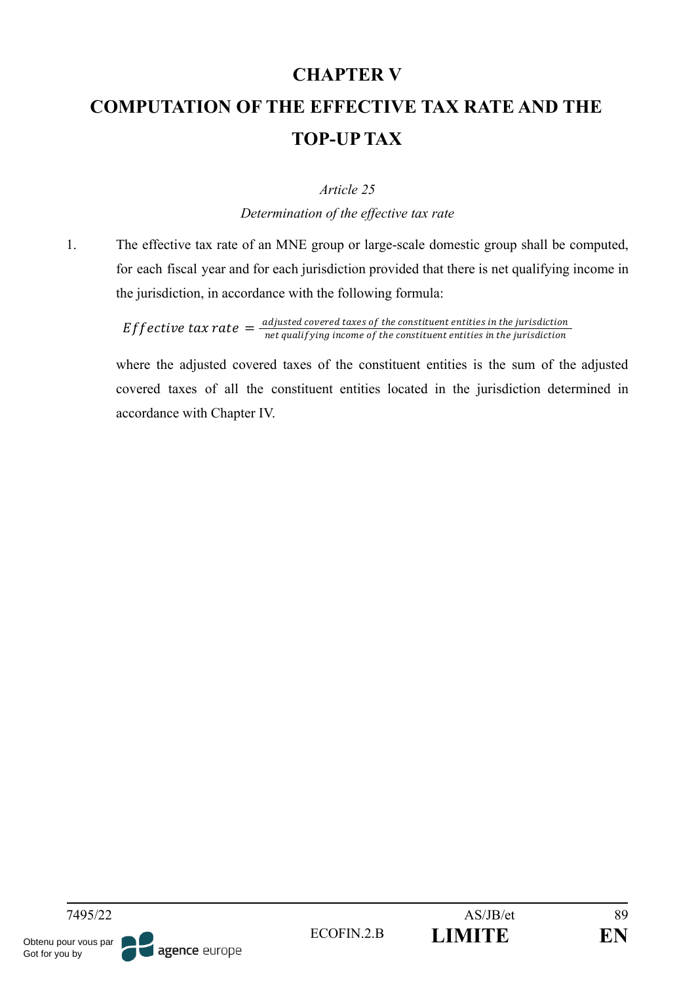## **CHAPTER V**

# **COMPUTATION OF THE EFFECTIVE TAX RATE AND THE TOP-UP TAX**

#### *Article 25*

*Determination of the effective tax rate*

1. The effective tax rate of an MNE group or large-scale domestic group shall be computed, for each fiscal year and for each jurisdiction provided that there is net qualifying income in the jurisdiction, in accordance with the following formula:

> Effective tax rate  $=\frac{adjusted}{\text{not} qualifying in the case of the constituent entities in the jurisdiction}$ net qualif ying income of the constituent entities in the jurisdiction

where the adjusted covered taxes of the constituent entities is the sum of the adjusted covered taxes of all the constituent entities located in the jurisdiction determined in accordance with Chapter IV.

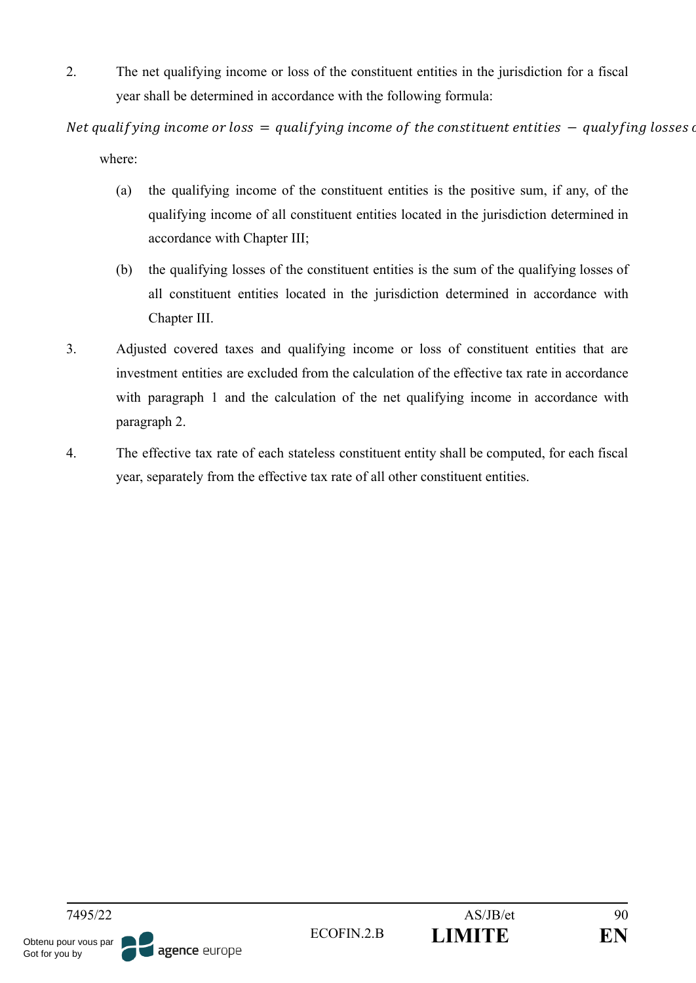2. The net qualifying income or loss of the constituent entities in the jurisdiction for a fiscal year shall be determined in accordance with the following formula:

Net qualifying income or loss  $=$  qualifying income of the constituent entities  $-$  qualyfing losses of where:

- (a) the qualifying income of the constituent entities is the positive sum, if any, of the qualifying income of all constituent entities located in the jurisdiction determined in accordance with Chapter III;
- (b) the qualifying losses of the constituent entities is the sum of the qualifying losses of all constituent entities located in the jurisdiction determined in accordance with Chapter III.
- 3. Adjusted covered taxes and qualifying income or loss of constituent entities that are investment entities are excluded from the calculation of the effective tax rate in accordance with paragraph 1 and the calculation of the net qualifying income in accordance with paragraph 2.
- 4. The effective tax rate of each stateless constituent entity shall be computed, for each fiscal year, separately from the effective tax rate of all other constituent entities.

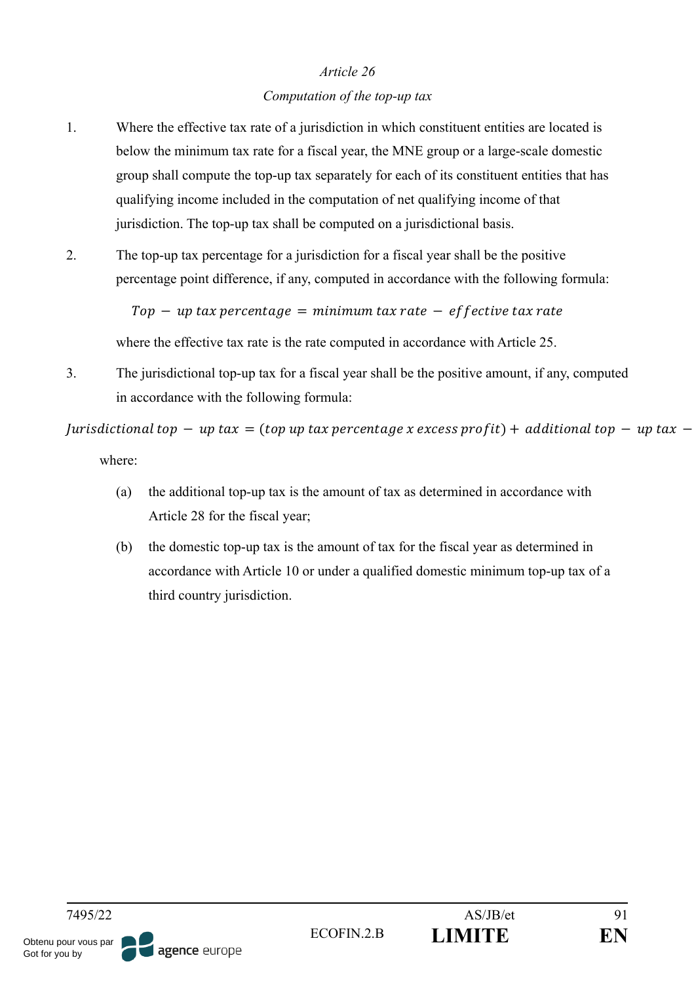#### *Computation of the top-up tax*

- 1. Where the effective tax rate of a jurisdiction in which constituent entities are located is below the minimum tax rate for a fiscal year, the MNE group or a large-scale domestic group shall compute the top-up tax separately for each of its constituent entities that has qualifying income included in the computation of net qualifying income of that jurisdiction. The top-up tax shall be computed on a jurisdictional basis.
- 2. The top-up tax percentage for a jurisdiction for a fiscal year shall be the positive percentage point difference, if any, computed in accordance with the following formula:

 $Top - up tax$  percentage = minimum tax rate  $-$  effective tax rate

where the effective tax rate is the rate computed in accordance with Article 25.

3. The jurisdictional top-up tax for a fiscal year shall be the positive amount, if any, computed in accordance with the following formula:

 $Iurisdictional$  top  $-$  up tax = (top up tax percentage x excess profit) + additional top  $-$  up tax  $$ where:

- (a) the additional top-up tax is the amount of tax as determined in accordance with Article 28 for the fiscal year;
- (b) the domestic top-up tax is the amount of tax for the fiscal year as determined in accordance with Article 10 or under a qualified domestic minimum top-up tax of a third country jurisdiction.

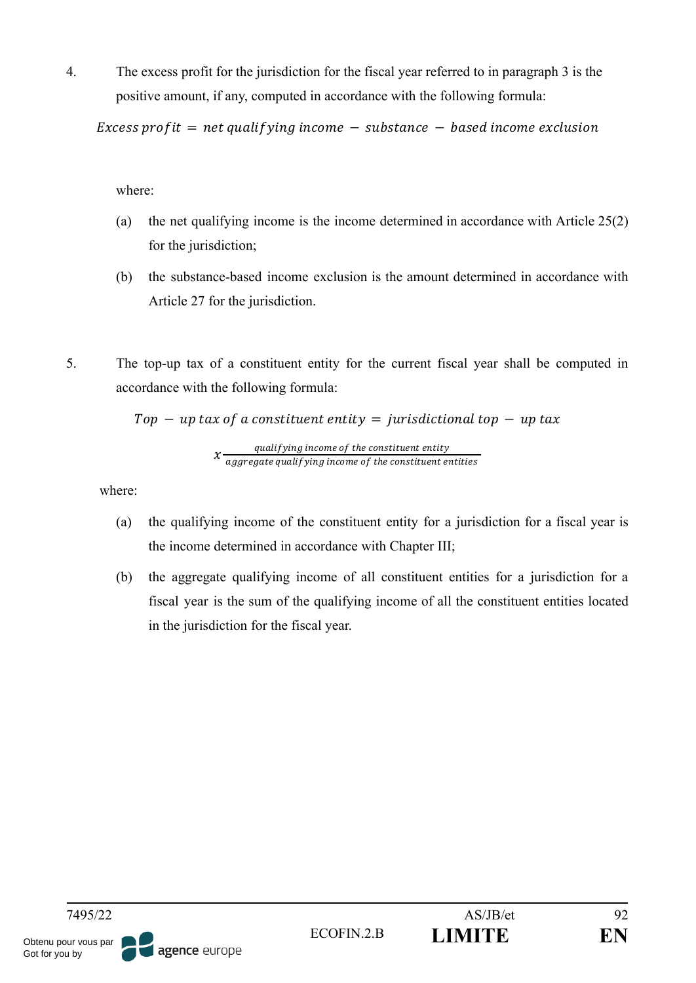4. The excess profit for the jurisdiction for the fiscal year referred to in paragraph 3 is the positive amount, if any, computed in accordance with the following formula:

Excess profit = net qualifying income  $-$  substance  $-$  based income exclusion

where:

- (a) the net qualifying income is the income determined in accordance with Article 25(2) for the jurisdiction;
- (b) the substance-based income exclusion is the amount determined in accordance with Article 27 for the jurisdiction.
- 5. The top-up tax of a constituent entity for the current fiscal year shall be computed in accordance with the following formula:

 $Top - up$  tax of a constituent entity = jurisdictional top  $- up$  tax

 $x \frac{qualitying}{\text{normal}(\text{prime})}$  and  $x$  and  $y$  are constituent entity aggregate qualifying income of the constituent entities

where:

- (a) the qualifying income of the constituent entity for a jurisdiction for a fiscal year is the income determined in accordance with Chapter III;
- (b) the aggregate qualifying income of all constituent entities for a jurisdiction for a fiscal year is the sum of the qualifying income of all the constituent entities located in the jurisdiction for the fiscal year.

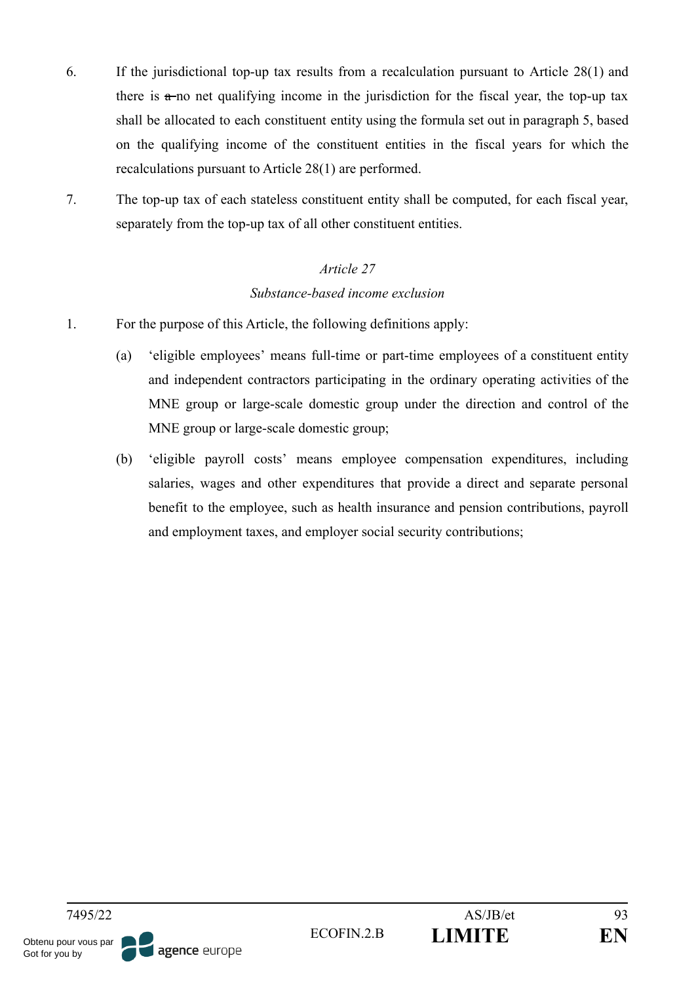- 6. If the jurisdictional top-up tax results from a recalculation pursuant to Article 28(1) and there is  $\pi$ -no net qualifying income in the jurisdiction for the fiscal year, the top-up tax shall be allocated to each constituent entity using the formula set out in paragraph 5, based on the qualifying income of the constituent entities in the fiscal years for which the recalculations pursuant to Article 28(1) are performed.
- 7. The top-up tax of each stateless constituent entity shall be computed, for each fiscal year, separately from the top-up tax of all other constituent entities.

# *Article 27 Substance-based income exclusion*

- 1. For the purpose of this Article, the following definitions apply:
	- (a) 'eligible employees' means full-time or part-time employees of a constituent entity and independent contractors participating in the ordinary operating activities of the MNE group or large-scale domestic group under the direction and control of the MNE group or large-scale domestic group;
	- (b) 'eligible payroll costs' means employee compensation expenditures, including salaries, wages and other expenditures that provide a direct and separate personal benefit to the employee, such as health insurance and pension contributions, payroll and employment taxes, and employer social security contributions;

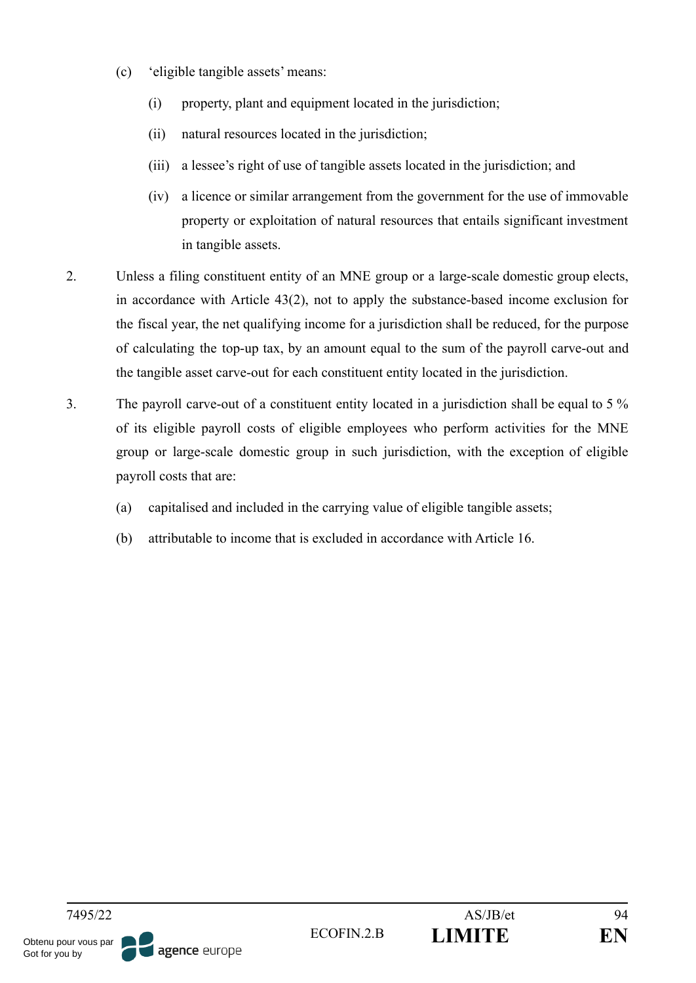- (c) 'eligible tangible assets' means:
	- (i) property, plant and equipment located in the jurisdiction;
	- (ii) natural resources located in the jurisdiction;
	- (iii) a lessee's right of use of tangible assets located in the jurisdiction; and
	- (iv) a licence or similar arrangement from the government for the use of immovable property or exploitation of natural resources that entails significant investment in tangible assets.
- 2. Unless a filing constituent entity of an MNE group or a large-scale domestic group elects, in accordance with Article 43(2), not to apply the substance-based income exclusion for the fiscal year, the net qualifying income for a jurisdiction shall be reduced, for the purpose of calculating the top-up tax, by an amount equal to the sum of the payroll carve-out and the tangible asset carve-out for each constituent entity located in the jurisdiction.
- 3. The payroll carve-out of a constituent entity located in a jurisdiction shall be equal to 5 % of its eligible payroll costs of eligible employees who perform activities for the MNE group or large-scale domestic group in such jurisdiction, with the exception of eligible payroll costs that are:
	- (a) capitalised and included in the carrying value of eligible tangible assets;
	- (b) attributable to income that is excluded in accordance with Article 16.

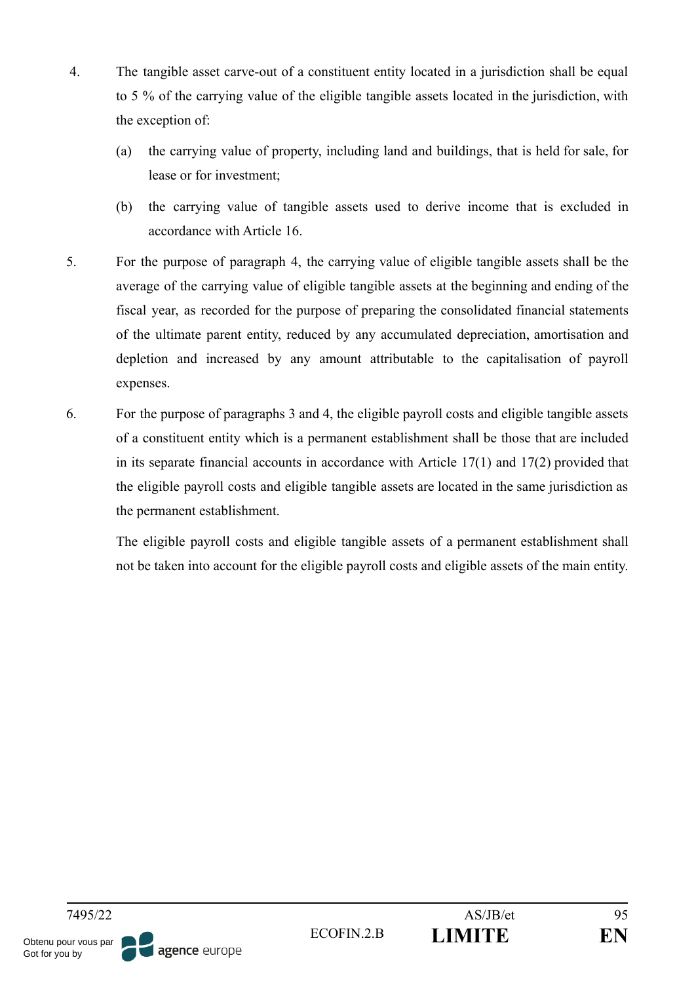- 4. The tangible asset carve-out of a constituent entity located in a jurisdiction shall be equal to 5 % of the carrying value of the eligible tangible assets located in the jurisdiction, with the exception of:
	- (a) the carrying value of property, including land and buildings, that is held for sale, for lease or for investment;
	- (b) the carrying value of tangible assets used to derive income that is excluded in accordance with Article 16.
- 5. For the purpose of paragraph 4, the carrying value of eligible tangible assets shall be the average of the carrying value of eligible tangible assets at the beginning and ending of the fiscal year, as recorded for the purpose of preparing the consolidated financial statements of the ultimate parent entity, reduced by any accumulated depreciation, amortisation and depletion and increased by any amount attributable to the capitalisation of payroll expenses.
- 6. For the purpose of paragraphs 3 and 4, the eligible payroll costs and eligible tangible assets of a constituent entity which is a permanent establishment shall be those that are included in its separate financial accounts in accordance with Article 17(1) and 17(2) provided that the eligible payroll costs and eligible tangible assets are located in the same jurisdiction as the permanent establishment.

The eligible payroll costs and eligible tangible assets of a permanent establishment shall not be taken into account for the eligible payroll costs and eligible assets of the main entity.

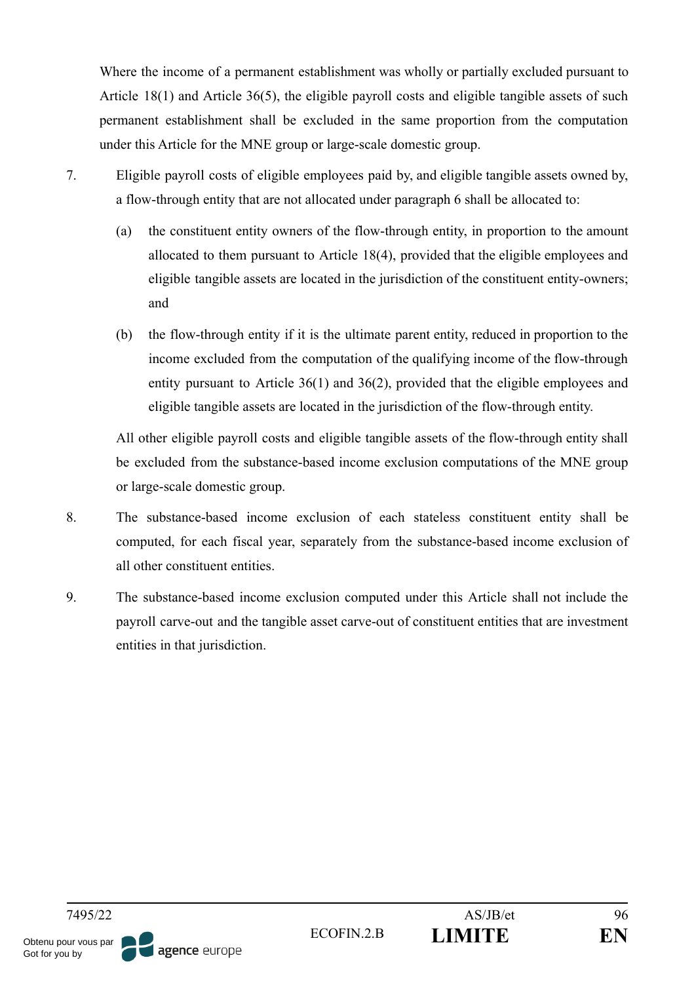Where the income of a permanent establishment was wholly or partially excluded pursuant to Article 18(1) and Article 36(5), the eligible payroll costs and eligible tangible assets of such permanent establishment shall be excluded in the same proportion from the computation under this Article for the MNE group or large-scale domestic group.

- 7. Eligible payroll costs of eligible employees paid by, and eligible tangible assets owned by, a flow-through entity that are not allocated under paragraph 6 shall be allocated to:
	- (a) the constituent entity owners of the flow-through entity, in proportion to the amount allocated to them pursuant to Article 18(4), provided that the eligible employees and eligible tangible assets are located in the jurisdiction of the constituent entity-owners; and
	- (b) the flow-through entity if it is the ultimate parent entity, reduced in proportion to the income excluded from the computation of the qualifying income of the flow-through entity pursuant to Article 36(1) and 36(2), provided that the eligible employees and eligible tangible assets are located in the jurisdiction of the flow-through entity.

All other eligible payroll costs and eligible tangible assets of the flow-through entity shall be excluded from the substance-based income exclusion computations of the MNE group or large-scale domestic group.

- 8. The substance-based income exclusion of each stateless constituent entity shall be computed, for each fiscal year, separately from the substance-based income exclusion of all other constituent entities.
- 9. The substance-based income exclusion computed under this Article shall not include the payroll carve-out and the tangible asset carve-out of constituent entities that are investment entities in that jurisdiction.

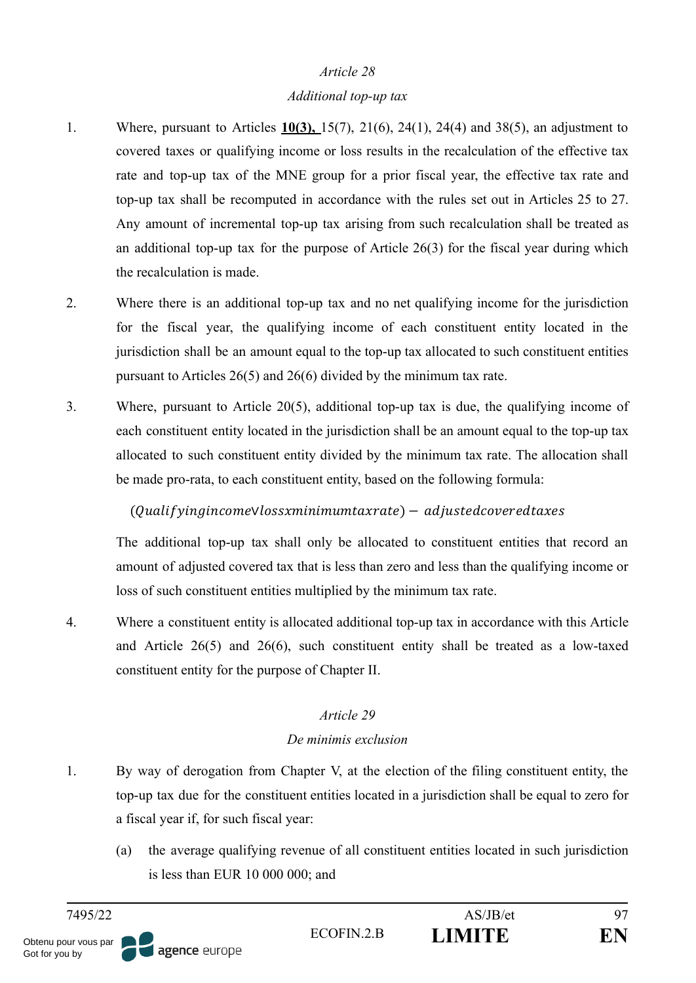#### *Additional top-up tax*

- 1. Where, pursuant to Articles **10(3),** 15(7), 21(6), 24(1), 24(4) and 38(5), an adjustment to covered taxes or qualifying income or loss results in the recalculation of the effective tax rate and top-up tax of the MNE group for a prior fiscal year, the effective tax rate and top-up tax shall be recomputed in accordance with the rules set out in Articles 25 to 27. Any amount of incremental top-up tax arising from such recalculation shall be treated as an additional top-up tax for the purpose of Article 26(3) for the fiscal year during which the recalculation is made.
- 2. Where there is an additional top-up tax and no net qualifying income for the jurisdiction for the fiscal year, the qualifying income of each constituent entity located in the jurisdiction shall be an amount equal to the top-up tax allocated to such constituent entities pursuant to Articles 26(5) and 26(6) divided by the minimum tax rate.
- 3. Where, pursuant to Article 20(5), additional top-up tax is due, the qualifying income of each constituent entity located in the jurisdiction shall be an amount equal to the top-up tax allocated to such constituent entity divided by the minimum tax rate. The allocation shall be made pro-rata, to each constituent entity, based on the following formula:

#### (Oualif vingincome Vlossxminimum taxrate) – adjusted covered taxes

The additional top-up tax shall only be allocated to constituent entities that record an amount of adjusted covered tax that is less than zero and less than the qualifying income or loss of such constituent entities multiplied by the minimum tax rate.

4. Where a constituent entity is allocated additional top-up tax in accordance with this Article and Article 26(5) and 26(6), such constituent entity shall be treated as a low-taxed constituent entity for the purpose of Chapter II.

#### *Article 29*

#### *De minimis exclusion*

- 1. By way of derogation from Chapter V, at the election of the filing constituent entity, the top-up tax due for the constituent entities located in a jurisdiction shall be equal to zero for a fiscal year if, for such fiscal year:
	- (a) the average qualifying revenue of all constituent entities located in such jurisdiction is less than EUR 10 000 000; and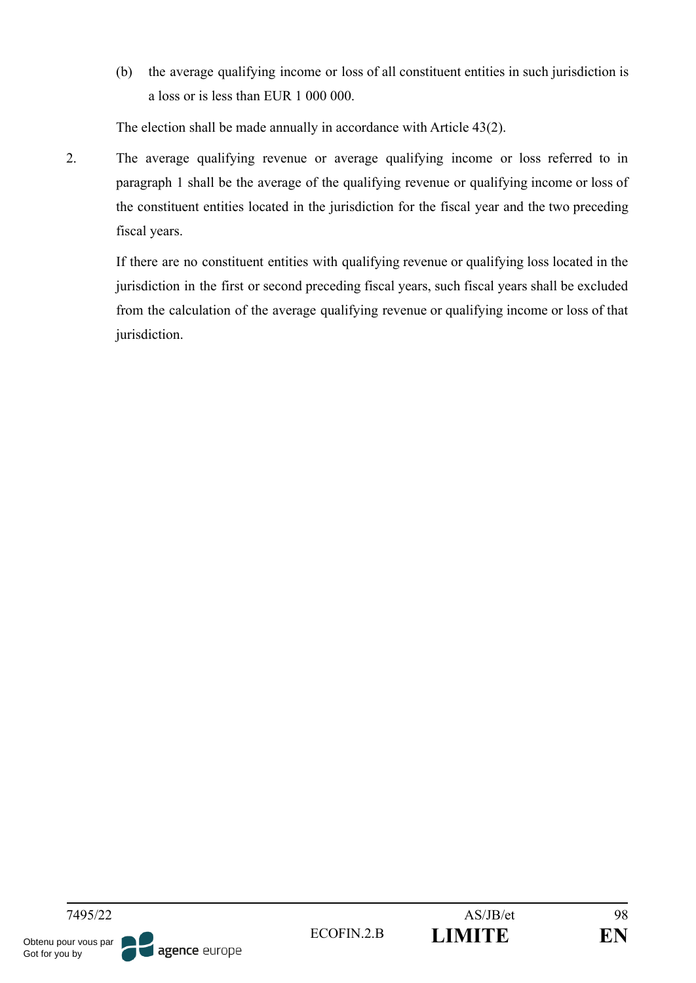(b) the average qualifying income or loss of all constituent entities in such jurisdiction is a loss or is less than EUR 1 000 000.

The election shall be made annually in accordance with Article 43(2).

2. The average qualifying revenue or average qualifying income or loss referred to in paragraph 1 shall be the average of the qualifying revenue or qualifying income or loss of the constituent entities located in the jurisdiction for the fiscal year and the two preceding fiscal years.

If there are no constituent entities with qualifying revenue or qualifying loss located in the jurisdiction in the first or second preceding fiscal years, such fiscal years shall be excluded from the calculation of the average qualifying revenue or qualifying income or loss of that jurisdiction.

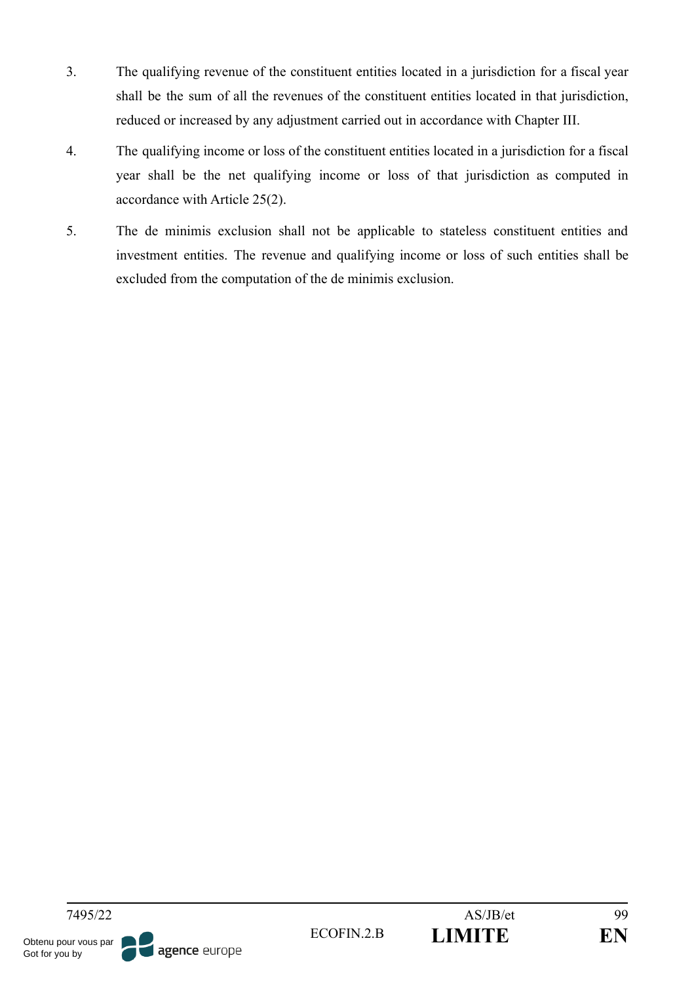- 3. The qualifying revenue of the constituent entities located in a jurisdiction for a fiscal year shall be the sum of all the revenues of the constituent entities located in that jurisdiction, reduced or increased by any adjustment carried out in accordance with Chapter III.
- 4. The qualifying income or loss of the constituent entities located in a jurisdiction for a fiscal year shall be the net qualifying income or loss of that jurisdiction as computed in accordance with Article 25(2).
- 5. The de minimis exclusion shall not be applicable to stateless constituent entities and investment entities. The revenue and qualifying income or loss of such entities shall be excluded from the computation of the de minimis exclusion.

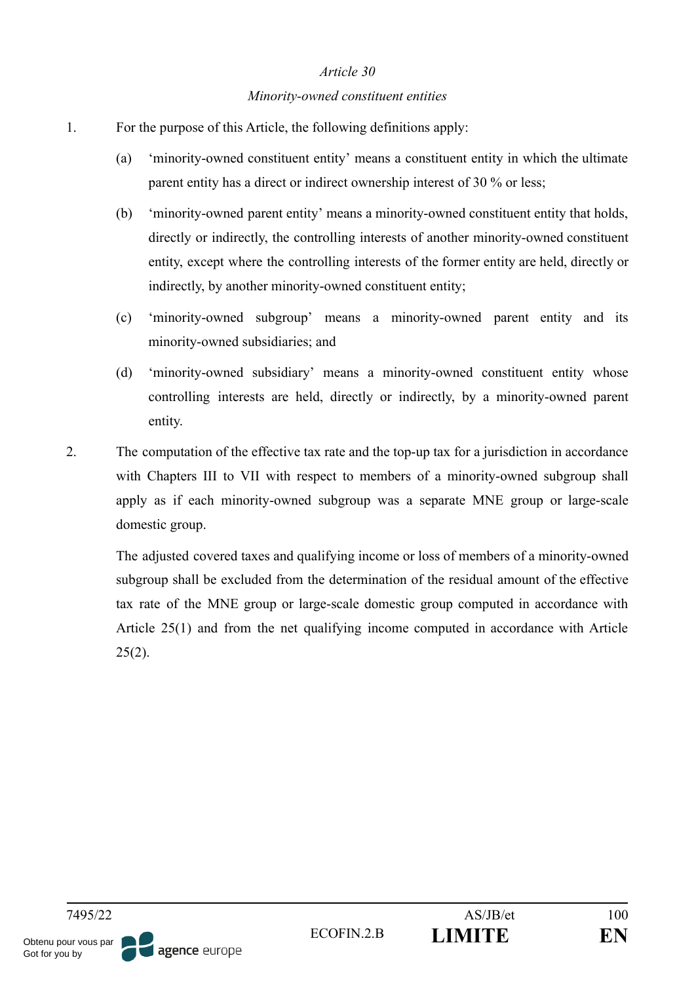#### *Minority-owned constituent entities*

- 1. For the purpose of this Article, the following definitions apply:
	- (a) 'minority-owned constituent entity' means a constituent entity in which the ultimate parent entity has a direct or indirect ownership interest of 30 % or less;
	- (b) 'minority-owned parent entity' means a minority-owned constituent entity that holds, directly or indirectly, the controlling interests of another minority-owned constituent entity, except where the controlling interests of the former entity are held, directly or indirectly, by another minority-owned constituent entity;
	- (c) 'minority-owned subgroup' means a minority-owned parent entity and its minority-owned subsidiaries; and
	- (d) 'minority-owned subsidiary' means a minority-owned constituent entity whose controlling interests are held, directly or indirectly, by a minority-owned parent entity.
- 2. The computation of the effective tax rate and the top-up tax for a jurisdiction in accordance with Chapters III to VII with respect to members of a minority-owned subgroup shall apply as if each minority-owned subgroup was a separate MNE group or large-scale domestic group.

The adjusted covered taxes and qualifying income or loss of members of a minority-owned subgroup shall be excluded from the determination of the residual amount of the effective tax rate of the MNE group or large-scale domestic group computed in accordance with Article 25(1) and from the net qualifying income computed in accordance with Article  $25(2)$ .

7495/22 AS/JB/et 100 ECOFIN.2.B **LIMITE EN** Obtenu pour vous par agence europe Got for you by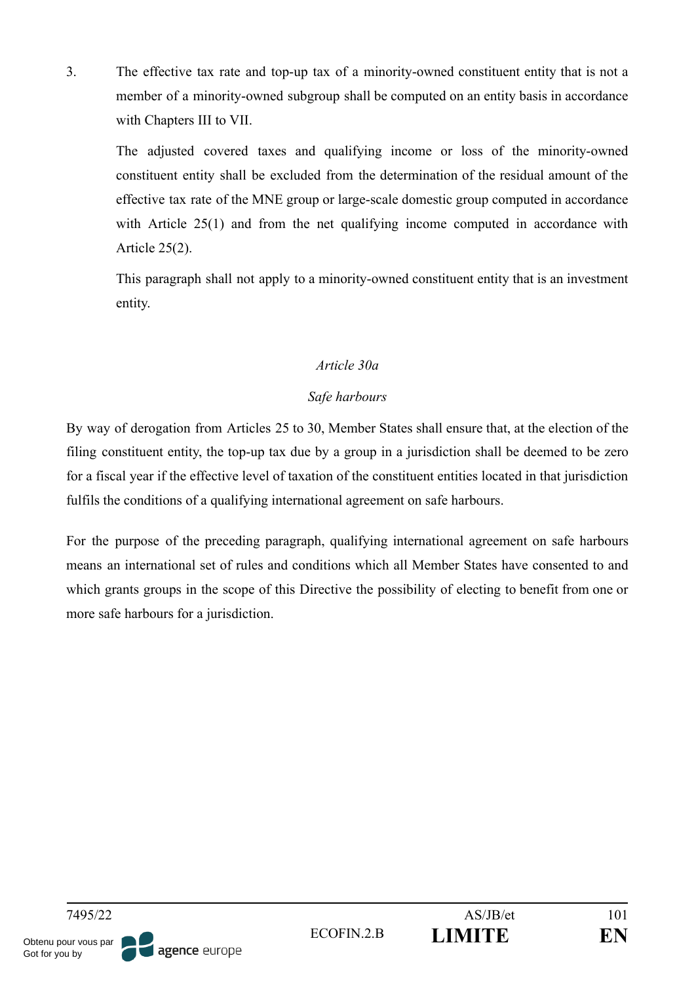3. The effective tax rate and top-up tax of a minority-owned constituent entity that is not a member of a minority-owned subgroup shall be computed on an entity basis in accordance with Chapters III to VII.

The adjusted covered taxes and qualifying income or loss of the minority-owned constituent entity shall be excluded from the determination of the residual amount of the effective tax rate of the MNE group or large-scale domestic group computed in accordance with Article 25(1) and from the net qualifying income computed in accordance with Article 25(2).

This paragraph shall not apply to a minority-owned constituent entity that is an investment entity.

#### *Article 30a*

## *Safe harbours*

By way of derogation from Articles 25 to 30, Member States shall ensure that, at the election of the filing constituent entity, the top-up tax due by a group in a jurisdiction shall be deemed to be zero for a fiscal year if the effective level of taxation of the constituent entities located in that jurisdiction fulfils the conditions of a qualifying international agreement on safe harbours.

For the purpose of the preceding paragraph, qualifying international agreement on safe harbours means an international set of rules and conditions which all Member States have consented to and which grants groups in the scope of this Directive the possibility of electing to benefit from one or more safe harbours for a jurisdiction.

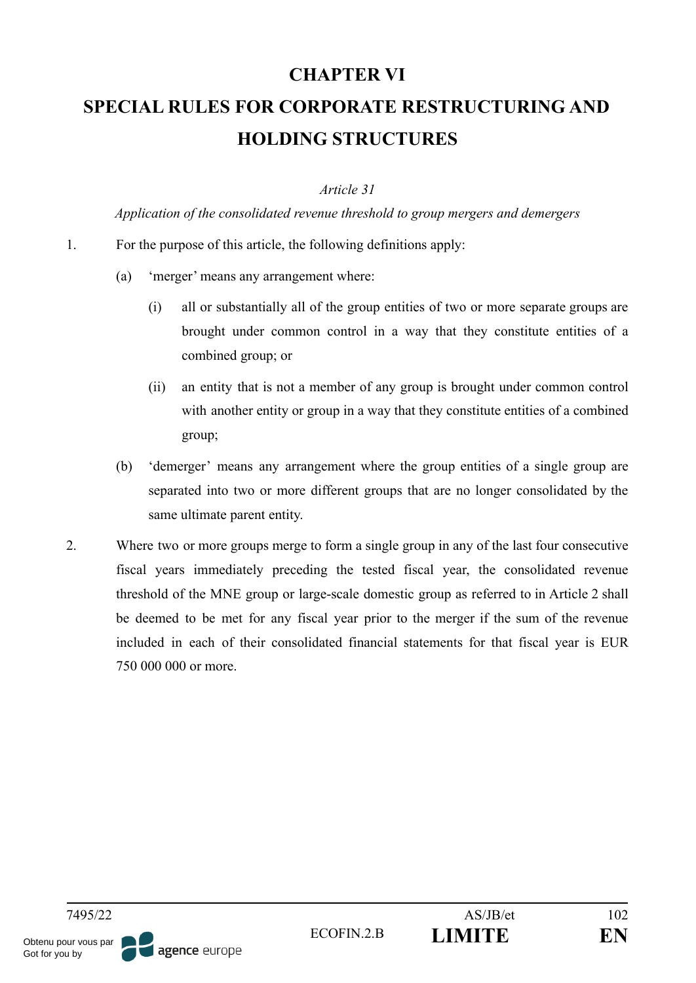## **CHAPTER VI**

# **SPECIAL RULES FOR CORPORATE RESTRUCTURING AND HOLDING STRUCTURES**

#### *Article 31*

*Application of the consolidated revenue threshold to group mergers and demergers*

- 1. For the purpose of this article, the following definitions apply:
	- (a) 'merger' means any arrangement where:
		- (i) all or substantially all of the group entities of two or more separate groups are brought under common control in a way that they constitute entities of a combined group; or
		- (ii) an entity that is not a member of any group is brought under common control with another entity or group in a way that they constitute entities of a combined group;
	- (b) 'demerger' means any arrangement where the group entities of a single group are separated into two or more different groups that are no longer consolidated by the same ultimate parent entity.
- 2. Where two or more groups merge to form a single group in any of the last four consecutive fiscal years immediately preceding the tested fiscal year, the consolidated revenue threshold of the MNE group or large-scale domestic group as referred to in Article 2 shall be deemed to be met for any fiscal year prior to the merger if the sum of the revenue included in each of their consolidated financial statements for that fiscal year is EUR 750 000 000 or more.

7495/22 AS/JB/et 102 ECOFIN.2.B **LIMITE EN** Obtenu pour vous par agence europe Got for you by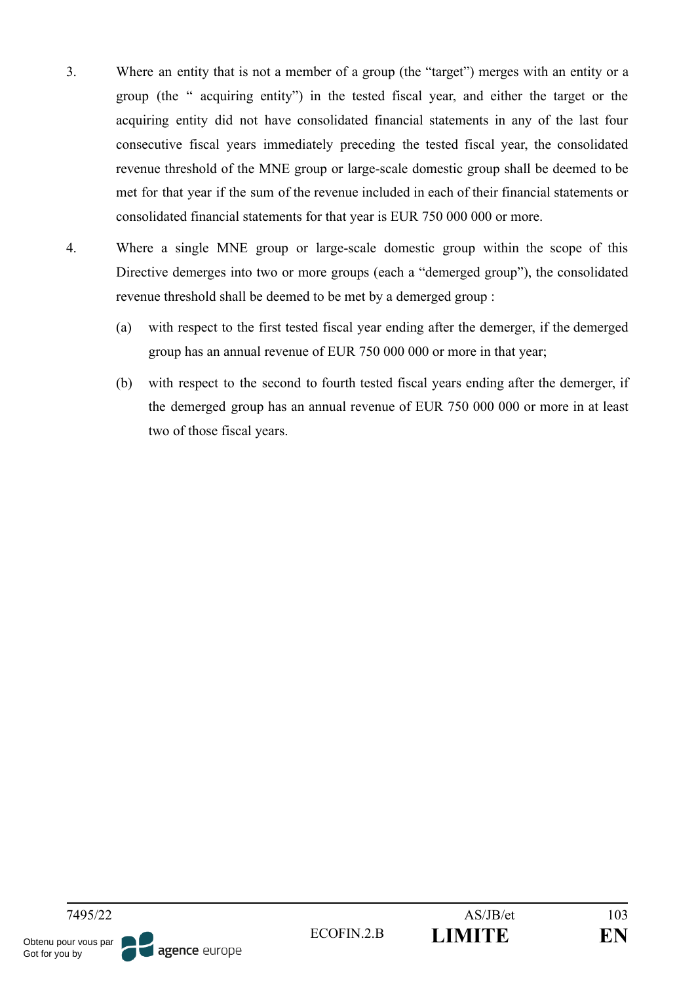- 3. Where an entity that is not a member of a group (the "target") merges with an entity or a group (the " acquiring entity") in the tested fiscal year, and either the target or the acquiring entity did not have consolidated financial statements in any of the last four consecutive fiscal years immediately preceding the tested fiscal year, the consolidated revenue threshold of the MNE group or large-scale domestic group shall be deemed to be met for that year if the sum of the revenue included in each of their financial statements or consolidated financial statements for that year is EUR 750 000 000 or more.
- 4. Where a single MNE group or large-scale domestic group within the scope of this Directive demerges into two or more groups (each a "demerged group"), the consolidated revenue threshold shall be deemed to be met by a demerged group :
	- (a) with respect to the first tested fiscal year ending after the demerger, if the demerged group has an annual revenue of EUR 750 000 000 or more in that year;
	- (b) with respect to the second to fourth tested fiscal years ending after the demerger, if the demerged group has an annual revenue of EUR 750 000 000 or more in at least two of those fiscal years.

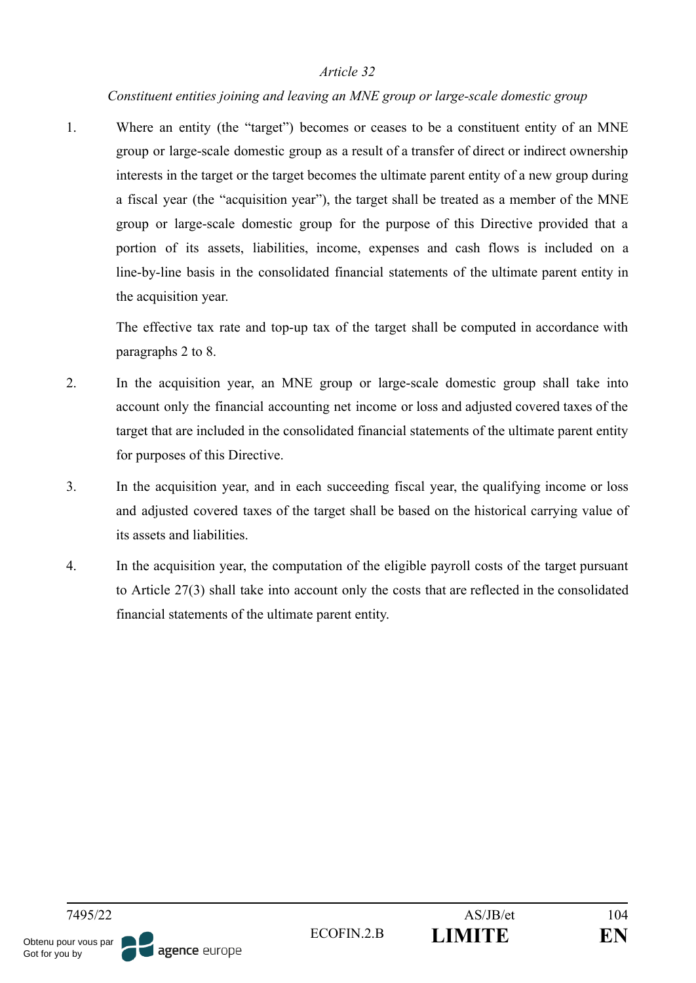#### *Constituent entities joining and leaving an MNE group or large-scale domestic group*

1. Where an entity (the "target") becomes or ceases to be a constituent entity of an MNE group or large-scale domestic group as a result of a transfer of direct or indirect ownership interests in the target or the target becomes the ultimate parent entity of a new group during a fiscal year (the "acquisition year"), the target shall be treated as a member of the MNE group or large-scale domestic group for the purpose of this Directive provided that a portion of its assets, liabilities, income, expenses and cash flows is included on a line-by-line basis in the consolidated financial statements of the ultimate parent entity in the acquisition year.

The effective tax rate and top-up tax of the target shall be computed in accordance with paragraphs 2 to 8.

- 2. In the acquisition year, an MNE group or large-scale domestic group shall take into account only the financial accounting net income or loss and adjusted covered taxes of the target that are included in the consolidated financial statements of the ultimate parent entity for purposes of this Directive.
- 3. In the acquisition year, and in each succeeding fiscal year, the qualifying income or loss and adjusted covered taxes of the target shall be based on the historical carrying value of its assets and liabilities.
- 4. In the acquisition year, the computation of the eligible payroll costs of the target pursuant to Article 27(3) shall take into account only the costs that are reflected in the consolidated financial statements of the ultimate parent entity.

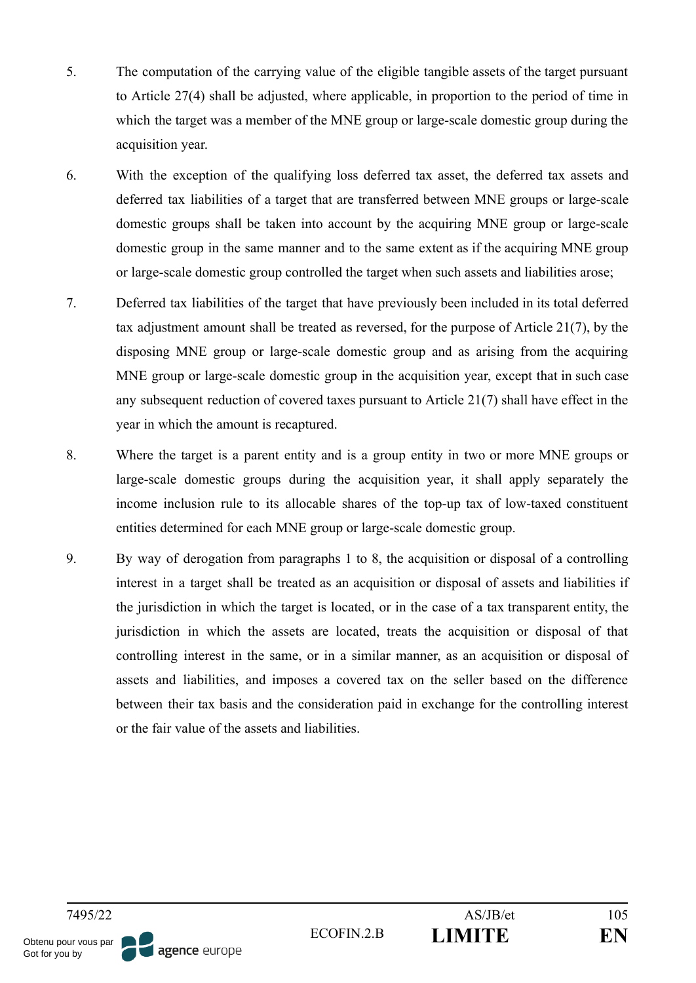- 5. The computation of the carrying value of the eligible tangible assets of the target pursuant to Article 27(4) shall be adjusted, where applicable, in proportion to the period of time in which the target was a member of the MNE group or large-scale domestic group during the acquisition year.
- 6. With the exception of the qualifying loss deferred tax asset, the deferred tax assets and deferred tax liabilities of a target that are transferred between MNE groups or large-scale domestic groups shall be taken into account by the acquiring MNE group or large-scale domestic group in the same manner and to the same extent as if the acquiring MNE group or large-scale domestic group controlled the target when such assets and liabilities arose;
- 7. Deferred tax liabilities of the target that have previously been included in its total deferred tax adjustment amount shall be treated as reversed, for the purpose of Article 21(7), by the disposing MNE group or large-scale domestic group and as arising from the acquiring MNE group or large-scale domestic group in the acquisition year, except that in such case any subsequent reduction of covered taxes pursuant to Article 21(7) shall have effect in the year in which the amount is recaptured.
- 8. Where the target is a parent entity and is a group entity in two or more MNE groups or large-scale domestic groups during the acquisition year, it shall apply separately the income inclusion rule to its allocable shares of the top-up tax of low-taxed constituent entities determined for each MNE group or large-scale domestic group.
- 9. By way of derogation from paragraphs 1 to 8, the acquisition or disposal of a controlling interest in a target shall be treated as an acquisition or disposal of assets and liabilities if the jurisdiction in which the target is located, or in the case of a tax transparent entity, the jurisdiction in which the assets are located, treats the acquisition or disposal of that controlling interest in the same, or in a similar manner, as an acquisition or disposal of assets and liabilities, and imposes a covered tax on the seller based on the difference between their tax basis and the consideration paid in exchange for the controlling interest or the fair value of the assets and liabilities.

agence europe

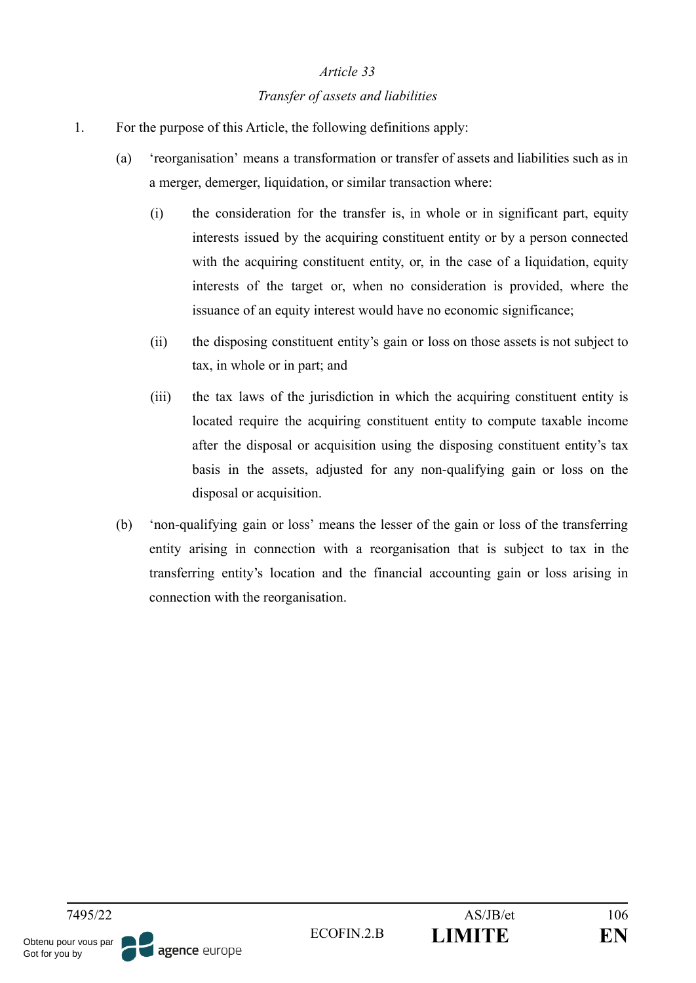#### *Transfer of assets and liabilities*

- 1. For the purpose of this Article, the following definitions apply:
	- (a) 'reorganisation' means a transformation or transfer of assets and liabilities such as in a merger, demerger, liquidation, or similar transaction where:
		- (i) the consideration for the transfer is, in whole or in significant part, equity interests issued by the acquiring constituent entity or by a person connected with the acquiring constituent entity, or, in the case of a liquidation, equity interests of the target or, when no consideration is provided, where the issuance of an equity interest would have no economic significance;
		- (ii) the disposing constituent entity's gain or loss on those assets is not subject to tax, in whole or in part; and
		- (iii) the tax laws of the jurisdiction in which the acquiring constituent entity is located require the acquiring constituent entity to compute taxable income after the disposal or acquisition using the disposing constituent entity's tax basis in the assets, adjusted for any non-qualifying gain or loss on the disposal or acquisition.
	- (b) 'non-qualifying gain or loss' means the lesser of the gain or loss of the transferring entity arising in connection with a reorganisation that is subject to tax in the transferring entity's location and the financial accounting gain or loss arising in connection with the reorganisation.

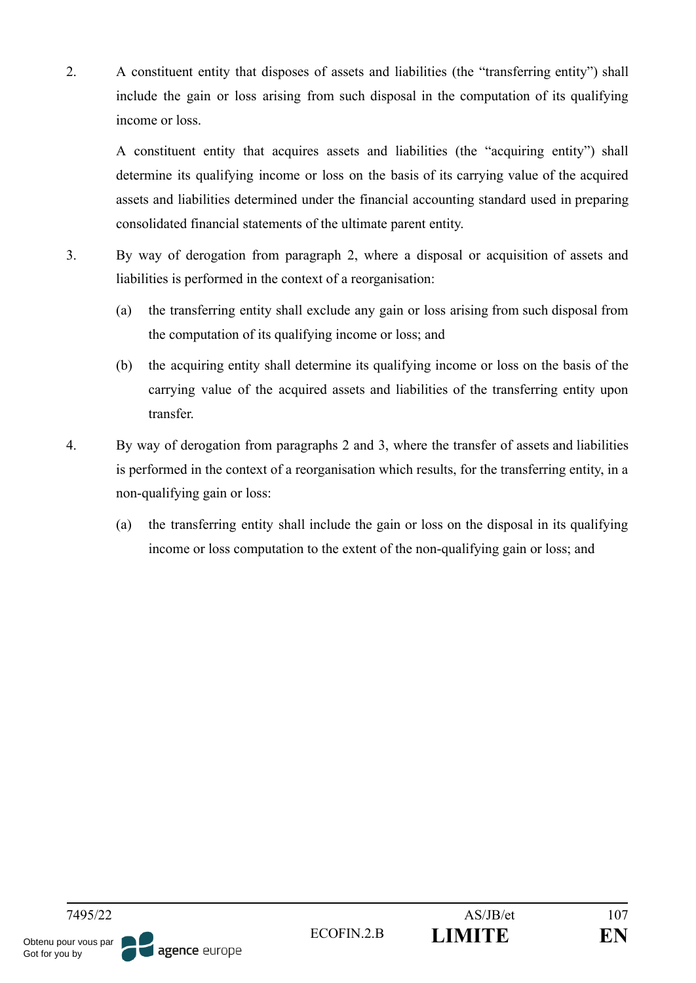2. A constituent entity that disposes of assets and liabilities (the "transferring entity") shall include the gain or loss arising from such disposal in the computation of its qualifying income or loss.

A constituent entity that acquires assets and liabilities (the "acquiring entity") shall determine its qualifying income or loss on the basis of its carrying value of the acquired assets and liabilities determined under the financial accounting standard used in preparing consolidated financial statements of the ultimate parent entity.

- 3. By way of derogation from paragraph 2, where a disposal or acquisition of assets and liabilities is performed in the context of a reorganisation:
	- (a) the transferring entity shall exclude any gain or loss arising from such disposal from the computation of its qualifying income or loss; and
	- (b) the acquiring entity shall determine its qualifying income or loss on the basis of the carrying value of the acquired assets and liabilities of the transferring entity upon transfer.
- 4. By way of derogation from paragraphs 2 and 3, where the transfer of assets and liabilities is performed in the context of a reorganisation which results, for the transferring entity, in a non-qualifying gain or loss:
	- (a) the transferring entity shall include the gain or loss on the disposal in its qualifying income or loss computation to the extent of the non-qualifying gain or loss; and

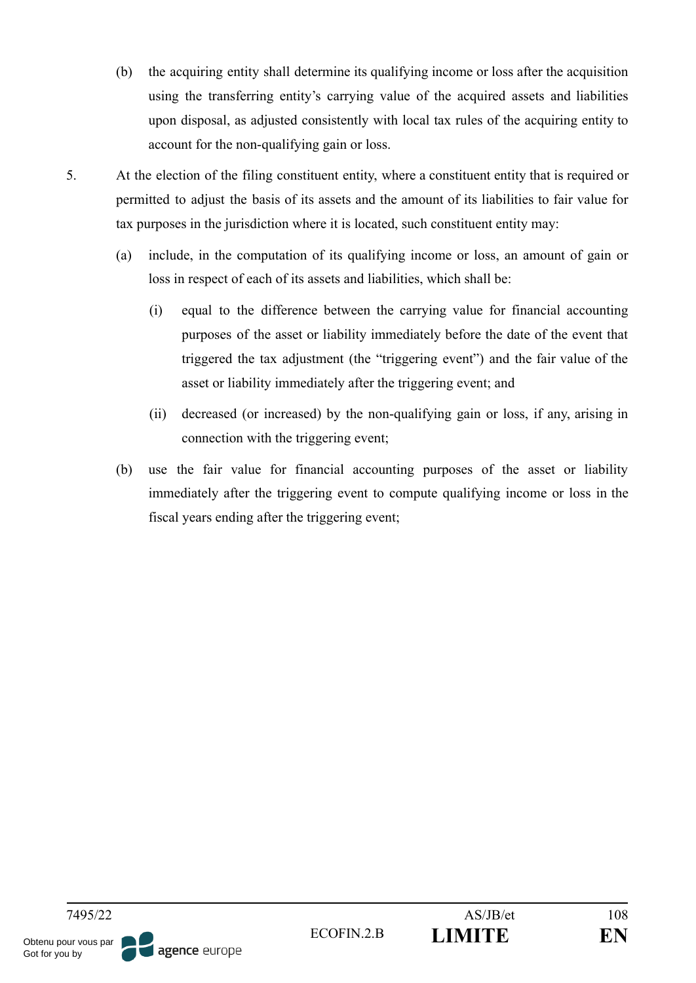- (b) the acquiring entity shall determine its qualifying income or loss after the acquisition using the transferring entity's carrying value of the acquired assets and liabilities upon disposal, as adjusted consistently with local tax rules of the acquiring entity to account for the non-qualifying gain or loss.
- 5. At the election of the filing constituent entity, where a constituent entity that is required or permitted to adjust the basis of its assets and the amount of its liabilities to fair value for tax purposes in the jurisdiction where it is located, such constituent entity may:
	- (a) include, in the computation of its qualifying income or loss, an amount of gain or loss in respect of each of its assets and liabilities, which shall be:
		- (i) equal to the difference between the carrying value for financial accounting purposes of the asset or liability immediately before the date of the event that triggered the tax adjustment (the "triggering event") and the fair value of the asset or liability immediately after the triggering event; and
		- (ii) decreased (or increased) by the non-qualifying gain or loss, if any, arising in connection with the triggering event;
	- (b) use the fair value for financial accounting purposes of the asset or liability immediately after the triggering event to compute qualifying income or loss in the fiscal years ending after the triggering event;

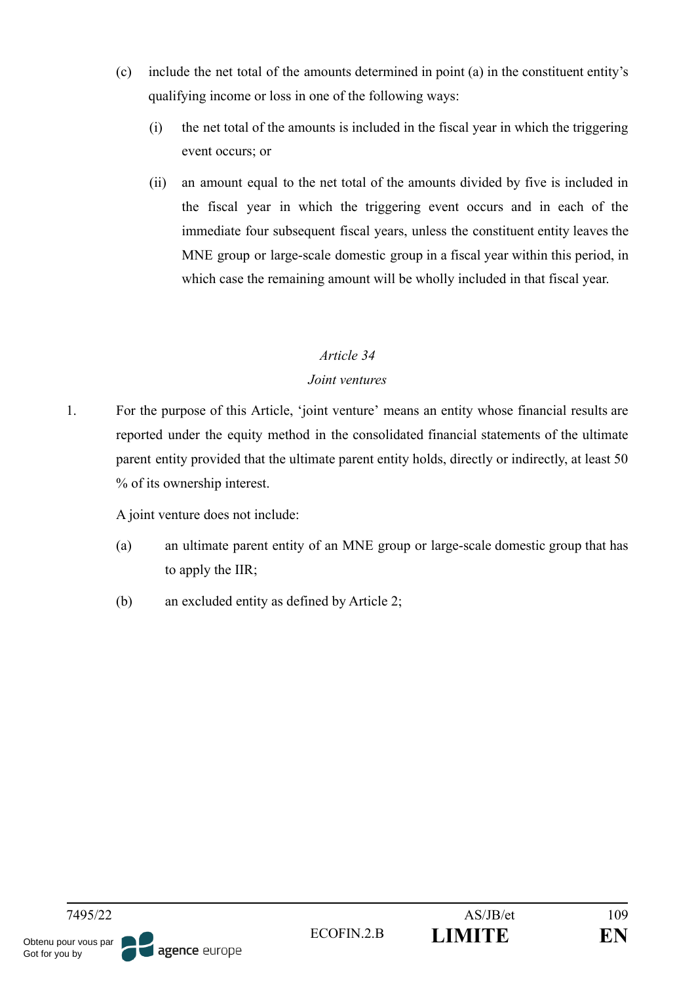- (c) include the net total of the amounts determined in point (a) in the constituent entity's qualifying income or loss in one of the following ways:
	- (i) the net total of the amounts is included in the fiscal year in which the triggering event occurs; or
	- (ii) an amount equal to the net total of the amounts divided by five is included in the fiscal year in which the triggering event occurs and in each of the immediate four subsequent fiscal years, unless the constituent entity leaves the MNE group or large-scale domestic group in a fiscal year within this period, in which case the remaining amount will be wholly included in that fiscal year.

#### *Joint ventures*

1. For the purpose of this Article, 'joint venture' means an entity whose financial results are reported under the equity method in the consolidated financial statements of the ultimate parent entity provided that the ultimate parent entity holds, directly or indirectly, at least 50 % of its ownership interest.

A joint venture does not include:

- (a) an ultimate parent entity of an MNE group or large-scale domestic group that has to apply the IIR;
- (b) an excluded entity as defined by Article 2;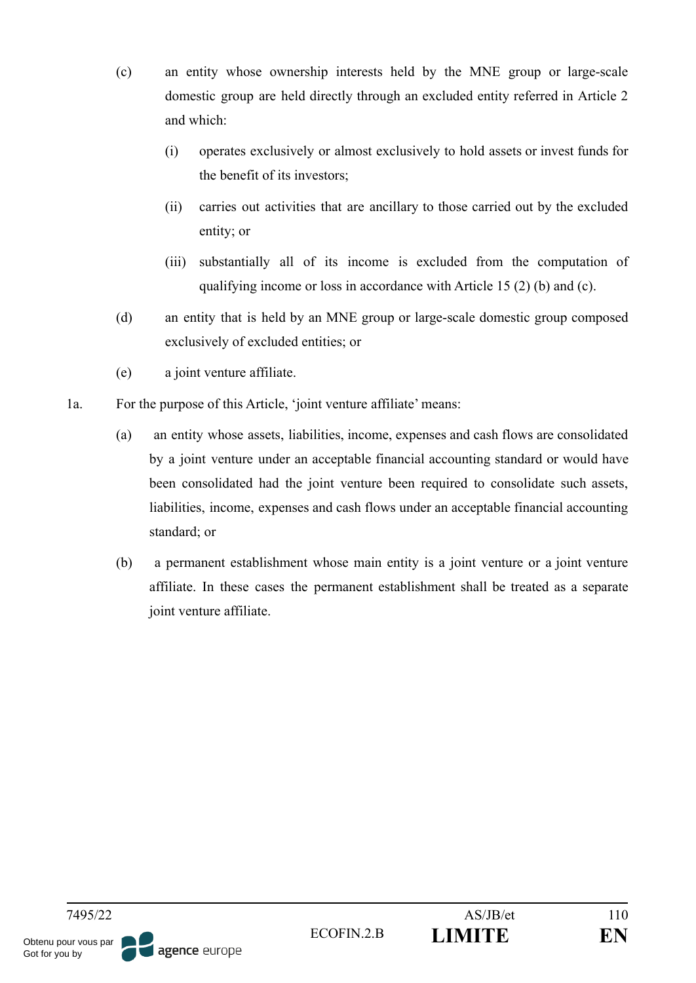- (c) an entity whose ownership interests held by the MNE group or large-scale domestic group are held directly through an excluded entity referred in Article 2 and which:
	- (i) operates exclusively or almost exclusively to hold assets or invest funds for the benefit of its investors;
	- (ii) carries out activities that are ancillary to those carried out by the excluded entity; or
	- (iii) substantially all of its income is excluded from the computation of qualifying income or loss in accordance with Article 15 (2) (b) and (c).
- (d) an entity that is held by an MNE group or large-scale domestic group composed exclusively of excluded entities; or
- (e) a joint venture affiliate.
- 1a. For the purpose of this Article, 'joint venture affiliate' means:
	- (a) an entity whose assets, liabilities, income, expenses and cash flows are consolidated by a joint venture under an acceptable financial accounting standard or would have been consolidated had the joint venture been required to consolidate such assets, liabilities, income, expenses and cash flows under an acceptable financial accounting standard; or
	- (b) a permanent establishment whose main entity is a joint venture or a joint venture affiliate. In these cases the permanent establishment shall be treated as a separate joint venture affiliate.

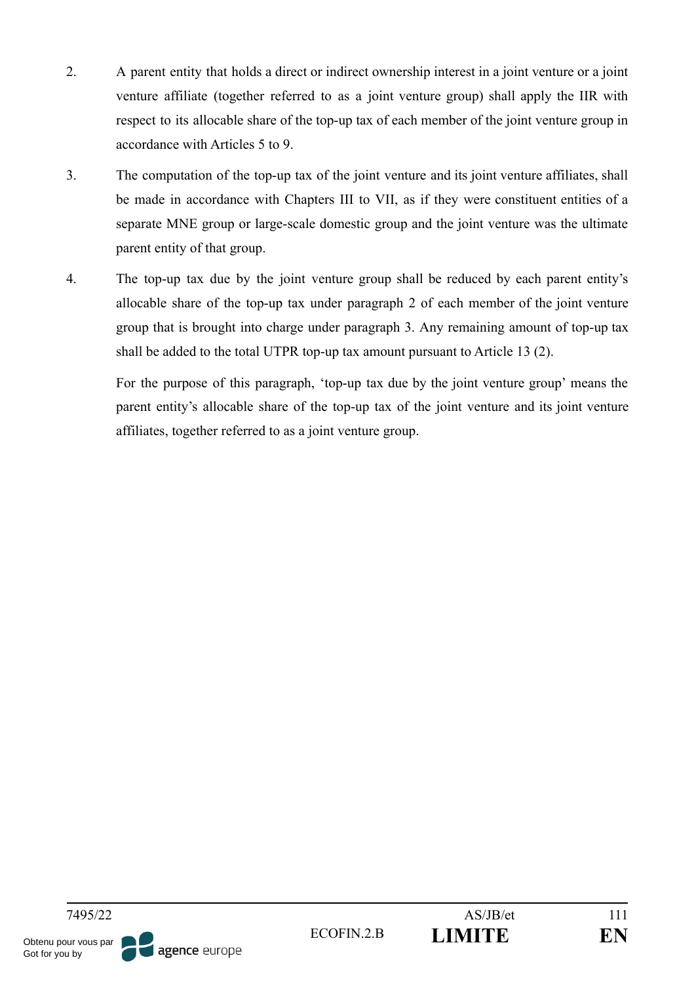- 2. A parent entity that holds a direct or indirect ownership interest in a joint venture or a joint venture affiliate (together referred to as a joint venture group) shall apply the IIR with respect to its allocable share of the top-up tax of each member of the joint venture group in accordance with Articles 5 to 9.
- 3. The computation of the top-up tax of the joint venture and its joint venture affiliates, shall be made in accordance with Chapters III to VII, as if they were constituent entities of a separate MNE group or large-scale domestic group and the joint venture was the ultimate parent entity of that group.
- 4. The top-up tax due by the joint venture group shall be reduced by each parent entity's allocable share of the top-up tax under paragraph 2 of each member of the joint venture group that is brought into charge under paragraph 3. Any remaining amount of top-up tax shall be added to the total UTPR top-up tax amount pursuant to Article 13 (2).

For the purpose of this paragraph, 'top-up tax due by the joint venture group' means the parent entity's allocable share of the top-up tax of the joint venture and its joint venture affiliates, together referred to as a joint venture group.

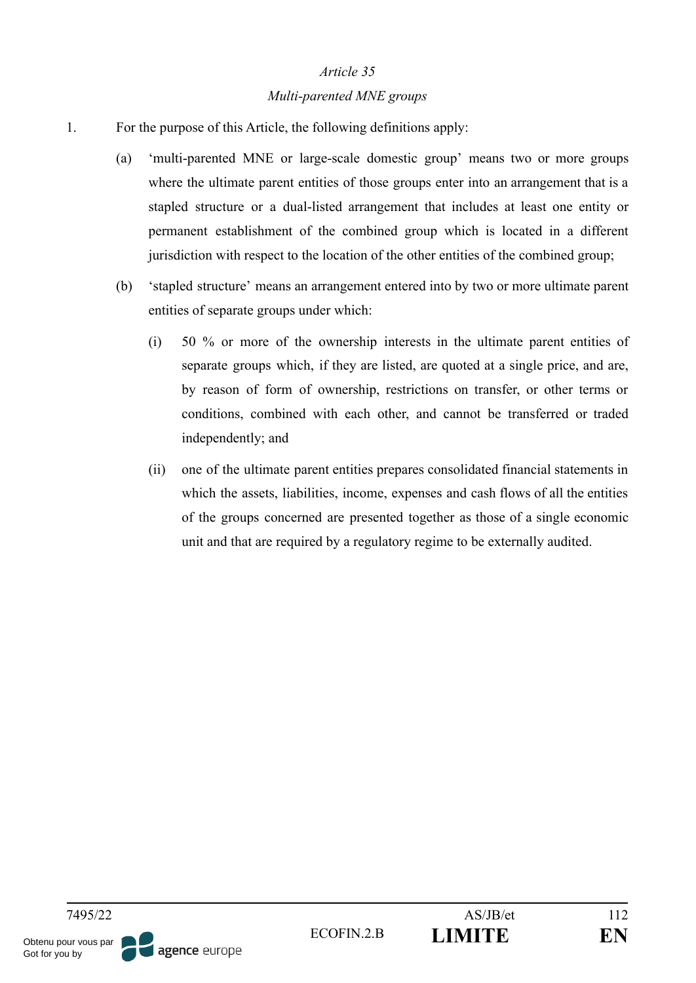#### *Multi-parented MNE groups*

- 1. For the purpose of this Article, the following definitions apply:
	- (a) 'multi-parented MNE or large-scale domestic group' means two or more groups where the ultimate parent entities of those groups enter into an arrangement that is a stapled structure or a dual-listed arrangement that includes at least one entity or permanent establishment of the combined group which is located in a different jurisdiction with respect to the location of the other entities of the combined group;
	- (b) 'stapled structure' means an arrangement entered into by two or more ultimate parent entities of separate groups under which:
		- (i) 50 % or more of the ownership interests in the ultimate parent entities of separate groups which, if they are listed, are quoted at a single price, and are, by reason of form of ownership, restrictions on transfer, or other terms or conditions, combined with each other, and cannot be transferred or traded independently; and
		- (ii) one of the ultimate parent entities prepares consolidated financial statements in which the assets, liabilities, income, expenses and cash flows of all the entities of the groups concerned are presented together as those of a single economic unit and that are required by a regulatory regime to be externally audited.

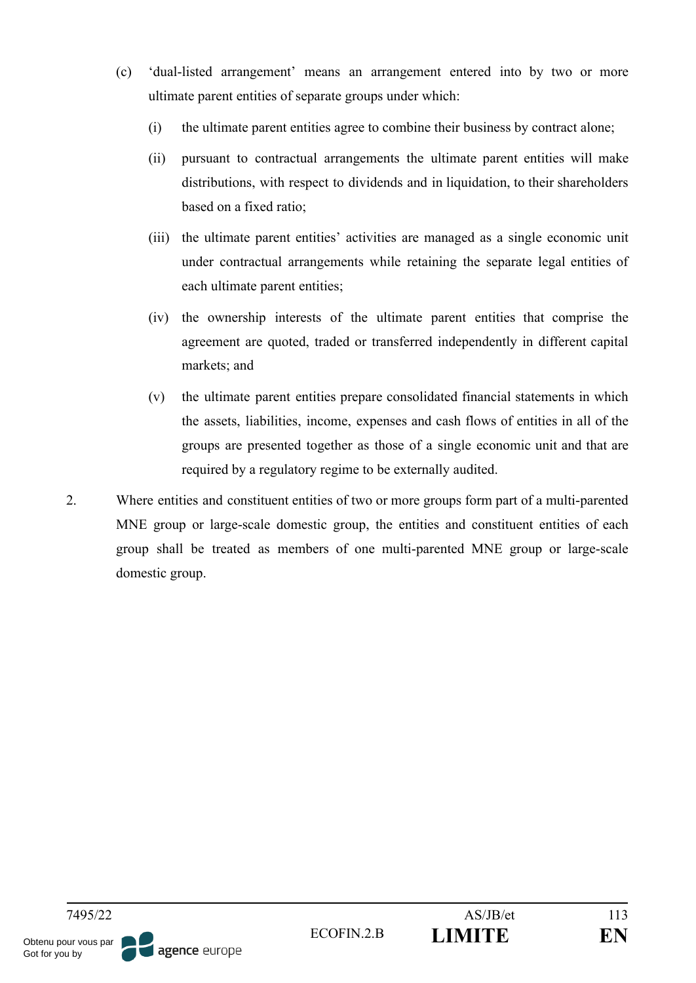- (c) 'dual-listed arrangement' means an arrangement entered into by two or more ultimate parent entities of separate groups under which:
	- (i) the ultimate parent entities agree to combine their business by contract alone;
	- (ii) pursuant to contractual arrangements the ultimate parent entities will make distributions, with respect to dividends and in liquidation, to their shareholders based on a fixed ratio;
	- (iii) the ultimate parent entities' activities are managed as a single economic unit under contractual arrangements while retaining the separate legal entities of each ultimate parent entities;
	- (iv) the ownership interests of the ultimate parent entities that comprise the agreement are quoted, traded or transferred independently in different capital markets; and
	- (v) the ultimate parent entities prepare consolidated financial statements in which the assets, liabilities, income, expenses and cash flows of entities in all of the groups are presented together as those of a single economic unit and that are required by a regulatory regime to be externally audited.
- 2. Where entities and constituent entities of two or more groups form part of a multi-parented MNE group or large-scale domestic group, the entities and constituent entities of each group shall be treated as members of one multi-parented MNE group or large-scale domestic group.

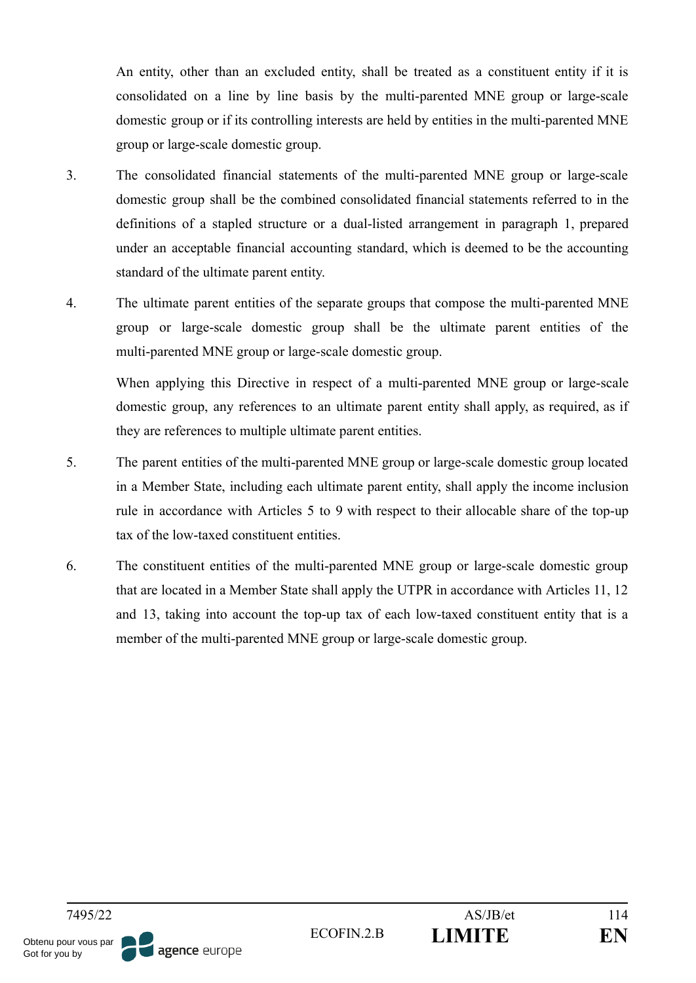An entity, other than an excluded entity, shall be treated as a constituent entity if it is consolidated on a line by line basis by the multi-parented MNE group or large-scale domestic group or if its controlling interests are held by entities in the multi-parented MNE group or large-scale domestic group.

- 3. The consolidated financial statements of the multi-parented MNE group or large-scale domestic group shall be the combined consolidated financial statements referred to in the definitions of a stapled structure or a dual-listed arrangement in paragraph 1, prepared under an acceptable financial accounting standard, which is deemed to be the accounting standard of the ultimate parent entity.
- 4. The ultimate parent entities of the separate groups that compose the multi-parented MNE group or large-scale domestic group shall be the ultimate parent entities of the multi-parented MNE group or large-scale domestic group.

When applying this Directive in respect of a multi-parented MNE group or large-scale domestic group, any references to an ultimate parent entity shall apply, as required, as if they are references to multiple ultimate parent entities.

- 5. The parent entities of the multi-parented MNE group or large-scale domestic group located in a Member State, including each ultimate parent entity, shall apply the income inclusion rule in accordance with Articles 5 to 9 with respect to their allocable share of the top-up tax of the low-taxed constituent entities.
- 6. The constituent entities of the multi-parented MNE group or large-scale domestic group that are located in a Member State shall apply the UTPR in accordance with Articles 11, 12 and 13, taking into account the top-up tax of each low-taxed constituent entity that is a member of the multi-parented MNE group or large-scale domestic group.

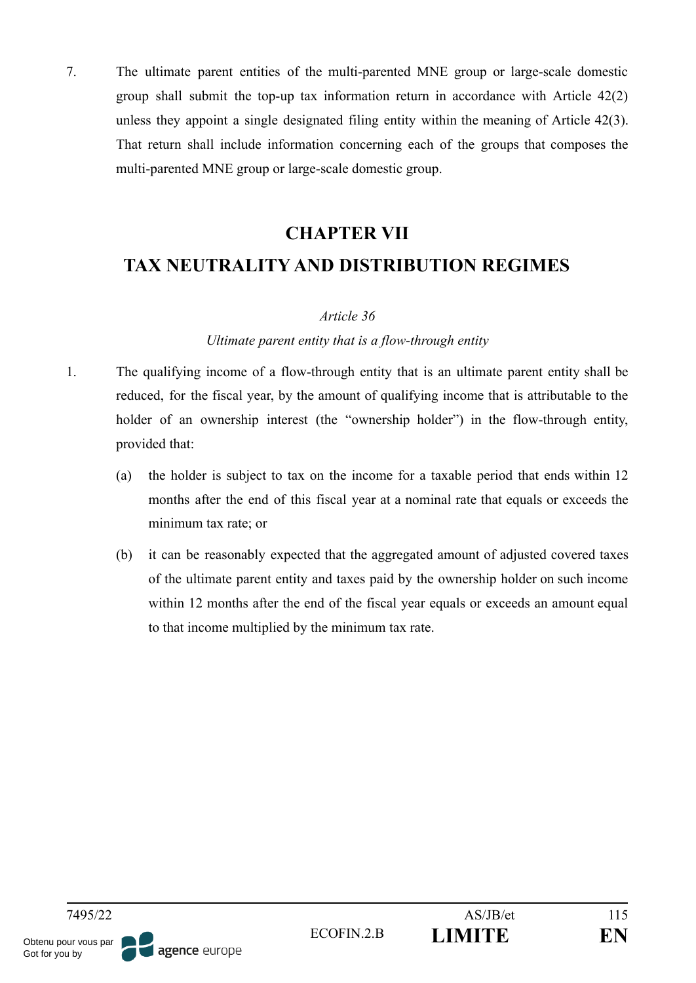7. The ultimate parent entities of the multi-parented MNE group or large-scale domestic group shall submit the top-up tax information return in accordance with Article 42(2) unless they appoint a single designated filing entity within the meaning of Article 42(3). That return shall include information concerning each of the groups that composes the multi-parented MNE group or large-scale domestic group.

## **CHAPTER VII**

## **TAX NEUTRALITY AND DISTRIBUTION REGIMES**

#### *Article 36*

#### *Ultimate parent entity that is a flow-through entity*

- 1. The qualifying income of a flow-through entity that is an ultimate parent entity shall be reduced, for the fiscal year, by the amount of qualifying income that is attributable to the holder of an ownership interest (the "ownership holder") in the flow-through entity, provided that:
	- (a) the holder is subject to tax on the income for a taxable period that ends within 12 months after the end of this fiscal year at a nominal rate that equals or exceeds the minimum tax rate; or
	- (b) it can be reasonably expected that the aggregated amount of adjusted covered taxes of the ultimate parent entity and taxes paid by the ownership holder on such income within 12 months after the end of the fiscal year equals or exceeds an amount equal to that income multiplied by the minimum tax rate.

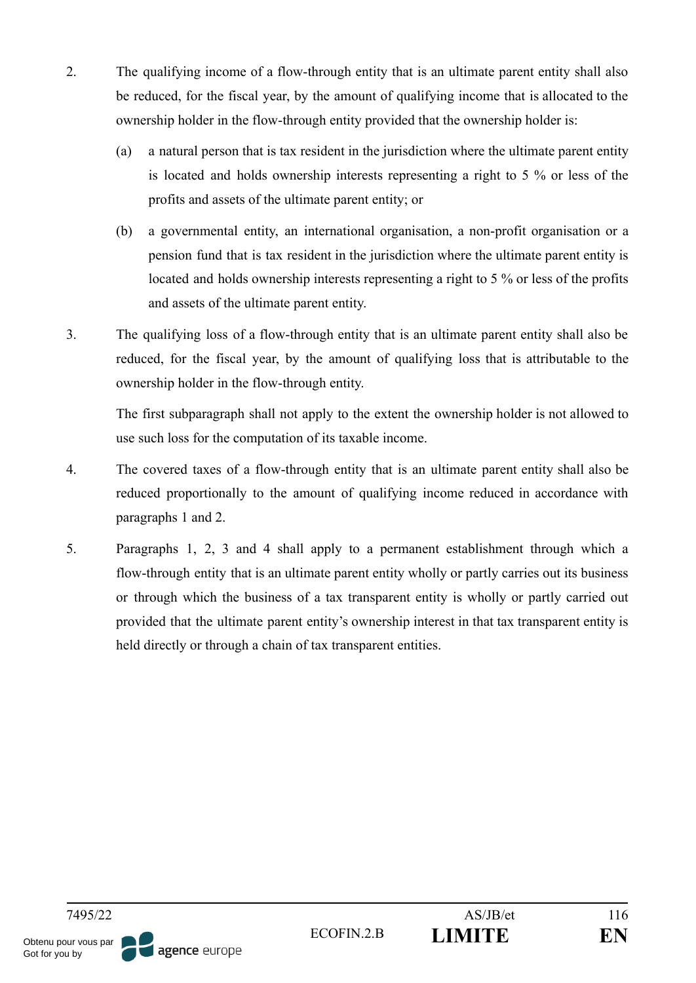- 2. The qualifying income of a flow-through entity that is an ultimate parent entity shall also be reduced, for the fiscal year, by the amount of qualifying income that is allocated to the ownership holder in the flow-through entity provided that the ownership holder is:
	- (a) a natural person that is tax resident in the jurisdiction where the ultimate parent entity is located and holds ownership interests representing a right to 5 % or less of the profits and assets of the ultimate parent entity; or
	- (b) a governmental entity, an international organisation, a non-profit organisation or a pension fund that is tax resident in the jurisdiction where the ultimate parent entity is located and holds ownership interests representing a right to 5 % or less of the profits and assets of the ultimate parent entity.
- 3. The qualifying loss of a flow-through entity that is an ultimate parent entity shall also be reduced, for the fiscal year, by the amount of qualifying loss that is attributable to the ownership holder in the flow-through entity.

The first subparagraph shall not apply to the extent the ownership holder is not allowed to use such loss for the computation of its taxable income.

- 4. The covered taxes of a flow-through entity that is an ultimate parent entity shall also be reduced proportionally to the amount of qualifying income reduced in accordance with paragraphs 1 and 2.
- 5. Paragraphs 1, 2, 3 and 4 shall apply to a permanent establishment through which a flow-through entity that is an ultimate parent entity wholly or partly carries out its business or through which the business of a tax transparent entity is wholly or partly carried out provided that the ultimate parent entity's ownership interest in that tax transparent entity is held directly or through a chain of tax transparent entities.

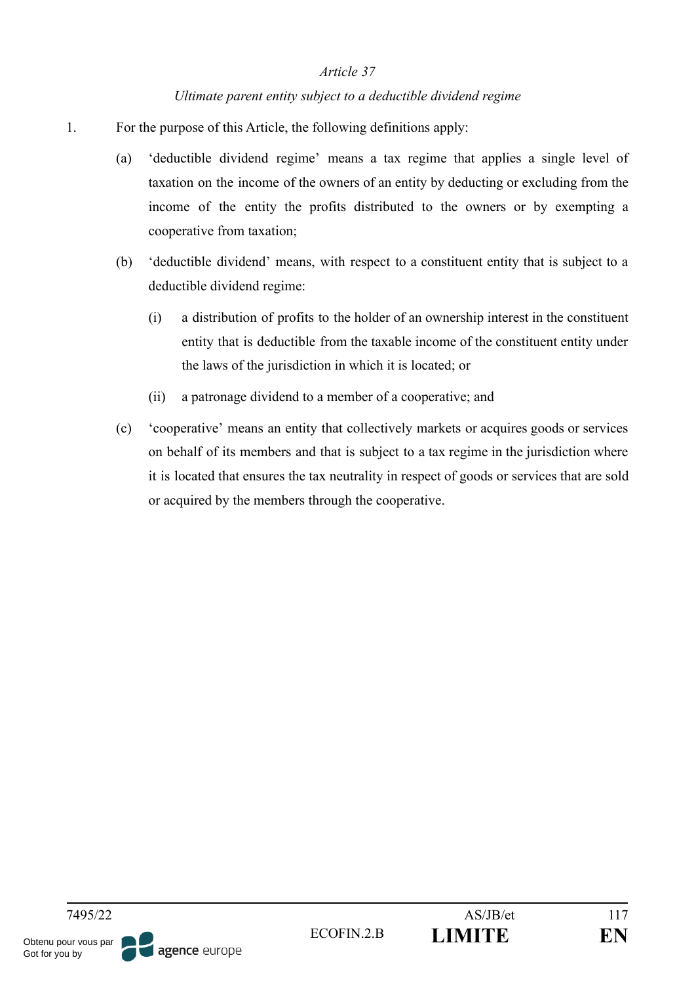#### *Ultimate parent entity subject to a deductible dividend regime*

- 1. For the purpose of this Article, the following definitions apply:
	- (a) 'deductible dividend regime' means a tax regime that applies a single level of taxation on the income of the owners of an entity by deducting or excluding from the income of the entity the profits distributed to the owners or by exempting a cooperative from taxation;
	- (b) 'deductible dividend' means, with respect to a constituent entity that is subject to a deductible dividend regime:
		- (i) a distribution of profits to the holder of an ownership interest in the constituent entity that is deductible from the taxable income of the constituent entity under the laws of the jurisdiction in which it is located; or
		- (ii) a patronage dividend to a member of a cooperative; and
	- (c) 'cooperative' means an entity that collectively markets or acquires goods or services on behalf of its members and that is subject to a tax regime in the jurisdiction where it is located that ensures the tax neutrality in respect of goods or services that are sold or acquired by the members through the cooperative.

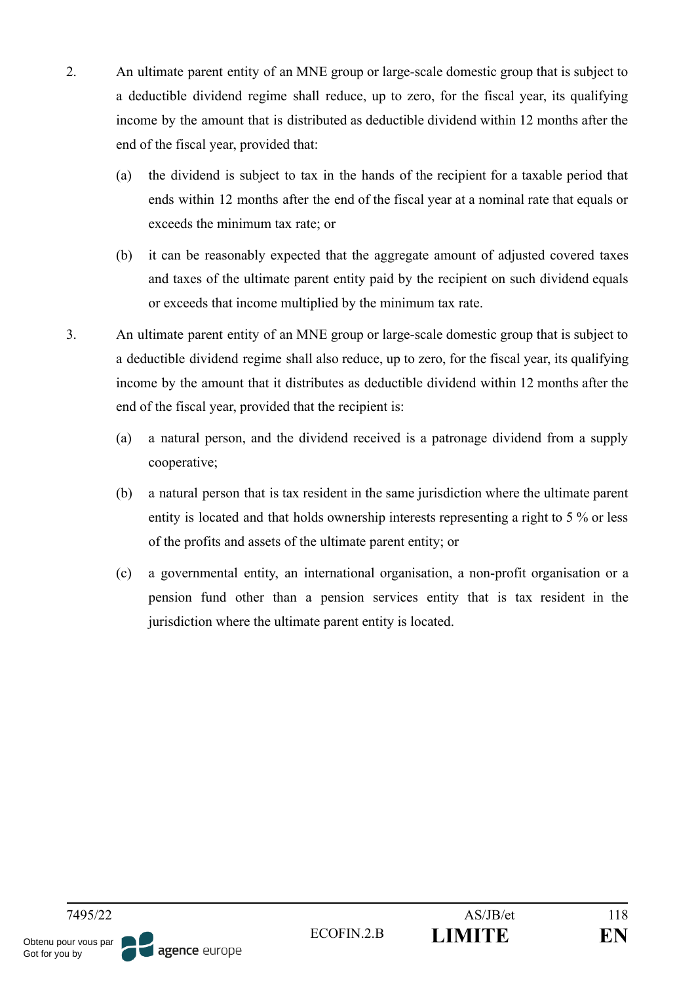- 2. An ultimate parent entity of an MNE group or large-scale domestic group that is subject to a deductible dividend regime shall reduce, up to zero, for the fiscal year, its qualifying income by the amount that is distributed as deductible dividend within 12 months after the end of the fiscal year, provided that:
	- (a) the dividend is subject to tax in the hands of the recipient for a taxable period that ends within 12 months after the end of the fiscal year at a nominal rate that equals or exceeds the minimum tax rate; or
	- (b) it can be reasonably expected that the aggregate amount of adjusted covered taxes and taxes of the ultimate parent entity paid by the recipient on such dividend equals or exceeds that income multiplied by the minimum tax rate.
- 3. An ultimate parent entity of an MNE group or large-scale domestic group that is subject to a deductible dividend regime shall also reduce, up to zero, for the fiscal year, its qualifying income by the amount that it distributes as deductible dividend within 12 months after the end of the fiscal year, provided that the recipient is:
	- (a) a natural person, and the dividend received is a patronage dividend from a supply cooperative;
	- (b) a natural person that is tax resident in the same jurisdiction where the ultimate parent entity is located and that holds ownership interests representing a right to 5 % or less of the profits and assets of the ultimate parent entity; or
	- (c) a governmental entity, an international organisation, a non-profit organisation or a pension fund other than a pension services entity that is tax resident in the jurisdiction where the ultimate parent entity is located.

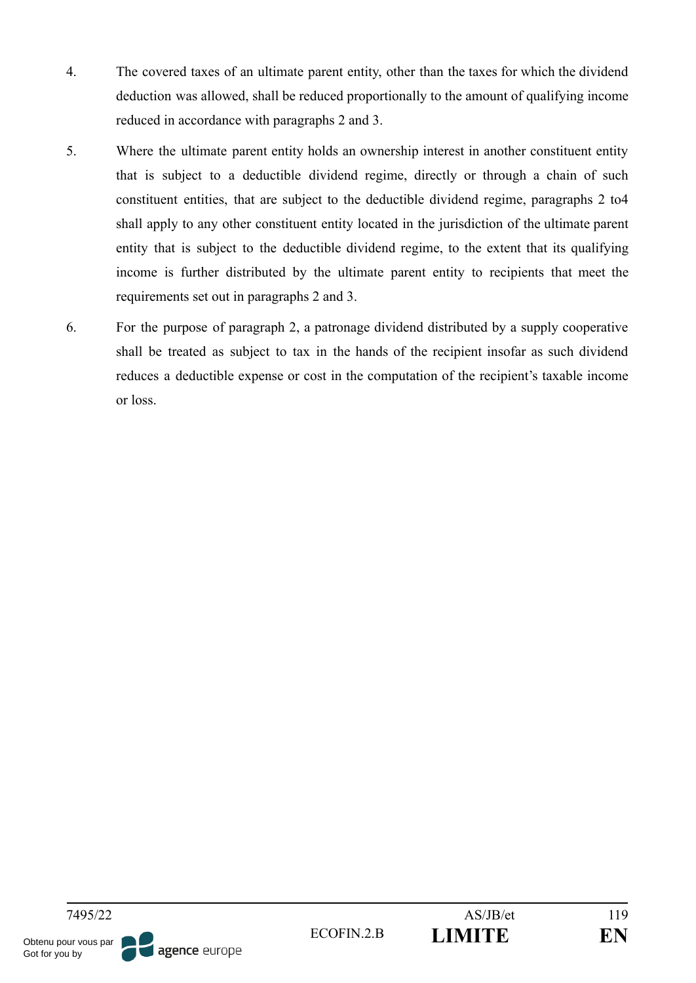- 4. The covered taxes of an ultimate parent entity, other than the taxes for which the dividend deduction was allowed, shall be reduced proportionally to the amount of qualifying income reduced in accordance with paragraphs 2 and 3.
- 5. Where the ultimate parent entity holds an ownership interest in another constituent entity that is subject to a deductible dividend regime, directly or through a chain of such constituent entities, that are subject to the deductible dividend regime, paragraphs 2 to4 shall apply to any other constituent entity located in the jurisdiction of the ultimate parent entity that is subject to the deductible dividend regime, to the extent that its qualifying income is further distributed by the ultimate parent entity to recipients that meet the requirements set out in paragraphs 2 and 3.
- 6. For the purpose of paragraph 2, a patronage dividend distributed by a supply cooperative shall be treated as subject to tax in the hands of the recipient insofar as such dividend reduces a deductible expense or cost in the computation of the recipient's taxable income or loss.

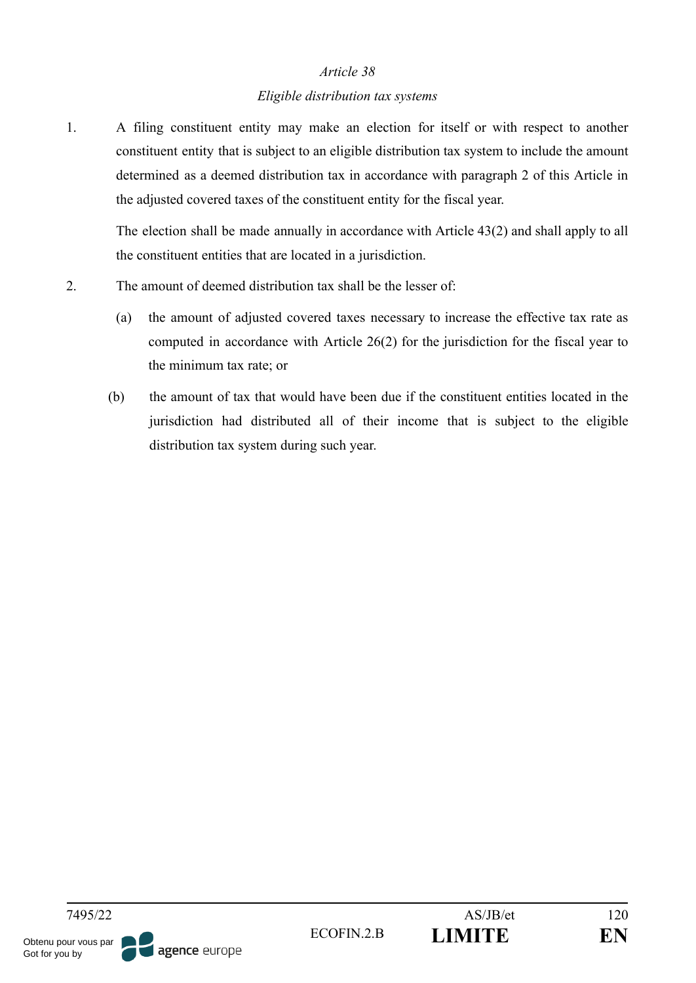#### *Eligible distribution tax systems*

1. A filing constituent entity may make an election for itself or with respect to another constituent entity that is subject to an eligible distribution tax system to include the amount determined as a deemed distribution tax in accordance with paragraph 2 of this Article in the adjusted covered taxes of the constituent entity for the fiscal year.

The election shall be made annually in accordance with Article 43(2) and shall apply to all the constituent entities that are located in a jurisdiction.

- 2. The amount of deemed distribution tax shall be the lesser of:
	- (a) the amount of adjusted covered taxes necessary to increase the effective tax rate as computed in accordance with Article 26(2) for the jurisdiction for the fiscal year to the minimum tax rate; or
	- (b) the amount of tax that would have been due if the constituent entities located in the jurisdiction had distributed all of their income that is subject to the eligible distribution tax system during such year.

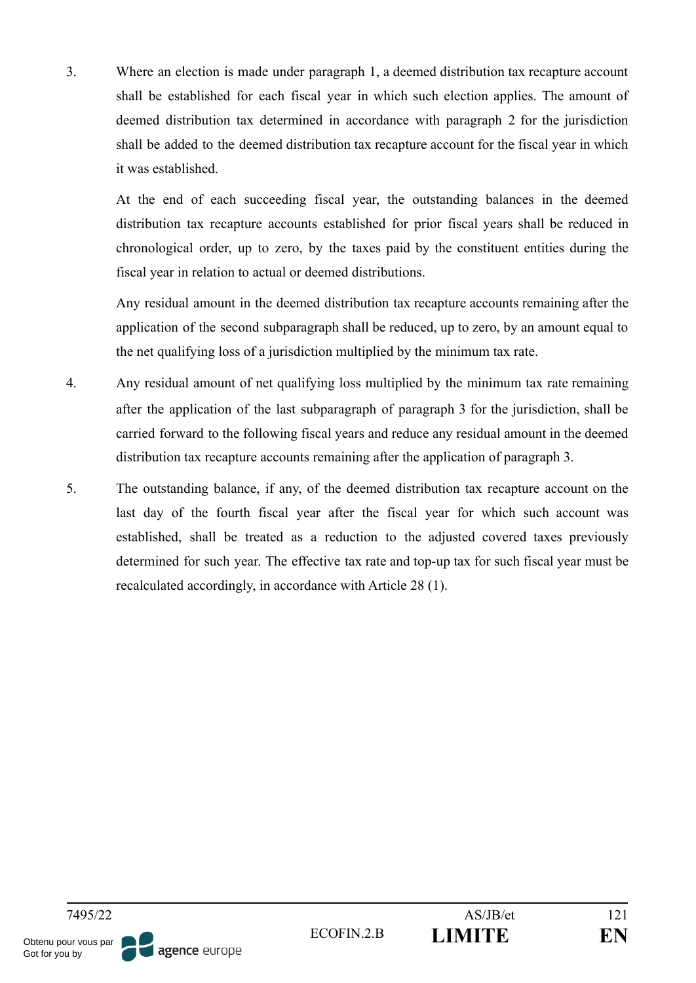3. Where an election is made under paragraph 1, a deemed distribution tax recapture account shall be established for each fiscal year in which such election applies. The amount of deemed distribution tax determined in accordance with paragraph 2 for the jurisdiction shall be added to the deemed distribution tax recapture account for the fiscal year in which it was established.

At the end of each succeeding fiscal year, the outstanding balances in the deemed distribution tax recapture accounts established for prior fiscal years shall be reduced in chronological order, up to zero, by the taxes paid by the constituent entities during the fiscal year in relation to actual or deemed distributions.

Any residual amount in the deemed distribution tax recapture accounts remaining after the application of the second subparagraph shall be reduced, up to zero, by an amount equal to the net qualifying loss of a jurisdiction multiplied by the minimum tax rate.

- 4. Any residual amount of net qualifying loss multiplied by the minimum tax rate remaining after the application of the last subparagraph of paragraph 3 for the jurisdiction, shall be carried forward to the following fiscal years and reduce any residual amount in the deemed distribution tax recapture accounts remaining after the application of paragraph 3.
- 5. The outstanding balance, if any, of the deemed distribution tax recapture account on the last day of the fourth fiscal year after the fiscal year for which such account was established, shall be treated as a reduction to the adjusted covered taxes previously determined for such year. The effective tax rate and top-up tax for such fiscal year must be recalculated accordingly, in accordance with Article 28 (1).

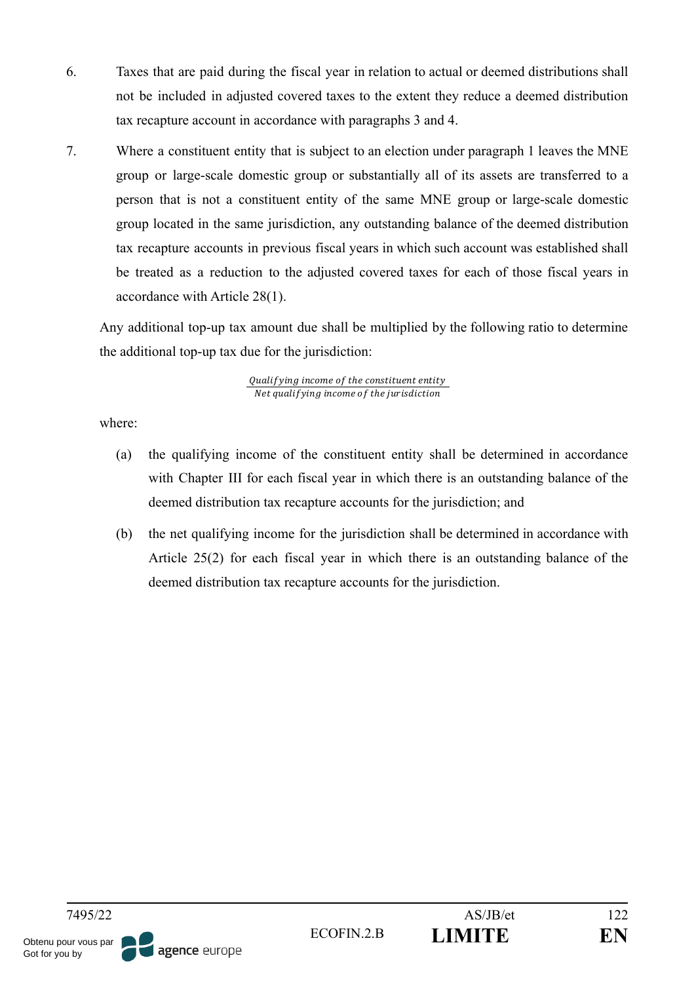- 6. Taxes that are paid during the fiscal year in relation to actual or deemed distributions shall not be included in adjusted covered taxes to the extent they reduce a deemed distribution tax recapture account in accordance with paragraphs 3 and 4.
- 7. Where a constituent entity that is subject to an election under paragraph 1 leaves the MNE group or large-scale domestic group or substantially all of its assets are transferred to a person that is not a constituent entity of the same MNE group or large-scale domestic group located in the same jurisdiction, any outstanding balance of the deemed distribution tax recapture accounts in previous fiscal years in which such account was established shall be treated as a reduction to the adjusted covered taxes for each of those fiscal years in accordance with Article 28(1).

Any additional top-up tax amount due shall be multiplied by the following ratio to determine the additional top-up tax due for the jurisdiction:

> Qualifying income of the constituent entity Net qualifying income of the jurisdiction

where:

- (a) the qualifying income of the constituent entity shall be determined in accordance with Chapter III for each fiscal year in which there is an outstanding balance of the deemed distribution tax recapture accounts for the jurisdiction; and
- (b) the net qualifying income for the jurisdiction shall be determined in accordance with Article 25(2) for each fiscal year in which there is an outstanding balance of the deemed distribution tax recapture accounts for the jurisdiction.

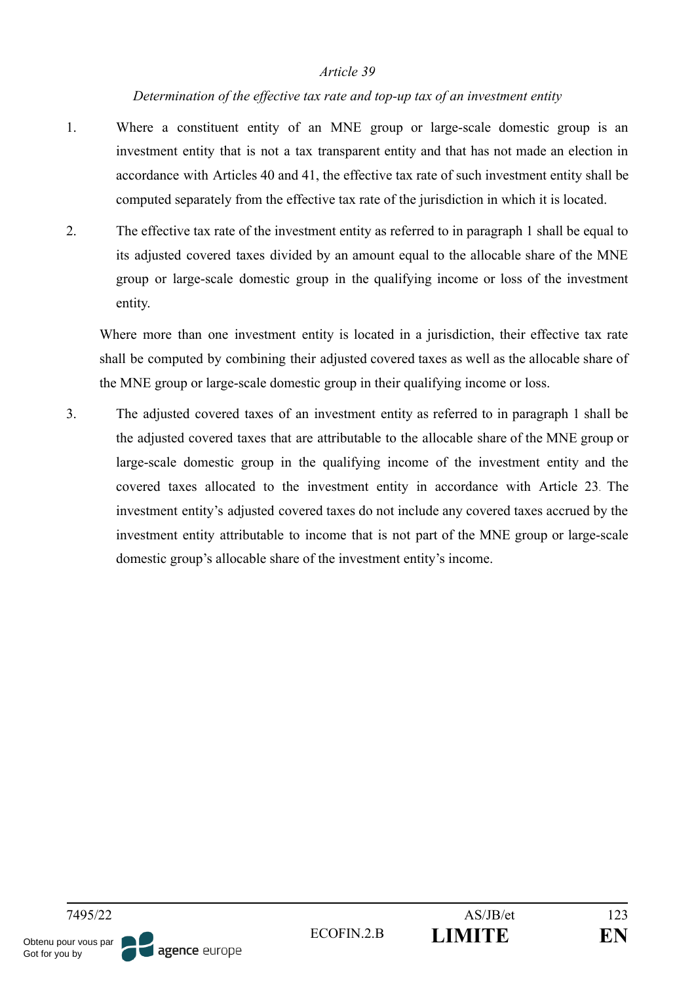#### *Determination of the effective tax rate and top-up tax of an investment entity*

- 1. Where a constituent entity of an MNE group or large-scale domestic group is an investment entity that is not a tax transparent entity and that has not made an election in accordance with Articles 40 and 41, the effective tax rate of such investment entity shall be computed separately from the effective tax rate of the jurisdiction in which it is located.
- 2. The effective tax rate of the investment entity as referred to in paragraph 1 shall be equal to its adjusted covered taxes divided by an amount equal to the allocable share of the MNE group or large-scale domestic group in the qualifying income or loss of the investment entity.

Where more than one investment entity is located in a jurisdiction, their effective tax rate shall be computed by combining their adjusted covered taxes as well as the allocable share of the MNE group or large-scale domestic group in their qualifying income or loss.

3. The adjusted covered taxes of an investment entity as referred to in paragraph 1 shall be the adjusted covered taxes that are attributable to the allocable share of the MNE group or large-scale domestic group in the qualifying income of the investment entity and the covered taxes allocated to the investment entity in accordance with Article 23. The investment entity's adjusted covered taxes do not include any covered taxes accrued by the investment entity attributable to income that is not part of the MNE group or large-scale domestic group's allocable share of the investment entity's income.

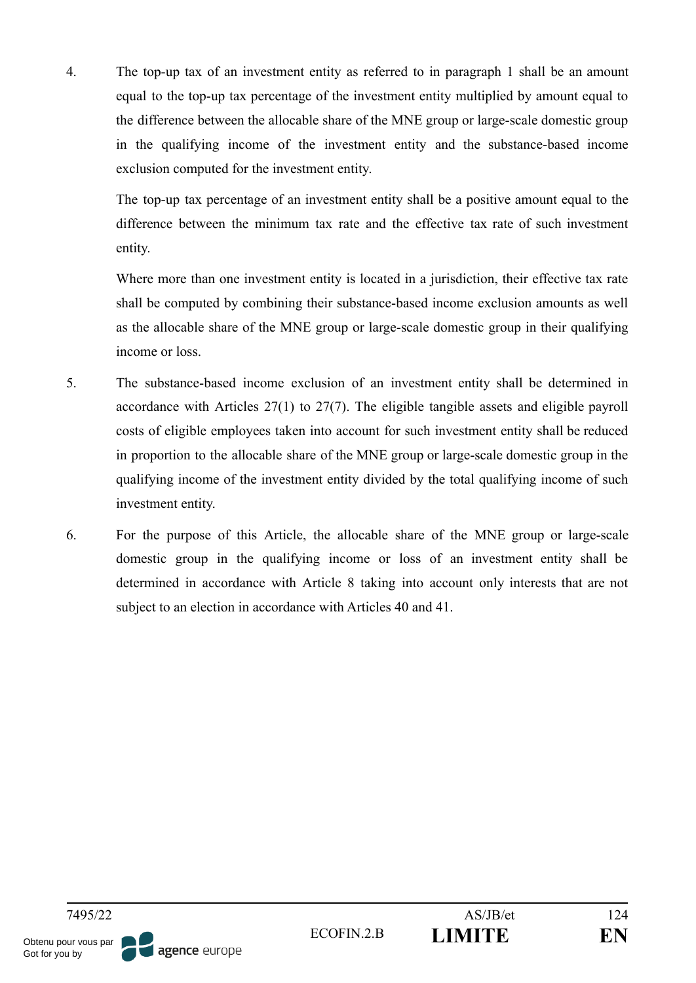4. The top-up tax of an investment entity as referred to in paragraph 1 shall be an amount equal to the top-up tax percentage of the investment entity multiplied by amount equal to the difference between the allocable share of the MNE group or large-scale domestic group in the qualifying income of the investment entity and the substance-based income exclusion computed for the investment entity.

The top-up tax percentage of an investment entity shall be a positive amount equal to the difference between the minimum tax rate and the effective tax rate of such investment entity.

Where more than one investment entity is located in a jurisdiction, their effective tax rate shall be computed by combining their substance-based income exclusion amounts as well as the allocable share of the MNE group or large-scale domestic group in their qualifying income or loss.

- 5. The substance-based income exclusion of an investment entity shall be determined in accordance with Articles 27(1) to 27(7). The eligible tangible assets and eligible payroll costs of eligible employees taken into account for such investment entity shall be reduced in proportion to the allocable share of the MNE group or large-scale domestic group in the qualifying income of the investment entity divided by the total qualifying income of such investment entity.
- 6. For the purpose of this Article, the allocable share of the MNE group or large-scale domestic group in the qualifying income or loss of an investment entity shall be determined in accordance with Article 8 taking into account only interests that are not subject to an election in accordance with Articles 40 and 41.

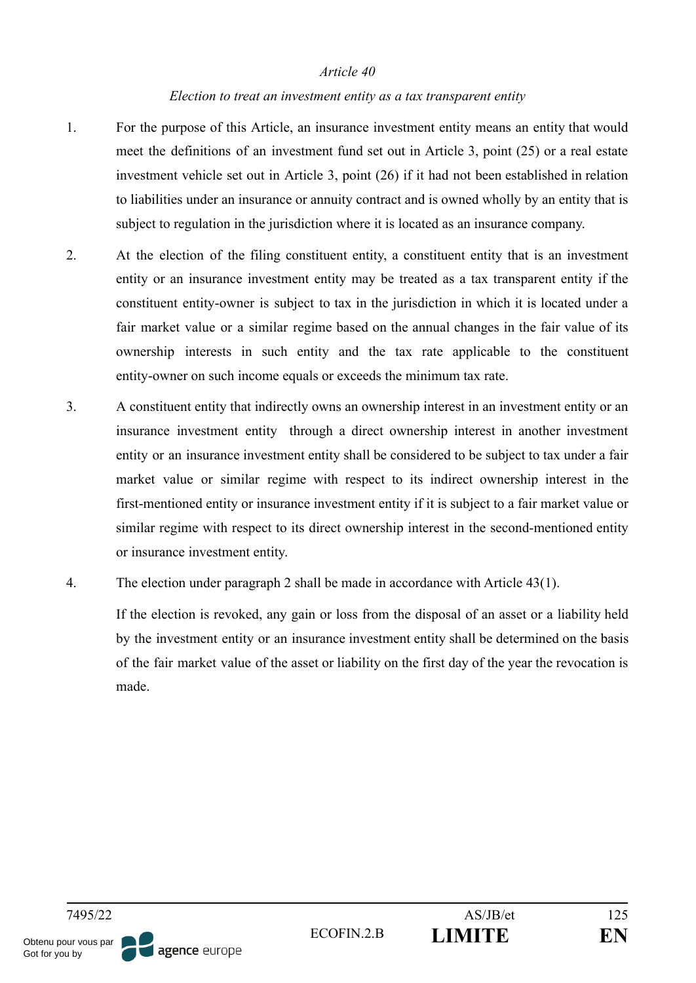#### *Election to treat an investment entity as a tax transparent entity*

- 1. For the purpose of this Article, an insurance investment entity means an entity that would meet the definitions of an investment fund set out in Article 3, point (25) or a real estate investment vehicle set out in Article 3, point (26) if it had not been established in relation to liabilities under an insurance or annuity contract and is owned wholly by an entity that is subject to regulation in the jurisdiction where it is located as an insurance company.
- 2. At the election of the filing constituent entity, a constituent entity that is an investment entity or an insurance investment entity may be treated as a tax transparent entity if the constituent entity-owner is subject to tax in the jurisdiction in which it is located under a fair market value or a similar regime based on the annual changes in the fair value of its ownership interests in such entity and the tax rate applicable to the constituent entity-owner on such income equals or exceeds the minimum tax rate.
- 3. A constituent entity that indirectly owns an ownership interest in an investment entity or an insurance investment entity through a direct ownership interest in another investment entity or an insurance investment entity shall be considered to be subject to tax under a fair market value or similar regime with respect to its indirect ownership interest in the first-mentioned entity or insurance investment entity if it is subject to a fair market value or similar regime with respect to its direct ownership interest in the second-mentioned entity or insurance investment entity.
- 4. The election under paragraph 2 shall be made in accordance with Article 43(1).

If the election is revoked, any gain or loss from the disposal of an asset or a liability held by the investment entity or an insurance investment entity shall be determined on the basis of the fair market value of the asset or liability on the first day of the year the revocation is made.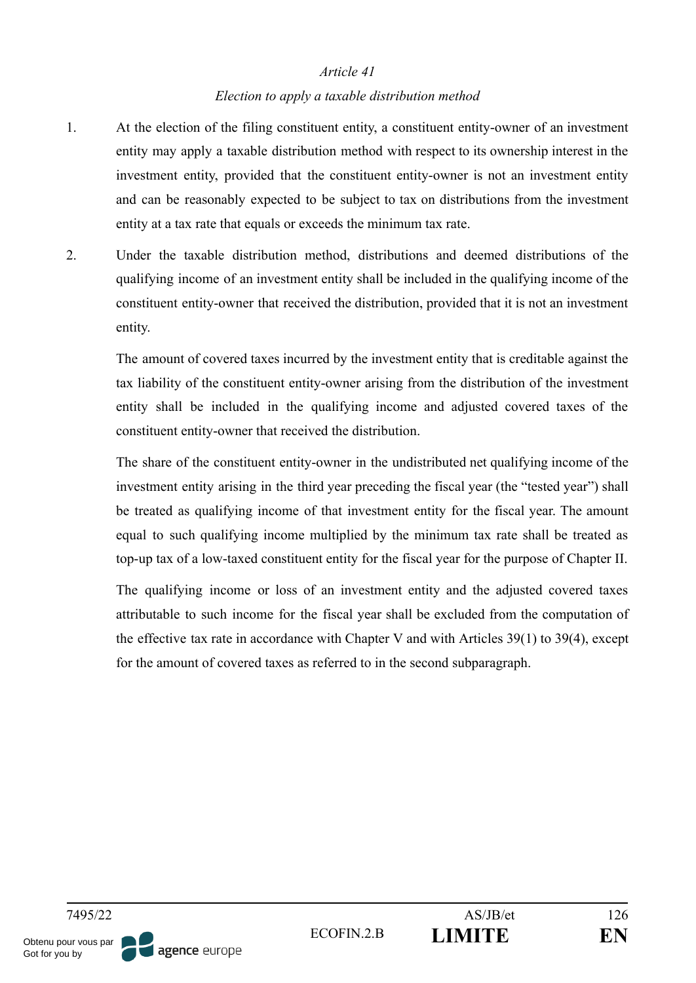#### *Election to apply a taxable distribution method*

- 1. At the election of the filing constituent entity, a constituent entity-owner of an investment entity may apply a taxable distribution method with respect to its ownership interest in the investment entity, provided that the constituent entity-owner is not an investment entity and can be reasonably expected to be subject to tax on distributions from the investment entity at a tax rate that equals or exceeds the minimum tax rate.
- 2. Under the taxable distribution method, distributions and deemed distributions of the qualifying income of an investment entity shall be included in the qualifying income of the constituent entity-owner that received the distribution, provided that it is not an investment entity.

The amount of covered taxes incurred by the investment entity that is creditable against the tax liability of the constituent entity-owner arising from the distribution of the investment entity shall be included in the qualifying income and adjusted covered taxes of the constituent entity-owner that received the distribution.

The share of the constituent entity-owner in the undistributed net qualifying income of the investment entity arising in the third year preceding the fiscal year (the "tested year") shall be treated as qualifying income of that investment entity for the fiscal year. The amount equal to such qualifying income multiplied by the minimum tax rate shall be treated as top-up tax of a low-taxed constituent entity for the fiscal year for the purpose of Chapter II.

The qualifying income or loss of an investment entity and the adjusted covered taxes attributable to such income for the fiscal year shall be excluded from the computation of the effective tax rate in accordance with Chapter V and with Articles 39(1) to 39(4), except for the amount of covered taxes as referred to in the second subparagraph.

Obtenu pour vous par agence europe Got for you by

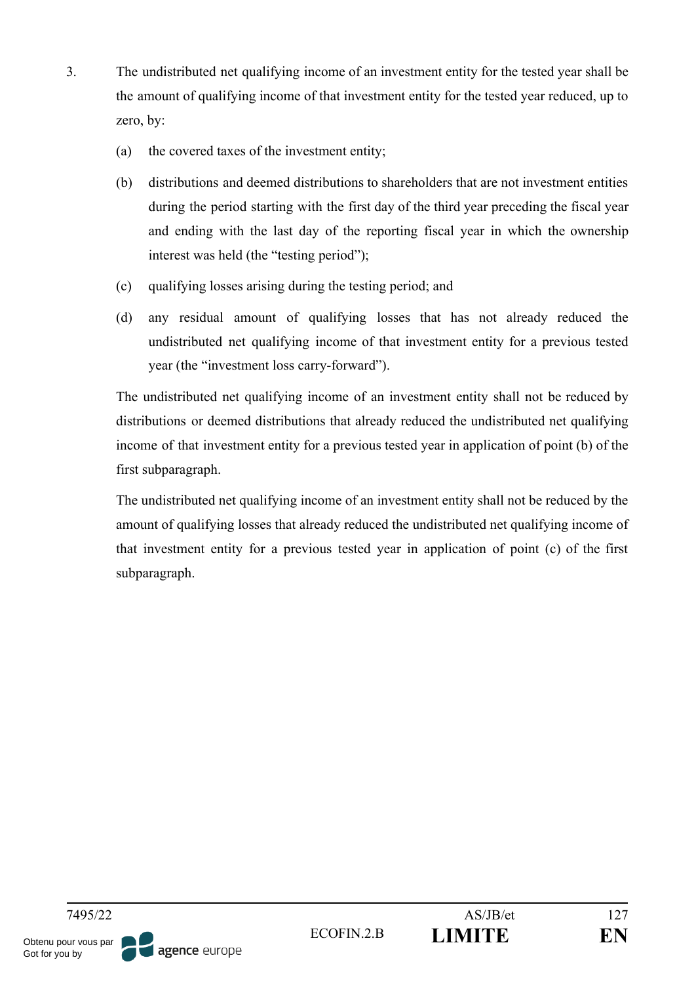- 3. The undistributed net qualifying income of an investment entity for the tested year shall be the amount of qualifying income of that investment entity for the tested year reduced, up to zero, by:
	- (a) the covered taxes of the investment entity;
	- (b) distributions and deemed distributions to shareholders that are not investment entities during the period starting with the first day of the third year preceding the fiscal year and ending with the last day of the reporting fiscal year in which the ownership interest was held (the "testing period");
	- (c) qualifying losses arising during the testing period; and
	- (d) any residual amount of qualifying losses that has not already reduced the undistributed net qualifying income of that investment entity for a previous tested year (the "investment loss carry-forward").

The undistributed net qualifying income of an investment entity shall not be reduced by distributions or deemed distributions that already reduced the undistributed net qualifying income of that investment entity for a previous tested year in application of point (b) of the first subparagraph.

The undistributed net qualifying income of an investment entity shall not be reduced by the amount of qualifying losses that already reduced the undistributed net qualifying income of that investment entity for a previous tested year in application of point (c) of the first subparagraph.

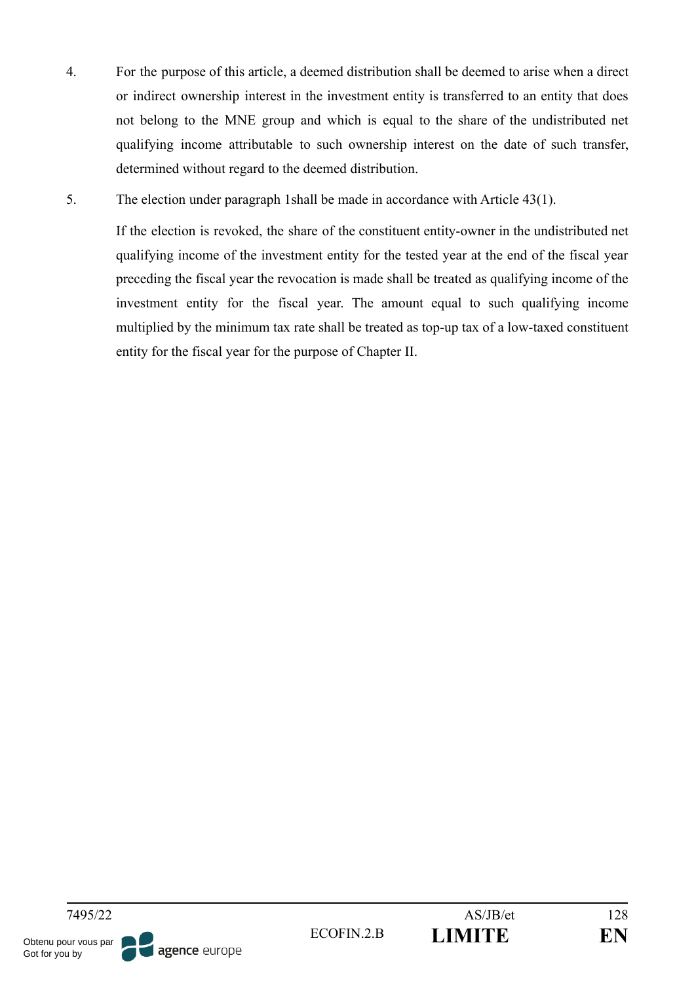- 4. For the purpose of this article, a deemed distribution shall be deemed to arise when a direct or indirect ownership interest in the investment entity is transferred to an entity that does not belong to the MNE group and which is equal to the share of the undistributed net qualifying income attributable to such ownership interest on the date of such transfer, determined without regard to the deemed distribution.
- 5. The election under paragraph 1shall be made in accordance with Article 43(1).

If the election is revoked, the share of the constituent entity-owner in the undistributed net qualifying income of the investment entity for the tested year at the end of the fiscal year preceding the fiscal year the revocation is made shall be treated as qualifying income of the investment entity for the fiscal year. The amount equal to such qualifying income multiplied by the minimum tax rate shall be treated as top-up tax of a low-taxed constituent entity for the fiscal year for the purpose of Chapter II.

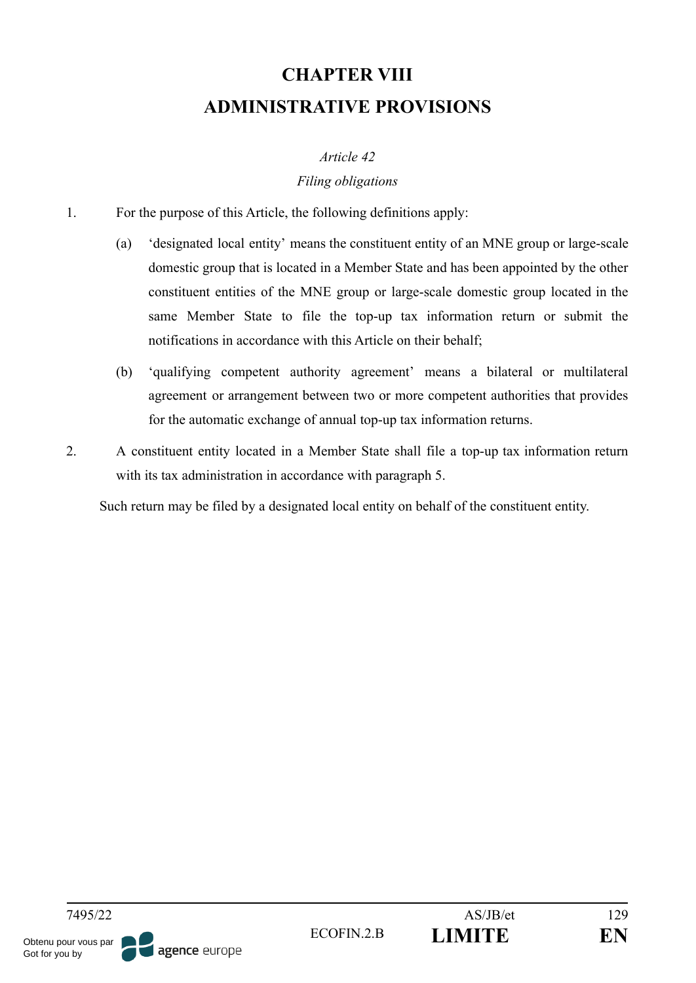# **CHAPTER VIII ADMINISTRATIVE PROVISIONS**

#### *Article 42*

### *Filing obligations*

- 1. For the purpose of this Article, the following definitions apply:
	- (a) 'designated local entity' means the constituent entity of an MNE group or large-scale domestic group that is located in a Member State and has been appointed by the other constituent entities of the MNE group or large-scale domestic group located in the same Member State to file the top-up tax information return or submit the notifications in accordance with this Article on their behalf;
	- (b) 'qualifying competent authority agreement' means a bilateral or multilateral agreement or arrangement between two or more competent authorities that provides for the automatic exchange of annual top-up tax information returns.
- 2. A constituent entity located in a Member State shall file a top-up tax information return with its tax administration in accordance with paragraph 5.

Such return may be filed by a designated local entity on behalf of the constituent entity.

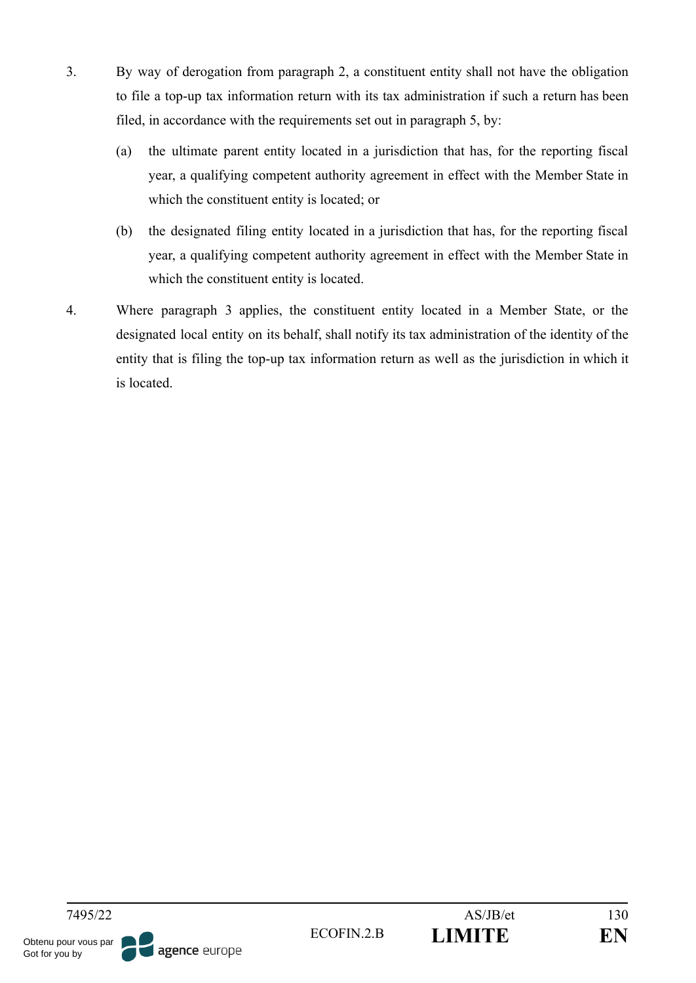- 3. By way of derogation from paragraph 2, a constituent entity shall not have the obligation to file a top-up tax information return with its tax administration if such a return has been filed, in accordance with the requirements set out in paragraph 5, by:
	- (a) the ultimate parent entity located in a jurisdiction that has, for the reporting fiscal year, a qualifying competent authority agreement in effect with the Member State in which the constituent entity is located; or
	- (b) the designated filing entity located in a jurisdiction that has, for the reporting fiscal year, a qualifying competent authority agreement in effect with the Member State in which the constituent entity is located.
- 4. Where paragraph 3 applies, the constituent entity located in a Member State, or the designated local entity on its behalf, shall notify its tax administration of the identity of the entity that is filing the top-up tax information return as well as the jurisdiction in which it is located.

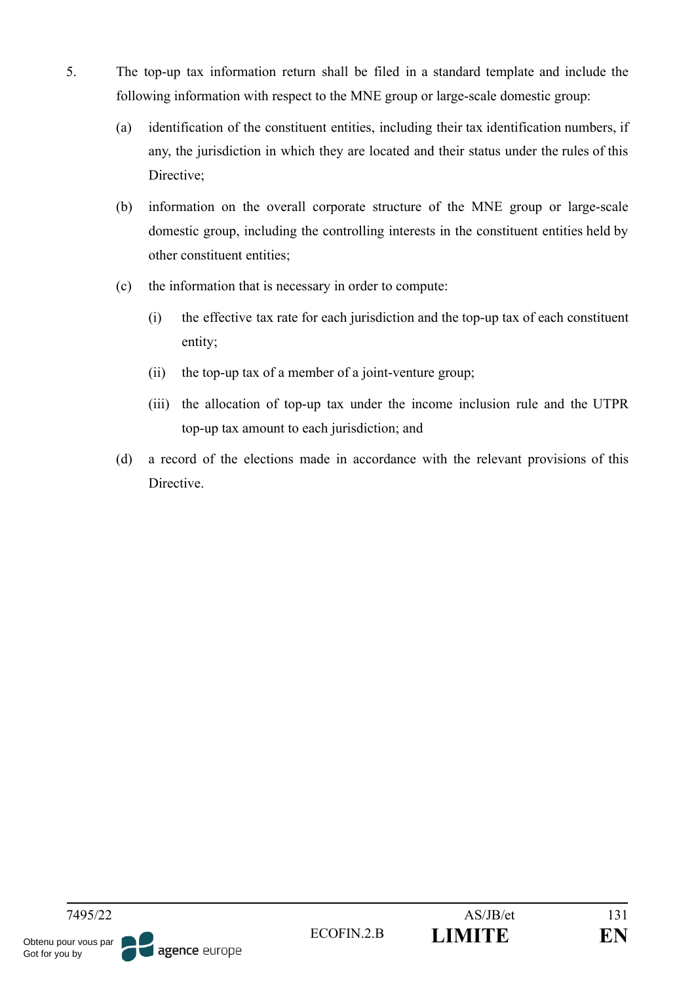- 5. The top-up tax information return shall be filed in a standard template and include the following information with respect to the MNE group or large-scale domestic group:
	- (a) identification of the constituent entities, including their tax identification numbers, if any, the jurisdiction in which they are located and their status under the rules of this Directive;
	- (b) information on the overall corporate structure of the MNE group or large-scale domestic group, including the controlling interests in the constituent entities held by other constituent entities;
	- (c) the information that is necessary in order to compute:
		- (i) the effective tax rate for each jurisdiction and the top-up tax of each constituent entity;
		- (ii) the top-up tax of a member of a joint-venture group;
		- (iii) the allocation of top-up tax under the income inclusion rule and the UTPR top-up tax amount to each jurisdiction; and
	- (d) a record of the elections made in accordance with the relevant provisions of this **Directive**

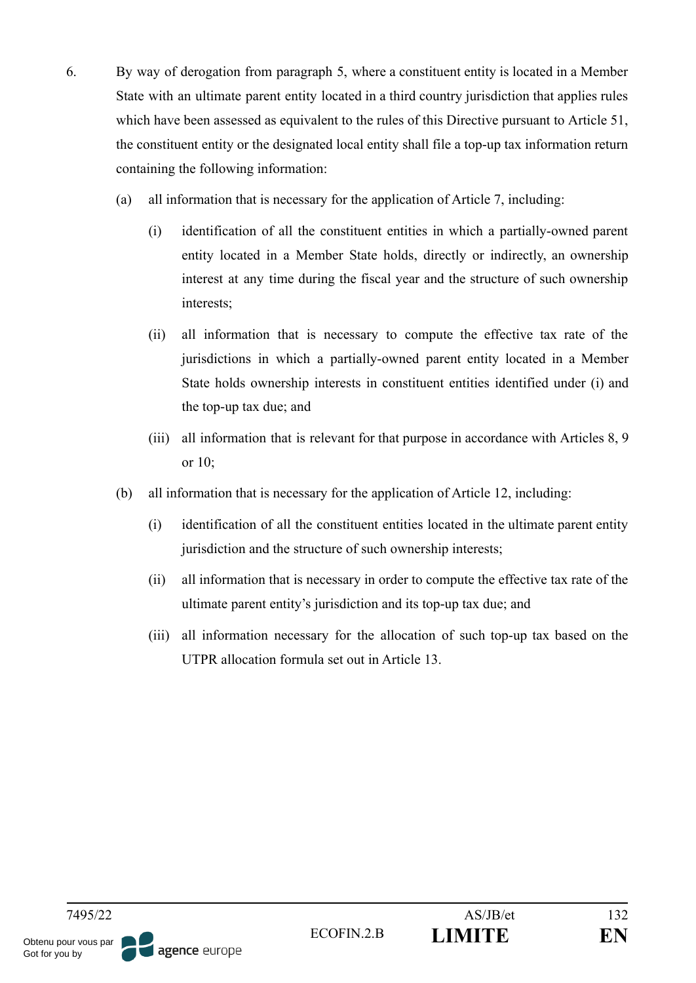- 6. By way of derogation from paragraph 5, where a constituent entity is located in a Member State with an ultimate parent entity located in a third country jurisdiction that applies rules which have been assessed as equivalent to the rules of this Directive pursuant to Article 51, the constituent entity or the designated local entity shall file a top-up tax information return containing the following information:
	- (a) all information that is necessary for the application of Article 7, including:
		- (i) identification of all the constituent entities in which a partially-owned parent entity located in a Member State holds, directly or indirectly, an ownership interest at any time during the fiscal year and the structure of such ownership interests;
		- (ii) all information that is necessary to compute the effective tax rate of the jurisdictions in which a partially-owned parent entity located in a Member State holds ownership interests in constituent entities identified under (i) and the top-up tax due; and
		- (iii) all information that is relevant for that purpose in accordance with Articles 8, 9 or 10;
	- (b) all information that is necessary for the application of Article 12, including:
		- (i) identification of all the constituent entities located in the ultimate parent entity jurisdiction and the structure of such ownership interests;
		- (ii) all information that is necessary in order to compute the effective tax rate of the ultimate parent entity's jurisdiction and its top-up tax due; and
		- (iii) all information necessary for the allocation of such top-up tax based on the UTPR allocation formula set out in Article 13.

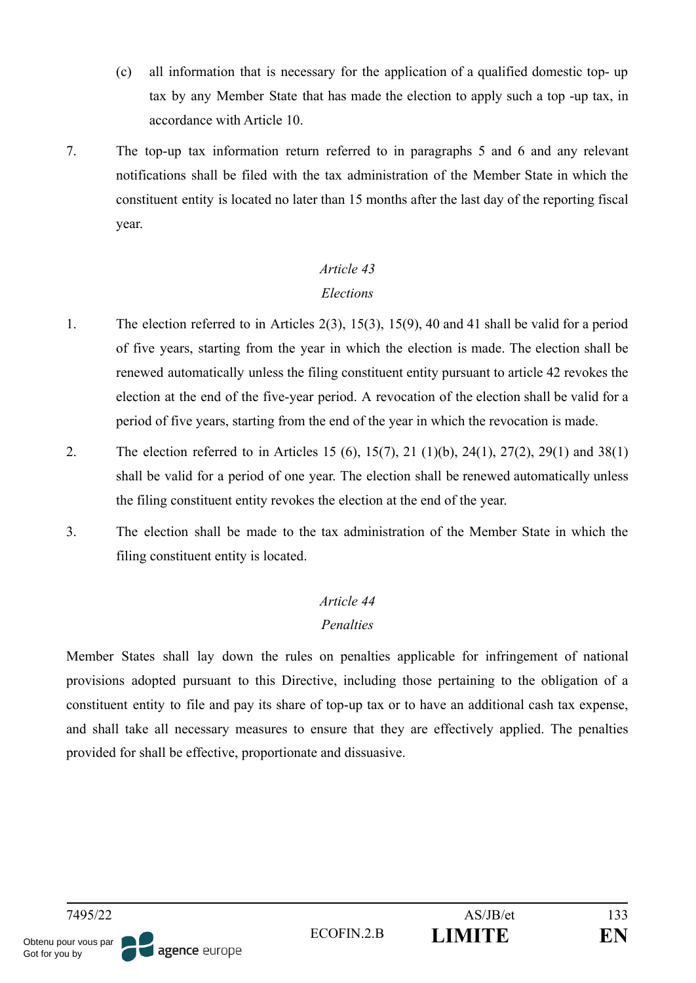- (c) all information that is necessary for the application of a qualified domestic top- up tax by any Member State that has made the election to apply such a top -up tax, in accordance with Article 10.
- 7. The top-up tax information return referred to in paragraphs 5 and 6 and any relevant notifications shall be filed with the tax administration of the Member State in which the constituent entity is located no later than 15 months after the last day of the reporting fiscal year.

## *Article 43 Elections*

- 1. The election referred to in Articles 2(3), 15(3), 15(9), 40 and 41 shall be valid for a period of five years, starting from the year in which the election is made. The election shall be renewed automatically unless the filing constituent entity pursuant to article 42 revokes the election at the end of the five-year period. A revocation of the election shall be valid for a period of five years, starting from the end of the year in which the revocation is made.
- 2. The election referred to in Articles 15 (6), 15(7), 21 (1)(b), 24(1), 27(2), 29(1) and 38(1) shall be valid for a period of one year. The election shall be renewed automatically unless the filing constituent entity revokes the election at the end of the year.
- 3. The election shall be made to the tax administration of the Member State in which the filing constituent entity is located.

## *Article 44*

### *Penalties*

Member States shall lay down the rules on penalties applicable for infringement of national provisions adopted pursuant to this Directive, including those pertaining to the obligation of a constituent entity to file and pay its share of top-up tax or to have an additional cash tax expense, and shall take all necessary measures to ensure that they are effectively applied. The penalties provided for shall be effective, proportionate and dissuasive.



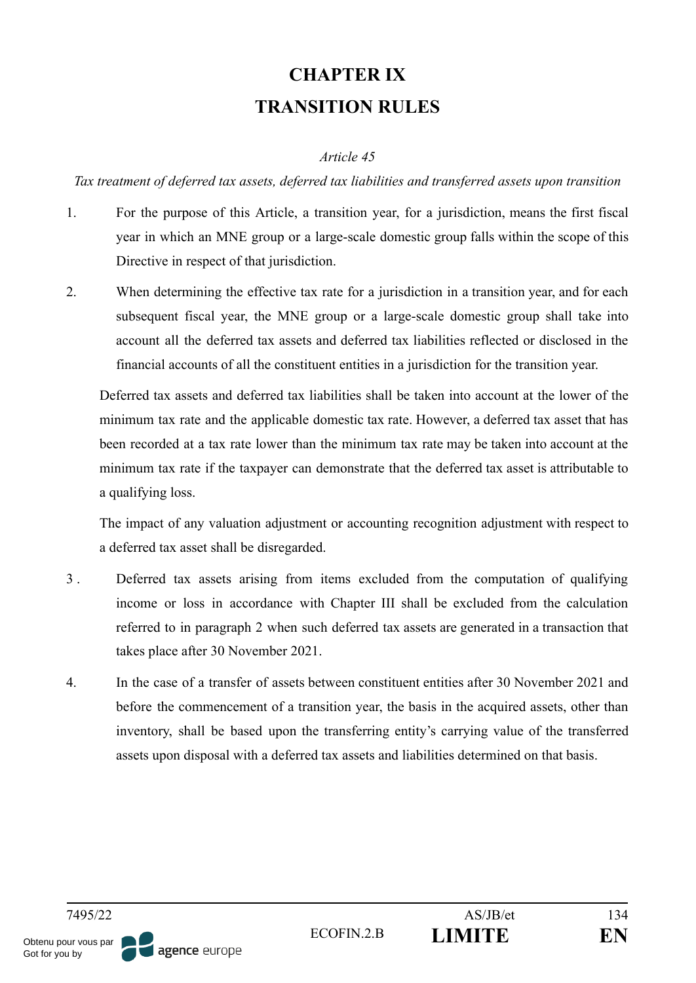# **CHAPTER IX TRANSITION RULES**

#### *Article 45*

*Tax treatment of deferred tax assets, deferred tax liabilities and transferred assets upon transition*

- 1. For the purpose of this Article, a transition year, for a jurisdiction, means the first fiscal year in which an MNE group or a large-scale domestic group falls within the scope of this Directive in respect of that jurisdiction.
- 2. When determining the effective tax rate for a jurisdiction in a transition year, and for each subsequent fiscal year, the MNE group or a large-scale domestic group shall take into account all the deferred tax assets and deferred tax liabilities reflected or disclosed in the financial accounts of all the constituent entities in a jurisdiction for the transition year.

Deferred tax assets and deferred tax liabilities shall be taken into account at the lower of the minimum tax rate and the applicable domestic tax rate. However, a deferred tax asset that has been recorded at a tax rate lower than the minimum tax rate may be taken into account at the minimum tax rate if the taxpayer can demonstrate that the deferred tax asset is attributable to a qualifying loss.

The impact of any valuation adjustment or accounting recognition adjustment with respect to a deferred tax asset shall be disregarded.

- 3 . Deferred tax assets arising from items excluded from the computation of qualifying income or loss in accordance with Chapter III shall be excluded from the calculation referred to in paragraph 2 when such deferred tax assets are generated in a transaction that takes place after 30 November 2021.
- 4. In the case of a transfer of assets between constituent entities after 30 November 2021 and before the commencement of a transition year, the basis in the acquired assets, other than inventory, shall be based upon the transferring entity's carrying value of the transferred assets upon disposal with a deferred tax assets and liabilities determined on that basis.

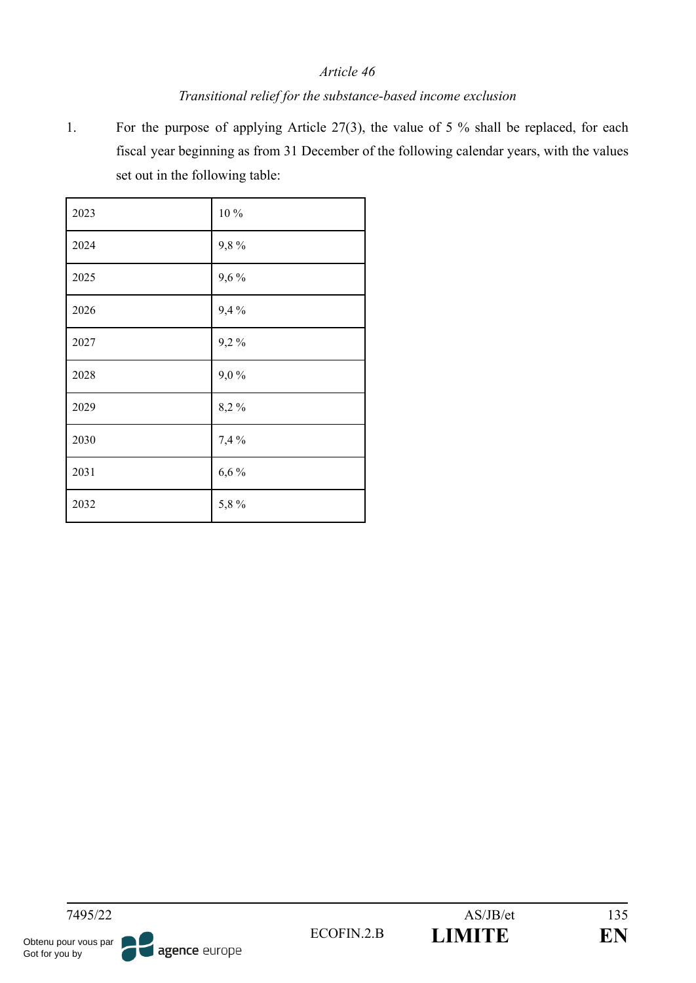#### *Transitional relief for the substance-based income exclusion*

1. For the purpose of applying Article 27(3), the value of 5 % shall be replaced, for each fiscal year beginning as from 31 December of the following calendar years, with the values set out in the following table:

| 2023 | $10\,\%$  |
|------|-----------|
| 2024 | 9,8%      |
| 2025 | 9,6%      |
| 2026 | 9,4%      |
| 2027 | 9,2%      |
| 2028 | $9,\!0$ % |
| 2029 | 8,2%      |
| 2030 | 7,4 %     |
| 2031 | 6,6%      |
| 2032 | 5,8%      |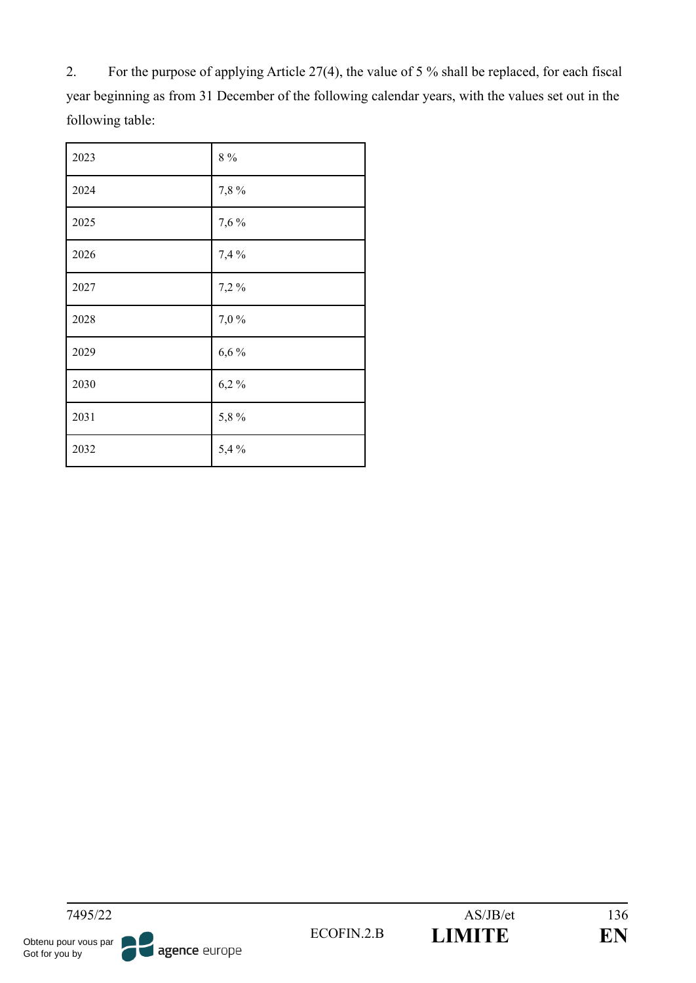2. For the purpose of applying Article 27(4), the value of 5 % shall be replaced, for each fiscal year beginning as from 31 December of the following calendar years, with the values set out in the following table:

| 2023 | $8\ \%$ |
|------|---------|
| 2024 | 7,8%    |
| 2025 | 7,6%    |
| 2026 | 7,4%    |
| 2027 | 7,2%    |
| 2028 | 7,0%    |
| 2029 | 6,6%    |
| 2030 | $6,2\%$ |
| 2031 | 5,8%    |
| 2032 | 5,4%    |
|      |         |

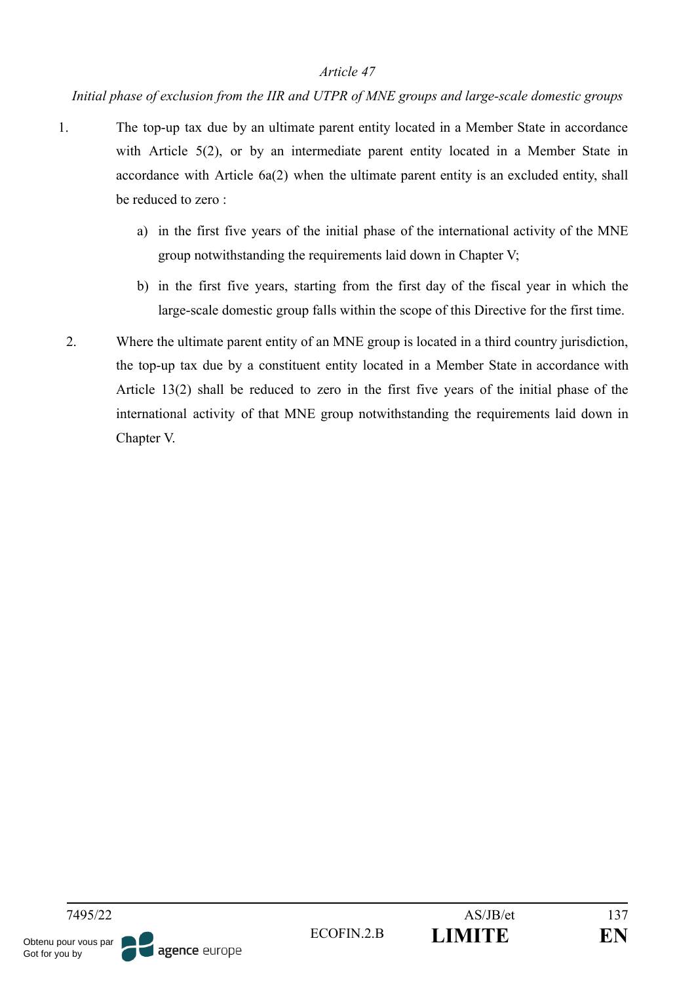#### *Initial phase of exclusion from the IIR and UTPR of MNE groups and large-scale domestic groups*

- 1. The top-up tax due by an ultimate parent entity located in a Member State in accordance with Article 5(2), or by an intermediate parent entity located in a Member State in accordance with Article 6a(2) when the ultimate parent entity is an excluded entity, shall be reduced to zero :
	- a) in the first five years of the initial phase of the international activity of the MNE group notwithstanding the requirements laid down in Chapter V;
	- b) in the first five years, starting from the first day of the fiscal year in which the large-scale domestic group falls within the scope of this Directive for the first time.
	- 2. Where the ultimate parent entity of an MNE group is located in a third country jurisdiction, the top-up tax due by a constituent entity located in a Member State in accordance with Article 13(2) shall be reduced to zero in the first five years of the initial phase of the international activity of that MNE group notwithstanding the requirements laid down in Chapter V.

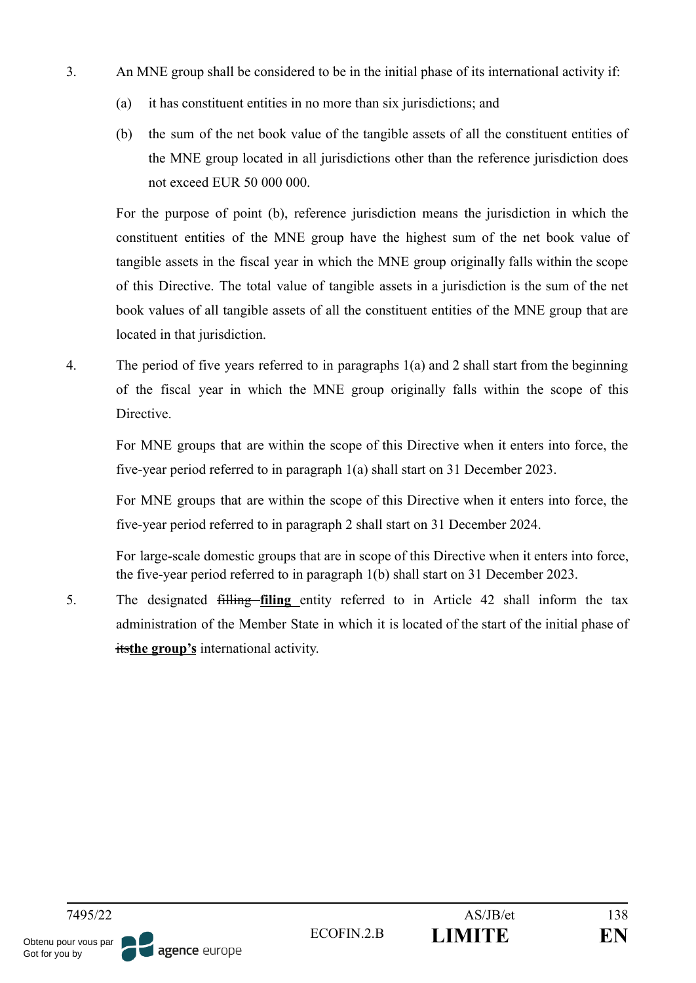- 3. An MNE group shall be considered to be in the initial phase of its international activity if:
	- (a) it has constituent entities in no more than six jurisdictions; and
	- (b) the sum of the net book value of the tangible assets of all the constituent entities of the MNE group located in all jurisdictions other than the reference jurisdiction does not exceed EUR 50 000 000.

For the purpose of point (b), reference jurisdiction means the jurisdiction in which the constituent entities of the MNE group have the highest sum of the net book value of tangible assets in the fiscal year in which the MNE group originally falls within the scope of this Directive. The total value of tangible assets in a jurisdiction is the sum of the net book values of all tangible assets of all the constituent entities of the MNE group that are located in that jurisdiction.

4. The period of five years referred to in paragraphs 1(a) and 2 shall start from the beginning of the fiscal year in which the MNE group originally falls within the scope of this Directive.

For MNE groups that are within the scope of this Directive when it enters into force, the five-year period referred to in paragraph 1(a) shall start on 31 December 2023.

For MNE groups that are within the scope of this Directive when it enters into force, the five-year period referred to in paragraph 2 shall start on 31 December 2024.

For large-scale domestic groups that are in scope of this Directive when it enters into force, the five-year period referred to in paragraph 1(b) shall start on 31 December 2023.

5. The designated filling **filing** entity referred to in Article 42 shall inform the tax administration of the Member State in which it is located of the start of the initial phase of its**the group's** international activity.

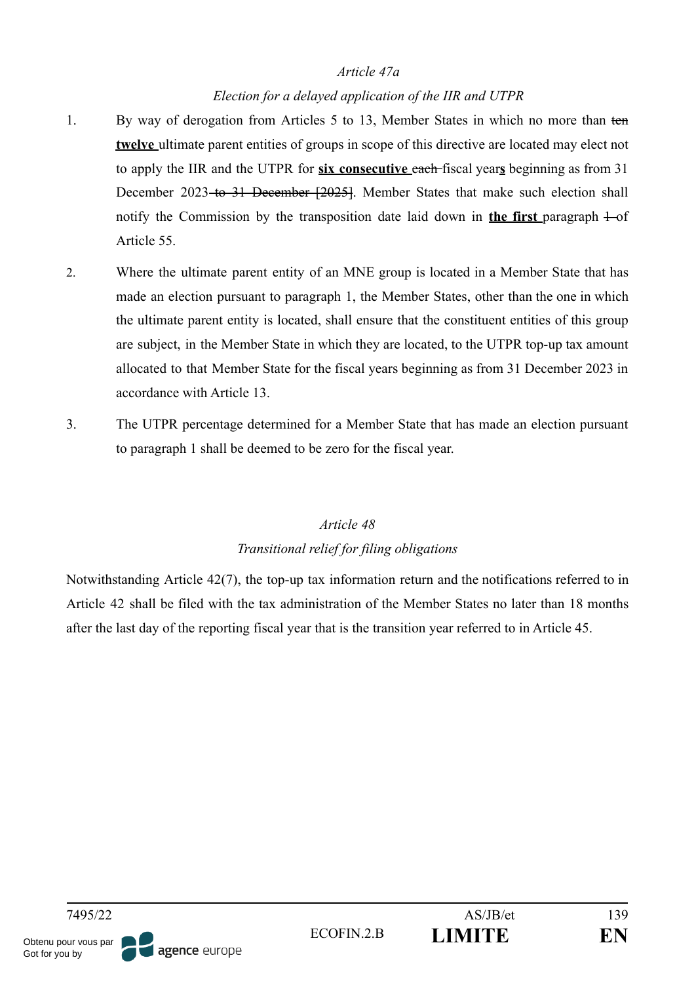#### *Article 47a*

### *Election for a delayed application of the IIR and UTPR*

- 1. By way of derogation from Articles 5 to 13, Member States in which no more than ten **twelve** ultimate parent entities of groups in scope of this directive are located may elect not to apply the IIR and the UTPR for **six consecutive** each fiscal year**s** beginning as from 31 December 2023 to 31 December [2025]. Member States that make such election shall notify the Commission by the transposition date laid down in **the first** paragraph  $\pm$ -of Article 55.
- 2. Where the ultimate parent entity of an MNE group is located in a Member State that has made an election pursuant to paragraph 1, the Member States, other than the one in which the ultimate parent entity is located, shall ensure that the constituent entities of this group are subject, in the Member State in which they are located, to the UTPR top-up tax amount allocated to that Member State for the fiscal years beginning as from 31 December 2023 in accordance with Article 13.
- 3. The UTPR percentage determined for a Member State that has made an election pursuant to paragraph 1 shall be deemed to be zero for the fiscal year.

## *Article 48 Transitional relief for filing obligations*

Notwithstanding Article 42(7), the top-up tax information return and the notifications referred to in Article 42 shall be filed with the tax administration of the Member States no later than 18 months after the last day of the reporting fiscal year that is the transition year referred to in Article 45.

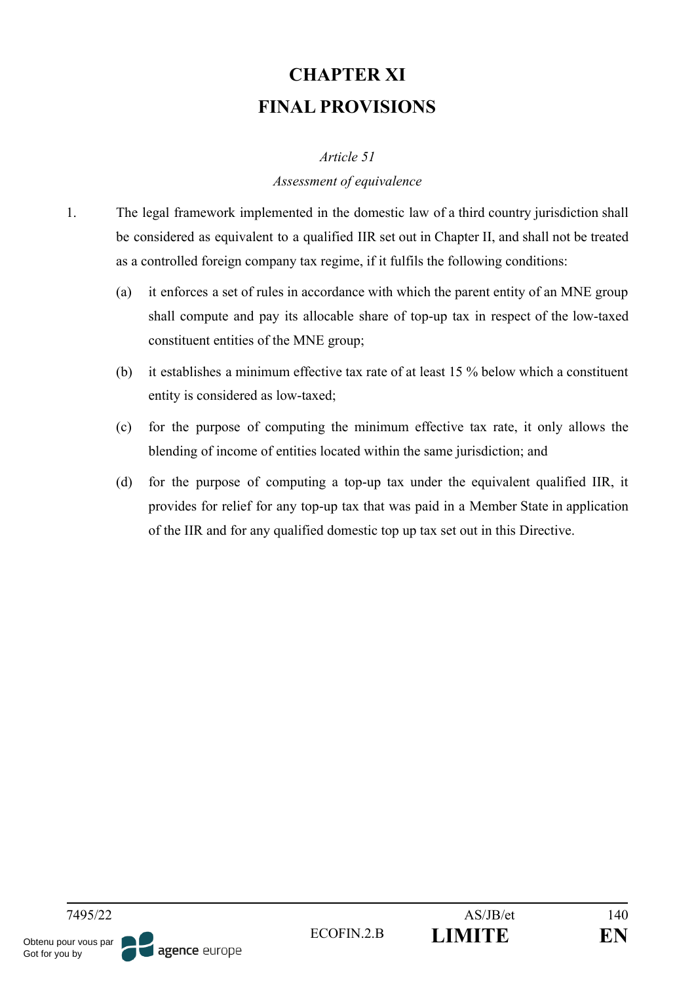# **CHAPTER XI FINAL PROVISIONS**

#### *Article 51*

#### *Assessment of equivalence*

- 1. The legal framework implemented in the domestic law of a third country jurisdiction shall be considered as equivalent to a qualified IIR set out in Chapter II, and shall not be treated as a controlled foreign company tax regime, if it fulfils the following conditions:
	- (a) it enforces a set of rules in accordance with which the parent entity of an MNE group shall compute and pay its allocable share of top-up tax in respect of the low-taxed constituent entities of the MNE group;
	- (b) it establishes a minimum effective tax rate of at least 15 % below which a constituent entity is considered as low-taxed;
	- (c) for the purpose of computing the minimum effective tax rate, it only allows the blending of income of entities located within the same jurisdiction; and
	- (d) for the purpose of computing a top-up tax under the equivalent qualified IIR, it provides for relief for any top-up tax that was paid in a Member State in application of the IIR and for any qualified domestic top up tax set out in this Directive.

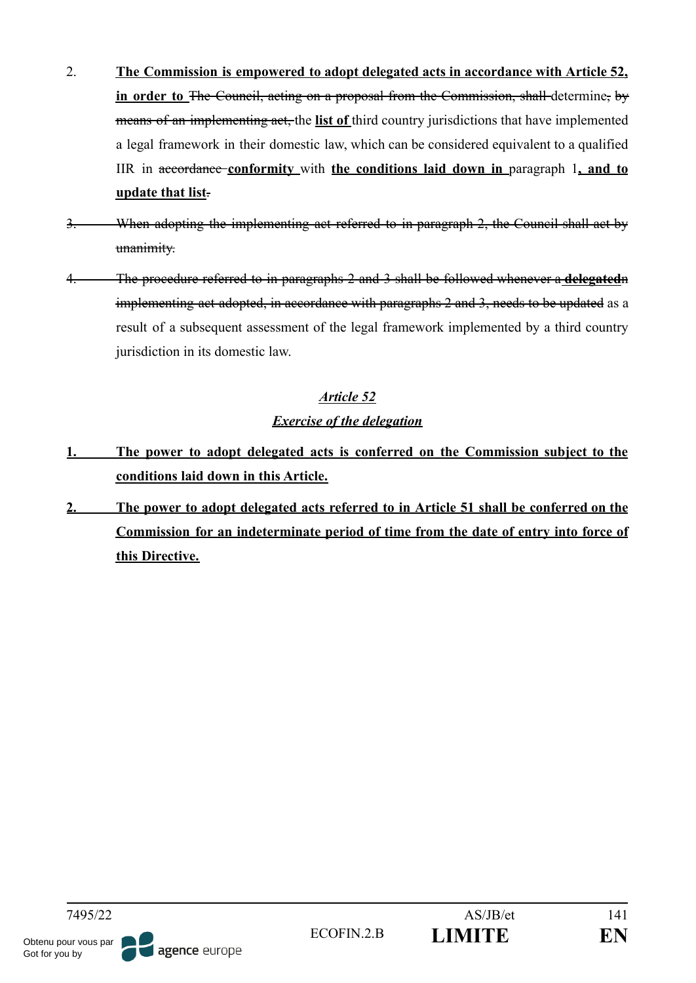- 2. **The Commission is empowered to adopt delegated acts in accordance with Article 52, in order to** The Council, acting on a proposal from the Commission, shall determine, by means of an implementing act, the **list of** third country jurisdictions that have implemented a legal framework in their domestic law, which can be considered equivalent to a qualified IIR in accordance **conformity** with **the conditions laid down in** paragraph 1**, and to update that list**.
- 3. When adopting the implementing act referred to in paragraph 2, the Council shall act by unanimity.
- 4. The procedure referred to in paragraphs 2 and 3 shall be followed whenever a **delegated**n implementing act adopted, in accordance with paragraphs 2 and 3, needs to be updated as a result of a subsequent assessment of the legal framework implemented by a third country jurisdiction in its domestic law.

#### *Exercise of the delegation*

- **1. The power to adopt delegated acts is conferred on the Commission subject to the conditions laid down in this Article.**
- **2. The power to adopt delegated acts referred to in Article 51 shall be conferred on the Commission for an indeterminate period of time from the date of entry into force of this Directive.**

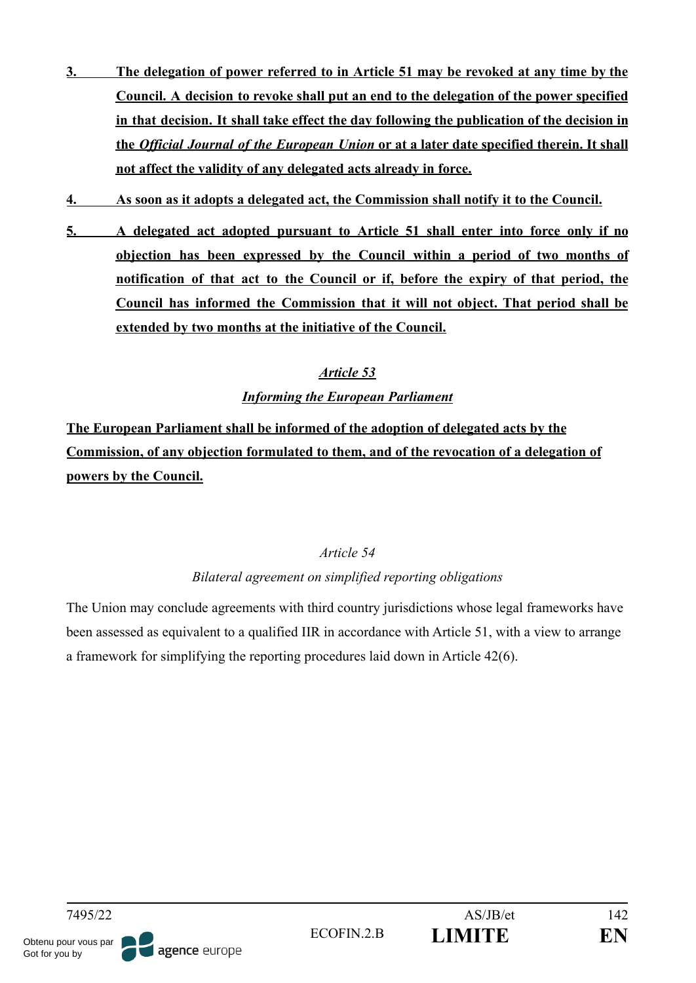- **3. The delegation of power referred to in Article 51 may be revoked at any time by the Council. A decision to revoke shall put an end to the delegation of the power specified in that decision. It shall take effect the day following the publication of the decision in the** *Official Journal of the European Union* **or at a later date specified therein. It shall not affect the validity of any delegated acts already in force.**
- **4. As soon as it adopts a delegated act, the Commission shall notify it to the Council.**
- **5. A delegated act adopted pursuant to Article 51 shall enter into force only if no objection has been expressed by the Council within a period of two months of notification of that act to the Council or if, before the expiry of that period, the Council has informed the Commission that it will not object. That period shall be extended by two months at the initiative of the Council.**

## *Informing the European Parliament*

**The European Parliament shall be informed of the adoption of delegated acts by the Commission, of any objection formulated to them, and of the revocation of a delegation of powers by the Council.**

## *Article 54*

## *Bilateral agreement on simplified reporting obligations*

The Union may conclude agreements with third country jurisdictions whose legal frameworks have been assessed as equivalent to a qualified IIR in accordance with Article 51, with a view to arrange a framework for simplifying the reporting procedures laid down in Article 42(6).

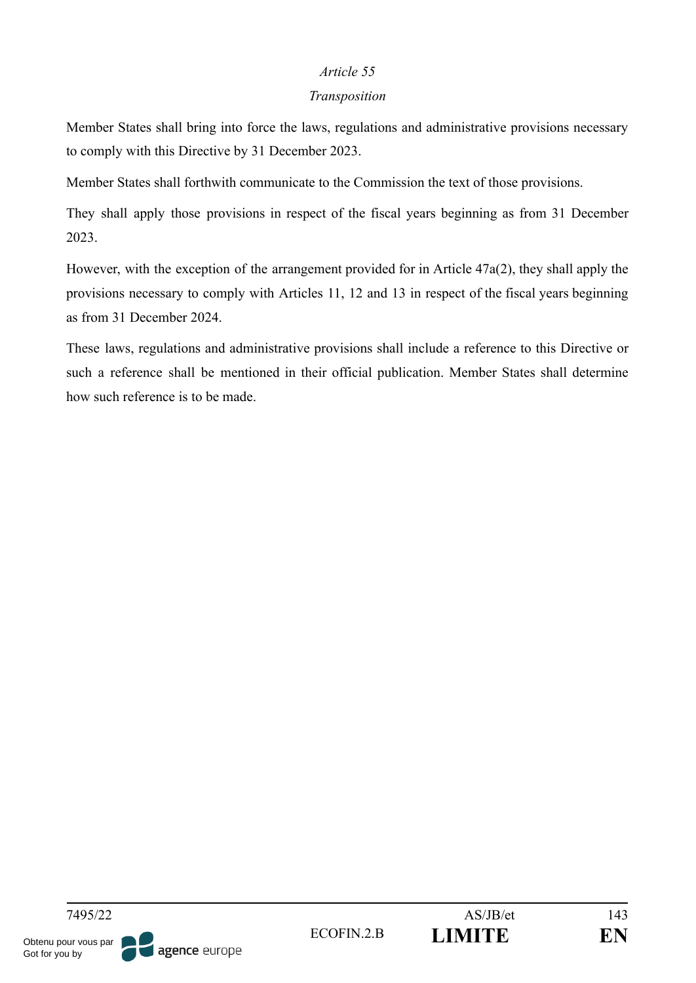#### *Transposition*

Member States shall bring into force the laws, regulations and administrative provisions necessary to comply with this Directive by 31 December 2023.

Member States shall forthwith communicate to the Commission the text of those provisions.

They shall apply those provisions in respect of the fiscal years beginning as from 31 December 2023.

However, with the exception of the arrangement provided for in Article 47a(2), they shall apply the provisions necessary to comply with Articles 11, 12 and 13 in respect of the fiscal years beginning as from 31 December 2024.

These laws, regulations and administrative provisions shall include a reference to this Directive or such a reference shall be mentioned in their official publication. Member States shall determine how such reference is to be made.